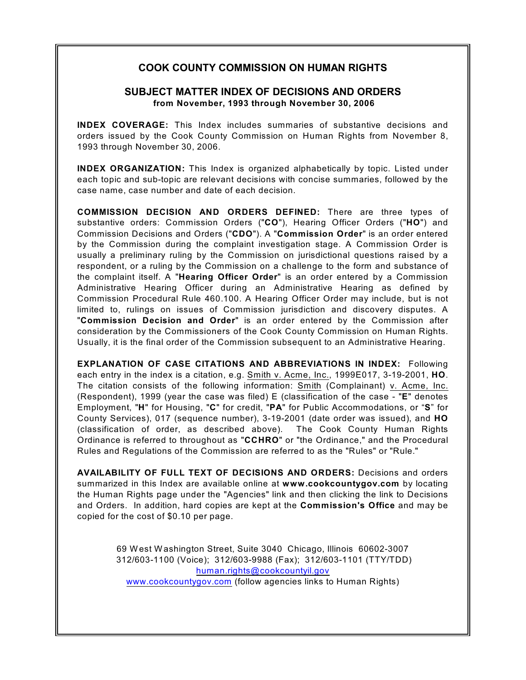# **COOK COUNTY COMMISSION ON HUMAN RIGHTS**

# **SUBJECT MATTER INDEX OF DECISIONS AND ORDERS from November, 1993 through November 30, 2006**

**INDEX COVERAGE:** This Index includes summaries of substantive decisions and orders issued by the Cook County Commission on Human Rights from November 8, 1993 through November 30, 2006.

**INDEX ORGANIZATION:** This Index is organized alphabetically by topic. Listed under each topic and sub-topic are relevant decisions with concise summaries, followed by the case name, case number and date of each decision.

**COMMISSION DECISION AND ORDERS DEFINED:** There are three types of substantive orders: Commission Orders ("**CO**"), Hearing Officer Orders ("**HO**") and Commission Decisions and Orders ("**CDO**"). A "**Commission Order**" is an order entered by the Commission during the complaint investigation stage. A Commission Order is usually a preliminary ruling by the Commission on jurisdictional questions raised by a respondent, or a ruling by the Commission on a challenge to the form and substance of the complaint itself. A "**Hearing Officer Order**" is an order entered by a Commission Administrative Hearing Officer during an Administrative Hearing as defined by Commission Procedural Rule 460.100. A Hearing Officer Order may include, but is not limited to, rulings on issues of Commission jurisdiction and discovery disputes. A "**Commission Decision and Order**" is an order entered by the Commission after consideration by the Commissioners of the Cook County Commission on Human Rights. Usually, it is the final order of the Commission subsequent to an Administrative Hearing.

**EXPLANATION OF CASE CITATIONS AND ABBREVIATIONS IN INDEX:** Following each entry in the index is a citation, e.g. Smith v. Acme, Inc., 1999E017, 3-19-2001, **HO**. The citation consists of the following information: Smith (Complainant) v. Acme, Inc. (Respondent), 1999 (year the case was filed) E (classification of the case - "**E**" denotes Employment, "**H**" for Housing, "**C**" for credit, "**PA**" for Public Accommodations, or "**S**" for County Services), 017 (sequence number), 3-19-2001 (date order was issued), and **HO** (classification of order, as described above). The Cook County Human Rights Ordinance is referred to throughout as "**CCHRO**" or "the Ordinance," and the Procedural Rules and Regulations of the Commission are referred to as the "Rules" or "Rule."

**AVAILABILITY OF FULL TEXT OF DECISIONS AND ORDERS:** Decisions and orders summarized in this Index are available online at **www.cookcountygov.com** by locating the Human Rights page under the "Agencies" link and then clicking the link to Decisions and Orders. In addition, hard copies are kept at the **Commission's Office** and may be copied for the cost of \$0.10 per page.

> 69 West Washington Street, Suite 3040 Chicago, Illinois 60602-3007 312/603-1100 (Voice); 312/603-9988 (Fax); 312/603-1101 (TTY/TDD) [human.rights@cookcountyil.gov](mailto:human.rights@cookcountyil.gov) [www.cookcountygov.com](http://www.cookcountygov.com) (follow agencies links to Human Rights)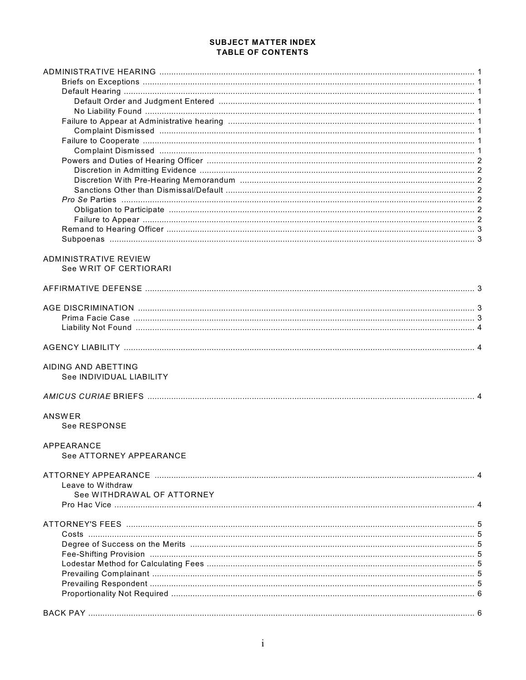#### **SUBJECT MATTER INDEX TABLE OF CONTENTS**

| ADMINISTRATIVE REVIEW      |  |
|----------------------------|--|
| See WRIT OF CERTIORARI     |  |
|                            |  |
|                            |  |
|                            |  |
|                            |  |
|                            |  |
|                            |  |
|                            |  |
|                            |  |
|                            |  |
| AIDING AND ABETTING        |  |
| See INDIVIDUAL LIABILITY   |  |
|                            |  |
|                            |  |
|                            |  |
| ANSWER                     |  |
| See RESPONSE               |  |
| APPEARANCE                 |  |
| See ATTORNEY APPEARANCE    |  |
|                            |  |
|                            |  |
| Leave to Withdraw          |  |
| See WITHDRAWAL OF ATTORNEY |  |
|                            |  |
|                            |  |
|                            |  |
|                            |  |
|                            |  |
|                            |  |
|                            |  |
|                            |  |
|                            |  |
|                            |  |
|                            |  |
|                            |  |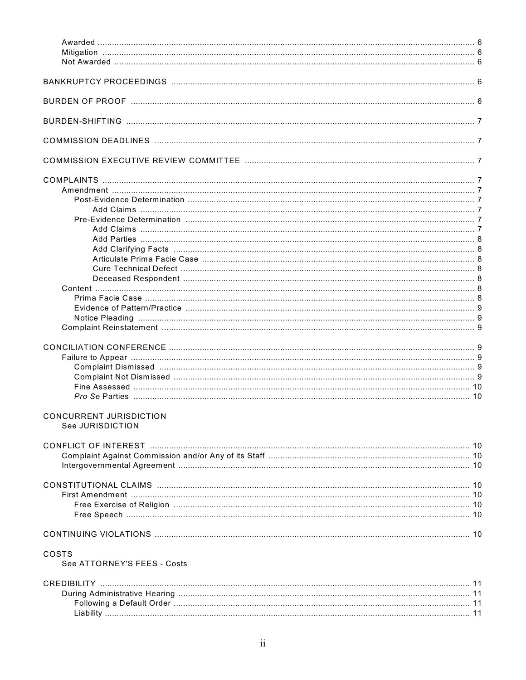| <b>CONCURRENT JURISDICTION</b><br>See JURISDICTION |  |
|----------------------------------------------------|--|
|                                                    |  |
|                                                    |  |
|                                                    |  |
|                                                    |  |
|                                                    |  |
|                                                    |  |
|                                                    |  |
|                                                    |  |
|                                                    |  |
|                                                    |  |
| COSTS                                              |  |
| See ATTORNEY'S FEES - Costs                        |  |
|                                                    |  |
|                                                    |  |
|                                                    |  |
|                                                    |  |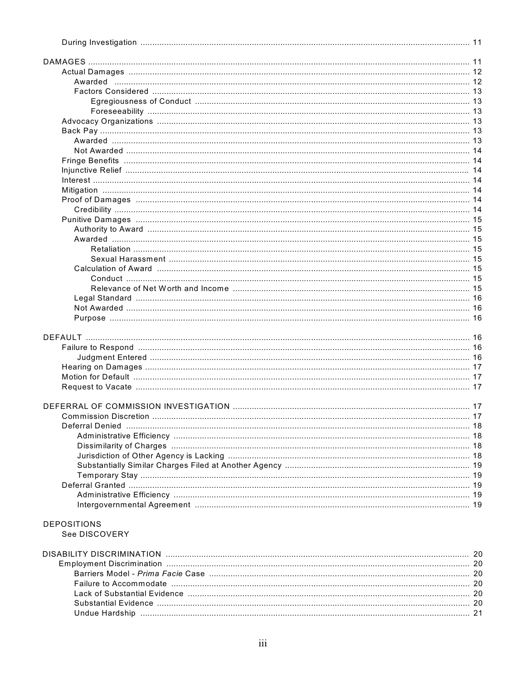| <b>DEPOSITIONS</b> |  |
|--------------------|--|
| See DISCOVERY      |  |
|                    |  |
|                    |  |
|                    |  |
|                    |  |
|                    |  |
|                    |  |
|                    |  |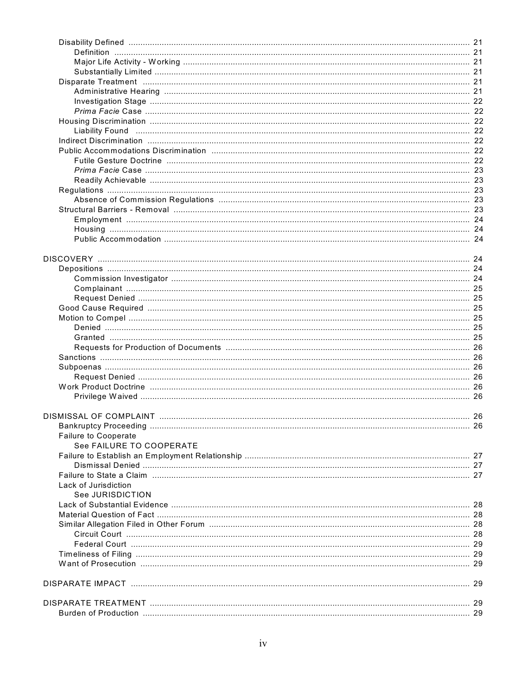| <b>Failure to Cooperate</b> |  |
|-----------------------------|--|
| See FAILURE TO COOPERATE    |  |
|                             |  |
|                             |  |
|                             |  |
| Lack of Jurisdiction        |  |
| See JURISDICTION            |  |
|                             |  |
|                             |  |
|                             |  |
|                             |  |
|                             |  |
|                             |  |
|                             |  |
|                             |  |
|                             |  |
|                             |  |
|                             |  |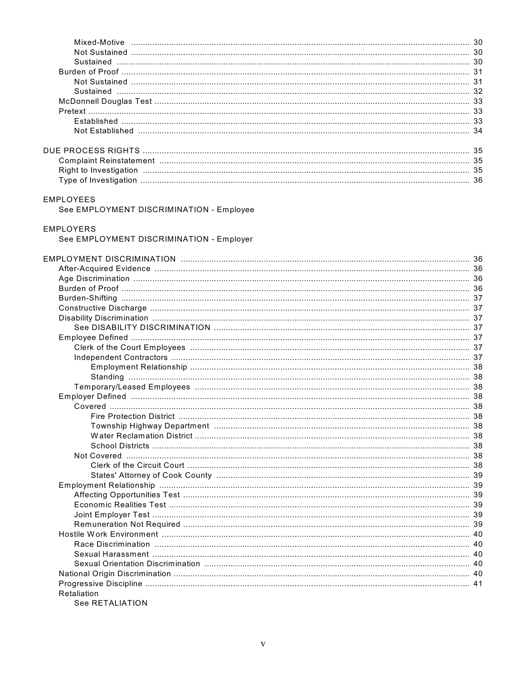# EMPLOYEES

See EMPLOYMENT DISCRIMINATION - Employee

# **EMPLOYERS**

See EMPLOYMENT DISCRIMINATION - Employer

| Retaliation |  |
|-------------|--|

See RETALIATION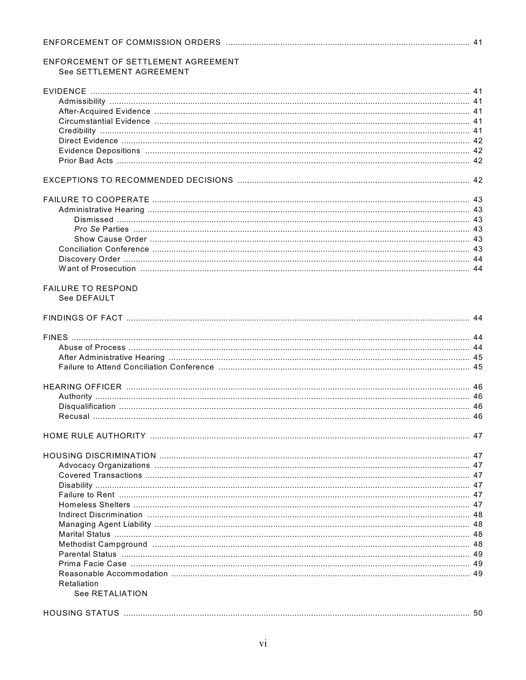| ENFORCEMENT OF SETTLEMENT AGREEMENT |  |
|-------------------------------------|--|
| See SETTLEMENT AGREEMENT            |  |
|                                     |  |
|                                     |  |
|                                     |  |
|                                     |  |
|                                     |  |
|                                     |  |
|                                     |  |
|                                     |  |
|                                     |  |
|                                     |  |
|                                     |  |
|                                     |  |
|                                     |  |
|                                     |  |
|                                     |  |
|                                     |  |
|                                     |  |
|                                     |  |
| <b>FAILURE TO RESPOND</b>           |  |
| See DEFAULT                         |  |
|                                     |  |
|                                     |  |
|                                     |  |
|                                     |  |
|                                     |  |
|                                     |  |
|                                     |  |
|                                     |  |
|                                     |  |
|                                     |  |
|                                     |  |
|                                     |  |
|                                     |  |
|                                     |  |
|                                     |  |
|                                     |  |
|                                     |  |
|                                     |  |
|                                     |  |
|                                     |  |
|                                     |  |
|                                     |  |
|                                     |  |
|                                     |  |
| Retaliation                         |  |
| See RETALIATION                     |  |
|                                     |  |
|                                     |  |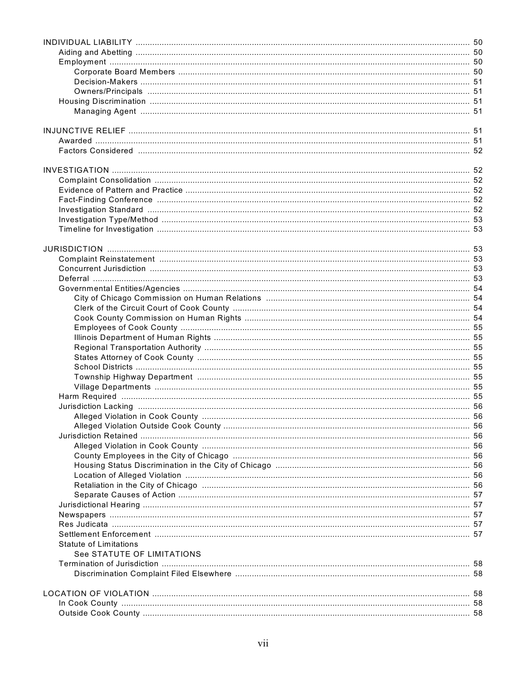| <b>Statute of Limitations</b> |  |
|-------------------------------|--|
| See STATUTE OF LIMITATIONS    |  |
|                               |  |
|                               |  |
|                               |  |
|                               |  |
|                               |  |
|                               |  |
|                               |  |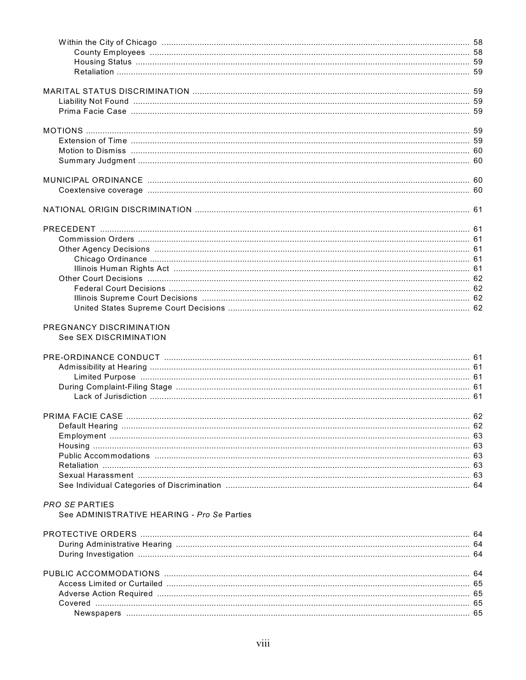| PREGNANCY DISCRIMINATION                    |  |
|---------------------------------------------|--|
| See SEX DISCRIMINATION                      |  |
|                                             |  |
|                                             |  |
|                                             |  |
|                                             |  |
|                                             |  |
|                                             |  |
|                                             |  |
|                                             |  |
|                                             |  |
|                                             |  |
|                                             |  |
|                                             |  |
|                                             |  |
|                                             |  |
|                                             |  |
| <b>PRO SE PARTIES</b>                       |  |
| See ADMINISTRATIVE HEARING - Pro Se Parties |  |
|                                             |  |
|                                             |  |
|                                             |  |
|                                             |  |
|                                             |  |
|                                             |  |
|                                             |  |
|                                             |  |
|                                             |  |
|                                             |  |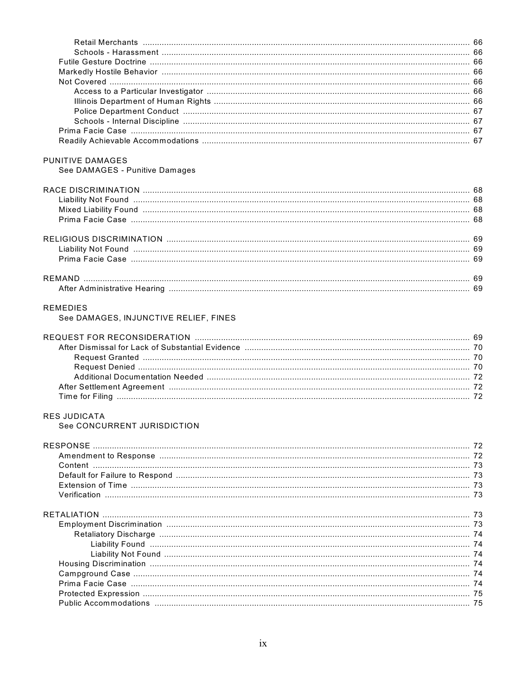| <b>PUNITIVE DAMAGES</b>               |  |
|---------------------------------------|--|
| See DAMAGES - Punitive Damages        |  |
|                                       |  |
|                                       |  |
|                                       |  |
|                                       |  |
|                                       |  |
|                                       |  |
|                                       |  |
|                                       |  |
|                                       |  |
|                                       |  |
|                                       |  |
|                                       |  |
| REMEDIES                              |  |
| See DAMAGES, INJUNCTIVE RELIEF, FINES |  |
|                                       |  |
|                                       |  |
|                                       |  |
|                                       |  |
|                                       |  |
|                                       |  |
|                                       |  |
|                                       |  |
| RES JUDICATA                          |  |
| See CONCURRENT JURISDICTION           |  |
|                                       |  |
|                                       |  |
|                                       |  |
|                                       |  |
|                                       |  |
|                                       |  |
|                                       |  |
|                                       |  |
|                                       |  |
|                                       |  |
|                                       |  |
|                                       |  |
|                                       |  |
|                                       |  |
|                                       |  |
|                                       |  |
|                                       |  |
|                                       |  |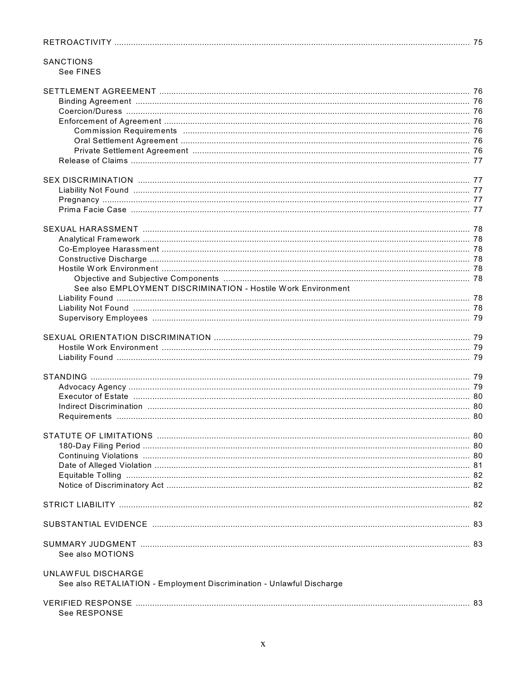| <b>SANCTIONS</b>                                                      |  |
|-----------------------------------------------------------------------|--|
| See FINES                                                             |  |
|                                                                       |  |
|                                                                       |  |
|                                                                       |  |
|                                                                       |  |
|                                                                       |  |
|                                                                       |  |
|                                                                       |  |
|                                                                       |  |
|                                                                       |  |
|                                                                       |  |
|                                                                       |  |
|                                                                       |  |
|                                                                       |  |
|                                                                       |  |
|                                                                       |  |
|                                                                       |  |
|                                                                       |  |
|                                                                       |  |
|                                                                       |  |
|                                                                       |  |
| See also EMPLOYMENT DISCRIMINATION - Hostile Work Environment         |  |
|                                                                       |  |
|                                                                       |  |
|                                                                       |  |
|                                                                       |  |
|                                                                       |  |
|                                                                       |  |
|                                                                       |  |
|                                                                       |  |
|                                                                       |  |
|                                                                       |  |
|                                                                       |  |
|                                                                       |  |
|                                                                       |  |
|                                                                       |  |
|                                                                       |  |
|                                                                       |  |
|                                                                       |  |
|                                                                       |  |
|                                                                       |  |
|                                                                       |  |
|                                                                       |  |
|                                                                       |  |
|                                                                       |  |
|                                                                       |  |
|                                                                       |  |
| See also MOTIONS                                                      |  |
|                                                                       |  |
| UNLAWFUL DISCHARGE                                                    |  |
| See also RETALIATION - Employment Discrimination - Unlawful Discharge |  |
|                                                                       |  |
|                                                                       |  |
| See RESPONSE                                                          |  |
|                                                                       |  |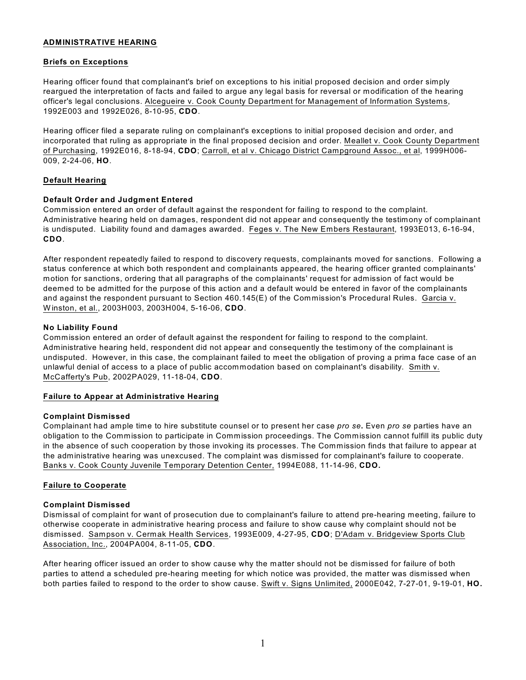#### **ADMINISTRATIVE HEARING**

## **Briefs on Exceptions**

Hearing officer found that complainant's brief on exceptions to his initial proposed decision and order simply reargued the interpretation of facts and failed to argue any legal basis for reversal or modification of the hearing officer's legal conclusions. Alcegueire v. Cook County Department for Management of Information Systems, 1992E003 and 1992E026, 8-10-95, **CDO**.

Hearing officer filed a separate ruling on complainant's exceptions to initial proposed decision and order, and incorporated that ruling as appropriate in the final proposed decision and order. Meallet v. Cook County Department of Purchasing, 1992E016, 8-18-94, **CDO**; Carroll, et al v. Chicago District Campground Assoc., et al, 1999H006- 009, 2-24-06, **HO**.

## **Default Hearing**

#### **Default Order and Judgment Entered**

Commission entered an order of default against the respondent for failing to respond to the complaint. Administrative hearing held on damages, respondent did not appear and consequently the testimony of complainant is undisputed. Liability found and damages awarded. Feges v. The New Embers Restaurant, 1993E013, 6-16-94, **CDO**.

After respondent repeatedly failed to respond to discovery requests, complainants moved for sanctions. Following a status conference at which both respondent and complainants appeared, the hearing officer granted complainants' motion for sanctions, ordering that all paragraphs of the complainants' request for admission of fact would be deemed to be admitted for the purpose of this action and a default would be entered in favor of the complainants and against the respondent pursuant to Section 460.145(E) of the Commission's Procedural Rules. Garcia v. W inston, et al., 2003H003, 2003H004, 5-16-06, **CDO**.

#### **No Liability Found**

Commission entered an order of default against the respondent for failing to respond to the complaint. Administrative hearing held, respondent did not appear and consequently the testimony of the complainant is undisputed. However, in this case, the complainant failed to meet the obligation of proving a prima face case of an unlawful denial of access to a place of public accommodation based on complainant's disability. Smith v. McCafferty's Pub, 2002PA029, 11-18-04, **CDO**.

## **Failure to Appear at Administrative Hearing**

#### **Complaint Dismissed**

Complainant had ample time to hire substitute counsel or to present her case *pro se***.** Even *pro se* parties have an obligation to the Commission to participate in Commission proceedings. The Commission cannot fulfill its public duty in the absence of such cooperation by those invoking its processes. The Commission finds that failure to appear at the administrative hearing was unexcused. The complaint was dismissed for complainant's failure to cooperate. Banks v. Cook County Juvenile Temporary Detention Center, 1994E088, 11-14-96, **CDO.** 

## **Failure to Cooperate**

## **Complaint Dismissed**

Dismissal of complaint for want of prosecution due to complainant's failure to attend pre-hearing meeting, failure to otherwise cooperate in administrative hearing process and failure to show cause why complaint should not be dismissed. Sampson v. Cermak Health Services, 1993E009, 4-27-95, **CDO**; D'Adam v. Bridgeview Sports Club Association, Inc., 2004PA004, 8-11-05, **CDO**.

After hearing officer issued an order to show cause why the matter should not be dismissed for failure of both parties to attend a scheduled pre-hearing meeting for which notice was provided, the matter was dismissed when both parties failed to respond to the order to show cause. Swift v. Signs Unlimited, 2000E042, 7-27-01, 9-19-01, **HO.**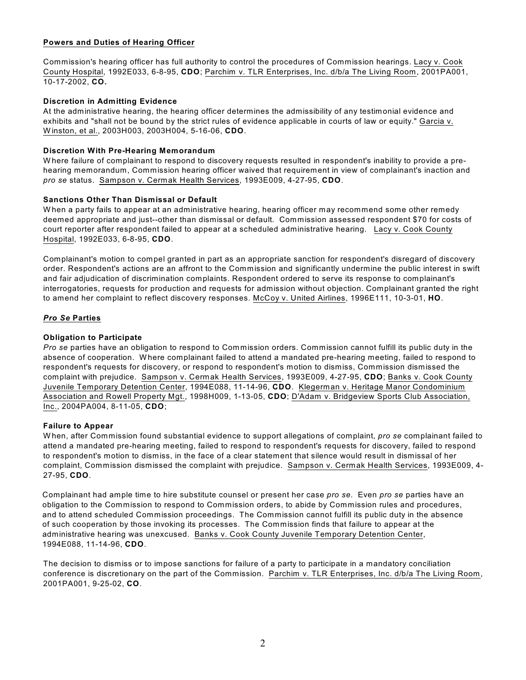## **Powers and Duties of Hearing Officer**

Commission's hearing officer has full authority to control the procedures of Commission hearings. Lacy v. Cook County Hospital, 1992E033, 6-8-95, **CDO**; Parchim v. TLR Enterprises, Inc. d/b/a The Living Room, 2001PA001, 10-17-2002, **CO.** 

#### **Discretion in Admitting Evidence**

At the administrative hearing, the hearing officer determines the admissibility of any testimonial evidence and exhibits and "shall not be bound by the strict rules of evidence applicable in courts of law or equity." Garcia v. W inston, et al., 2003H003, 2003H004, 5-16-06, **CDO**.

#### **Discretion With Pre-Hearing Memorandum**

W here failure of complainant to respond to discovery requests resulted in respondent's inability to provide a prehearing memorandum, Commission hearing officer waived that requirement in view of complainant's inaction and *pro se* status. Sampson v. Cermak Health Services, 1993E009, 4-27-95, **CDO**.

#### **Sanctions Other Than Dismissal or Default**

When a party fails to appear at an administrative hearing, hearing officer may recommend some other remedy deemed appropriate and just--other than dismissal or default. Commission assessed respondent \$70 for costs of court reporter after respondent failed to appear at a scheduled administrative hearing. Lacy v. Cook County Hospital, 1992E033, 6-8-95, **CDO**.

Complainant's motion to compel granted in part as an appropriate sanction for respondent's disregard of discovery order. Respondent's actions are an affront to the Commission and significantly undermine the public interest in swift and fair adjudication of discrimination complaints. Respondent ordered to serve its response to complainant's interrogatories, requests for production and requests for admission without objection. Complainant granted the right to amend her complaint to reflect discovery responses. McCoy v. United Airlines, 1996E111, 10-3-01, **HO**.

#### *Pro Se* **Parties**

#### **Obligation to Participate**

*Pro se* parties have an obligation to respond to Commission orders. Commission cannot fulfill its public duty in the absence of cooperation. W here complainant failed to attend a mandated pre-hearing meeting, failed to respond to respondent's requests for discovery, or respond to respondent's motion to dismiss, Commission dismissed the complaint with prejudice. Sampson v. Cermak Health Services, 1993E009, 4-27-95, **CDO**; Banks v. Cook County Juvenile Temporary Detention Center, 1994E088, 11-14-96, **CDO**. Klegerman v. Heritage Manor Condominium Association and Rowell Property Mgt., 1998H009, 1-13-05, **CDO**; D'Adam v. Bridgeview Sports Club Association, Inc., 2004PA004, 8-11-05, **CDO**;

#### **Failure to Appear**

W hen, after Commission found substantial evidence to support allegations of complaint, *pro se* complainant failed to attend a mandated pre-hearing meeting, failed to respond to respondent's requests for discovery, failed to respond to respondent's motion to dismiss, in the face of a clear statement that silence would result in dismissal of her complaint, Commission dismissed the complaint with prejudice. Sampson v. Cermak Health Services, 1993E009, 4- 27-95, **CDO**.

Complainant had ample time to hire substitute counsel or present her case *pro se.* Even *pro se* parties have an obligation to the Commission to respond to Commission orders, to abide by Commission rules and procedures, and to attend scheduled Commission proceedings. The Commission cannot fulfill its public duty in the absence of such cooperation by those invoking its processes. The Commission finds that failure to appear at the administrative hearing was unexcused. Banks v. Cook County Juvenile Temporary Detention Center, 1994E088, 11-14-96, **CDO**.

The decision to dismiss or to impose sanctions for failure of a party to participate in a mandatory conciliation conference is discretionary on the part of the Commission. Parchim v. TLR Enterprises, Inc. d/b/a The Living Room, 2001PA001, 9-25-02, **CO**.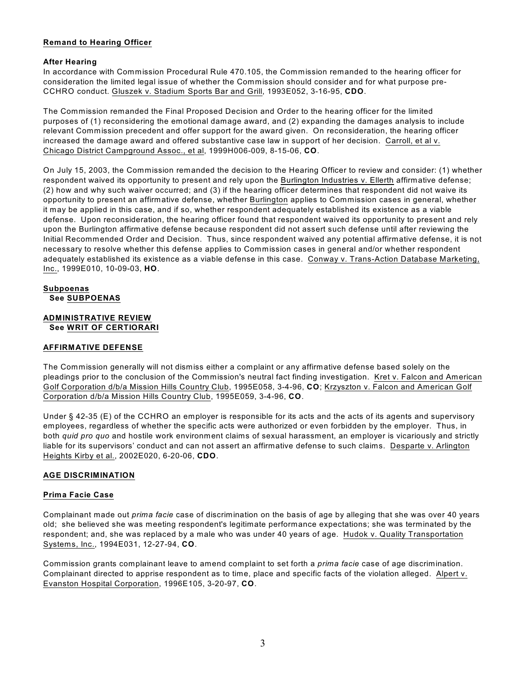## **Remand to Hearing Officer**

## **After Hearing**

In accordance with Commission Procedural Rule 470.105, the Commission remanded to the hearing officer for consideration the limited legal issue of whether the Commission should consider and for what purpose pre-CCHRO conduct. Gluszek v. Stadium Sports Bar and Grill, 1993E052, 3-16-95, **CDO**.

The Commission remanded the Final Proposed Decision and Order to the hearing officer for the limited purposes of (1) reconsidering the emotional damage award, and (2) expanding the damages analysis to include relevant Commission precedent and offer support for the award given. On reconsideration, the hearing officer increased the damage award and offered substantive case law in support of her decision. Carroll, et al v. Chicago District Campground Assoc., et al, 1999H006-009, 8-15-06, **CO**.

On July 15, 2003, the Commission remanded the decision to the Hearing Officer to review and consider: (1) whether respondent waived its opportunity to present and rely upon the Burlington Industries v. Ellerth affirmative defense; (2) how and why such waiver occurred; and (3) if the hearing officer determines that respondent did not waive its opportunity to present an affirmative defense, whether Burlington applies to Commission cases in general, whether it may be applied in this case, and if so, whether respondent adequately established its existence as a viable defense. Upon reconsideration, the hearing officer found that respondent waived its opportunity to present and rely upon the Burlington affirmative defense because respondent did not assert such defense until after reviewing the Initial Recommended Order and Decision. Thus, since respondent waived any potential affirmative defense, it is not necessary to resolve whether this defense applies to Commission cases in general and/or whether respondent adequately established its existence as a viable defense in this case. Conway v. Trans-Action Database Marketing, Inc., 1999E010, 10-09-03, **HO**.

## **Subpoenas See SUBPOENAS**

#### **ADMINISTRATIVE REVIEW See WRIT OF CERTIORARI**

# **AFFIRMATIVE DEFENSE**

The Commission generally will not dismiss either a complaint or any affirmative defense based solely on the pleadings prior to the conclusion of the Commission's neutral fact finding investigation. Kret v. Falcon and American Golf Corporation d/b/a Mission Hills Country Club, 1995E058, 3-4-96, **CO**; Krzyszton v. Falcon and American Golf Corporation d/b/a Mission Hills Country Club, 1995E059, 3-4-96, **CO**.

Under § 42-35 (E) of the CCHRO an employer is responsible for its acts and the acts of its agents and supervisory employees, regardless of whether the specific acts were authorized or even forbidden by the employer. Thus, in both *quid pro quo* and hostile work environment claims of sexual harassment, an employer is vicariously and strictly liable for its supervisors' conduct and can not assert an affirmative defense to such claims. Desparte v. Arlington Heights Kirby et al., 2002E020, 6-20-06, **CDO**.

# **AGE DISCRIMINATION**

## **Prima Facie Case**

Complainant made out *prima facie* case of discrimination on the basis of age by alleging that she was over 40 years old; she believed she was meeting respondent's legitimate performance expectations; she was terminated by the respondent; and, she was replaced by a male who was under 40 years of age. Hudok v. Quality Transportation Systems, Inc., 1994E031, 12-27-94, **CO**.

Commission grants complainant leave to amend complaint to set forth a *prima facie* case of age discrimination. Complainant directed to apprise respondent as to time, place and specific facts of the violation alleged. Alpert v. Evanston Hospital Corporation, 1996E105, 3-20-97, **CO**.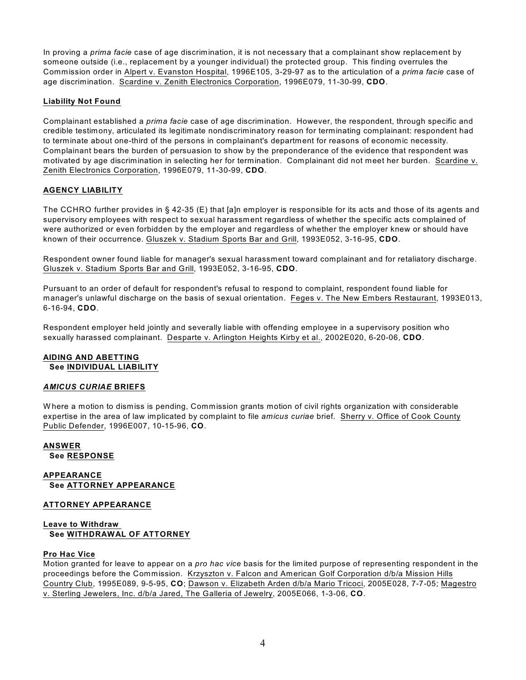In proving a *prima facie* case of age discrimination, it is not necessary that a complainant show replacement by someone outside (i.e., replacement by a younger individual) the protected group. This finding overrules the Commission order in Alpert v. Evanston Hospital, 1996E105, 3-29-97 as to the articulation of a *prima facie* case of age discrimination. Scardine v. Zenith Electronics Corporation, 1996E079, 11-30-99, **CDO**.

# **Liability Not Found**

Complainant established a *prima facie* case of age discrimination. However, the respondent, through specific and credible testimony, articulated its legitimate nondiscriminatory reason for terminating complainant: respondent had to terminate about one-third of the persons in complainant's department for reasons of economic necessity. Complainant bears the burden of persuasion to show by the preponderance of the evidence that respondent was motivated by age discrimination in selecting her for termination. Complainant did not meet her burden. Scardine v. Zenith Electronics Corporation, 1996E079, 11-30-99, **CDO**.

# **AGENCY LIABILITY**

The CCHRO further provides in § 42-35 (E) that [a]n employer is responsible for its acts and those of its agents and supervisory employees with respect to sexual harassment regardless of whether the specific acts complained of were authorized or even forbidden by the employer and regardless of whether the employer knew or should have known of their occurrence. Gluszek v. Stadium Sports Bar and Grill, 1993E052, 3-16-95, **CDO**.

Respondent owner found liable for manager's sexual harassment toward complainant and for retaliatory discharge. Gluszek v. Stadium Sports Bar and Grill, 1993E052, 3-16-95, **CDO**.

Pursuant to an order of default for respondent's refusal to respond to complaint, respondent found liable for manager's unlawful discharge on the basis of sexual orientation. Feges v. The New Embers Restaurant, 1993E013, 6-16-94, **CDO**.

Respondent employer held jointly and severally liable with offending employee in a supervisory position who sexually harassed complainant. Desparte v. Arlington Heights Kirby et al., 2002E020, 6-20-06, **CDO**.

## **AIDING AND ABETTING See INDIVIDUAL LIABILITY**

## *AMICUS CURIAE* **BRIEFS**

W here a motion to dismiss is pending, Commission grants motion of civil rights organization with considerable expertise in the area of law implicated by complaint to file *amicus curiae* brief. Sherry v. Office of Cook County Public Defender, 1996E007, 10-15-96, **CO**.

# **ANSWER See RESPONSE**

**APPEARANCE See ATTORNEY APPEARANCE**

## **ATTORNEY APPEARANCE**

# **Leave to Withdraw See WITHDRAWAL OF ATTORNEY**

#### **Pro Hac Vice**

Motion granted for leave to appear on a *pro hac vice* basis for the limited purpose of representing respondent in the proceedings before the Commission. Krzyszton v. Falcon and American Golf Corporation d/b/a Mission Hills Country Club, 1995E089, 9-5-95, **CO**; Dawson v. Elizabeth Arden d/b/a Mario Tricoci, 2005E028, 7-7-05; Magestro v. Sterling Jewelers, Inc. d/b/a Jared, The Galleria of Jewelry, 2005E066, 1-3-06, **CO**.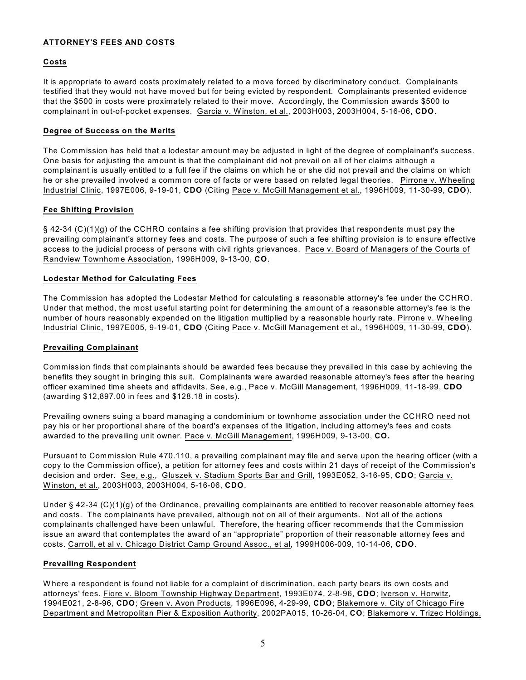## **ATTORNEY'S FEES AND COSTS**

# **Costs**

It is appropriate to award costs proximately related to a move forced by discriminatory conduct. Complainants testified that they would not have moved but for being evicted by respondent. Complainants presented evidence that the \$500 in costs were proximately related to their move. Accordingly, the Commission awards \$500 to complainant in out-of-pocket expenses. Garcia v. W inston, et al., 2003H003, 2003H004, 5-16-06, **CDO**.

# **Degree of Success on the Merits**

The Commission has held that a lodestar amount may be adjusted in light of the degree of complainant's success. One basis for adjusting the amount is that the complainant did not prevail on all of her claims although a complainant is usually entitled to a full fee if the claims on which he or she did not prevail and the claims on which he or she prevailed involved a common core of facts or were based on related legal theories. Pirrone v. W heeling Industrial Clinic, 1997E006, 9-19-01, **CDO** (Citing Pace v. McGill Management et al., 1996H009, 11-30-99, **CDO**).

# **Fee Shifting Provision**

§ 42-34 (C)(1)(g) of the CCHRO contains a fee shifting provision that provides that respondents must pay the prevailing complainant's attorney fees and costs. The purpose of such a fee shifting provision is to ensure effective access to the judicial process of persons with civil rights grievances. Pace v. Board of Managers of the Courts of Randview Townhome Association, 1996H009, 9-13-00, **CO**.

# **Lodestar Method for Calculating Fees**

The Commission has adopted the Lodestar Method for calculating a reasonable attorney's fee under the CCHRO. Under that method, the most useful starting point for determining the amount of a reasonable attorney's fee is the number of hours reasonably expended on the litigation multiplied by a reasonable hourly rate. Pirrone v. W heeling Industrial Clinic, 1997E005, 9-19-01, **CDO** (Citing Pace v. McGill Management et al., 1996H009, 11-30-99, **CDO**).

# **Prevailing Complainant**

Commission finds that complainants should be awarded fees because they prevailed in this case by achieving the benefits they sought in bringing this suit. Complainants were awarded reasonable attorney's fees after the hearing officer examined time sheets and affidavits. See, e.g., Pace v. McGill Management, 1996H009, 11-18-99, **CDO** (awarding \$12,897.00 in fees and \$128.18 in costs).

Prevailing owners suing a board managing a condominium or townhome association under the CCHRO need not pay his or her proportional share of the board's expenses of the litigation, including attorney's fees and costs awarded to the prevailing unit owner. Pace v. McGill Management, 1996H009, 9-13-00, **CO.**

Pursuant to Commission Rule 470.110, a prevailing complainant may file and serve upon the hearing officer (with a copy to the Commission office), a petition for attorney fees and costs within 21 days of receipt of the Commission's decision and order. See, e.g., Gluszek v. Stadium Sports Bar and Grill, 1993E052, 3-16-95, **CDO**; Garcia v. W inston, et al., 2003H003, 2003H004, 5-16-06, **CDO**.

Under § 42-34 (C)(1)(g) of the Ordinance, prevailing complainants are entitled to recover reasonable attorney fees and costs. The complainants have prevailed, although not on all of their arguments. Not all of the actions complainants challenged have been unlawful. Therefore, the hearing officer recommends that the Commission issue an award that contemplates the award of an "appropriate" proportion of their reasonable attorney fees and costs. Carroll, et al v. Chicago District Camp Ground Assoc., et al, 1999H006-009, 10-14-06, **CDO**.

# **Prevailing Respondent**

W here a respondent is found not liable for a complaint of discrimination, each party bears its own costs and attorneys' fees. Fiore v. Bloom Township Highway Department, 1993E074, 2-8-96, **CDO**; Iverson v. Horwitz, 1994E021, 2-8-96, **CDO**; Green v. Avon Products, 1996E096, 4-29-99, **CDO**; Blakemore v. City of Chicago Fire Department and Metropolitan Pier & Exposition Authority, 2002PA015, 10-26-04, **CO**; Blakemore v. Trizec Holdings,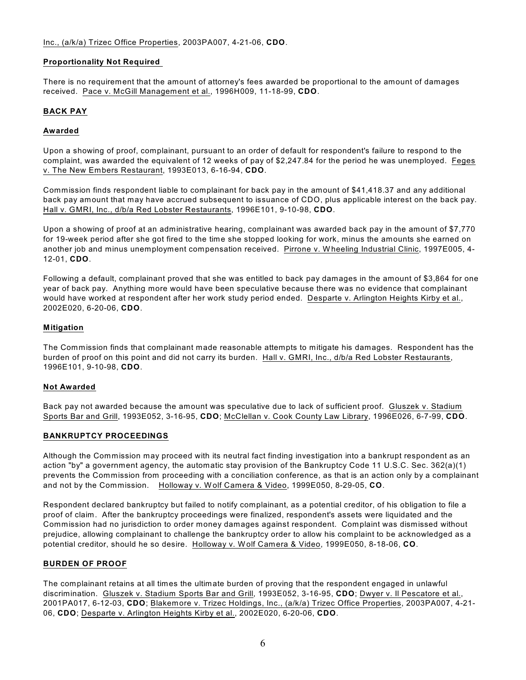## **Proportionality Not Required**

There is no requirement that the amount of attorney's fees awarded be proportional to the amount of damages received. Pace v. McGill Management et al., 1996H009, 11-18-99, **CDO**.

# **BACK PAY**

## **Awarded**

Upon a showing of proof, complainant, pursuant to an order of default for respondent's failure to respond to the complaint, was awarded the equivalent of 12 weeks of pay of \$2,247.84 for the period he was unemployed. Feges v. The New Embers Restaurant, 1993E013, 6-16-94, **CDO**.

Commission finds respondent liable to complainant for back pay in the amount of \$41,418.37 and any additional back pay amount that may have accrued subsequent to issuance of CDO, plus applicable interest on the back pay. Hall v. GMRI, Inc., d/b/a Red Lobster Restaurants, 1996E101, 9-10-98, **CDO**.

Upon a showing of proof at an administrative hearing, complainant was awarded back pay in the amount of \$7,770 for 19-week period after she got fired to the time she stopped looking for work, minus the amounts she earned on another job and minus unemployment compensation received. Pirrone v. W heeling Industrial Clinic, 1997E005, 4- 12-01, **CDO**.

Following a default, complainant proved that she was entitled to back pay damages in the amount of \$3,864 for one year of back pay. Anything more would have been speculative because there was no evidence that complainant would have worked at respondent after her work study period ended. Desparte v. Arlington Heights Kirby et al., 2002E020, 6-20-06, **CDO**.

## **Mitigation**

The Commission finds that complainant made reasonable attempts to mitigate his damages. Respondent has the burden of proof on this point and did not carry its burden. Hall v. GMRI, Inc., d/b/a Red Lobster Restaurants, 1996E101, 9-10-98, **CDO**.

## **Not Awarded**

Back pay not awarded because the amount was speculative due to lack of sufficient proof. Gluszek v. Stadium Sports Bar and Grill, 1993E052, 3-16-95, **CDO**; McClellan v. Cook County Law Library, 1996E026, 6-7-99, **CDO**.

## **BANKRUPTCY PROCEEDINGS**

Although the Commission may proceed with its neutral fact finding investigation into a bankrupt respondent as an action "by" a government agency, the automatic stay provision of the Bankruptcy Code 11 U.S.C. Sec. 362(a)(1) prevents the Commission from proceeding with a conciliation conference, as that is an action only by a complainant and not by the Commission. Holloway v. W olf Camera & Video, 1999E050, 8-29-05, **CO**.

Respondent declared bankruptcy but failed to notify complainant, as a potential creditor, of his obligation to file a proof of claim. After the bankruptcy proceedings were finalized, respondent's assets were liquidated and the Commission had no jurisdiction to order money damages against respondent. Complaint was dismissed without prejudice, allowing complainant to challenge the bankruptcy order to allow his complaint to be acknowledged as a potential creditor, should he so desire. Holloway v. W olf Camera & Video, 1999E050, 8-18-06, **CO**.

## **BURDEN OF PROOF**

The complainant retains at all times the ultimate burden of proving that the respondent engaged in unlawful discrimination. Gluszek v. Stadium Sports Bar and Grill, 1993E052, 3-16-95, **CDO**; Dwyer v. Il Pescatore et al., 2001PA017, 6-12-03, **CDO**; Blakemore v. Trizec Holdings, Inc., (a/k/a) Trizec Office Properties, 2003PA007, 4-21- 06, **CDO**; Desparte v. Arlington Heights Kirby et al., 2002E020, 6-20-06, **CDO**.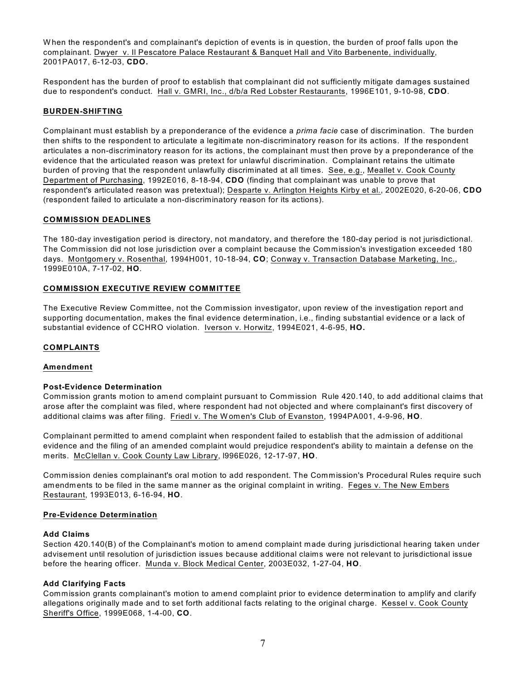W hen the respondent's and complainant's depiction of events is in question, the burden of proof falls upon the complainant. Dwyer v. Il Pescatore Palace Restaurant & Banquet Hall and Vito Barbenente, individually, 2001PA017, 6-12-03, **CDO.**

Respondent has the burden of proof to establish that complainant did not sufficiently mitigate damages sustained due to respondent's conduct. Hall v. GMRI, Inc., d/b/a Red Lobster Restaurants, 1996E101, 9-10-98, **CDO**.

## **BURDEN-SHIFTING**

Complainant must establish by a preponderance of the evidence a *prima facie* case of discrimination. The burden then shifts to the respondent to articulate a legitimate non-discriminatory reason for its actions. If the respondent articulates a non-discriminatory reason for its actions, the complainant must then prove by a preponderance of the evidence that the articulated reason was pretext for unlawful discrimination. Complainant retains the ultimate burden of proving that the respondent unlawfully discriminated at all times. See, e.g., Meallet v. Cook County Department of Purchasing, 1992E016, 8-18-94, **CDO** (finding that complainant was unable to prove that respondent's articulated reason was pretextual); Desparte v. Arlington Heights Kirby et al., 2002E020, 6-20-06, **CDO** (respondent failed to articulate a non-discriminatory reason for its actions).

#### **COMMISSION DEADLINES**

The 180-day investigation period is directory, not mandatory, and therefore the 180-day period is not jurisdictional. The Commission did not lose jurisdiction over a complaint because the Commission's investigation exceeded 180 days. Montgomery v. Rosenthal, 1994H001, 10-18-94, **CO**; Conway v. Transaction Database Marketing, Inc., 1999E010A, 7-17-02, **HO**.

#### **COMMISSION EXECUTIVE REVIEW COMMITTEE**

The Executive Review Committee, not the Commission investigator, upon review of the investigation report and supporting documentation, makes the final evidence determination, i.e., finding substantial evidence or a lack of substantial evidence of CCHRO violation. Iverson v. Horwitz, 1994E021, 4-6-95, **HO.** 

## **COMPLAINTS**

#### **Amendment**

#### **Post-Evidence Determination**

Commission grants motion to amend complaint pursuant to Commission Rule 420.140, to add additional claims that arose after the complaint was filed, where respondent had not objected and where complainant's first discovery of additional claims was after filing. Friedl v. The W omen's Club of Evanston, 1994PA001, 4-9-96, **HO**.

Complainant permitted to amend complaint when respondent failed to establish that the admission of additional evidence and the filing of an amended complaint would prejudice respondent's ability to maintain a defense on the merits. McClellan v. Cook County Law Library, l996E026, 12-17-97, **HO**.

Commission denies complainant's oral motion to add respondent. The Commission's Procedural Rules require such amendments to be filed in the same manner as the original complaint in writing. Feges v. The New Embers Restaurant, 1993E013, 6-16-94, **HO**.

#### **Pre-Evidence Determination**

#### **Add Claims**

Section 420.140(B) of the Complainant's motion to amend complaint made during jurisdictional hearing taken under advisement until resolution of jurisdiction issues because additional claims were not relevant to jurisdictional issue before the hearing officer. Munda v. Block Medical Center, 2003E032, 1-27-04, **HO**.

#### **Add Clarifying Facts**

Commission grants complainant's motion to amend complaint prior to evidence determination to amplify and clarify allegations originally made and to set forth additional facts relating to the original charge. Kessel v. Cook County Sheriff's Office, 1999E068, 1-4-00, **CO**.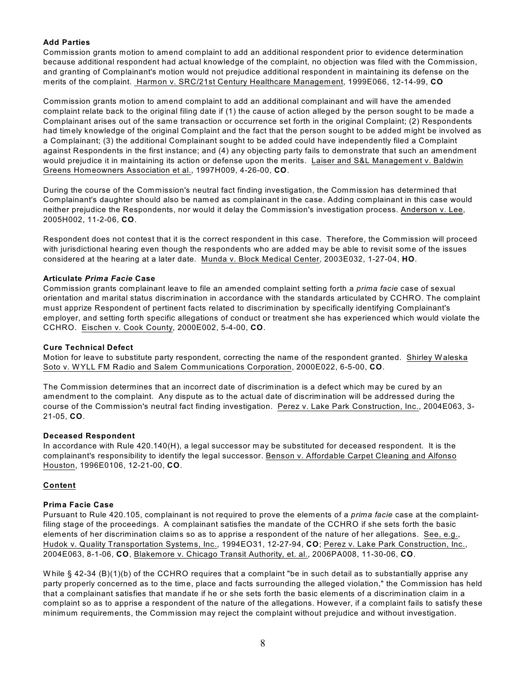# **Add Parties**

Commission grants motion to amend complaint to add an additional respondent prior to evidence determination because additional respondent had actual knowledge of the complaint, no objection was filed with the Commission, and granting of Complainant's motion would not prejudice additional respondent in maintaining its defense on the merits of the complaint. Harmon v. SRC/21st Century Healthcare Management, 1999E066, 12-14-99, **CO**

Commission grants motion to amend complaint to add an additional complainant and will have the amended complaint relate back to the original filing date if (1) the cause of action alleged by the person sought to be made a Complainant arises out of the same transaction or occurrence set forth in the original Complaint; (2) Respondents had timely knowledge of the original Complaint and the fact that the person sought to be added might be involved as a Complainant; (3) the additional Complainant sought to be added could have independently filed a Complaint against Respondents in the first instance; and (4) any objecting party fails to demonstrate that such an amendment would prejudice it in maintaining its action or defense upon the merits. Laiser and S&L Management v. Baldwin Greens Homeowners Association et al., 1997H009, 4-26-00, **CO**.

During the course of the Commission's neutral fact finding investigation, the Commission has determined that Complainant's daughter should also be named as complainant in the case. Adding complainant in this case would neither prejudice the Respondents, nor would it delay the Commission's investigation process. Anderson v. Lee, 2005H002, 11-2-06, **CO**.

Respondent does not contest that it is the correct respondent in this case. Therefore, the Commission will proceed with jurisdictional hearing even though the respondents who are added may be able to revisit some of the issues considered at the hearing at a later date. Munda v. Block Medical Center, 2003E032, 1-27-04, **HO**.

# **Articulate** *Prima Facie* **Case**

Commission grants complainant leave to file an amended complaint setting forth a *prima facie* case of sexual orientation and marital status discrimination in accordance with the standards articulated by CCHRO. The complaint must apprize Respondent of pertinent facts related to discrimination by specifically identifying Complainant's employer, and setting forth specific allegations of conduct or treatment she has experienced which would violate the CCHRO. Eischen v. Cook County, 2000E002, 5-4-00, **CO**.

## **Cure Technical Defect**

Motion for leave to substitute party respondent, correcting the name of the respondent granted. Shirley W aleska Soto v. W YLL FM Radio and Salem Communications Corporation, 2000E022, 6-5-00, **CO**.

The Commission determines that an incorrect date of discrimination is a defect which may be cured by an amendment to the complaint. Any dispute as to the actual date of discrimination will be addressed during the course of the Commission's neutral fact finding investigation. Perez v. Lake Park Construction, Inc., 2004E063, 3- 21-05, **CO**.

## **Deceased Respondent**

In accordance with Rule 420.140(H), a legal successor may be substituted for deceased respondent. It is the complainant's responsibility to identify the legal successor. Benson v. Affordable Carpet Cleaning and Alfonso Houston, 1996E0106, 12-21-00, **CO**.

## **Content**

## **Prima Facie Case**

Pursuant to Rule 420.105, complainant is not required to prove the elements of a *prima facie* case at the complaintfiling stage of the proceedings. A complainant satisfies the mandate of the CCHRO if she sets forth the basic elements of her discrimination claims so as to apprise a respondent of the nature of her allegations. See, e.g., Hudok v. Quality Transportation Systems, Inc., 1994EO31, 12-27-94, **CO**; Perez v. Lake Park Construction, Inc., 2004E063, 8-1-06, **CO**, Blakemore v. Chicago Transit Authority, et. al., 2006PA008, 11-30-06, **CO**.

While  $\S$  42-34 (B)(1)(b) of the CCHRO requires that a complaint "be in such detail as to substantially apprise any party properly concerned as to the time, place and facts surrounding the alleged violation," the Commission has held that a complainant satisfies that mandate if he or she sets forth the basic elements of a discrimination claim in a complaint so as to apprise a respondent of the nature of the allegations. However, if a complaint fails to satisfy these minimum requirements, the Commission may reject the complaint without prejudice and without investigation.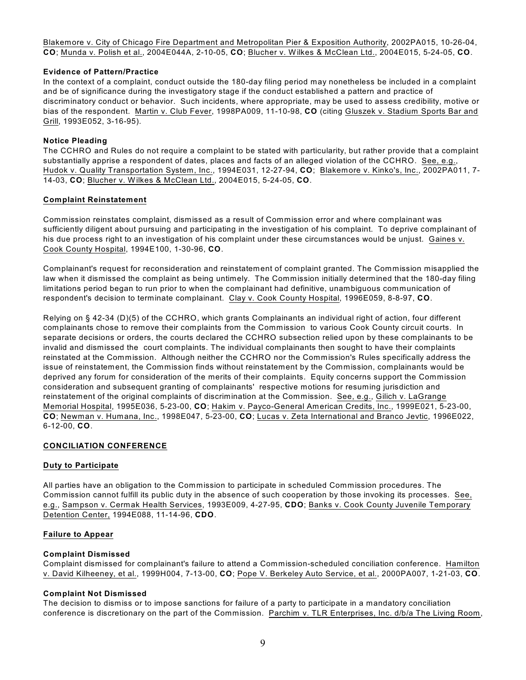Blakemore v. City of Chicago Fire Department and Metropolitan Pier & Exposition Authority, 2002PA015, 10-26-04, **CO**; Munda v. Polish et al., 2004E044A, 2-10-05, **CO**; Blucher v. Wilkes & McClean Ltd., 2004E015, 5-24-05, **CO**.

#### **Evidence of Pattern/Practice**

In the context of a complaint, conduct outside the 180-day filing period may nonetheless be included in a complaint and be of significance during the investigatory stage if the conduct established a pattern and practice of discriminatory conduct or behavior. Such incidents, where appropriate, may be used to assess credibility, motive or bias of the respondent. Martin v. Club Fever, 1998PA009, 11-10-98, **CO** (citing Gluszek v. Stadium Sports Bar and Grill, 1993E052, 3-16-95).

#### **Notice Pleading**

The CCHRO and Rules do not require a complaint to be stated with particularity, but rather provide that a complaint substantially apprise a respondent of dates, places and facts of an alleged violation of the CCHRO. See, e.g., Hudok v. Quality Transportation System, Inc., 1994E031, 12-27-94, **CO**; Blakemore v. Kinko's, Inc., 2002PA011, 7- 14-03, **CO**; Blucher v. Wilkes & McClean Ltd., 2004E015, 5-24-05, **CO**.

#### **Complaint Reinstatement**

Commission reinstates complaint, dismissed as a result of Commission error and where complainant was sufficiently diligent about pursuing and participating in the investigation of his complaint. To deprive complainant of his due process right to an investigation of his complaint under these circumstances would be unjust. Gaines v. Cook County Hospital, 1994E100, 1-30-96, **CO**.

Complainant's request for reconsideration and reinstatement of complaint granted. The Commission misapplied the law when it dismissed the complaint as being untimely. The Commission initially determined that the 180-day filing limitations period began to run prior to when the complainant had definitive, unambiguous communication of respondent's decision to terminate complainant. Clay v. Cook County Hospital, 1996E059, 8-8-97, **CO**.

Relying on § 42-34 (D)(5) of the CCHRO, which grants Complainants an individual right of action, four different complainants chose to remove their complaints from the Commission to various Cook County circuit courts. In separate decisions or orders, the courts declared the CCHRO subsection relied upon by these complainants to be invalid and dismissed the court complaints. The individual complainants then sought to have their complaints reinstated at the Commission. Although neither the CCHRO nor the Commission's Rules specifically address the issue of reinstatement, the Commission finds without reinstatement by the Commission, complainants would be deprived any forum for consideration of the merits of their complaints. Equity concerns support the Commission consideration and subsequent granting of complainants' respective motions for resuming jurisdiction and reinstatement of the original complaints of discrimination at the Commission. See, e.g., Gilich v. LaGrange Memorial Hospital, 1995E036, 5-23-00, **CO**; Hakim v. Payco-General American Credits, Inc., 1999E021, 5-23-00, **CO**; Newman v. Humana, Inc., 1998E047, 5-23-00, **CO**; Lucas v. Zeta International and Branco Jevtic, 1996E022, 6-12-00, **CO**.

## **CONCILIATION CONFERENCE**

## **Duty to Participate**

All parties have an obligation to the Commission to participate in scheduled Commission procedures. The Commission cannot fulfill its public duty in the absence of such cooperation by those invoking its processes. See, e.g., Sampson v. Cermak Health Services, 1993E009, 4-27-95, **CDO**; Banks v. Cook County Juvenile Temporary Detention Center, 1994E088, 11-14-96, **CDO**.

#### **Failure to Appear**

## **Complaint Dismissed**

Complaint dismissed for complainant's failure to attend a Commission-scheduled conciliation conference. Hamilton v. David Kilheeney, et al., 1999H004, 7-13-00, **CO**; Pope V. Berkeley Auto Service, et al., 2000PA007, 1-21-03, **CO**.

## **Complaint Not Dismissed**

The decision to dismiss or to impose sanctions for failure of a party to participate in a mandatory conciliation conference is discretionary on the part of the Commission. Parchim v. TLR Enterprises, Inc. d/b/a The Living Room,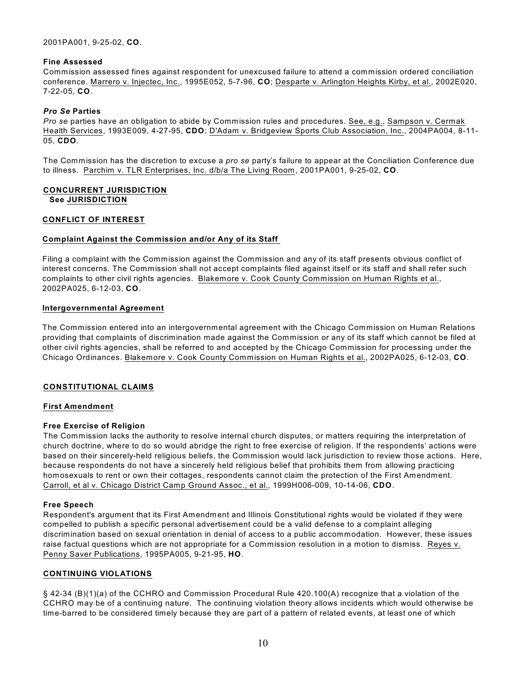2001PA001, 9-25-02, **CO**.

#### **Fine Assessed**

Commission assessed fines against respondent for unexcused failure to attend a commission ordered conciliation conference. Marrero v. Injectec, Inc., 1995E052, 5-7-96, **CO**; Desparte v. Arlington Heights Kirby, et al., 2002E020, 7-22-05, **CO**.

#### *Pro Se* **Parties**

*Pro se* parties have an obligation to abide by Commission rules and procedures. See, e.g., Sampson v. Cermak Health Services, 1993E009, 4-27-95, **CDO**; D'Adam v. Bridgeview Sports Club Association, Inc., 2004PA004, 8-11- 05, **CDO**.

The Commission has the discretion to excuse a *pro se* party's failure to appear at the Conciliation Conference due to illness. Parchim v. TLR Enterprises, Inc. d/b/a The Living Room, 2001PA001, 9-25-02, **CO**.

## **CONCURRENT JURISDICTION See JURISDICTION**

#### **CONFLICT OF INTEREST**

#### **Complaint Against the Commission and/or Any of its Staff**

Filing a complaint with the Commission against the Commission and any of its staff presents obvious conflict of interest concerns. The Commission shall not accept complaints filed against itself or its staff and shall refer such complaints to other civil rights agencies. Blakemore v. Cook County Commission on Human Rights et al., 2002PA025, 6-12-03, **CO**.

#### **Intergovernmental Agreement**

The Commission entered into an intergovernmental agreement with the Chicago Commission on Human Relations providing that complaints of discrimination made against the Commission or any of its staff which cannot be filed at other civil rights agencies, shall be referred to and accepted by the Chicago Commission for processing under the Chicago Ordinances. Blakemore v. Cook County Commission on Human Rights et al., 2002PA025, 6-12-03, **CO**.

## **CONSTITUTIONAL CLAIMS**

#### **First Amendment**

#### **Free Exercise of Religion**

The Commission lacks the authority to resolve internal church disputes, or matters requiring the interpretation of church doctrine, where to do so would abridge the right to free exercise of religion. If the respondents' actions were based on their sincerely-held religious beliefs, the Commission would lack jurisdiction to review those actions. Here, because respondents do not have a sincerely held religious belief that prohibits them from allowing practicing homosexuals to rent or own their cottages, respondents cannot claim the protection of the First Amendment. Carroll, et al v. Chicago District Camp Ground Assoc., et al., 1999H006-009, 10-14-06, **CDO**.

#### **Free Speech**

Respondent's argument that its First Amendment and Illinois Constitutional rights would be violated if they were compelled to publish a specific personal advertisement could be a valid defense to a complaint alleging discrimination based on sexual orientation in denial of access to a public accommodation. However, these issues raise factual questions which are not appropriate for a Commission resolution in a motion to dismiss. Reyes v. Penny Saver Publications, 1995PA005, 9-21-95, **HO**.

#### **CONTINUING VIOLATIONS**

§ 42-34 (B)(1)(a) of the CCHRO and Commission Procedural Rule 420.100(A) recognize that a violation of the CCHRO may be of a continuing nature. The continuing violation theory allows incidents which would otherwise be time-barred to be considered timely because they are part of a pattern of related events, at least one of which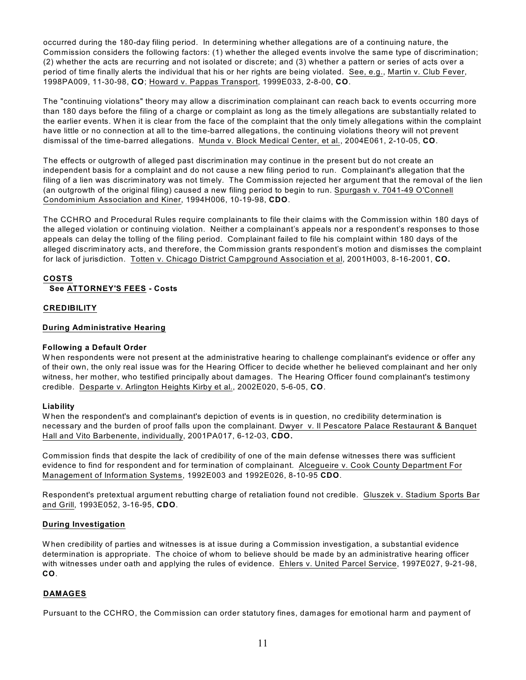occurred during the 180-day filing period. In determining whether allegations are of a continuing nature, the Commission considers the following factors: (1) whether the alleged events involve the same type of discrimination; (2) whether the acts are recurring and not isolated or discrete; and (3) whether a pattern or series of acts over a period of time finally alerts the individual that his or her rights are being violated. See, e.g., Martin v. Club Fever, 1998PA009, 11-30-98, **CO**; Howard v. Pappas Transport, 1999E033, 2-8-00, **CO**.

The "continuing violations" theory may allow a discrimination complainant can reach back to events occurring more than 180 days before the filing of a charge or complaint as long as the timely allegations are substantially related to the earlier events. W hen it is clear from the face of the complaint that the only timely allegations within the complaint have little or no connection at all to the time-barred allegations, the continuing violations theory will not prevent dismissal of the time-barred allegations. Munda v. Block Medical Center, et al., 2004E061, 2-10-05, **CO**.

The effects or outgrowth of alleged past discrimination may continue in the present but do not create an independent basis for a complaint and do not cause a new filing period to run. Complainant's allegation that the filing of a lien was discriminatory was not timely. The Commission rejected her argument that the removal of the lien (an outgrowth of the original filing) caused a new filing period to begin to run. Spurgash v. 7041-49 O'Connell Condominium Association and Kiner, 1994H006, 10-19-98, **CDO**.

The CCHRO and Procedural Rules require complainants to file their claims with the Commission within 180 days of the alleged violation or continuing violation. Neither a complainant's appeals nor a respondent's responses to those appeals can delay the tolling of the filing period. Complainant failed to file his complaint within 180 days of the alleged discriminatory acts, and therefore, the Commission grants respondent's motion and dismisses the complaint for lack of jurisdiction. Totten v. Chicago District Campground Association et al, 2001H003, 8-16-2001, **CO.** 

#### **COSTS See ATTORNEY'S FEES - Costs**

# **CREDIBILITY**

# **During Administrative Hearing**

## **Following a Default Order**

W hen respondents were not present at the administrative hearing to challenge complainant's evidence or offer any of their own, the only real issue was for the Hearing Officer to decide whether he believed complainant and her only witness, her mother, who testified principally about damages. The Hearing Officer found complainant's testimony credible. Desparte v. Arlington Heights Kirby et al., 2002E020, 5-6-05, **CO**.

## **Liability**

W hen the respondent's and complainant's depiction of events is in question, no credibility determination is necessary and the burden of proof falls upon the complainant. Dwyer v. Il Pescatore Palace Restaurant & Banquet Hall and Vito Barbenente, individually, 2001PA017, 6-12-03, **CDO.**

Commission finds that despite the lack of credibility of one of the main defense witnesses there was sufficient evidence to find for respondent and for termination of complainant. Alcegueire v. Cook County Department For Management of Information Systems, 1992E003 and 1992E026, 8-10-95 **CDO**.

Respondent's pretextual argument rebutting charge of retaliation found not credible. Gluszek v. Stadium Sports Bar and Grill, 1993E052, 3-16-95, **CDO**.

## **During Investigation**

W hen credibility of parties and witnesses is at issue during a Commission investigation, a substantial evidence determination is appropriate. The choice of whom to believe should be made by an administrative hearing officer with witnesses under oath and applying the rules of evidence. Ehlers v. United Parcel Service, 1997E027, 9-21-98, **CO**.

# **DAMAGES**

Pursuant to the CCHRO, the Commission can order statutory fines, damages for emotional harm and payment of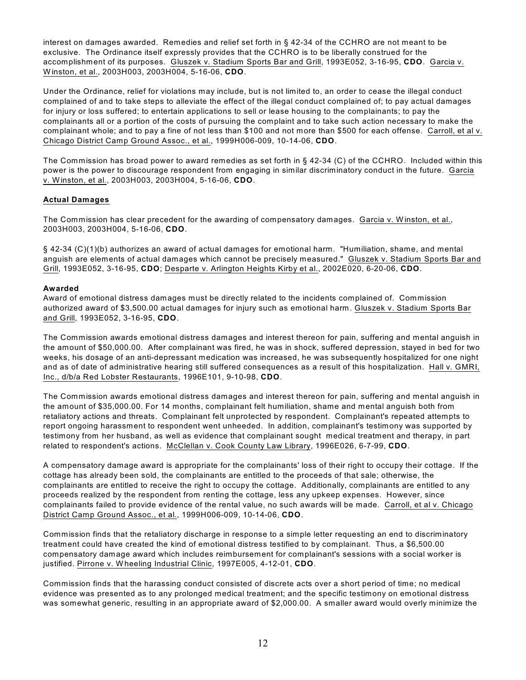interest on damages awarded. Remedies and relief set forth in § 42-34 of the CCHRO are not meant to be exclusive. The Ordinance itself expressly provides that the CCHRO is to be liberally construed for the accomplishment of its purposes. Gluszek v. Stadium Sports Bar and Grill, 1993E052, 3-16-95, **CDO**. Garcia v. W inston, et al., 2003H003, 2003H004, 5-16-06, **CDO**.

Under the Ordinance, relief for violations may include, but is not limited to, an order to cease the illegal conduct complained of and to take steps to alleviate the effect of the illegal conduct complained of; to pay actual damages for injury or loss suffered; to entertain applications to sell or lease housing to the complainants; to pay the complainants all or a portion of the costs of pursuing the complaint and to take such action necessary to make the complainant whole; and to pay a fine of not less than \$100 and not more than \$500 for each offense. Carroll, et al v. Chicago District Camp Ground Assoc., et al., 1999H006-009, 10-14-06, **CDO**.

The Commission has broad power to award remedies as set forth in § 42-34 (C) of the CCHRO. Included within this power is the power to discourage respondent from engaging in similar discriminatory conduct in the future. Garcia v. Winston, et al., 2003H003, 2003H004, 5-16-06, **CDO**.

# **Actual Damages**

The Commission has clear precedent for the awarding of compensatory damages. Garcia v. Winston, et al., 2003H003, 2003H004, 5-16-06, **CDO**.

§ 42-34 (C)(1)(b) authorizes an award of actual damages for emotional harm. "Humiliation, shame, and mental anguish are elements of actual damages which cannot be precisely measured." Gluszek v. Stadium Sports Bar and Grill, 1993E052, 3-16-95, **CDO**; Desparte v. Arlington Heights Kirby et al., 2002E020, 6-20-06, **CDO**.

## **Awarded**

Award of emotional distress damages must be directly related to the incidents complained of. Commission authorized award of \$3,500.00 actual damages for injury such as emotional harm. Gluszek v. Stadium Sports Bar and Grill, 1993E052, 3-16-95, **CDO**.

The Commission awards emotional distress damages and interest thereon for pain, suffering and mental anguish in the amount of \$50,000.00. After complainant was fired, he was in shock, suffered depression, stayed in bed for two weeks, his dosage of an anti-depressant medication was increased, he was subsequently hospitalized for one night and as of date of administrative hearing still suffered consequences as a result of this hospitalization. Hall v. GMRI, Inc., d/b/a Red Lobster Restaurants, 1996E101, 9-10-98, **CDO**.

The Commission awards emotional distress damages and interest thereon for pain, suffering and mental anguish in the amount of \$35,000.00. For 14 months, complainant felt humiliation, shame and mental anguish both from retaliatory actions and threats. Complainant felt unprotected by respondent. Complainant's repeated attempts to report ongoing harassment to respondent went unheeded. In addition, complainant's testimony was supported by testimony from her husband, as well as evidence that complainant sought medical treatment and therapy, in part related to respondent's actions. McClellan v. Cook County Law Library, 1996E026, 6-7-99, **CDO**.

A compensatory damage award is appropriate for the complainants' loss of their right to occupy their cottage. If the cottage has already been sold, the complainants are entitled to the proceeds of that sale; otherwise, the complainants are entitled to receive the right to occupy the cottage. Additionally, complainants are entitled to any proceeds realized by the respondent from renting the cottage, less any upkeep expenses. However, since complainants failed to provide evidence of the rental value, no such awards will be made. Carroll, et al v. Chicago District Camp Ground Assoc., et al., 1999H006-009, 10-14-06, **CDO**.

Commission finds that the retaliatory discharge in response to a simple letter requesting an end to discriminatory treatment could have created the kind of emotional distress testified to by complainant. Thus, a \$6,500.00 compensatory damage award which includes reimbursement for complainant's sessions with a social worker is justified. Pirrone v. W heeling Industrial Clinic, 1997E005, 4-12-01, **CDO**.

Commission finds that the harassing conduct consisted of discrete acts over a short period of time; no medical evidence was presented as to any prolonged medical treatment; and the specific testimony on emotional distress was somewhat generic, resulting in an appropriate award of \$2,000.00. A smaller award would overly minimize the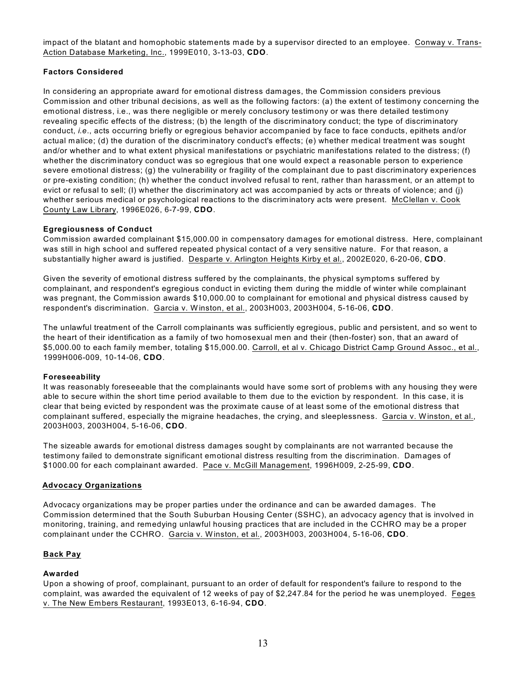impact of the blatant and homophobic statements made by a supervisor directed to an employee. Conway v. Trans-Action Database Marketing, Inc., 1999E010, 3-13-03, **CDO**.

## **Factors Considered**

In considering an appropriate award for emotional distress damages, the Commission considers previous Commission and other tribunal decisions, as well as the following factors: (a) the extent of testimony concerning the emotional distress, i.e., was there negligible or merely conclusory testimony or was there detailed testimony revealing specific effects of the distress; (b) the length of the discriminatory conduct; the type of discriminatory conduct, *i.e*., acts occurring briefly or egregious behavior accompanied by face to face conducts, epithets and/or actual malice; (d) the duration of the discriminatory conduct's effects; (e) whether medical treatment was sought and/or whether and to what extent physical manifestations or psychiatric manifestations related to the distress; (f) whether the discriminatory conduct was so egregious that one would expect a reasonable person to experience severe emotional distress; (g) the vulnerability or fragility of the complainant due to past discriminatory experiences or pre-existing condition; (h) whether the conduct involved refusal to rent, rather than harassment, or an attempt to evict or refusal to sell; (I) whether the discriminatory act was accompanied by acts or threats of violence; and (j) whether serious medical or psychological reactions to the discriminatory acts were present. McClellan v. Cook County Law Library, 1996E026, 6-7-99, **CDO**.

# **Egregiousness of Conduct**

Commission awarded complainant \$15,000.00 in compensatory damages for emotional distress. Here, complainant was still in high school and suffered repeated physical contact of a very sensitive nature. For that reason, a substantially higher award is justified. Desparte v. Arlington Heights Kirby et al., 2002E020, 6-20-06, **CDO**.

Given the severity of emotional distress suffered by the complainants, the physical symptoms suffered by complainant, and respondent's egregious conduct in evicting them during the middle of winter while complainant was pregnant, the Commission awards \$10,000.00 to complainant for emotional and physical distress caused by respondent's discrimination. Garcia v. W inston, et al., 2003H003, 2003H004, 5-16-06, **CDO**.

The unlawful treatment of the Carroll complainants was sufficiently egregious, public and persistent, and so went to the heart of their identification as a family of two homosexual men and their (then-foster) son, that an award of \$5,000.00 to each family member, totaling \$15,000.00. Carroll, et al v. Chicago District Camp Ground Assoc., et al., 1999H006-009, 10-14-06, **CDO**.

## **Foreseeability**

It was reasonably foreseeable that the complainants would have some sort of problems with any housing they were able to secure within the short time period available to them due to the eviction by respondent. In this case, it is clear that being evicted by respondent was the proximate cause of at least some of the emotional distress that complainant suffered, especially the migraine headaches, the crying, and sleeplessness. Garcia v. W inston, et al., 2003H003, 2003H004, 5-16-06, **CDO**.

The sizeable awards for emotional distress damages sought by complainants are not warranted because the testimony failed to demonstrate significant emotional distress resulting from the discrimination. Damages of \$1000.00 for each complainant awarded. Pace v. McGill Management, 1996H009, 2-25-99, **CDO**.

## **Advocacy Organizations**

Advocacy organizations may be proper parties under the ordinance and can be awarded damages. The Commission determined that the South Suburban Housing Center (SSHC), an advocacy agency that is involved in monitoring, training, and remedying unlawful housing practices that are included in the CCHRO may be a proper complainant under the CCHRO. Garcia v. W inston, et al., 2003H003, 2003H004, 5-16-06, **CDO**.

## **Back Pay**

## **Awarded**

Upon a showing of proof, complainant, pursuant to an order of default for respondent's failure to respond to the complaint, was awarded the equivalent of 12 weeks of pay of \$2,247.84 for the period he was unemployed. Feges v. The New Embers Restaurant, 1993E013, 6-16-94, **CDO**.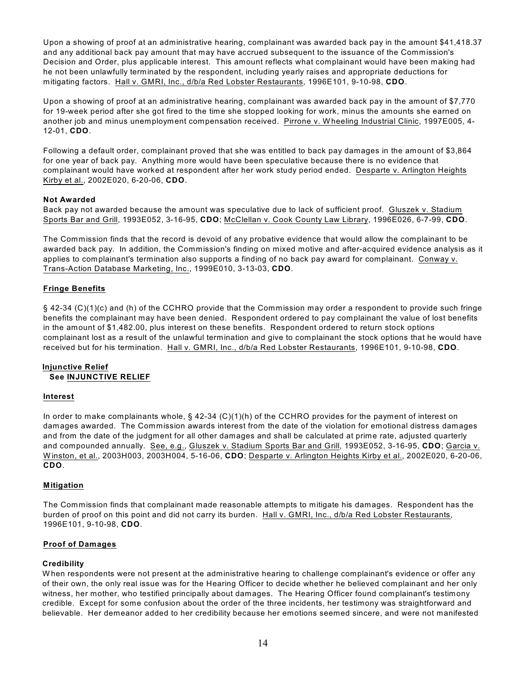Upon a showing of proof at an administrative hearing, complainant was awarded back pay in the amount \$41,418.37 and any additional back pay amount that may have accrued subsequent to the issuance of the Commission's Decision and Order, plus applicable interest. This amount reflects what complainant would have been making had he not been unlawfully terminated by the respondent, including yearly raises and appropriate deductions for mitigating factors. Hall v. GMRI, Inc., d/b/a Red Lobster Restaurants, 1996E101, 9-10-98, **CDO**.

Upon a showing of proof at an administrative hearing, complainant was awarded back pay in the amount of \$7,770 for 19-week period after she got fired to the time she stopped looking for work, minus the amounts she earned on another job and minus unemployment compensation received. Pirrone v. W heeling Industrial Clinic, 1997E005, 4- 12-01, **CDO**.

Following a default order, complainant proved that she was entitled to back pay damages in the amount of \$3,864 for one year of back pay. Anything more would have been speculative because there is no evidence that complainant would have worked at respondent after her work study period ended. Desparte v. Arlington Heights Kirby et al., 2002E020, 6-20-06, **CDO**.

## **Not Awarded**

Back pay not awarded because the amount was speculative due to lack of sufficient proof. Gluszek v. Stadium Sports Bar and Grill, 1993E052, 3-16-95, **CDO**; McClellan v. Cook County Law Library, 1996E026, 6-7-99, **CDO**.

The Commission finds that the record is devoid of any probative evidence that would allow the complainant to be awarded back pay. In addition, the Commission's finding on mixed motive and after-acquired evidence analysis as it applies to complainant's termination also supports a finding of no back pay award for complainant. Conway v. Trans-Action Database Marketing, Inc., 1999E010, 3-13-03, **CDO**.

## **Fringe Benefits**

§ 42-34 (C)(1)(c) and (h) of the CCHRO provide that the Commission may order a respondent to provide such fringe benefits the complainant may have been denied. Respondent ordered to pay complainant the value of lost benefits in the amount of \$1,482.00, plus interest on these benefits. Respondent ordered to return stock options complainant lost as a result of the unlawful termination and give to complainant the stock options that he would have received but for his termination. Hall v. GMRI, Inc., d/b/a Red Lobster Restaurants, 1996E101, 9-10-98, **CDO**.

#### **Injunctive Relief See INJUNCTIVE RELIEF**

#### **Interest**

In order to make complainants whole, § 42-34 (C)(1)(h) of the CCHRO provides for the payment of interest on damages awarded. The Commission awards interest from the date of the violation for emotional distress damages and from the date of the judgment for all other damages and shall be calculated at prime rate, adjusted quarterly and compounded annually. See, e.g., Gluszek v. Stadium Sports Bar and Grill, 1993E052, 3-16-95, **CDO**; Garcia v. W inston, et al., 2003H003, 2003H004, 5-16-06, **CDO**; Desparte v. Arlington Heights Kirby et al., 2002E020, 6-20-06, **CDO**.

## **Mitigation**

The Commission finds that complainant made reasonable attempts to mitigate his damages. Respondent has the burden of proof on this point and did not carry its burden. Hall v. GMRI, Inc., d/b/a Red Lobster Restaurants, 1996E101, 9-10-98, **CDO**.

## **Proof of Damages**

## **Credibility**

W hen respondents were not present at the administrative hearing to challenge complainant's evidence or offer any of their own, the only real issue was for the Hearing Officer to decide whether he believed complainant and her only witness, her mother, who testified principally about damages. The Hearing Officer found complainant's testimony credible. Except for some confusion about the order of the three incidents, her testimony was straightforward and believable. Her demeanor added to her credibility because her emotions seemed sincere, and were not manifested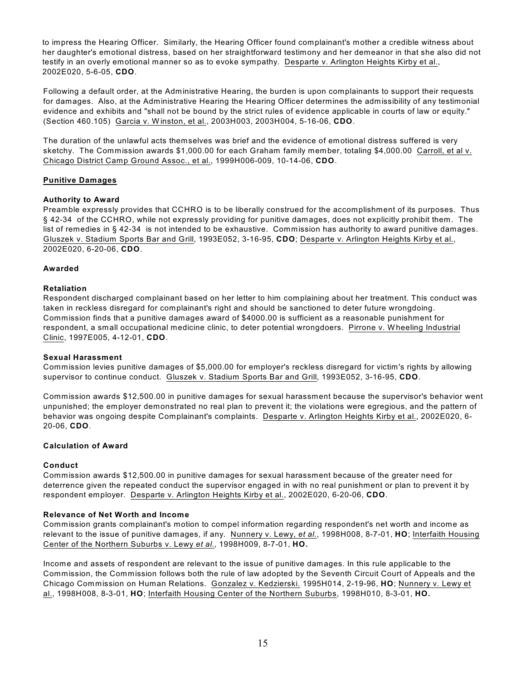to impress the Hearing Officer. Similarly, the Hearing Officer found complainant's mother a credible witness about her daughter's emotional distress, based on her straightforward testimony and her demeanor in that she also did not testify in an overly emotional manner so as to evoke sympathy. Desparte v. Arlington Heights Kirby et al., 2002E020, 5-6-05, **CDO**.

Following a default order, at the Administrative Hearing, the burden is upon complainants to support their requests for damages. Also, at the Administrative Hearing the Hearing Officer determines the admissibility of any testimonial evidence and exhibits and "shall not be bound by the strict rules of evidence applicable in courts of law or equity." (Section 460.105) Garcia v. W inston, et al., 2003H003, 2003H004, 5-16-06, **CDO**.

The duration of the unlawful acts themselves was brief and the evidence of emotional distress suffered is very sketchy. The Commission awards \$1,000.00 for each Graham family member, totaling \$4,000.00 Carroll, et al v. Chicago District Camp Ground Assoc., et al., 1999H006-009, 10-14-06, **CDO**.

## **Punitive Damages**

#### **Authority to Award**

Preamble expressly provides that CCHRO is to be liberally construed for the accomplishment of its purposes. Thus § 42-34 of the CCHRO, while not expressly providing for punitive damages, does not explicitly prohibit them. The list of remedies in § 42-34 is not intended to be exhaustive. Commission has authority to award punitive damages. Gluszek v. Stadium Sports Bar and Grill, 1993E052, 3-16-95, **CDO**; Desparte v. Arlington Heights Kirby et al., 2002E020, 6-20-06, **CDO**.

#### **Awarded**

#### **Retaliation**

Respondent discharged complainant based on her letter to him complaining about her treatment. This conduct was taken in reckless disregard for complainant's right and should be sanctioned to deter future wrongdoing. Commission finds that a punitive damages award of \$4000.00 is sufficient as a reasonable punishment for respondent, a small occupational medicine clinic, to deter potential wrongdoers. Pirrone v. W heeling Industrial Clinic, 1997E005, 4-12-01, **CDO**.

#### **Sexual Harassment**

Commission levies punitive damages of \$5,000.00 for employer's reckless disregard for victim's rights by allowing supervisor to continue conduct. Gluszek v. Stadium Sports Bar and Grill, 1993E052, 3-16-95, **CDO**.

Commission awards \$12,500.00 in punitive damages for sexual harassment because the supervisor's behavior went unpunished; the employer demonstrated no real plan to prevent it; the violations were egregious, and the pattern of behavior was ongoing despite Complainant's complaints. Desparte v. Arlington Heights Kirby et al., 2002E020, 6- 20-06, **CDO**.

#### **Calculation of Award**

#### **Conduct**

Commission awards \$12,500.00 in punitive damages for sexual harassment because of the greater need for deterrence given the repeated conduct the supervisor engaged in with no real punishment or plan to prevent it by respondent employer. Desparte v. Arlington Heights Kirby et al., 2002E020, 6-20-06, **CDO**.

#### **Relevance of Net Worth and Income**

Commission grants complainant's motion to compel information regarding respondent's net worth and income as relevant to the issue of punitive damages, if any. Nunnery v. Lewy, *et al.*, 1998H008, 8-7-01, **HO**; Interfaith Housing Center of the Northern Suburbs v. Lewy *et al.*, 1998H009, 8-7-01, **HO.**

Income and assets of respondent are relevant to the issue of punitive damages. In this rule applicable to the Commission, the Commission follows both the rule of law adopted by the Seventh Circuit Court of Appeals and the Chicago Commission on Human Relations. Gonzalez v. Kedzierski. 1995H014, 2-19-96, **HO**; Nunnery v. Lewy et al., 1998H008, 8-3-01, **HO**; Interfaith Housing Center of the Northern Suburbs, 1998H010, 8-3-01, **HO.**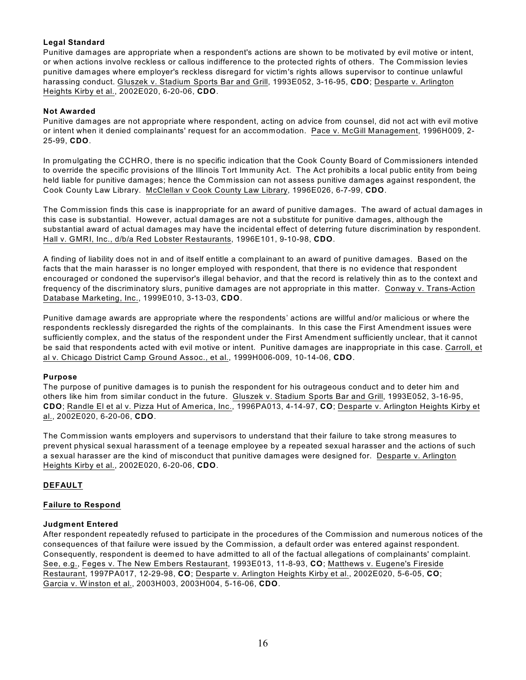# **Legal Standard**

Punitive damages are appropriate when a respondent's actions are shown to be motivated by evil motive or intent, or when actions involve reckless or callous indifference to the protected rights of others. The Commission levies punitive damages where employer's reckless disregard for victim's rights allows supervisor to continue unlawful harassing conduct. Gluszek v. Stadium Sports Bar and Grill, 1993E052, 3-16-95, **CDO**; Desparte v. Arlington Heights Kirby et al., 2002E020, 6-20-06, **CDO**.

## **Not Awarded**

Punitive damages are not appropriate where respondent, acting on advice from counsel, did not act with evil motive or intent when it denied complainants' request for an accommodation. Pace v. McGill Management, 1996H009, 2- 25-99, **CDO**.

In promulgating the CCHRO, there is no specific indication that the Cook County Board of Commissioners intended to override the specific provisions of the Illinois Tort Immunity Act. The Act prohibits a local public entity from being held liable for punitive damages; hence the Commission can not assess punitive damages against respondent, the Cook County Law Library. McClellan v Cook County Law Library, 1996E026, 6-7-99, **CDO**.

The Commission finds this case is inappropriate for an award of punitive damages. The award of actual damages in this case is substantial. However, actual damages are not a substitute for punitive damages, although the substantial award of actual damages may have the incidental effect of deterring future discrimination by respondent. Hall v. GMRI, Inc., d/b/a Red Lobster Restaurants, 1996E101, 9-10-98, **CDO**.

A finding of liability does not in and of itself entitle a complainant to an award of punitive damages. Based on the facts that the main harasser is no longer employed with respondent, that there is no evidence that respondent encouraged or condoned the supervisor's illegal behavior, and that the record is relatively thin as to the context and frequency of the discriminatory slurs, punitive damages are not appropriate in this matter. Conway v. Trans-Action Database Marketing, Inc., 1999E010, 3-13-03, **CDO**.

Punitive damage awards are appropriate where the respondents' actions are willful and/or malicious or where the respondents recklessly disregarded the rights of the complainants. In this case the First Amendment issues were sufficiently complex, and the status of the respondent under the First Amendment sufficiently unclear, that it cannot be said that respondents acted with evil motive or intent. Punitive damages are inappropriate in this case. Carroll, et al v. Chicago District Camp Ground Assoc., et al., 1999H006-009, 10-14-06, **CDO**.

## **Purpose**

The purpose of punitive damages is to punish the respondent for his outrageous conduct and to deter him and others like him from similar conduct in the future. Gluszek v. Stadium Sports Bar and Grill, 1993E052, 3-16-95, **CDO**; Randle El et al v. Pizza Hut of America, Inc., 1996PA013, 4-14-97, **CO**; Desparte v. Arlington Heights Kirby et al., 2002E020, 6-20-06, **CDO**.

The Commission wants employers and supervisors to understand that their failure to take strong measures to prevent physical sexual harassment of a teenage employee by a repeated sexual harasser and the actions of such a sexual harasser are the kind of misconduct that punitive damages were designed for. Desparte v. Arlington Heights Kirby et al., 2002E020, 6-20-06, **CDO**.

# **DEFAULT**

## **Failure to Respond**

## **Judgment Entered**

After respondent repeatedly refused to participate in the procedures of the Commission and numerous notices of the consequences of that failure were issued by the Commission, a default order was entered against respondent. Consequently, respondent is deemed to have admitted to all of the factual allegations of complainants' complaint. See, e.g., Feges v. The New Embers Restaurant, 1993E013, 11-8-93, **CO**; Matthews v. Eugene's Fireside Restaurant, 1997PA017, 12-29-98, **CO**; Desparte v. Arlington Heights Kirby et al., 2002E020, 5-6-05, **CO**; Garcia v. W inston et al., 2003H003, 2003H004, 5-16-06, **CDO**.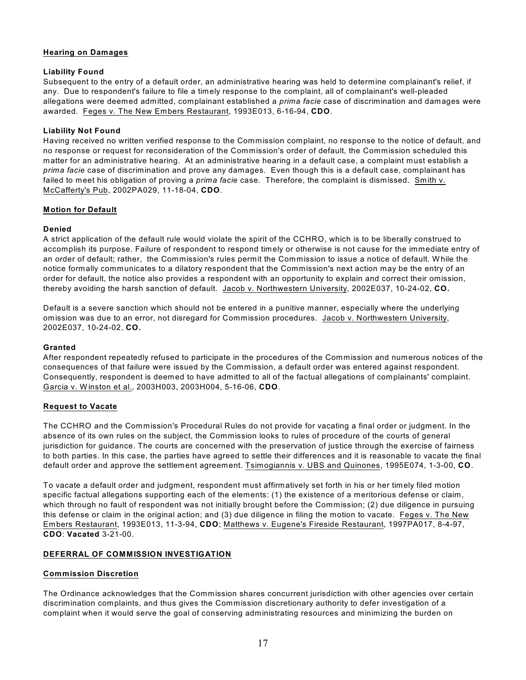## **Hearing on Damages**

## **Liability Found**

Subsequent to the entry of a default order, an administrative hearing was held to determine complainant's relief, if any. Due to respondent's failure to file a timely response to the complaint, all of complainant's well-pleaded allegations were deemed admitted, complainant established a *prima facie* case of discrimination and damages were awarded. Feges v. The New Embers Restaurant, 1993E013, 6-16-94, **CDO**.

## **Liability Not Found**

Having received no written verified response to the Commission complaint, no response to the notice of default, and no response or request for reconsideration of the Commission's order of default, the Commission scheduled this matter for an administrative hearing. At an administrative hearing in a default case, a complaint must establish a *prima facie* case of discrimination and prove any damages. Even though this is a default case, complainant has failed to meet his obligation of proving a *prima facie* case. Therefore, the complaint is dismissed. Smith v. McCafferty's Pub, 2002PA029, 11-18-04, **CDO**.

## **Motion for Default**

# **Denied**

A strict application of the default rule would violate the spirit of the CCHRO, which is to be liberally construed to accomplish its purpose. Failure of respondent to respond timely or otherwise is not cause for the immediate entry of an order of default; rather, the Commission's rules permit the Commission to issue a notice of default. W hile the notice formally communicates to a dilatory respondent that the Commission's next action may be the entry of an order for default, the notice also provides a respondent with an opportunity to explain and correct their omission, thereby avoiding the harsh sanction of default. Jacob v. Northwestern University, 2002E037, 10-24-02, **CO.** 

Default is a severe sanction which should not be entered in a punitive manner, especially where the underlying omission was due to an error, not disregard for Commission procedures. Jacob v. Northwestern University, 2002E037, 10-24-02, **CO.** 

## **Granted**

After respondent repeatedly refused to participate in the procedures of the Commission and numerous notices of the consequences of that failure were issued by the Commission, a default order was entered against respondent. Consequently, respondent is deemed to have admitted to all of the factual allegations of complainants' complaint. Garcia v. W inston et al., 2003H003, 2003H004, 5-16-06, **CDO**.

## **Request to Vacate**

The CCHRO and the Commission's Procedural Rules do not provide for vacating a final order or judgment. In the absence of its own rules on the subject, the Commission looks to rules of procedure of the courts of general jurisdiction for guidance. The courts are concerned with the preservation of justice through the exercise of fairness to both parties. In this case, the parties have agreed to settle their differences and it is reasonable to vacate the final default order and approve the settlement agreement. Tsimogiannis v. UBS and Quinones, 1995E074, 1-3-00, **CO**.

To vacate a default order and judgment, respondent must affirmatively set forth in his or her timely filed motion specific factual allegations supporting each of the elements: (1) the existence of a meritorious defense or claim, which through no fault of respondent was not initially brought before the Commission; (2) due diligence in pursuing this defense or claim in the original action; and (3) due diligence in filing the motion to vacate. Feges v. The New Embers Restaurant, 1993E013, 11-3-94, **CDO**; Matthews v. Eugene's Fireside Restaurant, 1997PA017, 8-4-97, **CDO**: **Vacated** 3-21-00.

# **DEFERRAL OF COMMISSION INVESTIGATION**

## **Commission Discretion**

The Ordinance acknowledges that the Commission shares concurrent jurisdiction with other agencies over certain discrimination complaints, and thus gives the Commission discretionary authority to defer investigation of a complaint when it would serve the goal of conserving administrating resources and minimizing the burden on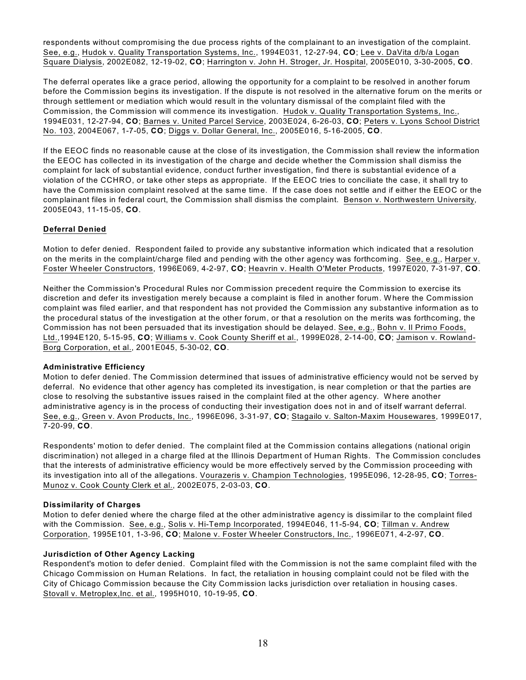respondents without compromising the due process rights of the complainant to an investigation of the complaint. See, e.g., Hudok v. Quality Transportation Systems, Inc., 1994E031, 12-27-94, **CO**; Lee v. DaVita d/b/a Logan Square Dialysis, 2002E082, 12-19-02, **CO**; Harrington v. John H. Stroger, Jr. Hospital, 2005E010, 3-30-2005, **CO**.

The deferral operates like a grace period, allowing the opportunity for a complaint to be resolved in another forum before the Commission begins its investigation. If the dispute is not resolved in the alternative forum on the merits or through settlement or mediation which would result in the voluntary dismissal of the complaint filed with the Commission, the Commission will commence its investigation. Hudok v. Quality Transportation Systems, Inc., 1994E031, 12-27-94, **CO**; Barnes v. United Parcel Service, 2003E024, 6-26-03, **CO**; Peters v. Lyons School District No. 103, 2004E067, 1-7-05, **CO**; Diggs v. Dollar General, Inc., 2005E016, 5-16-2005, **CO**.

If the EEOC finds no reasonable cause at the close of its investigation, the Commission shall review the information the EEOC has collected in its investigation of the charge and decide whether the Commission shall dismiss the complaint for lack of substantial evidence, conduct further investigation, find there is substantial evidence of a violation of the CCHRO, or take other steps as appropriate. If the EEOC tries to conciliate the case, it shall try to have the Commission complaint resolved at the same time. If the case does not settle and if either the EEOC or the complainant files in federal court, the Commission shall dismiss the complaint. Benson v. Northwestern University, 2005E043, 11-15-05, **CO**.

# **Deferral Denied**

Motion to defer denied. Respondent failed to provide any substantive information which indicated that a resolution on the merits in the complaint/charge filed and pending with the other agency was forthcoming. See, e.g., Harper v. Foster W heeler Constructors, 1996E069, 4-2-97, **CO**; Heavrin v. Health O'Meter Products, 1997E020, 7-31-97, **CO**.

Neither the Commission's Procedural Rules nor Commission precedent require the Commission to exercise its discretion and defer its investigation merely because a complaint is filed in another forum. W here the Commission complaint was filed earlier, and that respondent has not provided the Commission any substantive information as to the procedural status of the investigation at the other forum, or that a resolution on the merits was forthcoming, the Commission has not been persuaded that its investigation should be delayed. See, e.g., Bohn v. Il Primo Foods, Ltd.,1994E120, 5-15-95, **CO**; Williams v. Cook County Sheriff et al., 1999E028, 2-14-00, **CO**; Jamison v. Rowland-Borg Corporation, et al., 2001E045, 5-30-02, **CO**.

## **Administrative Efficiency**

Motion to defer denied. The Commission determined that issues of administrative efficiency would not be served by deferral. No evidence that other agency has completed its investigation, is near completion or that the parties are close to resolving the substantive issues raised in the complaint filed at the other agency. Where another administrative agency is in the process of conducting their investigation does not in and of itself warrant deferral. See, e.g., Green v. Avon Products, Inc., 1996E096, 3-31-97, **CO**; Stagailo v. Salton-Maxim Housewares, 1999E017, 7-20-99, **CO**.

Respondents' motion to defer denied. The complaint filed at the Commission contains allegations (national origin discrimination) not alleged in a charge filed at the Illinois Department of Human Rights. The Commission concludes that the interests of administrative efficiency would be more effectively served by the Commission proceeding with its investigation into all of the allegations. Vourazeris v. Champion Technologies, 1995E096, 12-28-95, **CO**; Torres-Munoz v. Cook County Clerk et al., 2002E075, 2-03-03, **CO**.

## **Dissimilarity of Charges**

Motion to defer denied where the charge filed at the other administrative agency is dissimilar to the complaint filed with the Commission. See, e.g., Solis v. Hi-Temp Incorporated, 1994E046, 11-5-94, **CO**; Tillman v. Andrew Corporation, 1995E101, 1-3-96, **CO**; Malone v. Foster W heeler Constructors, Inc., 1996E071, 4-2-97, **CO**.

# **Jurisdiction of Other Agency Lacking**

Respondent's motion to defer denied. Complaint filed with the Commission is not the same complaint filed with the Chicago Commission on Human Relations. In fact, the retaliation in housing complaint could not be filed with the City of Chicago Commission because the City Commission lacks jurisdiction over retaliation in housing cases. Stovall v. Metroplex,Inc. et al., 1995H010, 10-19-95, **CO**.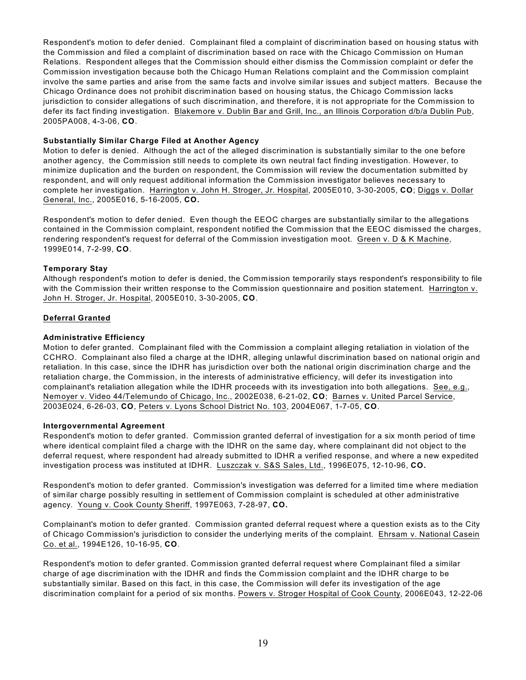Respondent's motion to defer denied. Complainant filed a complaint of discrimination based on housing status with the Commission and filed a complaint of discrimination based on race with the Chicago Commission on Human Relations. Respondent alleges that the Commission should either dismiss the Commission complaint or defer the Commission investigation because both the Chicago Human Relations complaint and the Commission complaint involve the same parties and arise from the same facts and involve similar issues and subject matters. Because the Chicago Ordinance does not prohibit discrimination based on housing status, the Chicago Commission lacks jurisdiction to consider allegations of such discrimination, and therefore, it is not appropriate for the Commission to defer its fact finding investigation. Blakemore v. Dublin Bar and Grill, Inc., an Illinois Corporation d/b/a Dublin Pub, 2005PA008, 4-3-06, **CO**.

#### **Substantially Similar Charge Filed at Another Agency**

Motion to defer is denied. Although the act of the alleged discrimination is substantially similar to the one before another agency, the Commission still needs to complete its own neutral fact finding investigation. However, to minimize duplication and the burden on respondent, the Commission will review the documentation submitted by respondent, and will only request additional information the Commission investigator believes necessary to complete her investigation. Harrington v. John H. Stroger, Jr. Hospital, 2005E010, 3-30-2005, **CO**; Diggs v. Dollar General, Inc., 2005E016, 5-16-2005, **CO.**

Respondent's motion to defer denied. Even though the EEOC charges are substantially similar to the allegations contained in the Commission complaint, respondent notified the Commission that the EEOC dismissed the charges, rendering respondent's request for deferral of the Commission investigation moot. Green v. D & K Machine, 1999E014, 7-2-99, **CO**.

#### **Temporary Stay**

Although respondent's motion to defer is denied, the Commission temporarily stays respondent's responsibility to file with the Commission their written response to the Commission questionnaire and position statement. Harrington v. John H. Stroger, Jr. Hospital, 2005E010, 3-30-2005, **CO**.

#### **Deferral Granted**

#### **Administrative Efficiency**

Motion to defer granted. Complainant filed with the Commission a complaint alleging retaliation in violation of the CCHRO. Complainant also filed a charge at the IDHR, alleging unlawful discrimination based on national origin and retaliation. In this case, since the IDHR has jurisdiction over both the national origin discrimination charge and the retaliation charge, the Commission, in the interests of administrative efficiency, will defer its investigation into complainant's retaliation allegation while the IDHR proceeds with its investigation into both allegations. See, e.g., Nemoyer v. Video 44/Telemundo of Chicago, Inc., 2002E038, 6-21-02, **CO**; Barnes v. United Parcel Service, 2003E024, 6-26-03, **CO**, Peters v. Lyons School District No. 103, 2004E067, 1-7-05, **CO**.

#### **Intergovernmental Agreement**

Respondent's motion to defer granted. Commission granted deferral of investigation for a six month period of time where identical complaint filed a charge with the IDHR on the same day, where complainant did not object to the deferral request, where respondent had already submitted to IDHR a verified response, and where a new expedited investigation process was instituted at IDHR. Luszczak v. S&S Sales, Ltd., 1996E075, 12-10-96, **CO.**

Respondent's motion to defer granted. Commission's investigation was deferred for a limited time where mediation of similar charge possibly resulting in settlement of Commission complaint is scheduled at other administrative agency. Young v. Cook County Sheriff, 1997E063, 7-28-97, **CO.**

Complainant's motion to defer granted. Commission granted deferral request where a question exists as to the City of Chicago Commission's jurisdiction to consider the underlying merits of the complaint. Ehrsam v. National Casein Co. et al., 1994E126, 10-16-95, **CO**.

Respondent's motion to defer granted. Commission granted deferral request where Complainant filed a similar charge of age discrimination with the IDHR and finds the Commission complaint and the IDHR charge to be substantially similar. Based on this fact, in this case, the Commission will defer its investigation of the age discrimination complaint for a period of six months. Powers v. Stroger Hospital of Cook County, 2006E043, 12-22-06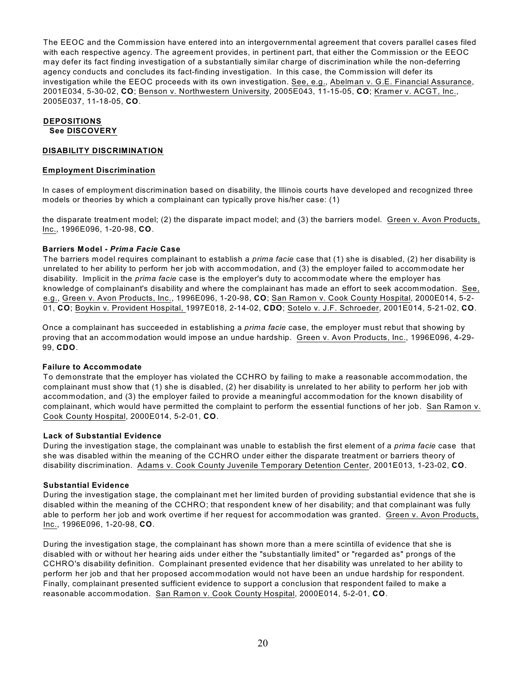The EEOC and the Commission have entered into an intergovernmental agreement that covers parallel cases filed with each respective agency. The agreement provides, in pertinent part, that either the Commission or the EEOC may defer its fact finding investigation of a substantially similar charge of discrimination while the non-deferring agency conducts and concludes its fact-finding investigation. In this case, the Commission will defer its investigation while the EEOC proceeds with its own investigation. See, e.g., Abelman v. G.E. Financial Assurance, 2001E034, 5-30-02, **CO**; Benson v. Northwestern University, 2005E043, 11-15-05, **CO**; Kramer v. ACGT, Inc., 2005E037, 11-18-05, **CO**.

# **DEPOSITIONS See DISCOVERY**

#### **DISABILITY DISCRIMINATION**

#### **Employment Discrimination**

In cases of employment discrimination based on disability, the Illinois courts have developed and recognized three models or theories by which a complainant can typically prove his/her case: (1)

the disparate treatment model; (2) the disparate impact model; and (3) the barriers model. Green v. Avon Products, Inc., 1996E096, 1-20-98, **CO**.

#### **Barriers Model -** *Prima Facie* **Case**

The barriers model requires complainant to establish a *prima facie* case that (1) she is disabled, (2) her disability is unrelated to her ability to perform her job with accommodation, and (3) the employer failed to accommodate her disability. Implicit in the *prima facie* case is the employer's duty to accommodate where the employer has knowledge of complainant's disability and where the complainant has made an effort to seek accommodation. See, e.g., Green v. Avon Products, Inc., 1996E096, 1-20-98, **CO**; San Ramon v. Cook County Hospital, 2000E014, 5-2- 01, **CO**; Boykin v. Provident Hospital, 1997E018, 2-14-02, **CDO**; Sotelo v. J.F. Schroeder, 2001E014, 5-21-02, **CO**.

Once a complainant has succeeded in establishing a *prima facie* case, the employer must rebut that showing by proving that an accommodation would impose an undue hardship. Green v. Avon Products, Inc., 1996E096, 4-29- 99, **CDO**.

## **Failure to Accommodate**

To demonstrate that the employer has violated the CCHRO by failing to make a reasonable accommodation, the complainant must show that (1) she is disabled, (2) her disability is unrelated to her ability to perform her job with accommodation, and (3) the employer failed to provide a meaningful accommodation for the known disability of complainant, which would have permitted the complaint to perform the essential functions of her job. San Ramon v. Cook County Hospital, 2000E014, 5-2-01, **CO**.

#### **Lack of Substantial Evidence**

During the investigation stage, the complainant was unable to establish the first element of a *prima facie* case that she was disabled within the meaning of the CCHRO under either the disparate treatment or barriers theory of disability discrimination. Adams v. Cook County Juvenile Temporary Detention Center, 2001E013, 1-23-02, **CO**.

#### **Substantial Evidence**

During the investigation stage, the complainant met her limited burden of providing substantial evidence that she is disabled within the meaning of the CCHRO; that respondent knew of her disability; and that complainant was fully able to perform her job and work overtime if her request for accommodation was granted. Green v. Avon Products, Inc., 1996E096, 1-20-98, **CO**.

During the investigation stage, the complainant has shown more than a mere scintilla of evidence that she is disabled with or without her hearing aids under either the "substantially limited" or "regarded as" prongs of the CCHRO's disability definition. Complainant presented evidence that her disability was unrelated to her ability to perform her job and that her proposed accommodation would not have been an undue hardship for respondent. Finally, complainant presented sufficient evidence to support a conclusion that respondent failed to make a reasonable accommodation. San Ramon v. Cook County Hospital, 2000E014, 5-2-01, **CO**.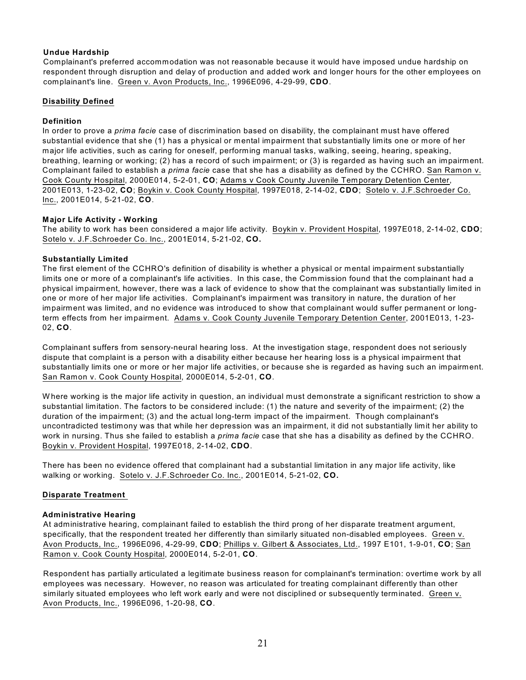## **Undue Hardship**

Complainant's preferred accommodation was not reasonable because it would have imposed undue hardship on respondent through disruption and delay of production and added work and longer hours for the other employees on complainant's line. Green v. Avon Products, Inc., 1996E096, 4-29-99, **CDO**.

## **Disability Defined**

# **Definition**

In order to prove a *prima facie* case of discrimination based on disability, the complainant must have offered substantial evidence that she (1) has a physical or mental impairment that substantially limits one or more of her major life activities, such as caring for oneself, performing manual tasks, walking, seeing, hearing, speaking, breathing, learning or working; (2) has a record of such impairment; or (3) is regarded as having such an impairment. Complainant failed to establish a *prima facie* case that she has a disability as defined by the CCHRO. San Ramon v. Cook County Hospital, 2000E014, 5-2-01, **CO**; Adams v Cook County Juvenile Temporary Detention Center, 2001E013, 1-23-02, **CO**; Boykin v. Cook County Hospital, 1997E018, 2-14-02, **CDO**; Sotelo v. J.F.Schroeder Co. Inc., 2001E014, 5-21-02, **CO**.

# **Major Life Activity - Working**

The ability to work has been considered a major life activity. Boykin v. Provident Hospital, 1997E018, 2-14-02, **CDO**; Sotelo v. J.F.Schroeder Co. Inc., 2001E014, 5-21-02, **CO.**

# **Substantially Limited**

The first element of the CCHRO's definition of disability is whether a physical or mental impairment substantially limits one or more of a complainant's life activities. In this case, the Commission found that the complainant had a physical impairment, however, there was a lack of evidence to show that the complainant was substantially limited in one or more of her major life activities. Complainant's impairment was transitory in nature, the duration of her impairment was limited, and no evidence was introduced to show that complainant would suffer permanent or longterm effects from her impairment. Adams v. Cook County Juvenile Temporary Detention Center, 2001E013, 1-23- 02, **CO**.

Complainant suffers from sensory-neural hearing loss. At the investigation stage, respondent does not seriously dispute that complaint is a person with a disability either because her hearing loss is a physical impairment that substantially limits one or more or her major life activities, or because she is regarded as having such an impairment. San Ramon v. Cook County Hospital, 2000E014, 5-2-01, **CO**.

W here working is the major life activity in question, an individual must demonstrate a significant restriction to show a substantial limitation. The factors to be considered include: (1) the nature and severity of the impairment; (2) the duration of the impairment; (3) and the actual long-term impact of the impairment. Though complainant's uncontradicted testimony was that while her depression was an impairment, it did not substantially limit her ability to work in nursing. Thus she failed to establish a *prima facie* case that she has a disability as defined by the CCHRO. Boykin v. Provident Hospital, 1997E018, 2-14-02, **CDO**.

There has been no evidence offered that complainant had a substantial limitation in any major life activity, like walking or working. Sotelo v. J.F.Schroeder Co. Inc., 2001E014, 5-21-02, **CO.**

# **Disparate Treatment**

## **Administrative Hearing**

At administrative hearing, complainant failed to establish the third prong of her disparate treatment argument, specifically, that the respondent treated her differently than similarly situated non-disabled employees. Green v. Avon Products, Inc., 1996E096, 4-29-99, **CDO**; Phillips v. Gilbert & Associates, Ltd., 1997 E101, 1-9-01, **CO**; San Ramon v. Cook County Hospital, 2000E014, 5-2-01, **CO**.

Respondent has partially articulated a legitimate business reason for complainant's termination: overtime work by all employees was necessary. However, no reason was articulated for treating complainant differently than other similarly situated employees who left work early and were not disciplined or subsequently terminated. Green v. Avon Products, Inc., 1996E096, 1-20-98, **CO**.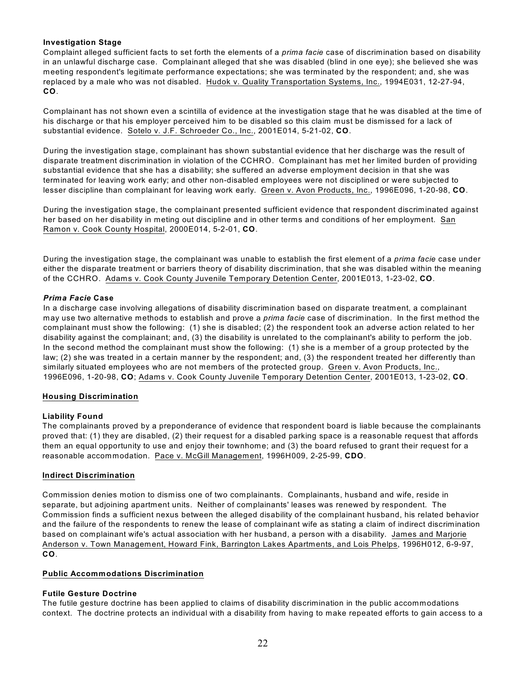## **Investigation Stage**

Complaint alleged sufficient facts to set forth the elements of a *prima facie* case of discrimination based on disability in an unlawful discharge case. Complainant alleged that she was disabled (blind in one eye); she believed she was meeting respondent's legitimate performance expectations; she was terminated by the respondent; and, she was replaced by a male who was not disabled. Hudok v. Quality Transportation Systems, Inc., 1994E031, 12-27-94, **CO**.

Complainant has not shown even a scintilla of evidence at the investigation stage that he was disabled at the time of his discharge or that his employer perceived him to be disabled so this claim must be dismissed for a lack of substantial evidence. Sotelo v. J.F. Schroeder Co., Inc., 2001E014, 5-21-02, **CO**.

During the investigation stage, complainant has shown substantial evidence that her discharge was the result of disparate treatment discrimination in violation of the CCHRO. Complainant has met her limited burden of providing substantial evidence that she has a disability; she suffered an adverse employment decision in that she was terminated for leaving work early; and other non-disabled employees were not disciplined or were subjected to lesser discipline than complainant for leaving work early. Green v. Avon Products, Inc., 1996E096, 1-20-98, **CO**.

During the investigation stage, the complainant presented sufficient evidence that respondent discriminated against her based on her disability in meting out discipline and in other terms and conditions of her employment. San Ramon v. Cook County Hospital, 2000E014, 5-2-01, **CO**.

During the investigation stage, the complainant was unable to establish the first element of a *prima facie* case under either the disparate treatment or barriers theory of disability discrimination, that she was disabled within the meaning of the CCHRO. Adams v. Cook County Juvenile Temporary Detention Center, 2001E013, 1-23-02, **CO**.

## *Prima Facie* **Case**

In a discharge case involving allegations of disability discrimination based on disparate treatment, a complainant may use two alternative methods to establish and prove a *prima facie* case of discrimination. In the first method the complainant must show the following: (1) she is disabled; (2) the respondent took an adverse action related to her disability against the complainant; and, (3) the disability is unrelated to the complainant's ability to perform the job. In the second method the complainant must show the following: (1) she is a member of a group protected by the law; (2) she was treated in a certain manner by the respondent; and, (3) the respondent treated her differently than similarly situated employees who are not members of the protected group. Green v. Avon Products, Inc., 1996E096, 1-20-98, **CO**; Adams v. Cook County Juvenile Temporary Detention Center, 2001E013, 1-23-02, **CO**.

## **Housing Discrimination**

## **Liability Found**

The complainants proved by a preponderance of evidence that respondent board is liable because the complainants proved that: (1) they are disabled, (2) their request for a disabled parking space is a reasonable request that affords them an equal opportunity to use and enjoy their townhome; and (3) the board refused to grant their request for a reasonable accommodation. Pace v. McGill Management, 1996H009, 2-25-99, **CDO**.

## **Indirect Discrimination**

Commission denies motion to dismiss one of two complainants. Complainants, husband and wife, reside in separate, but adjoining apartment units. Neither of complainants' leases was renewed by respondent. The Commission finds a sufficient nexus between the alleged disability of the complainant husband, his related behavior and the failure of the respondents to renew the lease of complainant wife as stating a claim of indirect discrimination based on complainant wife's actual association with her husband, a person with a disability. James and Marjorie Anderson v. Town Management, Howard Fink, Barrington Lakes Apartments, and Lois Phelps, 1996H012, 6-9-97, **CO**.

## **Public Accommodations Discrimination**

## **Futile Gesture Doctrine**

The futile gesture doctrine has been applied to claims of disability discrimination in the public accommodations context. The doctrine protects an individual with a disability from having to make repeated efforts to gain access to a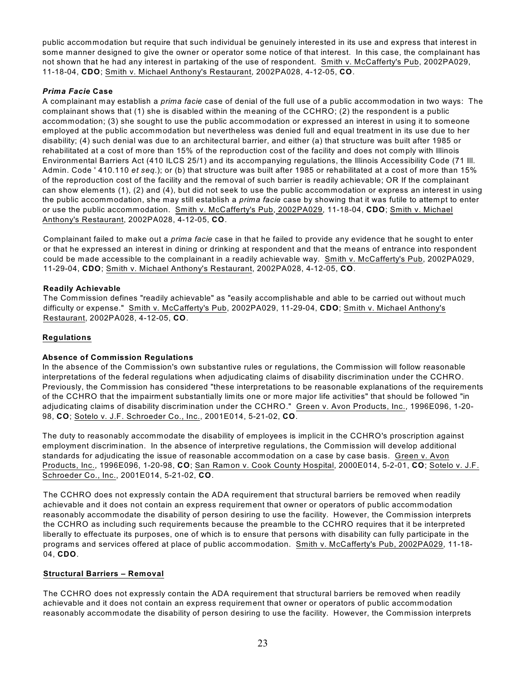public accommodation but require that such individual be genuinely interested in its use and express that interest in some manner designed to give the owner or operator some notice of that interest. In this case, the complainant has not shown that he had any interest in partaking of the use of respondent. Smith v. McCafferty's Pub, 2002PA029, 11-18-04, **CDO**; Smith v. Michael Anthony's Restaurant, 2002PA028, 4-12-05, **CO**.

# *Prima Facie* **Case**

A complainant may establish a *prima facie* case of denial of the full use of a public accommodation in two ways: The complainant shows that (1) she is disabled within the meaning of the CCHRO; (2) the respondent is a public accommodation; (3) she sought to use the public accommodation or expressed an interest in using it to someone employed at the public accommodation but nevertheless was denied full and equal treatment in its use due to her disability; (4) such denial was due to an architectural barrier, and either (a) that structure was built after 1985 or rehabilitated at a cost of more than 15% of the reproduction cost of the facility and does not comply with Illinois Environmental Barriers Act (410 ILCS 25/1) and its accompanying regulations, the Illinois Accessibility Code (71 Ill. Admin. Code ' 410.110 *et seq*.); or (b) that structure was built after 1985 or rehabilitated at a cost of more than 15% of the reproduction cost of the facility and the removal of such barrier is readily achievable; OR If the complainant can show elements (1), (2) and (4), but did not seek to use the public accommodation or express an interest in using the public accommodation, she may still establish a *prima facie* case by showing that it was futile to attempt to enter or use the public accommodation. Smith v. McCafferty's Pub, 2002PA029, 11-18-04, **CDO**; Smith v. Michael Anthony's Restaurant, 2002PA028, 4-12-05, **CO**.

Complainant failed to make out a *prima facie* case in that he failed to provide any evidence that he sought to enter or that he expressed an interest in dining or drinking at respondent and that the means of entrance into respondent could be made accessible to the complainant in a readily achievable way. Smith v. McCafferty's Pub, 2002PA029, 11-29-04, **CDO**; Smith v. Michael Anthony's Restaurant, 2002PA028, 4-12-05, **CO**.

# **Readily Achievable**

The Commission defines "readily achievable" as "easily accomplishable and able to be carried out without much difficulty or expense." Smith v. McCafferty's Pub, 2002PA029, 11-29-04, **CDO**; Smith v. Michael Anthony's Restaurant, 2002PA028, 4-12-05, **CO**.

# **Regulations**

## **Absence of Commission Regulations**

In the absence of the Commission's own substantive rules or regulations, the Commission will follow reasonable interpretations of the federal regulations when adjudicating claims of disability discrimination under the CCHRO. Previously, the Commission has considered "these interpretations to be reasonable explanations of the requirements of the CCHRO that the impairment substantially limits one or more major life activities" that should be followed "in adjudicating claims of disability discrimination under the CCHRO." Green v. Avon Products, Inc., 1996E096, 1-20- 98, **CO**; Sotelo v. J.F. Schroeder Co., Inc., 2001E014, 5-21-02, **CO**.

The duty to reasonably accommodate the disability of employees is implicit in the CCHRO's proscription against employment discrimination. In the absence of interpretive regulations, the Commission will develop additional standards for adjudicating the issue of reasonable accommodation on a case by case basis. Green v. Avon Products, Inc., 1996E096, 1-20-98, **CO**; San Ramon v. Cook County Hospital, 2000E014, 5-2-01, **CO**; Sotelo v. J.F. Schroeder Co., Inc., 2001E014, 5-21-02, **CO**.

The CCHRO does not expressly contain the ADA requirement that structural barriers be removed when readily achievable and it does not contain an express requirement that owner or operators of public accommodation reasonably accommodate the disability of person desiring to use the facility. However, the Commission interprets the CCHRO as including such requirements because the preamble to the CCHRO requires that it be interpreted liberally to effectuate its purposes, one of which is to ensure that persons with disability can fully participate in the programs and services offered at place of public accommodation. Smith v. McCafferty's Pub, 2002PA029, 11-18- 04, **CDO**.

## **Structural Barriers – Removal**

The CCHRO does not expressly contain the ADA requirement that structural barriers be removed when readily achievable and it does not contain an express requirement that owner or operators of public accommodation reasonably accommodate the disability of person desiring to use the facility. However, the Commission interprets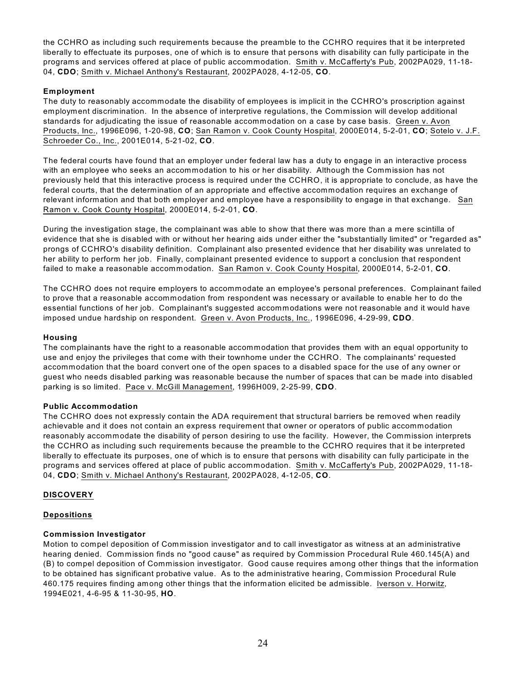the CCHRO as including such requirements because the preamble to the CCHRO requires that it be interpreted liberally to effectuate its purposes, one of which is to ensure that persons with disability can fully participate in the programs and services offered at place of public accommodation. Smith v. McCafferty's Pub, 2002PA029, 11-18- 04, **CDO**; Smith v. Michael Anthony's Restaurant, 2002PA028, 4-12-05, **CO**.

# **Employment**

The duty to reasonably accommodate the disability of employees is implicit in the CCHRO's proscription against employment discrimination. In the absence of interpretive regulations, the Commission will develop additional standards for adjudicating the issue of reasonable accommodation on a case by case basis. Green v. Avon Products, Inc., 1996E096, 1-20-98, **CO**; San Ramon v. Cook County Hospital, 2000E014, 5-2-01, **CO**; Sotelo v. J.F. Schroeder Co., Inc., 2001E014, 5-21-02, **CO**.

The federal courts have found that an employer under federal law has a duty to engage in an interactive process with an employee who seeks an accommodation to his or her disability. Although the Commission has not previously held that this interactive process is required under the CCHRO, it is appropriate to conclude, as have the federal courts, that the determination of an appropriate and effective accommodation requires an exchange of relevant information and that both employer and employee have a responsibility to engage in that exchange. San Ramon v. Cook County Hospital, 2000E014, 5-2-01, **CO**.

During the investigation stage, the complainant was able to show that there was more than a mere scintilla of evidence that she is disabled with or without her hearing aids under either the "substantially limited" or "regarded as" prongs of CCHRO's disability definition. Complainant also presented evidence that her disability was unrelated to her ability to perform her job. Finally, complainant presented evidence to support a conclusion that respondent failed to make a reasonable accommodation. San Ramon v. Cook County Hospital, 2000E014, 5-2-01, **CO**.

The CCHRO does not require employers to accommodate an employee's personal preferences. Complainant failed to prove that a reasonable accommodation from respondent was necessary or available to enable her to do the essential functions of her job. Complainant's suggested accommodations were not reasonable and it would have imposed undue hardship on respondent. Green v. Avon Products, Inc., 1996E096, 4-29-99, **CDO**.

## **Housing**

The complainants have the right to a reasonable accommodation that provides them with an equal opportunity to use and enjoy the privileges that come with their townhome under the CCHRO. The complainants' requested accommodation that the board convert one of the open spaces to a disabled space for the use of any owner or guest who needs disabled parking was reasonable because the number of spaces that can be made into disabled parking is so limited. Pace v. McGill Management, 1996H009, 2-25-99, **CDO**.

## **Public Accommodation**

The CCHRO does not expressly contain the ADA requirement that structural barriers be removed when readily achievable and it does not contain an express requirement that owner or operators of public accommodation reasonably accommodate the disability of person desiring to use the facility. However, the Commission interprets the CCHRO as including such requirements because the preamble to the CCHRO requires that it be interpreted liberally to effectuate its purposes, one of which is to ensure that persons with disability can fully participate in the programs and services offered at place of public accommodation. Smith v. McCafferty's Pub, 2002PA029, 11-18- 04, **CDO**; Smith v. Michael Anthony's Restaurant, 2002PA028, 4-12-05, **CO**.

#### **DISCOVERY**

## **Depositions**

## **Commission Investigator**

Motion to compel deposition of Commission investigator and to call investigator as witness at an administrative hearing denied. Commission finds no "good cause" as required by Commission Procedural Rule 460.145(A) and (B) to compel deposition of Commission investigator. Good cause requires among other things that the information to be obtained has significant probative value. As to the administrative hearing, Commission Procedural Rule 460.175 requires finding among other things that the information elicited be admissible. Iverson v. Horwitz, 1994E021, 4-6-95 & 11-30-95, **HO**.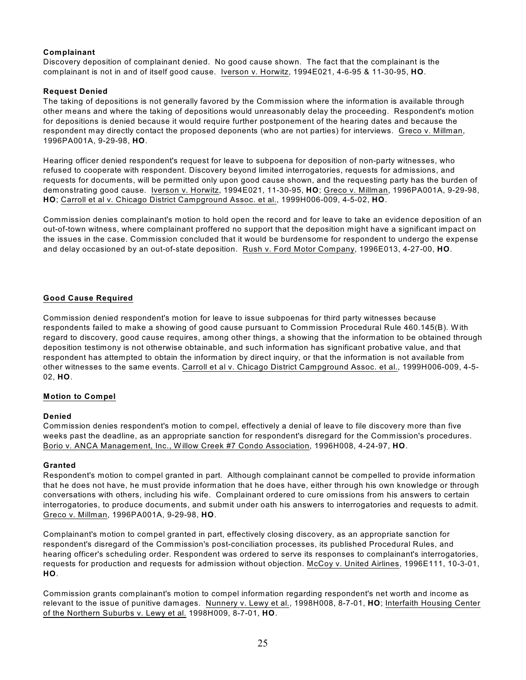## **Complainant**

Discovery deposition of complainant denied. No good cause shown. The fact that the complainant is the complainant is not in and of itself good cause. Iverson v. Horwitz, 1994E021, 4-6-95 & 11-30-95, **HO**.

# **Request Denied**

The taking of depositions is not generally favored by the Commission where the information is available through other means and where the taking of depositions would unreasonably delay the proceeding. Respondent's motion for depositions is denied because it would require further postponement of the hearing dates and because the respondent may directly contact the proposed deponents (who are not parties) for interviews. Greco v. Millman, 1996PA001A, 9-29-98, **HO**.

Hearing officer denied respondent's request for leave to subpoena for deposition of non-party witnesses, who refused to cooperate with respondent. Discovery beyond limited interrogatories, requests for admissions, and requests for documents, will be permitted only upon good cause shown, and the requesting party has the burden of demonstrating good cause. Iverson v. Horwitz, 1994E021, 11-30-95, **HO**; Greco v. Millman, 1996PA001A, 9-29-98, **HO**; Carroll et al v. Chicago District Campground Assoc. et al., 1999H006-009, 4-5-02, **HO**.

Commission denies complainant's motion to hold open the record and for leave to take an evidence deposition of an out-of-town witness, where complainant proffered no support that the deposition might have a significant impact on the issues in the case. Commission concluded that it would be burdensome for respondent to undergo the expense and delay occasioned by an out-of-state deposition. Rush v. Ford Motor Company, 1996E013, 4-27-00, **HO**.

# **Good Cause Required**

Commission denied respondent's motion for leave to issue subpoenas for third party witnesses because respondents failed to make a showing of good cause pursuant to Commission Procedural Rule 460.145(B). W ith regard to discovery, good cause requires, among other things, a showing that the information to be obtained through deposition testimony is not otherwise obtainable, and such information has significant probative value, and that respondent has attempted to obtain the information by direct inquiry, or that the information is not available from other witnesses to the same events. Carroll et al v. Chicago District Campground Assoc. et al., 1999H006-009, 4-5- 02, **HO**.

## **Motion to Compel**

## **Denied**

Commission denies respondent's motion to compel, effectively a denial of leave to file discovery more than five weeks past the deadline, as an appropriate sanction for respondent's disregard for the Commission's procedures. Borio v. ANCA Management, Inc., W illow Creek #7 Condo Association, 1996H008, 4-24-97, **HO**.

## **Granted**

Respondent's motion to compel granted in part. Although complainant cannot be compelled to provide information that he does not have, he must provide information that he does have, either through his own knowledge or through conversations with others, including his wife. Complainant ordered to cure omissions from his answers to certain interrogatories, to produce documents, and submit under oath his answers to interrogatories and requests to admit. Greco v. Millman, 1996PA001A, 9-29-98, **HO**.

Complainant's motion to compel granted in part, effectively closing discovery, as an appropriate sanction for respondent's disregard of the Commission's post-conciliation processes, its published Procedural Rules, and hearing officer's scheduling order. Respondent was ordered to serve its responses to complainant's interrogatories, requests for production and requests for admission without objection. McCoy v. United Airlines, 1996E111, 10-3-01, **HO**.

Commission grants complainant's motion to compel information regarding respondent's net worth and income as relevant to the issue of punitive damages. Nunnery v. Lewy et al., 1998H008, 8-7-01, **HO**; Interfaith Housing Center of the Northern Suburbs v. Lewy et al. 1998H009, 8-7-01, **HO**.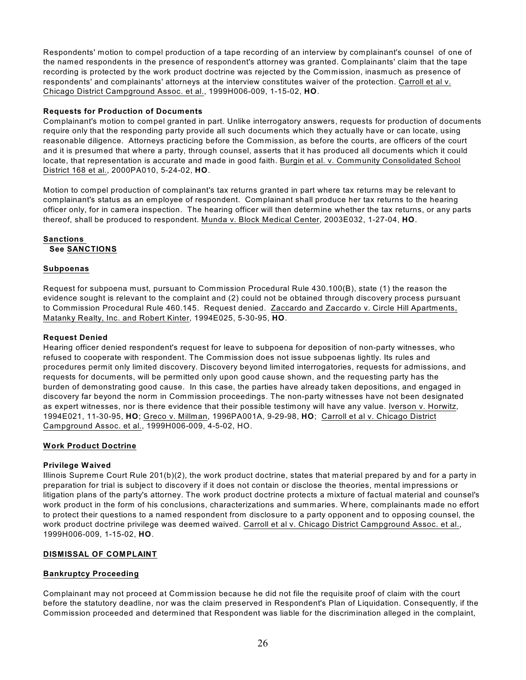Respondents' motion to compel production of a tape recording of an interview by complainant's counsel of one of the named respondents in the presence of respondent's attorney was granted. Complainants' claim that the tape recording is protected by the work product doctrine was rejected by the Commission, inasmuch as presence of respondents' and complainants' attorneys at the interview constitutes waiver of the protection. Carroll et al v. Chicago District Campground Assoc. et al., 1999H006-009, 1-15-02, **HO**.

#### **Requests for Production of Documents**

Complainant's motion to compel granted in part. Unlike interrogatory answers, requests for production of documents require only that the responding party provide all such documents which they actually have or can locate, using reasonable diligence. Attorneys practicing before the Commission, as before the courts, are officers of the court and it is presumed that where a party, through counsel, asserts that it has produced all documents which it could locate, that representation is accurate and made in good faith. Burgin et al. v. Community Consolidated School District 168 et al., 2000PA010, 5-24-02, **HO**.

Motion to compel production of complainant's tax returns granted in part where tax returns may be relevant to complainant's status as an employee of respondent. Complainant shall produce her tax returns to the hearing officer only, for in camera inspection. The hearing officer will then determine whether the tax returns, or any parts thereof, shall be produced to respondent. Munda v. Block Medical Center, 2003E032, 1-27-04, **HO**.

## **Sanctions See SANCTIONS**

#### **Subpoenas**

Request for subpoena must, pursuant to Commission Procedural Rule 430.100(B), state (1) the reason the evidence sought is relevant to the complaint and (2) could not be obtained through discovery process pursuant to Commission Procedural Rule 460.145. Request denied. Zaccardo and Zaccardo v. Circle Hill Apartments, Matanky Realty, Inc. and Robert Kinter, 1994E025, 5-30-95, **HO**.

#### **Request Denied**

Hearing officer denied respondent's request for leave to subpoena for deposition of non-party witnesses, who refused to cooperate with respondent. The Commission does not issue subpoenas lightly. Its rules and procedures permit only limited discovery. Discovery beyond limited interrogatories, requests for admissions, and requests for documents, will be permitted only upon good cause shown, and the requesting party has the burden of demonstrating good cause. In this case, the parties have already taken depositions, and engaged in discovery far beyond the norm in Commission proceedings. The non-party witnesses have not been designated as expert witnesses, nor is there evidence that their possible testimony will have any value. Iverson v. Horwitz, 1994E021, 11-30-95, **HO**; Greco v. Millman, 1996PA001A, 9-29-98, **HO**; Carroll et al v. Chicago District Campground Assoc. et al., 1999H006-009, 4-5-02, HO.

#### **Work Product Doctrine**

#### **Privilege Waived**

Illinois Supreme Court Rule 201(b)(2), the work product doctrine, states that material prepared by and for a party in preparation for trial is subject to discovery if it does not contain or disclose the theories, mental impressions or litigation plans of the party's attorney. The work product doctrine protects a mixture of factual material and counsel's work product in the form of his conclusions, characterizations and summaries. W here, complainants made no effort to protect their questions to a named respondent from disclosure to a party opponent and to opposing counsel, the work product doctrine privilege was deemed waived. Carroll et al v. Chicago District Campground Assoc. et al., 1999H006-009, 1-15-02, **HO**.

#### **DISMISSAL OF COMPLAINT**

#### **Bankruptcy Proceeding**

Complainant may not proceed at Commission because he did not file the requisite proof of claim with the court before the statutory deadline, nor was the claim preserved in Respondent's Plan of Liquidation. Consequently, if the Commission proceeded and determined that Respondent was liable for the discrimination alleged in the complaint,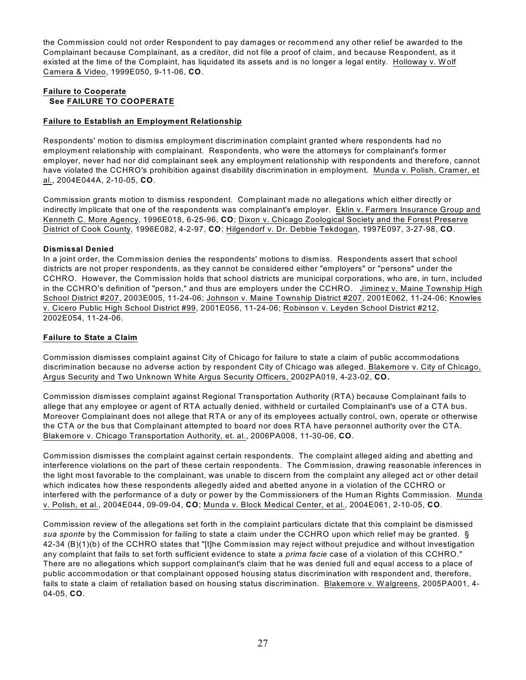the Commission could not order Respondent to pay damages or recommend any other relief be awarded to the Complainant because Complainant, as a creditor, did not file a proof of claim, and because Respondent, as it existed at the time of the Complaint, has liquidated its assets and is no longer a legal entity. Holloway v. W olf Camera & Video, 1999E050, 9-11-06, **CO**.

# **Failure to Cooperate See FAILURE TO COOPERATE**

## **Failure to Establish an Employment Relationship**

Respondents' motion to dismiss employment discrimination complaint granted where respondents had no employment relationship with complainant. Respondents, who were the attorneys for complainant's former employer, never had nor did complainant seek any employment relationship with respondents and therefore, cannot have violated the CCHRO's prohibition against disability discrimination in employment. Munda v. Polish, Cramer, et al., 2004E044A, 2-10-05, **CO**.

Commission grants motion to dismiss respondent. Complainant made no allegations which either directly or indirectly implicate that one of the respondents was complainant's employer. Eklin v. Farmers Insurance Group and Kenneth C. More Agency, 1996E018, 6-25-96, **CO**; Dixon v. Chicago Zoological Society and the Forest Preserve District of Cook County, 1996E082, 4-2-97, **CO**; Hilgendorf v. Dr. Debbie Tekdogan, 1997E097, 3-27-98, **CO**.

# **Dismissal Denied**

In a joint order, the Commission denies the respondents' motions to dismiss. Respondents assert that school districts are not proper respondents, as they cannot be considered either "employers" or "persons" under the CCHRO. However, the Commission holds that school districts are municipal corporations, who are, in turn, included in the CCHRO's definition of "person," and thus are employers under the CCHRO. Jiminez v. Maine Township High School District #207, 2003E005, 11-24-06; Johnson v. Maine Township District #207, 2001E062, 11-24-06; Knowles v. Cicero Public High School District #99, 2001E056, 11-24-06; Robinson v. Leyden School District #212, 2002E054, 11-24-06.

# **Failure to State a Claim**

Commission dismisses complaint against City of Chicago for failure to state a claim of public accommodations discrimination because no adverse action by respondent City of Chicago was alleged. Blakemore v. City of Chicago, Argus Security and Two Unknown W hite Argus Security Officers, 2002PA019, 4-23-02, **CO.**

Commission dismisses complaint against Regional Transportation Authority (RTA) because Complainant fails to allege that any employee or agent of RTA actually denied, withheld or curtailed Complainant's use of a CTA bus. Moreover Complainant does not allege that RTA or any of its employees actually control, own, operate or otherwise the CTA or the bus that Complainant attempted to board nor does RTA have personnel authority over the CTA. Blakemore v. Chicago Transportation Authority, et. al., 2006PA008, 11-30-06, **CO**.

Commission dismisses the complaint against certain respondents. The complaint alleged aiding and abetting and interference violations on the part of these certain respondents. The Commission, drawing reasonable inferences in the light most favorable to the complainant, was unable to discern from the complaint any alleged act or other detail which indicates how these respondents allegedly aided and abetted anyone in a violation of the CCHRO or interfered with the performance of a duty or power by the Commissioners of the Human Rights Commission. Munda v. Polish, et al., 2004E044, 09-09-04, **CO**; Munda v. Block Medical Center, et al., 2004E061, 2-10-05, **CO**.

Commission review of the allegations set forth in the complaint particulars dictate that this complaint be dismissed *sua sponte* by the Commission for failing to state a claim under the CCHRO upon which relief may be granted. § 42-34 (B)(1)(b) of the CCHRO states that "[t]he Commission may reject without prejudice and without investigation any complaint that fails to set forth sufficient evidence to state a *prima facie* case of a violation of this CCHRO." There are no allegations which support complainant's claim that he was denied full and equal access to a place of public accommodation or that complainant opposed housing status discrimination with respondent and, therefore, fails to state a claim of retaliation based on housing status discrimination. Blakemore v. W algreens, 2005PA001, 4- 04-05, **CO**.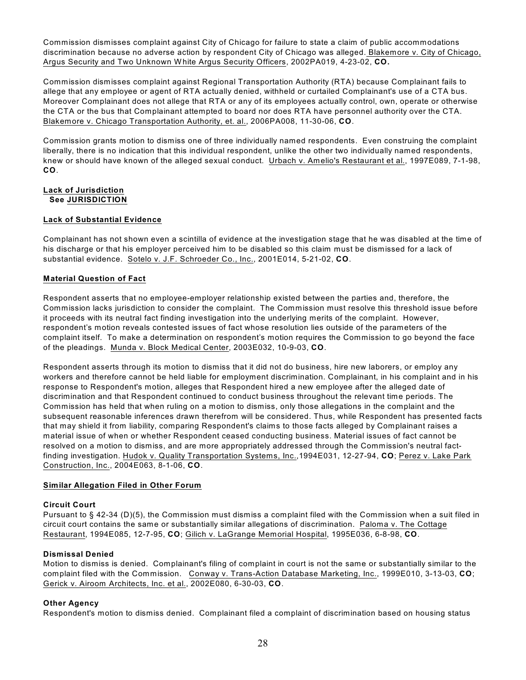Commission dismisses complaint against City of Chicago for failure to state a claim of public accommodations discrimination because no adverse action by respondent City of Chicago was alleged. Blakemore v. City of Chicago, Argus Security and Two Unknown W hite Argus Security Officers, 2002PA019, 4-23-02, **CO.**

Commission dismisses complaint against Regional Transportation Authority (RTA) because Complainant fails to allege that any employee or agent of RTA actually denied, withheld or curtailed Complainant's use of a CTA bus. Moreover Complainant does not allege that RTA or any of its employees actually control, own, operate or otherwise the CTA or the bus that Complainant attempted to board nor does RTA have personnel authority over the CTA. Blakemore v. Chicago Transportation Authority, et. al., 2006PA008, 11-30-06, **CO**.

Commission grants motion to dismiss one of three individually named respondents. Even construing the complaint liberally, there is no indication that this individual respondent, unlike the other two individually named respondents, knew or should have known of the alleged sexual conduct. Urbach v. Amelio's Restaurant et al., 1997E089, 7-1-98, **CO**.

#### **Lack of Jurisdiction See JURISDICTION**

## **Lack of Substantial Evidence**

Complainant has not shown even a scintilla of evidence at the investigation stage that he was disabled at the time of his discharge or that his employer perceived him to be disabled so this claim must be dismissed for a lack of substantial evidence. Sotelo v. J.F. Schroeder Co., Inc., 2001E014, 5-21-02, **CO**.

## **Material Question of Fact**

Respondent asserts that no employee-employer relationship existed between the parties and, therefore, the Commission lacks jurisdiction to consider the complaint. The Commission must resolve this threshold issue before it proceeds with its neutral fact finding investigation into the underlying merits of the complaint. However, respondent's motion reveals contested issues of fact whose resolution lies outside of the parameters of the complaint itself. To make a determination on respondent's motion requires the Commission to go beyond the face of the pleadings. Munda v. Block Medical Center, 2003E032, 10-9-03, **CO**.

Respondent asserts through its motion to dismiss that it did not do business, hire new laborers, or employ any workers and therefore cannot be held liable for employment discrimination. Complainant, in his complaint and in his response to Respondent's motion, alleges that Respondent hired a new employee after the alleged date of discrimination and that Respondent continued to conduct business throughout the relevant time periods. The Commission has held that when ruling on a motion to dismiss, only those allegations in the complaint and the subsequent reasonable inferences drawn therefrom will be considered. Thus, while Respondent has presented facts that may shield it from liability, comparing Respondent's claims to those facts alleged by Complainant raises a material issue of when or whether Respondent ceased conducting business. Material issues of fact cannot be resolved on a motion to dismiss, and are more appropriately addressed through the Commission's neutral factfinding investigation. Hudok v. Quality Transportation Systems, Inc.,1994E031, 12-27-94, **CO**; Perez v. Lake Park Construction, Inc., 2004E063, 8-1-06, **CO**.

## **Similar Allegation Filed in Other Forum**

#### **Circuit Court**

Pursuant to § 42-34 (D)(5), the Commission must dismiss a complaint filed with the Commission when a suit filed in circuit court contains the same or substantially similar allegations of discrimination. Paloma v. The Cottage Restaurant, 1994E085, 12-7-95, **CO**; Gilich v. LaGrange Memorial Hospital, 1995E036, 6-8-98, **CO**.

## **Dismissal Denied**

Motion to dismiss is denied. Complainant's filing of complaint in court is not the same or substantially similar to the complaint filed with the Commission. Conway v. Trans-Action Database Marketing, Inc., 1999E010, 3-13-03, **CO**; Gerick v. Airoom Architects, Inc. et al., 2002E080, 6-30-03, **CO**.

## **Other Agency**

Respondent's motion to dismiss denied. Complainant filed a complaint of discrimination based on housing status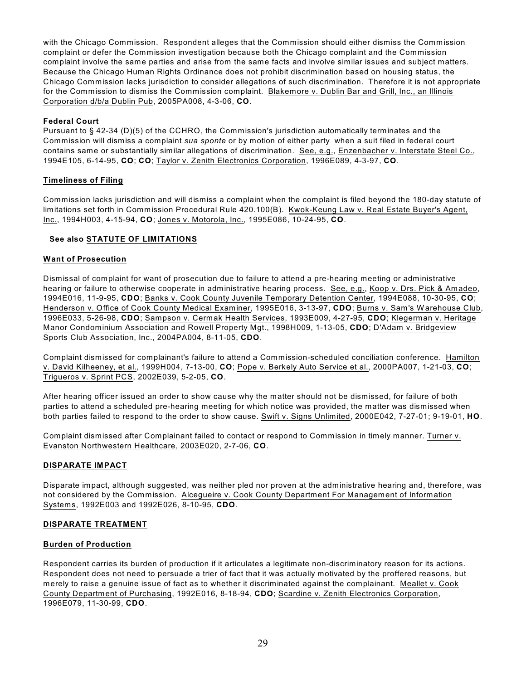with the Chicago Commission. Respondent alleges that the Commission should either dismiss the Commission complaint or defer the Commission investigation because both the Chicago complaint and the Commission complaint involve the same parties and arise from the same facts and involve similar issues and subject matters. Because the Chicago Human Rights Ordinance does not prohibit discrimination based on housing status, the Chicago Commission lacks jurisdiction to consider allegations of such discrimination. Therefore it is not appropriate for the Commission to dismiss the Commission complaint. Blakemore v. Dublin Bar and Grill, Inc., an Illinois Corporation d/b/a Dublin Pub, 2005PA008, 4-3-06, **CO**.

# **Federal Court**

Pursuant to § 42-34 (D)(5) of the CCHRO, the Commission's jurisdiction automatically terminates and the Commission will dismiss a complaint *sua sponte* or by motion of either party when a suit filed in federal court contains same or substantially similar allegations of discrimination. See, e.g., Enzenbacher v. Interstate Steel Co., 1994E105, 6-14-95, **CO**; **CO**; Taylor v. Zenith Electronics Corporation, 1996E089, 4-3-97, **CO**.

## **Timeliness of Filing**

Commission lacks jurisdiction and will dismiss a complaint when the complaint is filed beyond the 180-day statute of limitations set forth in Commission Procedural Rule 420.100(B). Kwok-Keung Law v. Real Estate Buyer's Agent, Inc., 1994H003, 4-15-94, **CO**; Jones v. Motorola, Inc., 1995E086, 10-24-95, **CO**.

# **See also STATUTE OF LIMITATIONS**

# **Want of Prosecution**

Dismissal of complaint for want of prosecution due to failure to attend a pre-hearing meeting or administrative hearing or failure to otherwise cooperate in administrative hearing process. See, e.g., Koop v. Drs. Pick & Amadeo, 1994E016, 11-9-95, **CDO**; Banks v. Cook County Juvenile Temporary Detention Center, 1994E088, 10-30-95, **CO**; Henderson v. Office of Cook County Medical Examiner, 1995E016, 3-13-97, **CDO**; Burns v. Sam's W arehouse Club, 1996E033, 5-26-98, **CDO**; Sampson v. Cermak Health Services, 1993E009, 4-27-95, **CDO**; Klegerman v. Heritage Manor Condominium Association and Rowell Property Mgt., 1998H009, 1-13-05, **CDO**; D'Adam v. Bridgeview Sports Club Association, Inc., 2004PA004, 8-11-05, **CDO**.

Complaint dismissed for complainant's failure to attend a Commission-scheduled conciliation conference. Hamilton v. David Kilheeney, et al., 1999H004, 7-13-00, **CO**; Pope v. Berkely Auto Service et al., 2000PA007, 1-21-03, **CO**; Trigueros v. Sprint PCS, 2002E039, 5-2-05, **CO**.

After hearing officer issued an order to show cause why the matter should not be dismissed, for failure of both parties to attend a scheduled pre-hearing meeting for which notice was provided, the matter was dismissed when both parties failed to respond to the order to show cause. Swift v. Signs Unlimited, 2000E042, 7-27-01; 9-19-01, **HO**.

Complaint dismissed after Complainant failed to contact or respond to Commission in timely manner. Turner v. Evanston Northwestern Healthcare, 2003E020, 2-7-06, **CO**.

## **DISPARATE IMPACT**

Disparate impact, although suggested, was neither pled nor proven at the administrative hearing and, therefore, was not considered by the Commission. Alcegueire v. Cook County Department For Management of Information Systems, 1992E003 and 1992E026, 8-10-95, **CDO**.

## **DISPARATE TREATMENT**

## **Burden of Production**

Respondent carries its burden of production if it articulates a legitimate non-discriminatory reason for its actions. Respondent does not need to persuade a trier of fact that it was actually motivated by the proffered reasons, but merely to raise a genuine issue of fact as to whether it discriminated against the complainant. Meallet v. Cook County Department of Purchasing, 1992E016, 8-18-94, **CDO**; Scardine v. Zenith Electronics Corporation, 1996E079, 11-30-99, **CDO**.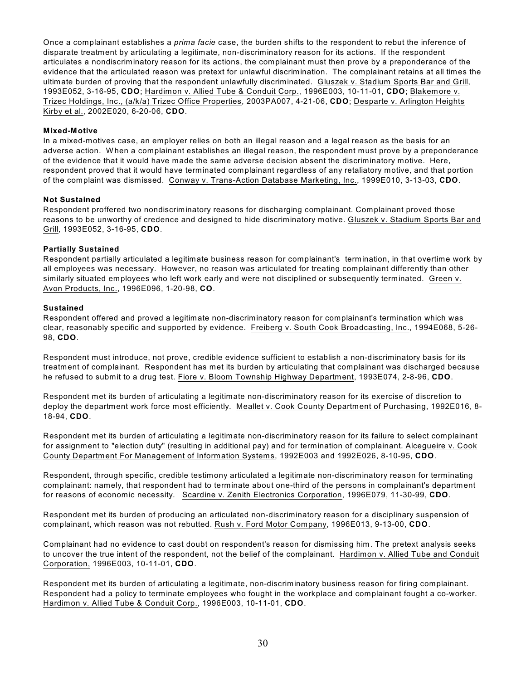Once a complainant establishes a *prima facie* case, the burden shifts to the respondent to rebut the inference of disparate treatment by articulating a legitimate, non-discriminatory reason for its actions. If the respondent articulates a nondiscriminatory reason for its actions, the complainant must then prove by a preponderance of the evidence that the articulated reason was pretext for unlawful discrimination. The complainant retains at all times the ultimate burden of proving that the respondent unlawfully discriminated. Gluszek v. Stadium Sports Bar and Grill, 1993E052, 3-16-95, **CDO**; Hardimon v. Allied Tube & Conduit Corp., 1996E003, 10-11-01, **CDO**; Blakemore v. Trizec Holdings, Inc., (a/k/a) Trizec Office Properties, 2003PA007, 4-21-06, **CDO**; Desparte v. Arlington Heights Kirby et al., 2002E020, 6-20-06, **CDO**.

#### **Mixed-Motive**

In a mixed-motives case, an employer relies on both an illegal reason and a legal reason as the basis for an adverse action. When a complainant establishes an illegal reason, the respondent must prove by a preponderance of the evidence that it would have made the same adverse decision absent the discriminatory motive. Here, respondent proved that it would have terminated complainant regardless of any retaliatory motive, and that portion of the complaint was dismissed. Conway v. Trans-Action Database Marketing, Inc., 1999E010, 3-13-03, **CDO**.

#### **Not Sustained**

Respondent proffered two nondiscriminatory reasons for discharging complainant. Complainant proved those reasons to be unworthy of credence and designed to hide discriminatory motive. Gluszek v. Stadium Sports Bar and Grill, 1993E052, 3-16-95, **CDO**.

#### **Partially Sustained**

Respondent partially articulated a legitimate business reason for complainant's termination, in that overtime work by all employees was necessary. However, no reason was articulated for treating complainant differently than other similarly situated employees who left work early and were not disciplined or subsequently terminated. Green v. Avon Products, Inc., 1996E096, 1-20-98, **CO**.

#### **Sustained**

Respondent offered and proved a legitimate non-discriminatory reason for complainant's termination which was clear, reasonably specific and supported by evidence. Freiberg v. South Cook Broadcasting, Inc., 1994E068, 5-26- 98, **CDO**.

Respondent must introduce, not prove, credible evidence sufficient to establish a non-discriminatory basis for its treatment of complainant. Respondent has met its burden by articulating that complainant was discharged because he refused to submit to a drug test. Fiore v. Bloom Township Highway Department, 1993E074, 2-8-96, **CDO**.

Respondent met its burden of articulating a legitimate non-discriminatory reason for its exercise of discretion to deploy the department work force most efficiently. Meallet v. Cook County Department of Purchasing, 1992E016, 8- 18-94, **CDO**.

Respondent met its burden of articulating a legitimate non-discriminatory reason for its failure to select complainant for assignment to "election duty" (resulting in additional pay) and for termination of complainant. Alcegueire v. Cook County Department For Management of Information Systems, 1992E003 and 1992E026, 8-10-95, **CDO**.

Respondent, through specific, credible testimony articulated a legitimate non-discriminatory reason for terminating complainant: namely, that respondent had to terminate about one-third of the persons in complainant's department for reasons of economic necessity. Scardine v. Zenith Electronics Corporation, 1996E079, 11-30-99, **CDO**.

Respondent met its burden of producing an articulated non-discriminatory reason for a disciplinary suspension of complainant, which reason was not rebutted. Rush v. Ford Motor Company, 1996E013, 9-13-00, **CDO**.

Complainant had no evidence to cast doubt on respondent's reason for dismissing him. The pretext analysis seeks to uncover the true intent of the respondent, not the belief of the complainant. Hardimon v. Allied Tube and Conduit Corporation, 1996E003, 10-11-01, **CDO**.

Respondent met its burden of articulating a legitimate, non-discriminatory business reason for firing complainant. Respondent had a policy to terminate employees who fought in the workplace and complainant fought a co-worker. Hardimon v. Allied Tube & Conduit Corp., 1996E003, 10-11-01, **CDO**.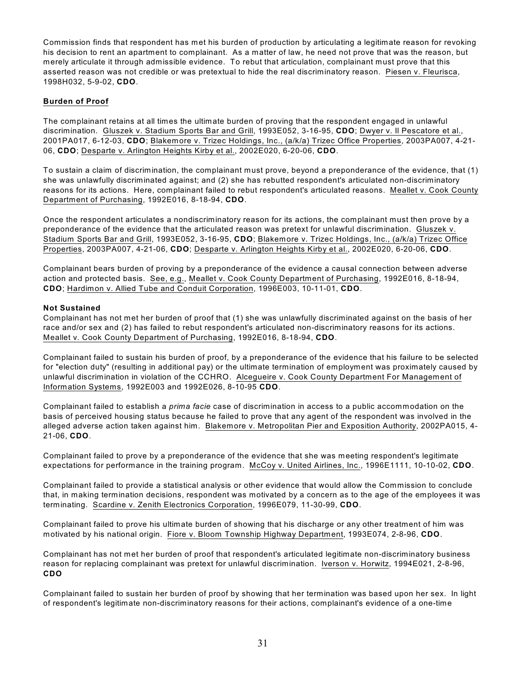Commission finds that respondent has met his burden of production by articulating a legitimate reason for revoking his decision to rent an apartment to complainant. As a matter of law, he need not prove that was the reason, but merely articulate it through admissible evidence. To rebut that articulation, complainant must prove that this asserted reason was not credible or was pretextual to hide the real discriminatory reason. Piesen v. Fleurisca, 1998H032, 5-9-02, **CDO**.

# **Burden of Proof**

The complainant retains at all times the ultimate burden of proving that the respondent engaged in unlawful discrimination. Gluszek v. Stadium Sports Bar and Grill, 1993E052, 3-16-95, **CDO**; Dwyer v. Il Pescatore et al., 2001PA017, 6-12-03, **CDO**; Blakemore v. Trizec Holdings, Inc., (a/k/a) Trizec Office Properties, 2003PA007, 4-21- 06, **CDO**; Desparte v. Arlington Heights Kirby et al., 2002E020, 6-20-06, **CDO**.

To sustain a claim of discrimination, the complainant must prove, beyond a preponderance of the evidence, that (1) she was unlawfully discriminated against; and (2) she has rebutted respondent's articulated non-discriminatory reasons for its actions. Here, complainant failed to rebut respondent's articulated reasons. Meallet v. Cook County Department of Purchasing, 1992E016, 8-18-94, **CDO**.

Once the respondent articulates a nondiscriminatory reason for its actions, the complainant must then prove by a preponderance of the evidence that the articulated reason was pretext for unlawful discrimination. Gluszek v. Stadium Sports Bar and Grill, 1993E052, 3-16-95, **CDO**; Blakemore v. Trizec Holdings, Inc., (a/k/a) Trizec Office Properties, 2003PA007, 4-21-06, **CDO**; Desparte v. Arlington Heights Kirby et al., 2002E020, 6-20-06, **CDO**.

Complainant bears burden of proving by a preponderance of the evidence a causal connection between adverse action and protected basis. See, e.g., Meallet v. Cook County Department of Purchasing, 1992E016, 8-18-94, **CDO**; Hardimon v. Allied Tube and Conduit Corporation, 1996E003, 10-11-01, **CDO**.

## **Not Sustained**

Complainant has not met her burden of proof that (1) she was unlawfully discriminated against on the basis of her race and/or sex and (2) has failed to rebut respondent's articulated non-discriminatory reasons for its actions. Meallet v. Cook County Department of Purchasing, 1992E016, 8-18-94, **CDO**.

Complainant failed to sustain his burden of proof, by a preponderance of the evidence that his failure to be selected for "election duty" (resulting in additional pay) or the ultimate termination of employment was proximately caused by unlawful discrimination in violation of the CCHRO. Alcegueire v. Cook County Department For Management of Information Systems, 1992E003 and 1992E026, 8-10-95 **CDO**.

Complainant failed to establish a *prima facie* case of discrimination in access to a public accommodation on the basis of perceived housing status because he failed to prove that any agent of the respondent was involved in the alleged adverse action taken against him. Blakemore v. Metropolitan Pier and Exposition Authority, 2002PA015, 4- 21-06, **CDO**.

Complainant failed to prove by a preponderance of the evidence that she was meeting respondent's legitimate expectations for performance in the training program. McCoy v. United Airlines, Inc., 1996E1111, 10-10-02, **CDO**.

Complainant failed to provide a statistical analysis or other evidence that would allow the Commission to conclude that, in making termination decisions, respondent was motivated by a concern as to the age of the employees it was terminating. Scardine v. Zenith Electronics Corporation, 1996E079, 11-30-99, **CDO**.

Complainant failed to prove his ultimate burden of showing that his discharge or any other treatment of him was motivated by his national origin. Fiore v. Bloom Township Highway Department, 1993E074, 2-8-96, **CDO**.

Complainant has not met her burden of proof that respondent's articulated legitimate non-discriminatory business reason for replacing complainant was pretext for unlawful discrimination. Iverson v. Horwitz, 1994E021, 2-8-96, **CDO**

Complainant failed to sustain her burden of proof by showing that her termination was based upon her sex. In light of respondent's legitimate non-discriminatory reasons for their actions, complainant's evidence of a one-time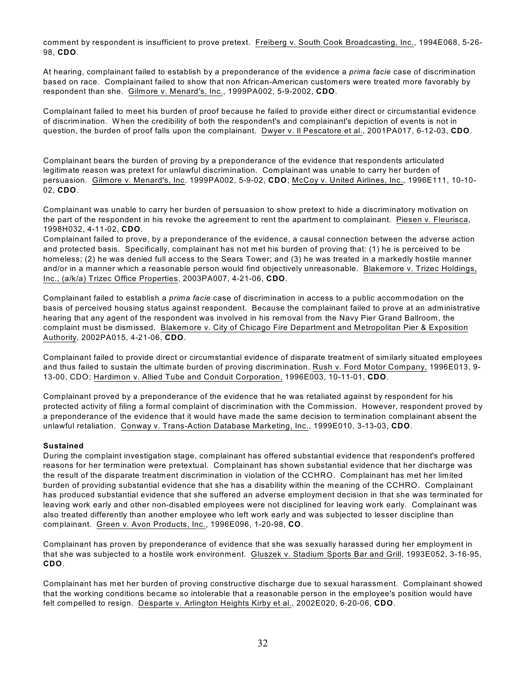comment by respondent is insufficient to prove pretext. Freiberg v. South Cook Broadcasting, Inc., 1994E068, 5-26- 98, **CDO**.

At hearing, complainant failed to establish by a preponderance of the evidence a *prima facie* case of discrimination based on race. Complainant failed to show that non African-American customers were treated more favorably by respondent than she. Gilmore v. Menard's, Inc., 1999PA002, 5-9-2002, **CDO**.

Complainant failed to meet his burden of proof because he failed to provide either direct or circumstantial evidence of discrimination. W hen the credibility of both the respondent's and complainant's depiction of events is not in question, the burden of proof falls upon the complainant. Dwyer v. Il Pescatore et al., 2001PA017, 6-12-03, **CDO**.

Complainant bears the burden of proving by a preponderance of the evidence that respondents articulated legitimate reason was pretext for unlawful discrimination. Complainant was unable to carry her burden of persuasion. Gilmore v. Menard's, Inc. 1999PA002, 5-9-02, **CDO**; McCoy v. United Airlines, Inc., 1996E111, 10-10- 02, **CDO**.

Complainant was unable to carry her burden of persuasion to show pretext to hide a discriminatory motivation on the part of the respondent in his revoke the agreement to rent the apartment to complainant. Piesen v. Fleurisca, 1998H032, 4-11-02, **CDO**.

Complainant failed to prove, by a preponderance of the evidence, a causal connection between the adverse action and protected basis. Specifically, complainant has not met his burden of proving that: (1) he is perceived to be homeless; (2) he was denied full access to the Sears Tower; and (3) he was treated in a markedly hostile manner and/or in a manner which a reasonable person would find objectively unreasonable. Blakemore v. Trizec Holdings, Inc., (a/k/a) Trizec Office Properties, 2003PA007, 4-21-06, **CDO**.

Complainant failed to establish a *prima facie* case of discrimination in access to a public accommodation on the basis of perceived housing status against respondent. Because the complainant failed to prove at an administrative hearing that any agent of the respondent was involved in his removal from the Navy Pier Grand Ballroom, the complaint must be dismissed. Blakemore v. City of Chicago Fire Department and Metropolitan Pier & Exposition Authority, 2002PA015, 4-21-06, **CDO**.

Complainant failed to provide direct or circumstantial evidence of disparate treatment of similarly situated employees and thus failed to sustain the ultimate burden of proving discrimination. Rush v. Ford Motor Company, 1996E013, 9- 13-00, CDO; Hardimon v. Allied Tube and Conduit Corporation, 1996E003, 10-11-01, **CDO**.

Complainant proved by a preponderance of the evidence that he was retaliated against by respondent for his protected activity of filing a formal complaint of discrimination with the Commission. However, respondent proved by a preponderance of the evidence that it would have made the same decision to termination complainant absent the unlawful retaliation. Conway v. Trans-Action Database Marketing, Inc., 1999E010, 3-13-03, **CDO**.

## **Sustained**

During the complaint investigation stage, complainant has offered substantial evidence that respondent's proffered reasons for her termination were pretextual. Complainant has shown substantial evidence that her discharge was the result of the disparate treatment discrimination in violation of the CCHRO. Complainant has met her limited burden of providing substantial evidence that she has a disability within the meaning of the CCHRO. Complainant has produced substantial evidence that she suffered an adverse employment decision in that she was terminated for leaving work early and other non-disabled employees were not disciplined for leaving work early. Complainant was also treated differently than another employee who left work early and was subjected to lesser discipline than complainant. Green v. Avon Products, Inc., 1996E096, 1-20-98, **CO**.

Complainant has proven by preponderance of evidence that she was sexually harassed during her employment in that she was subjected to a hostile work environment. Gluszek v. Stadium Sports Bar and Grill, 1993E052, 3-16-95, **CDO**.

Complainant has met her burden of proving constructive discharge due to sexual harassment. Complainant showed that the working conditions became so intolerable that a reasonable person in the employee's position would have felt compelled to resign. Desparte v. Arlington Heights Kirby et al., 2002E020, 6-20-06, **CDO**.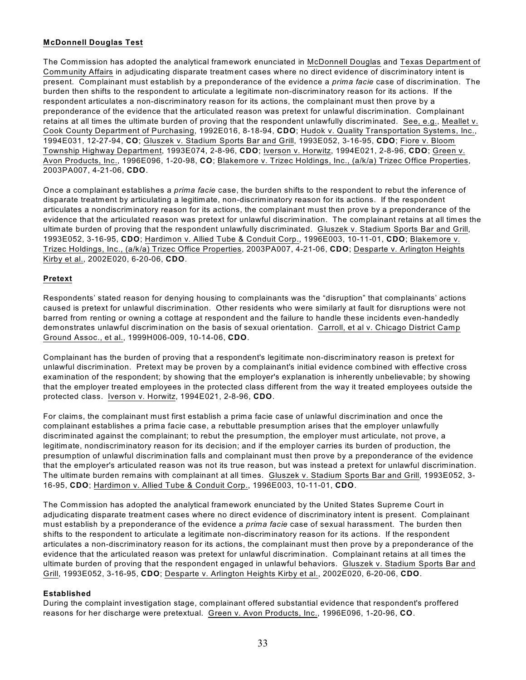# **McDonnell Douglas Test**

The Commission has adopted the analytical framework enunciated in McDonnell Douglas and Texas Department of Community Affairs in adjudicating disparate treatment cases where no direct evidence of discriminatory intent is present. Complainant must establish by a preponderance of the evidence a *prima facie* case of discrimination. The burden then shifts to the respondent to articulate a legitimate non-discriminatory reason for its actions. If the respondent articulates a non-discriminatory reason for its actions, the complainant must then prove by a preponderance of the evidence that the articulated reason was pretext for unlawful discrimination. Complainant retains at all times the ultimate burden of proving that the respondent unlawfully discriminated. See, e.g., Meallet v. Cook County Department of Purchasing, 1992E016, 8-18-94, **CDO**; Hudok v. Quality Transportation Systems, Inc., 1994E031, 12-27-94, **CO**; Gluszek v. Stadium Sports Bar and Grill, 1993E052, 3-16-95, **CDO**; Fiore v. Bloom Township Highway Department, 1993E074, 2-8-96, **CDO**; Iverson v. Horwitz, 1994E021, 2-8-96, **CDO**; Green v. Avon Products, Inc., 1996E096, 1-20-98, **CO**; Blakemore v. Trizec Holdings, Inc., (a/k/a) Trizec Office Properties, 2003PA007, 4-21-06, **CDO**.

Once a complainant establishes a *prima facie* case, the burden shifts to the respondent to rebut the inference of disparate treatment by articulating a legitimate, non-discriminatory reason for its actions. If the respondent articulates a nondiscriminatory reason for its actions, the complainant must then prove by a preponderance of the evidence that the articulated reason was pretext for unlawful discrimination. The complainant retains at all times the ultimate burden of proving that the respondent unlawfully discriminated. Gluszek v. Stadium Sports Bar and Grill, 1993E052, 3-16-95, **CDO**; Hardimon v. Allied Tube & Conduit Corp., 1996E003, 10-11-01, **CDO**; Blakemore v. Trizec Holdings, Inc., (a/k/a) Trizec Office Properties, 2003PA007, 4-21-06, **CDO**; Desparte v. Arlington Heights Kirby et al., 2002E020, 6-20-06, **CDO**.

# **Pretext**

Respondents' stated reason for denying housing to complainants was the "disruption" that complainants' actions caused is pretext for unlawful discrimination. Other residents who were similarly at fault for disruptions were not barred from renting or owning a cottage at respondent and the failure to handle these incidents even-handedly demonstrates unlawful discrimination on the basis of sexual orientation. Carroll, et al v. Chicago District Camp Ground Assoc., et al., 1999H006-009, 10-14-06, **CDO**.

Complainant has the burden of proving that a respondent's legitimate non-discriminatory reason is pretext for unlawful discrimination. Pretext may be proven by a complainant's initial evidence combined with effective cross examination of the respondent; by showing that the employer's explanation is inherently unbelievable; by showing that the employer treated employees in the protected class different from the way it treated employees outside the protected class. Iverson v. Horwitz, 1994E021, 2-8-96, **CDO**.

For claims, the complainant must first establish a prima facie case of unlawful discrimination and once the complainant establishes a prima facie case, a rebuttable presumption arises that the employer unlawfully discriminated against the complainant; to rebut the presumption, the employer must articulate, not prove, a legitimate, nondiscriminatory reason for its decision; and if the employer carries its burden of production, the presumption of unlawful discrimination falls and complainant must then prove by a preponderance of the evidence that the employer's articulated reason was not its true reason, but was instead a pretext for unlawful discrimination. The ultimate burden remains with complainant at all times. Gluszek v. Stadium Sports Bar and Grill, 1993E052, 3- 16-95, **CDO**; Hardimon v. Allied Tube & Conduit Corp., 1996E003, 10-11-01, **CDO**.

The Commission has adopted the analytical framework enunciated by the United States Supreme Court in adjudicating disparate treatment cases where no direct evidence of discriminatory intent is present. Complainant must establish by a preponderance of the evidence a *prima facie* case of sexual harassment. The burden then shifts to the respondent to articulate a legitimate non-discriminatory reason for its actions. If the respondent articulates a non-discriminatory reason for its actions, the complainant must then prove by a preponderance of the evidence that the articulated reason was pretext for unlawful discrimination. Complainant retains at all times the ultimate burden of proving that the respondent engaged in unlawful behaviors. Gluszek v. Stadium Sports Bar and Grill, 1993E052, 3-16-95, **CDO**; Desparte v. Arlington Heights Kirby et al., 2002E020, 6-20-06, **CDO**.

## **Established**

During the complaint investigation stage, complainant offered substantial evidence that respondent's proffered reasons for her discharge were pretextual. Green v. Avon Products, Inc., 1996E096, 1-20-96, **CO**.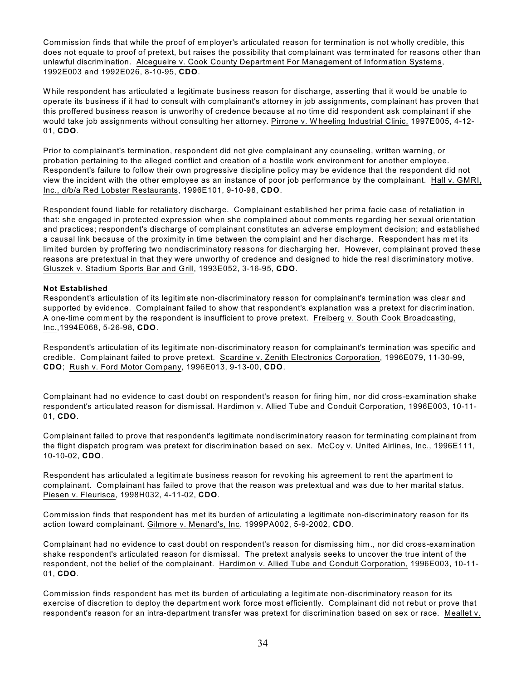Commission finds that while the proof of employer's articulated reason for termination is not wholly credible, this does not equate to proof of pretext, but raises the possibility that complainant was terminated for reasons other than unlawful discrimination. Alcegueire v. Cook County Department For Management of Information Systems, 1992E003 and 1992E026, 8-10-95, **CDO**.

W hile respondent has articulated a legitimate business reason for discharge, asserting that it would be unable to operate its business if it had to consult with complainant's attorney in job assignments, complainant has proven that this proffered business reason is unworthy of credence because at no time did respondent ask complainant if she would take job assignments without consulting her attorney. Pirrone v. W heeling Industrial Clinic, 1997E005, 4-12- 01, **CDO**.

Prior to complainant's termination, respondent did not give complainant any counseling, written warning, or probation pertaining to the alleged conflict and creation of a hostile work environment for another employee. Respondent's failure to follow their own progressive discipline policy may be evidence that the respondent did not view the incident with the other employee as an instance of poor job performance by the complainant. Hall v. GMRI, Inc., d/b/a Red Lobster Restaurants, 1996E101, 9-10-98, **CDO**.

Respondent found liable for retaliatory discharge. Complainant established her prima facie case of retaliation in that: she engaged in protected expression when she complained about comments regarding her sexual orientation and practices; respondent's discharge of complainant constitutes an adverse employment decision; and established a causal link because of the proximity in time between the complaint and her discharge. Respondent has met its limited burden by proffering two nondiscriminatory reasons for discharging her. However, complainant proved these reasons are pretextual in that they were unworthy of credence and designed to hide the real discriminatory motive. Gluszek v. Stadium Sports Bar and Grill, 1993E052, 3-16-95, **CDO**.

## **Not Established**

Respondent's articulation of its legitimate non-discriminatory reason for complainant's termination was clear and supported by evidence. Complainant failed to show that respondent's explanation was a pretext for discrimination. A one-time comment by the respondent is insufficient to prove pretext. Freiberg v. South Cook Broadcasting, Inc.,1994E068, 5-26-98, **CDO**.

Respondent's articulation of its legitimate non-discriminatory reason for complainant's termination was specific and credible. Complainant failed to prove pretext. Scardine v. Zenith Electronics Corporation, 1996E079, 11-30-99, **CDO**; Rush v. Ford Motor Company, 1996E013, 9-13-00, **CDO**.

Complainant had no evidence to cast doubt on respondent's reason for firing him, nor did cross-examination shake respondent's articulated reason for dismissal. Hardimon v. Allied Tube and Conduit Corporation, 1996E003, 10-11- 01, **CDO**.

Complainant failed to prove that respondent's legitimate nondiscriminatory reason for terminating complainant from the flight dispatch program was pretext for discrimination based on sex. McCoy v. United Airlines, Inc., 1996E111, 10-10-02, **CDO**.

Respondent has articulated a legitimate business reason for revoking his agreement to rent the apartment to complainant. Complainant has failed to prove that the reason was pretextual and was due to her marital status. Piesen v. Fleurisca, 1998H032, 4-11-02, **CDO**.

Commission finds that respondent has met its burden of articulating a legitimate non-discriminatory reason for its action toward complainant. Gilmore v. Menard's, Inc. 1999PA002, 5-9-2002, **CDO**.

Complainant had no evidence to cast doubt on respondent's reason for dismissing him., nor did cross-examination shake respondent's articulated reason for dismissal. The pretext analysis seeks to uncover the true intent of the respondent, not the belief of the complainant. Hardimon v. Allied Tube and Conduit Corporation, 1996E003, 10-11- 01, **CDO**.

Commission finds respondent has met its burden of articulating a legitimate non-discriminatory reason for its exercise of discretion to deploy the department work force most efficiently. Complainant did not rebut or prove that respondent's reason for an intra-department transfer was pretext for discrimination based on sex or race. Meallet v.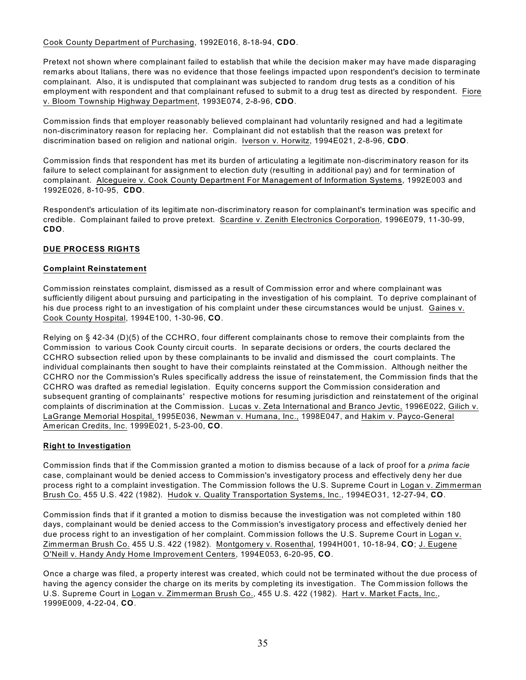Cook County Department of Purchasing, 1992E016, 8-18-94, **CDO**.

Pretext not shown where complainant failed to establish that while the decision maker may have made disparaging remarks about Italians, there was no evidence that those feelings impacted upon respondent's decision to terminate complainant. Also, it is undisputed that complainant was subjected to random drug tests as a condition of his employment with respondent and that complainant refused to submit to a drug test as directed by respondent. Fiore v. Bloom Township Highway Department, 1993E074, 2-8-96, **CDO**.

Commission finds that employer reasonably believed complainant had voluntarily resigned and had a legitimate non-discriminatory reason for replacing her. Complainant did not establish that the reason was pretext for discrimination based on religion and national origin. Iverson v. Horwitz, 1994E021, 2-8-96, **CDO**.

Commission finds that respondent has met its burden of articulating a legitimate non-discriminatory reason for its failure to select complainant for assignment to election duty (resulting in additional pay) and for termination of complainant. Alcegueire v. Cook County Department For Management of Information Systems, 1992E003 and 1992E026, 8-10-95, **CDO**.

Respondent's articulation of its legitimate non-discriminatory reason for complainant's termination was specific and credible. Complainant failed to prove pretext. Scardine v. Zenith Electronics Corporation, 1996E079, 11-30-99, **CDO**.

# **DUE PROCESS RIGHTS**

# **Complaint Reinstatement**

Commission reinstates complaint, dismissed as a result of Commission error and where complainant was sufficiently diligent about pursuing and participating in the investigation of his complaint. To deprive complainant of his due process right to an investigation of his complaint under these circumstances would be unjust. Gaines v. Cook County Hospital, 1994E100, 1-30-96, **CO**.

Relying on § 42-34 (D)(5) of the CCHRO, four different complainants chose to remove their complaints from the Commission to various Cook County circuit courts. In separate decisions or orders, the courts declared the CCHRO subsection relied upon by these complainants to be invalid and dismissed the court complaints. The individual complainants then sought to have their complaints reinstated at the Commission. Although neither the CCHRO nor the Commission's Rules specifically address the issue of reinstatement, the Commission finds that the CCHRO was drafted as remedial legislation. Equity concerns support the Commission consideration and subsequent granting of complainants' respective motions for resuming jurisdiction and reinstatement of the original complaints of discrimination at the Commission. Lucas v. Zeta International and Branco Jevtic, 1996E022, Gilich v. LaGrange Memorial Hospital, 1995E036, Newman v. Humana, Inc., 1998E047, and Hakim v. Payco-General American Credits, Inc. 1999E021, 5-23-00, **CO**.

# **Right to Investigation**

Commission finds that if the Commission granted a motion to dismiss because of a lack of proof for a *prima facie* case, complainant would be denied access to Commission's investigatory process and effectively deny her due process right to a complaint investigation. The Commission follows the U.S. Supreme Court in Logan v. Zimmerman Brush Co. 455 U.S. 422 (1982). Hudok v. Quality Transportation Systems, Inc., 1994EO31, 12-27-94, **CO**.

Commission finds that if it granted a motion to dismiss because the investigation was not completed within 180 days, complainant would be denied access to the Commission's investigatory process and effectively denied her due process right to an investigation of her complaint. Commission follows the U.S. Supreme Court in Logan v. Zimmerman Brush Co. 455 U.S. 422 (1982). Montgomery v. Rosenthal, 1994H001, 10-18-94, **CO**; J. Eugene O'Neill v. Handy Andy Home Improvement Centers, 1994E053, 6-20-95, **CO**.

Once a charge was filed, a property interest was created, which could not be terminated without the due process of having the agency consider the charge on its merits by completing its investigation. The Commission follows the U.S. Supreme Court in Logan v. Zimmerman Brush Co., 455 U.S. 422 (1982). Hart v. Market Facts, Inc., 1999E009, 4-22-04, **CO**.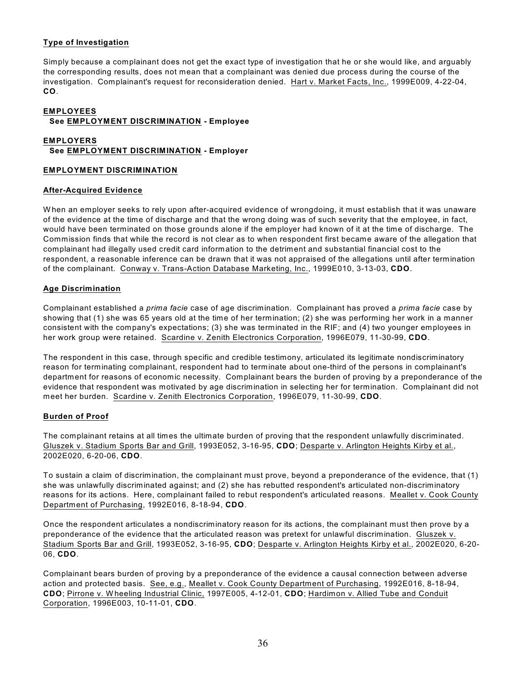## **Type of Investigation**

Simply because a complainant does not get the exact type of investigation that he or she would like, and arguably the corresponding results, does not mean that a complainant was denied due process during the course of the investigation. Complainant's request for reconsideration denied. Hart v. Market Facts, Inc., 1999E009, 4-22-04, **CO**.

#### **EMPLOYEES See EMPLOYMENT DISCRIMINATION - Employee**

# **EMPLOYERS See EMPLOYMENT DISCRIMINATION - Employer**

## **EMPLOYMENT DISCRIMINATION**

# **After-Acquired Evidence**

W hen an employer seeks to rely upon after-acquired evidence of wrongdoing, it must establish that it was unaware of the evidence at the time of discharge and that the wrong doing was of such severity that the employee, in fact, would have been terminated on those grounds alone if the employer had known of it at the time of discharge. The Commission finds that while the record is not clear as to when respondent first became aware of the allegation that complainant had illegally used credit card information to the detriment and substantial financial cost to the respondent, a reasonable inference can be drawn that it was not appraised of the allegations until after termination of the complainant. Conway v. Trans-Action Database Marketing, Inc., 1999E010, 3-13-03, **CDO**.

# **Age Discrimination**

Complainant established a *prima facie* case of age discrimination. Complainant has proved a *prima facie* case by showing that (1) she was 65 years old at the time of her termination; (2) she was performing her work in a manner consistent with the company's expectations; (3) she was terminated in the RIF; and (4) two younger employees in her work group were retained. Scardine v. Zenith Electronics Corporation, 1996E079, 11-30-99, **CDO**.

The respondent in this case, through specific and credible testimony, articulated its legitimate nondiscriminatory reason for terminating complainant, respondent had to terminate about one-third of the persons in complainant's department for reasons of economic necessity. Complainant bears the burden of proving by a preponderance of the evidence that respondent was motivated by age discrimination in selecting her for termination. Complainant did not meet her burden. Scardine v. Zenith Electronics Corporation, 1996E079, 11-30-99, **CDO**.

# **Burden of Proof**

The complainant retains at all times the ultimate burden of proving that the respondent unlawfully discriminated. Gluszek v. Stadium Sports Bar and Grill, 1993E052, 3-16-95, **CDO**; Desparte v. Arlington Heights Kirby et al., 2002E020, 6-20-06, **CDO**.

To sustain a claim of discrimination, the complainant must prove, beyond a preponderance of the evidence, that (1) she was unlawfully discriminated against; and (2) she has rebutted respondent's articulated non-discriminatory reasons for its actions. Here, complainant failed to rebut respondent's articulated reasons. Meallet v. Cook County Department of Purchasing, 1992E016, 8-18-94, **CDO**.

Once the respondent articulates a nondiscriminatory reason for its actions, the complainant must then prove by a preponderance of the evidence that the articulated reason was pretext for unlawful discrimination. Gluszek v. Stadium Sports Bar and Grill, 1993E052, 3-16-95, **CDO**; Desparte v. Arlington Heights Kirby et al., 2002E020, 6-20- 06, **CDO**.

Complainant bears burden of proving by a preponderance of the evidence a causal connection between adverse action and protected basis. See, e.g., Meallet v. Cook County Department of Purchasing, 1992E016, 8-18-94, **CDO**; Pirrone v. W heeling Industrial Clinic, 1997E005, 4-12-01, **CDO**; Hardimon v. Allied Tube and Conduit Corporation, 1996E003, 10-11-01, **CDO**.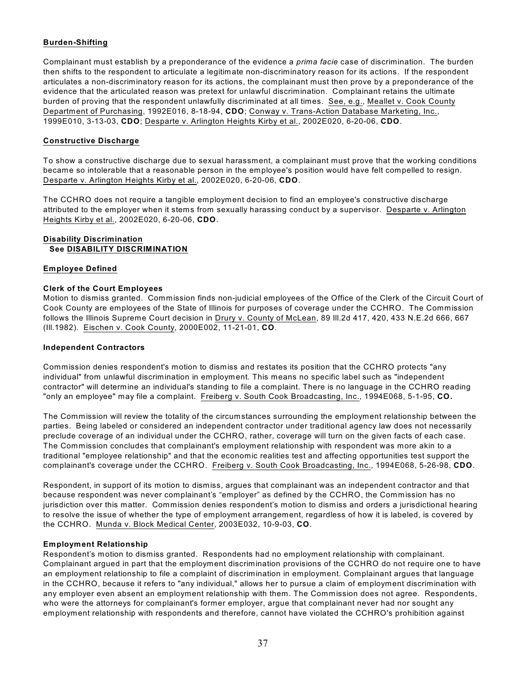## **Burden-Shifting**

Complainant must establish by a preponderance of the evidence a *prima facie* case of discrimination. The burden then shifts to the respondent to articulate a legitimate non-discriminatory reason for its actions. If the respondent articulates a non-discriminatory reason for its actions, the complainant must then prove by a preponderance of the evidence that the articulated reason was pretext for unlawful discrimination. Complainant retains the ultimate burden of proving that the respondent unlawfully discriminated at all times. See, e.g., Meallet v. Cook County Department of Purchasing, 1992E016, 8-18-94, **CDO**; Conway v. Trans-Action Database Marketing, Inc., 1999E010, 3-13-03, **CDO**; Desparte v. Arlington Heights Kirby et al., 2002E020, 6-20-06, **CDO**.

## **Constructive Discharge**

To show a constructive discharge due to sexual harassment, a complainant must prove that the working conditions became so intolerable that a reasonable person in the employee's position would have felt compelled to resign. Desparte v. Arlington Heights Kirby et al., 2002E020, 6-20-06, **CDO**.

The CCHRO does not require a tangible employment decision to find an employee's constructive discharge attributed to the employer when it stems from sexually harassing conduct by a supervisor. Desparte v. Arlington Heights Kirby et al., 2002E020, 6-20-06, **CDO**.

#### **Disability Discrimination See DISABILITY DISCRIMINATION**

#### **Employee Defined**

## **Clerk of the Court Employees**

Motion to dismiss granted. Commission finds non-judicial employees of the Office of the Clerk of the Circuit Court of Cook County are employees of the State of Illinois for purposes of coverage under the CCHRO. The Commission follows the Illinois Supreme Court decision in Drury v. County of McLean, 89 Ill.2d 417, 420, 433 N.E.2d 666, 667 (Ill.1982). Eischen v. Cook County, 2000E002, 11-21-01, **CO**.

## **Independent Contractors**

Commission denies respondent's motion to dismiss and restates its position that the CCHRO protects "any individual" from unlawful discrimination in employment. This means no specific label such as "independent contractor" will determine an individual's standing to file a complaint. There is no language in the CCHRO reading "only an employee" may file a complaint. Freiberg v. South Cook Broadcasting, Inc., 1994E068, 5-1-95, **CO.**

The Commission will review the totality of the circumstances surrounding the employment relationship between the parties. Being labeled or considered an independent contractor under traditional agency law does not necessarily preclude coverage of an individual under the CCHRO, rather, coverage will turn on the given facts of each case. The Commission concludes that complainant's employment relationship with respondent was more akin to a traditional "employee relationship" and that the economic realities test and affecting opportunities test support the complainant's coverage under the CCHRO. Freiberg v. South Cook Broadcasting, Inc., 1994E068, 5-26-98, **CDO**.

Respondent, in support of its motion to dismiss, argues that complainant was an independent contractor and that because respondent was never complainant's "employer" as defined by the CCHRO, the Commission has no jurisdiction over this matter. Commission denies respondent's motion to dismiss and orders a jurisdictional hearing to resolve the issue of whether the type of employment arrangement, regardless of how it is labeled, is covered by the CCHRO. Munda v. Block Medical Center, 2003E032, 10-9-03, **CO**.

## **Employment Relationship**

Respondent's motion to dismiss granted. Respondents had no employment relationship with complainant. Complainant argued in part that the employment discrimination provisions of the CCHRO do not require one to have an employment relationship to file a complaint of discrimination in employment. Complainant argues that language in the CCHRO, because it refers to "any individual," allows her to pursue a claim of employment discrimination with any employer even absent an employment relationship with them. The Commission does not agree. Respondents, who were the attorneys for complainant's former employer, argue that complainant never had nor sought any employment relationship with respondents and therefore, cannot have violated the CCHRO's prohibition against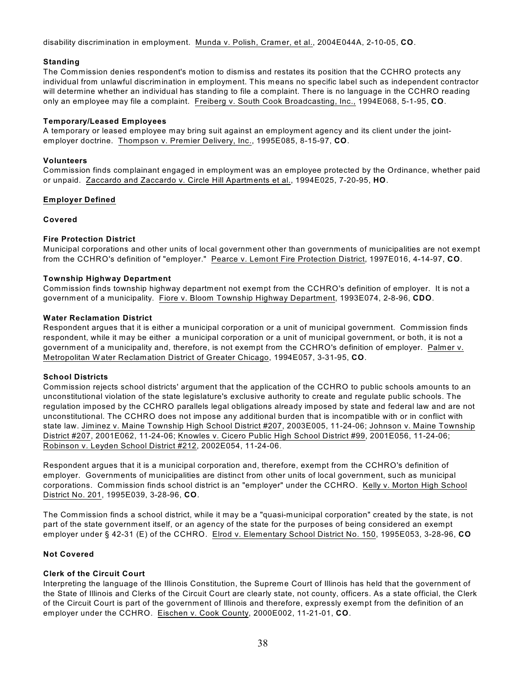disability discrimination in employment. Munda v. Polish, Cramer, et al., 2004E044A, 2-10-05, **CO**.

#### **Standing**

The Commission denies respondent's motion to dismiss and restates its position that the CCHRO protects any individual from unlawful discrimination in employment. This means no specific label such as independent contractor will determine whether an individual has standing to file a complaint. There is no language in the CCHRO reading only an employee may file a complaint. Freiberg v. South Cook Broadcasting, Inc., 1994E068, 5-1-95, **CO**.

#### **Temporary/Leased Employees**

A temporary or leased employee may bring suit against an employment agency and its client under the jointemployer doctrine. Thompson v. Premier Delivery, Inc., 1995E085, 8-15-97, **CO**.

#### **Volunteers**

Commission finds complainant engaged in employment was an employee protected by the Ordinance, whether paid or unpaid. Zaccardo and Zaccardo v. Circle Hill Apartments et al., 1994E025, 7-20-95, **HO**.

#### **Employer Defined**

#### **Covered**

#### **Fire Protection District**

Municipal corporations and other units of local government other than governments of municipalities are not exempt from the CCHRO's definition of "employer." Pearce v. Lemont Fire Protection District, 1997E016, 4-14-97, **CO**.

#### **Township Highway Department**

Commission finds township highway department not exempt from the CCHRO's definition of employer. It is not a government of a municipality. Fiore v. Bloom Township Highway Department, 1993E074, 2-8-96, **CDO**.

#### **Water Reclamation District**

Respondent argues that it is either a municipal corporation or a unit of municipal government. Commission finds respondent, while it may be either a municipal corporation or a unit of municipal government, or both, it is not a government of a municipality and, therefore, is not exempt from the CCHRO's definition of employer. Palmer v. Metropolitan W ater Reclamation District of Greater Chicago, 1994E057, 3-31-95, **CO**.

#### **School Districts**

Commission rejects school districts' argument that the application of the CCHRO to public schools amounts to an unconstitutional violation of the state legislature's exclusive authority to create and regulate public schools. The regulation imposed by the CCHRO parallels legal obligations already imposed by state and federal law and are not unconstitutional. The CCHRO does not impose any additional burden that is incompatible with or in conflict with state law. Jiminez v. Maine Township High School District #207, 2003E005, 11-24-06; Johnson v. Maine Township District #207, 2001E062, 11-24-06; Knowles v. Cicero Public High School District #99, 2001E056, 11-24-06; Robinson v. Leyden School District #212, 2002E054, 11-24-06.

Respondent argues that it is a municipal corporation and, therefore, exempt from the CCHRO's definition of employer. Governments of municipalities are distinct from other units of local government, such as municipal corporations. Commission finds school district is an "employer" under the CCHRO. Kelly v. Morton High School District No. 201, 1995E039, 3-28-96, **CO**.

The Commission finds a school district, while it may be a "quasi-municipal corporation" created by the state, is not part of the state government itself, or an agency of the state for the purposes of being considered an exempt employer under § 42-31 (E) of the CCHRO. Elrod v. Elementary School District No. 150, 1995E053, 3-28-96, **CO**

## **Not Covered**

## **Clerk of the Circuit Court**

Interpreting the language of the Illinois Constitution, the Supreme Court of Illinois has held that the government of the State of Illinois and Clerks of the Circuit Court are clearly state, not county, officers. As a state official, the Clerk of the Circuit Court is part of the government of Illinois and therefore, expressly exempt from the definition of an employer under the CCHRO. Eischen v. Cook County, 2000E002, 11-21-01, **CO**.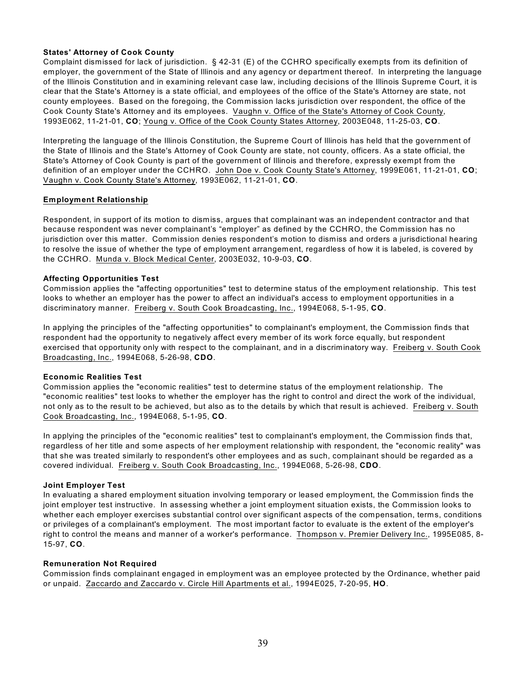## **States' Attorney of Cook County**

Complaint dismissed for lack of jurisdiction. § 42-31 (E) of the CCHRO specifically exempts from its definition of employer, the government of the State of Illinois and any agency or department thereof. In interpreting the language of the Illinois Constitution and in examining relevant case law, including decisions of the Illinois Supreme Court, it is clear that the State's Attorney is a state official, and employees of the office of the State's Attorney are state, not county employees. Based on the foregoing, the Commission lacks jurisdiction over respondent, the office of the Cook County State's Attorney and its employees. Vaughn v. Office of the State's Attorney of Cook County, 1993E062, 11-21-01, **CO**; Young v. Office of the Cook County States Attorney, 2003E048, 11-25-03, **CO**.

Interpreting the language of the Illinois Constitution, the Supreme Court of Illinois has held that the government of the State of Illinois and the State's Attorney of Cook County are state, not county, officers. As a state official, the State's Attorney of Cook County is part of the government of Illinois and therefore, expressly exempt from the definition of an employer under the CCHRO. John Doe v. Cook County State's Attorney, 1999E061, 11-21-01, **CO**; Vaughn v. Cook County State's Attorney, 1993E062, 11-21-01, **CO**.

# **Employment Relationship**

Respondent, in support of its motion to dismiss, argues that complainant was an independent contractor and that because respondent was never complainant's "employer" as defined by the CCHRO, the Commission has no jurisdiction over this matter. Commission denies respondent's motion to dismiss and orders a jurisdictional hearing to resolve the issue of whether the type of employment arrangement, regardless of how it is labeled, is covered by the CCHRO. Munda v. Block Medical Center, 2003E032, 10-9-03, **CO**.

## **Affecting Opportunities Test**

Commission applies the "affecting opportunities" test to determine status of the employment relationship. This test looks to whether an employer has the power to affect an individual's access to employment opportunities in a discriminatory manner. Freiberg v. South Cook Broadcasting, Inc., 1994E068, 5-1-95, **CO**.

In applying the principles of the "affecting opportunities" to complainant's employment, the Commission finds that respondent had the opportunity to negatively affect every member of its work force equally, but respondent exercised that opportunity only with respect to the complainant, and in a discriminatory way. Freiberg v. South Cook Broadcasting, Inc., 1994E068, 5-26-98, **CDO**.

## **Economic Realities Test**

Commission applies the "economic realities" test to determine status of the employment relationship. The "economic realities" test looks to whether the employer has the right to control and direct the work of the individual, not only as to the result to be achieved, but also as to the details by which that result is achieved. Freiberg v. South Cook Broadcasting, Inc., 1994E068, 5-1-95, **CO**.

In applying the principles of the "economic realities" test to complainant's employment, the Commission finds that, regardless of her title and some aspects of her employment relationship with respondent, the "economic reality" was that she was treated similarly to respondent's other employees and as such, complainant should be regarded as a covered individual. Freiberg v. South Cook Broadcasting, Inc., 1994E068, 5-26-98, **CDO**.

## **Joint Employer Test**

In evaluating a shared employment situation involving temporary or leased employment, the Commission finds the joint employer test instructive. In assessing whether a joint employment situation exists, the Commission looks to whether each employer exercises substantial control over significant aspects of the compensation, terms, conditions or privileges of a complainant's employment. The most important factor to evaluate is the extent of the employer's right to control the means and manner of a worker's performance. Thompson v. Premier Delivery Inc., 1995E085, 8- 15-97, **CO**.

## **Remuneration Not Required**

Commission finds complainant engaged in employment was an employee protected by the Ordinance, whether paid or unpaid. Zaccardo and Zaccardo v. Circle Hill Apartments et al., 1994E025, 7-20-95, **HO**.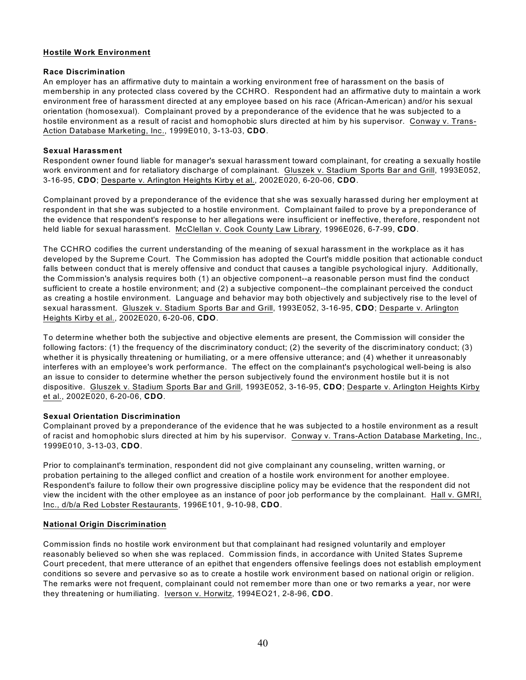## **Hostile Work Environment**

## **Race Discrimination**

An employer has an affirmative duty to maintain a working environment free of harassment on the basis of membership in any protected class covered by the CCHRO. Respondent had an affirmative duty to maintain a work environment free of harassment directed at any employee based on his race (African-American) and/or his sexual orientation (homosexual). Complainant proved by a preponderance of the evidence that he was subjected to a hostile environment as a result of racist and homophobic slurs directed at him by his supervisor. Conway v. Trans-Action Database Marketing, Inc., 1999E010, 3-13-03, **CDO**.

## **Sexual Harassment**

Respondent owner found liable for manager's sexual harassment toward complainant, for creating a sexually hostile work environment and for retaliatory discharge of complainant. Gluszek v. Stadium Sports Bar and Grill, 1993E052, 3-16-95, **CDO**; Desparte v. Arlington Heights Kirby et al., 2002E020, 6-20-06, **CDO**.

Complainant proved by a preponderance of the evidence that she was sexually harassed during her employment at respondent in that she was subjected to a hostile environment. Complainant failed to prove by a preponderance of the evidence that respondent's response to her allegations were insufficient or ineffective, therefore, respondent not held liable for sexual harassment. McClellan v. Cook County Law Library, 1996E026, 6-7-99, **CDO**.

The CCHRO codifies the current understanding of the meaning of sexual harassment in the workplace as it has developed by the Supreme Court. The Commission has adopted the Court's middle position that actionable conduct falls between conduct that is merely offensive and conduct that causes a tangible psychological injury. Additionally, the Commission's analysis requires both (1) an objective component--a reasonable person must find the conduct sufficient to create a hostile environment; and (2) a subjective component--the complainant perceived the conduct as creating a hostile environment. Language and behavior may both objectively and subjectively rise to the level of sexual harassment. Gluszek v. Stadium Sports Bar and Grill, 1993E052, 3-16-95, **CDO**; Desparte v. Arlington Heights Kirby et al., 2002E020, 6-20-06, **CDO**.

To determine whether both the subjective and objective elements are present, the Commission will consider the following factors: (1) the frequency of the discriminatory conduct; (2) the severity of the discriminatory conduct; (3) whether it is physically threatening or humiliating, or a mere offensive utterance; and (4) whether it unreasonably interferes with an employee's work performance. The effect on the complainant's psychological well-being is also an issue to consider to determine whether the person subjectively found the environment hostile but it is not dispositive. Gluszek v. Stadium Sports Bar and Grill, 1993E052, 3-16-95, **CDO**; Desparte v. Arlington Heights Kirby et al., 2002E020, 6-20-06, **CDO**.

## **Sexual Orientation Discrimination**

Complainant proved by a preponderance of the evidence that he was subjected to a hostile environment as a result of racist and homophobic slurs directed at him by his supervisor. Conway v. Trans-Action Database Marketing, Inc., 1999E010, 3-13-03, **CDO**.

Prior to complainant's termination, respondent did not give complainant any counseling, written warning, or probation pertaining to the alleged conflict and creation of a hostile work environment for another employee. Respondent's failure to follow their own progressive discipline policy may be evidence that the respondent did not view the incident with the other employee as an instance of poor job performance by the complainant. Hall v. GMRI, Inc., d/b/a Red Lobster Restaurants, 1996E101, 9-10-98, **CDO**.

## **National Origin Discrimination**

Commission finds no hostile work environment but that complainant had resigned voluntarily and employer reasonably believed so when she was replaced. Commission finds, in accordance with United States Supreme Court precedent, that mere utterance of an epithet that engenders offensive feelings does not establish employment conditions so severe and pervasive so as to create a hostile work environment based on national origin or religion. The remarks were not frequent, complainant could not remember more than one or two remarks a year, nor were they threatening or humiliating. Iverson v. Horwitz, 1994EO21, 2-8-96, **CDO**.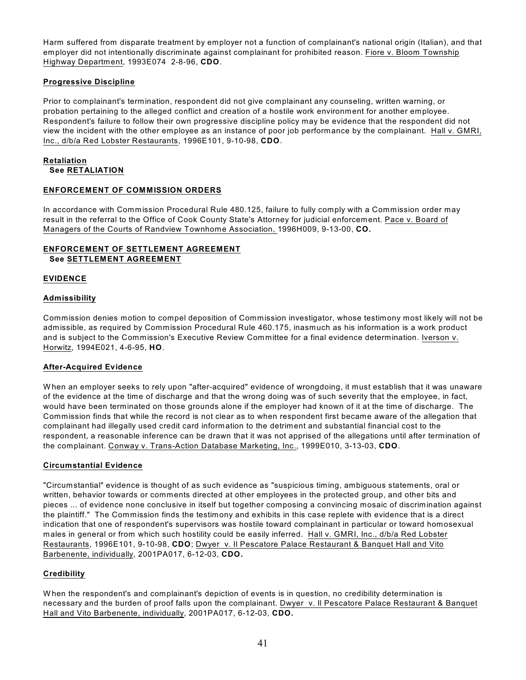Harm suffered from disparate treatment by employer not a function of complainant's national origin (Italian), and that employer did not intentionally discriminate against complainant for prohibited reason. Fiore v. Bloom Township Highway Department, 1993E074 2-8-96, **CDO**.

# **Progressive Discipline**

Prior to complainant's termination, respondent did not give complainant any counseling, written warning, or probation pertaining to the alleged conflict and creation of a hostile work environment for another employee. Respondent's failure to follow their own progressive discipline policy may be evidence that the respondent did not view the incident with the other employee as an instance of poor job performance by the complainant. Hall v. GMRI, Inc., d/b/a Red Lobster Restaurants, 1996E101, 9-10-98, **CDO**.

## **Retaliation See RETALIATION**

# **ENFORCEMENT OF COMMISSION ORDERS**

In accordance with Commission Procedural Rule 480.125, failure to fully comply with a Commission order may result in the referral to the Office of Cook County State's Attorney for judicial enforcement. Pace v. Board of Managers of the Courts of Randview Townhome Association, 1996H009, 9-13-00, **CO.**

# **ENFORCEMENT OF SETTLEMENT AGREEMENT See SETTLEMENT AGREEMENT**

# **EVIDENCE**

# **Admissibility**

Commission denies motion to compel deposition of Commission investigator, whose testimony most likely will not be admissible, as required by Commission Procedural Rule 460.175, inasmuch as his information is a work product and is subject to the Commission's Executive Review Committee for a final evidence determination. Iverson v. Horwitz, 1994E021, 4-6-95, **HO**.

## **After-Acquired Evidence**

W hen an employer seeks to rely upon "after-acquired" evidence of wrongdoing, it must establish that it was unaware of the evidence at the time of discharge and that the wrong doing was of such severity that the employee, in fact, would have been terminated on those grounds alone if the employer had known of it at the time of discharge. The Commission finds that while the record is not clear as to when respondent first became aware of the allegation that complainant had illegally used credit card information to the detriment and substantial financial cost to the respondent, a reasonable inference can be drawn that it was not apprised of the allegations until after termination of the complainant. Conway v. Trans-Action Database Marketing, Inc., 1999E010, 3-13-03, **CDO**.

## **Circumstantial Evidence**

"Circumstantial" evidence is thought of as such evidence as "suspicious timing, ambiguous statements, oral or written, behavior towards or comments directed at other employees in the protected group, and other bits and pieces ... of evidence none conclusive in itself but together composing a convincing mosaic of discrimination against the plaintiff." The Commission finds the testimony and exhibits in this case replete with evidence that is a direct indication that one of respondent's supervisors was hostile toward complainant in particular or toward homosexual males in general or from which such hostility could be easily inferred. Hall v. GMRI, Inc., d/b/a Red Lobster Restaurants, 1996E101, 9-10-98, **CDO**; Dwyer v. Il Pescatore Palace Restaurant & Banquet Hall and Vito Barbenente, individually, 2001PA017, 6-12-03, **CDO.**

## **Credibility**

W hen the respondent's and complainant's depiction of events is in question, no credibility determination is necessary and the burden of proof falls upon the complainant. Dwyer v. Il Pescatore Palace Restaurant & Banquet Hall and Vito Barbenente, individually, 2001PA017, 6-12-03, **CDO.**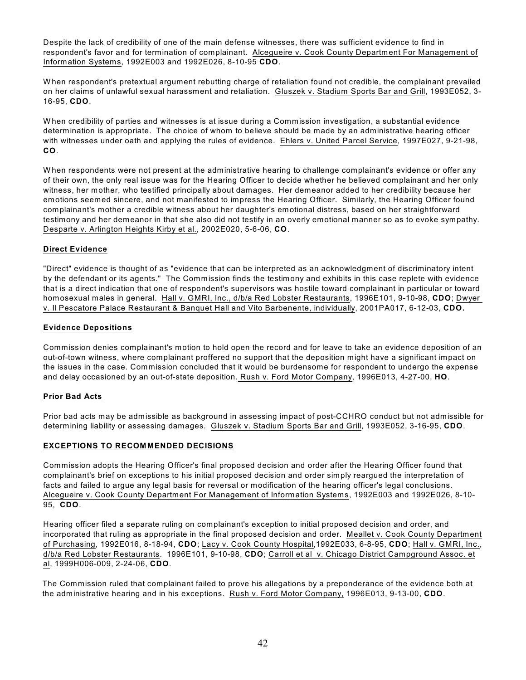Despite the lack of credibility of one of the main defense witnesses, there was sufficient evidence to find in respondent's favor and for termination of complainant. Alcegueire v. Cook County Department For Management of Information Systems, 1992E003 and 1992E026, 8-10-95 **CDO**.

W hen respondent's pretextual argument rebutting charge of retaliation found not credible, the complainant prevailed on her claims of unlawful sexual harassment and retaliation. Gluszek v. Stadium Sports Bar and Grill, 1993E052, 3- 16-95, **CDO**.

W hen credibility of parties and witnesses is at issue during a Commission investigation, a substantial evidence determination is appropriate. The choice of whom to believe should be made by an administrative hearing officer with witnesses under oath and applying the rules of evidence. Ehlers v. United Parcel Service, 1997E027, 9-21-98, **CO**.

W hen respondents were not present at the administrative hearing to challenge complainant's evidence or offer any of their own, the only real issue was for the Hearing Officer to decide whether he believed complainant and her only witness, her mother, who testified principally about damages. Her demeanor added to her credibility because her emotions seemed sincere, and not manifested to impress the Hearing Officer. Similarly, the Hearing Officer found complainant's mother a credible witness about her daughter's emotional distress, based on her straightforward testimony and her demeanor in that she also did not testify in an overly emotional manner so as to evoke sympathy. Desparte v. Arlington Heights Kirby et al., 2002E020, 5-6-06, **CO**.

# **Direct Evidence**

"Direct" evidence is thought of as "evidence that can be interpreted as an acknowledgment of discriminatory intent by the defendant or its agents." The Commission finds the testimony and exhibits in this case replete with evidence that is a direct indication that one of respondent's supervisors was hostile toward complainant in particular or toward homosexual males in general. Hall v. GMRI, Inc., d/b/a Red Lobster Restaurants, 1996E101, 9-10-98, **CDO**; Dwyer v. Il Pescatore Palace Restaurant & Banquet Hall and Vito Barbenente, individually, 2001PA017, 6-12-03, **CDO.**

## **Evidence Depositions**

Commission denies complainant's motion to hold open the record and for leave to take an evidence deposition of an out-of-town witness, where complainant proffered no support that the deposition might have a significant impact on the issues in the case. Commission concluded that it would be burdensome for respondent to undergo the expense and delay occasioned by an out-of-state deposition. Rush v. Ford Motor Company, 1996E013, 4-27-00, **HO**.

## **Prior Bad Acts**

Prior bad acts may be admissible as background in assessing impact of post-CCHRO conduct but not admissible for determining liability or assessing damages. Gluszek v. Stadium Sports Bar and Grill, 1993E052, 3-16-95, **CDO**.

## **EXCEPTIONS TO RECOMMENDED DECISIONS**

Commission adopts the Hearing Officer's final proposed decision and order after the Hearing Officer found that complainant's brief on exceptions to his initial proposed decision and order simply reargued the interpretation of facts and failed to argue any legal basis for reversal or modification of the hearing officer's legal conclusions. Alcegueire v. Cook County Department For Management of Information Systems, 1992E003 and 1992E026, 8-10- 95, **CDO**.

Hearing officer filed a separate ruling on complainant's exception to initial proposed decision and order, and incorporated that ruling as appropriate in the final proposed decision and order. Meallet v. Cook County Department of Purchasing, 1992E016, 8-18-94, **CDO**; Lacy v. Cook County Hospital,1992E033, 6-8-95, **CDO**; Hall v. GMRI, Inc., d/b/a Red Lobster Restaurants. 1996E101, 9-10-98, **CDO**; Carroll et al v. Chicago District Campground Assoc. et al, 1999H006-009, 2-24-06, **CDO**.

The Commission ruled that complainant failed to prove his allegations by a preponderance of the evidence both at the administrative hearing and in his exceptions. Rush v. Ford Motor Company, 1996E013, 9-13-00, **CDO**.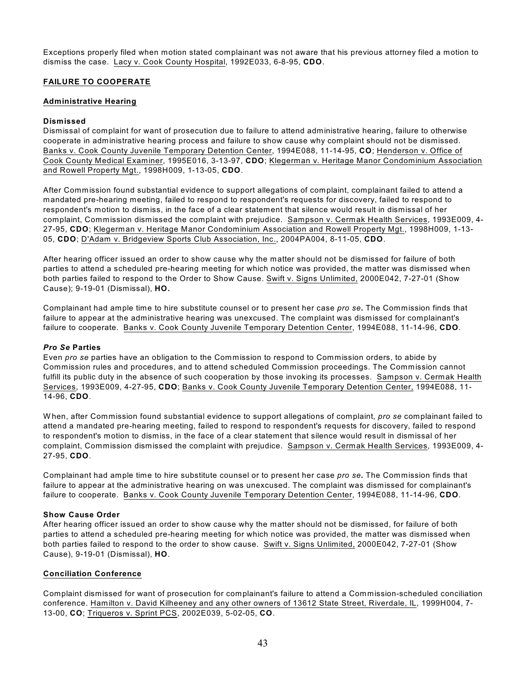Exceptions properly filed when motion stated complainant was not aware that his previous attorney filed a motion to dismiss the case. Lacy v. Cook County Hospital, 1992E033, 6-8-95, **CDO**.

# **FAILURE TO COOPERATE**

## **Administrative Hearing**

## **Dismissed**

Dismissal of complaint for want of prosecution due to failure to attend administrative hearing, failure to otherwise cooperate in administrative hearing process and failure to show cause why complaint should not be dismissed. Banks v. Cook County Juvenile Temporary Detention Center, 1994E088, 11-14-95, **CO**; Henderson v. Office of Cook County Medical Examiner, 1995E016, 3-13-97, **CDO**; Klegerman v. Heritage Manor Condominium Association and Rowell Property Mgt., 1998H009, 1-13-05, **CDO**.

After Commission found substantial evidence to support allegations of complaint, complainant failed to attend a mandated pre-hearing meeting, failed to respond to respondent's requests for discovery, failed to respond to respondent's motion to dismiss, in the face of a clear statement that silence would result in dismissal of her complaint, Commission dismissed the complaint with prejudice. Sampson v. Cermak Health Services, 1993E009, 4- 27-95, **CDO**; Klegerman v. Heritage Manor Condominium Association and Rowell Property Mgt., 1998H009, 1-13- 05, **CDO**; D'Adam v. Bridgeview Sports Club Association, Inc., 2004PA004, 8-11-05, **CDO**.

After hearing officer issued an order to show cause why the matter should not be dismissed for failure of both parties to attend a scheduled pre-hearing meeting for which notice was provided, the matter was dismissed when both parties failed to respond to the Order to Show Cause. Swift v. Signs Unlimited, 2000E042, 7-27-01 (Show Cause); 9-19-01 (Dismissal), **HO.**

Complainant had ample time to hire substitute counsel or to present her case *pro se***.** The Commission finds that failure to appear at the administrative hearing was unexcused. The complaint was dismissed for complainant's failure to cooperate. Banks v. Cook County Juvenile Temporary Detention Center, 1994E088, 11-14-96, **CDO**.

## *Pro Se* **Parties**

Even *pro se* parties have an obligation to the Commission to respond to Commission orders, to abide by Commission rules and procedures, and to attend scheduled Commission proceedings. The Commission cannot fulfill its public duty in the absence of such cooperation by those invoking its processes. Sampson v. Cermak Health Services, 1993E009, 4-27-95, **CDO**; Banks v. Cook County Juvenile Temporary Detention Center, 1994E088, 11- 14-96, **CDO**.

W hen, after Commission found substantial evidence to support allegations of complaint, *pro se* complainant failed to attend a mandated pre-hearing meeting, failed to respond to respondent's requests for discovery, failed to respond to respondent's motion to dismiss, in the face of a clear statement that silence would result in dismissal of her complaint, Commission dismissed the complaint with prejudice. Sampson v. Cermak Health Services, 1993E009, 4- 27-95, **CDO**.

Complainant had ample time to hire substitute counsel or to present her case *pro se***.** The Commission finds that failure to appear at the administrative hearing on was unexcused. The complaint was dismissed for complainant's failure to cooperate. Banks v. Cook County Juvenile Temporary Detention Center, 1994E088, 11-14-96, **CDO**.

## **Show Cause Order**

After hearing officer issued an order to show cause why the matter should not be dismissed, for failure of both parties to attend a scheduled pre-hearing meeting for which notice was provided, the matter was dismissed when both parties failed to respond to the order to show cause. Swift v. Signs Unlimited, 2000E042, 7-27-01 (Show Cause), 9-19-01 (Dismissal), **HO**.

## **Conciliation Conference**

Complaint dismissed for want of prosecution for complainant's failure to attend a Commission-scheduled conciliation conference. Hamilton v. David Kilheeney and any other owners of 13612 State Street, Riverdale, IL, 1999H004, 7- 13-00, **CO**; Triqueros v. Sprint PCS, 2002E039, 5-02-05, **CO**.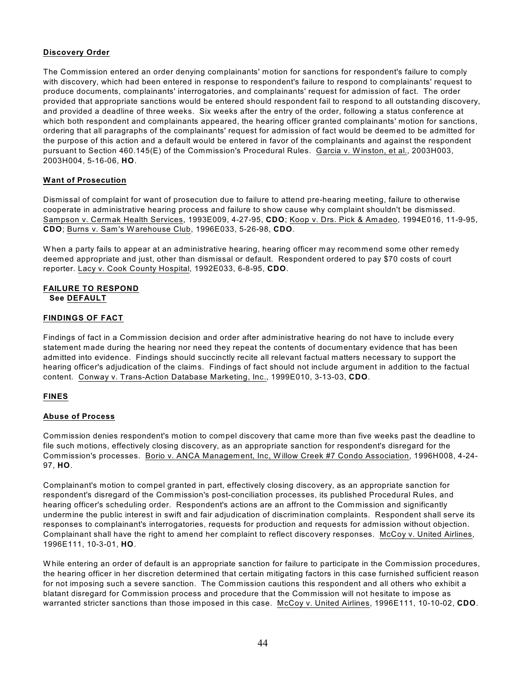# **Discovery Order**

The Commission entered an order denying complainants' motion for sanctions for respondent's failure to comply with discovery, which had been entered in response to respondent's failure to respond to complainants' request to produce documents, complainants' interrogatories, and complainants' request for admission of fact. The order provided that appropriate sanctions would be entered should respondent fail to respond to all outstanding discovery, and provided a deadline of three weeks. Six weeks after the entry of the order, following a status conference at which both respondent and complainants appeared, the hearing officer granted complainants' motion for sanctions, ordering that all paragraphs of the complainants' request for admission of fact would be deemed to be admitted for the purpose of this action and a default would be entered in favor of the complainants and against the respondent pursuant to Section 460.145(E) of the Commission's Procedural Rules. Garcia v. W inston, et al., 2003H003, 2003H004, 5-16-06, **HO**.

## **Want of Prosecution**

Dismissal of complaint for want of prosecution due to failure to attend pre-hearing meeting, failure to otherwise cooperate in administrative hearing process and failure to show cause why complaint shouldn't be dismissed. Sampson v. Cermak Health Services, 1993E009, 4-27-95, **CDO**; Koop v. Drs. Pick & Amadeo, 1994E016, 11-9-95, **CDO**; Burns v. Sam's W arehouse Club, 1996E033, 5-26-98, **CDO**.

When a party fails to appear at an administrative hearing, hearing officer may recommend some other remedy deemed appropriate and just, other than dismissal or default. Respondent ordered to pay \$70 costs of court reporter. Lacy v. Cook County Hospital, 1992E033, 6-8-95, **CDO**.

## **FAILURE TO RESPOND See DEFAULT**

# **FINDINGS OF FACT**

Findings of fact in a Commission decision and order after administrative hearing do not have to include every statement made during the hearing nor need they repeat the contents of documentary evidence that has been admitted into evidence. Findings should succinctly recite all relevant factual matters necessary to support the hearing officer's adjudication of the claims. Findings of fact should not include argument in addition to the factual content. Conway v. Trans-Action Database Marketing, Inc., 1999E010, 3-13-03, **CDO**.

## **FINES**

## **Abuse of Process**

Commission denies respondent's motion to compel discovery that came more than five weeks past the deadline to file such motions, effectively closing discovery, as an appropriate sanction for respondent's disregard for the Commission's processes. Borio v. ANCA Management, Inc, W illow Creek #7 Condo Association, 1996H008, 4-24- 97, **HO**.

Complainant's motion to compel granted in part, effectively closing discovery, as an appropriate sanction for respondent's disregard of the Commission's post-conciliation processes, its published Procedural Rules, and hearing officer's scheduling order. Respondent's actions are an affront to the Commission and significantly undermine the public interest in swift and fair adjudication of discrimination complaints. Respondent shall serve its responses to complainant's interrogatories, requests for production and requests for admission without objection. Complainant shall have the right to amend her complaint to reflect discovery responses. McCoy v. United Airlines, 1996E111, 10-3-01, **HO**.

While entering an order of default is an appropriate sanction for failure to participate in the Commission procedures, the hearing officer in her discretion determined that certain mitigating factors in this case furnished sufficient reason for not imposing such a severe sanction. The Commission cautions this respondent and all others who exhibit a blatant disregard for Commission process and procedure that the Commission will not hesitate to impose as warranted stricter sanctions than those imposed in this case. McCoy v. United Airlines, 1996E111, 10-10-02, **CDO**.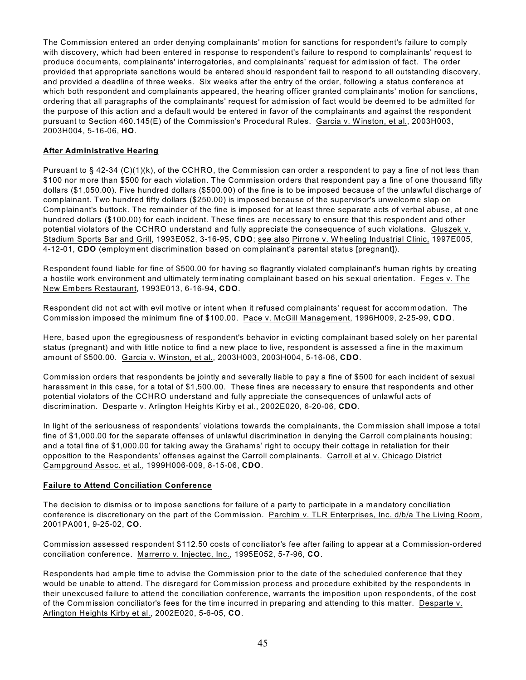The Commission entered an order denying complainants' motion for sanctions for respondent's failure to comply with discovery, which had been entered in response to respondent's failure to respond to complainants' request to produce documents, complainants' interrogatories, and complainants' request for admission of fact. The order provided that appropriate sanctions would be entered should respondent fail to respond to all outstanding discovery, and provided a deadline of three weeks. Six weeks after the entry of the order, following a status conference at which both respondent and complainants appeared, the hearing officer granted complainants' motion for sanctions, ordering that all paragraphs of the complainants' request for admission of fact would be deemed to be admitted for the purpose of this action and a default would be entered in favor of the complainants and against the respondent pursuant to Section 460.145(E) of the Commission's Procedural Rules. Garcia v. W inston, et al., 2003H003, 2003H004, 5-16-06, **HO**.

## **After Administrative Hearing**

Pursuant to § 42-34 (C)(1)(k), of the CCHRO, the Commission can order a respondent to pay a fine of not less than \$100 nor more than \$500 for each violation. The Commission orders that respondent pay a fine of one thousand fifty dollars (\$1,050.00). Five hundred dollars (\$500.00) of the fine is to be imposed because of the unlawful discharge of complainant. Two hundred fifty dollars (\$250.00) is imposed because of the supervisor's unwelcome slap on Complainant's buttock. The remainder of the fine is imposed for at least three separate acts of verbal abuse, at one hundred dollars (\$100.00) for each incident. These fines are necessary to ensure that this respondent and other potential violators of the CCHRO understand and fully appreciate the consequence of such violations. Gluszek v. Stadium Sports Bar and Grill, 1993E052, 3-16-95, **CDO**; see also Pirrone v. W heeling Industrial Clinic, 1997E005, 4-12-01, **CDO** (employment discrimination based on complainant's parental status [pregnant]).

Respondent found liable for fine of \$500.00 for having so flagrantly violated complainant's human rights by creating a hostile work environment and ultimately terminating complainant based on his sexual orientation. Feges v. The New Embers Restaurant, 1993E013, 6-16-94, **CDO**.

Respondent did not act with evil motive or intent when it refused complainants' request for accommodation. The Commission imposed the minimum fine of \$100.00. Pace v. McGill Management, 1996H009, 2-25-99, **CDO**.

Here, based upon the egregiousness of respondent's behavior in evicting complainant based solely on her parental status (pregnant) and with little notice to find a new place to live, respondent is assessed a fine in the maximum amount of \$500.00. Garcia v. W inston, et al., 2003H003, 2003H004, 5-16-06, **CDO**.

Commission orders that respondents be jointly and severally liable to pay a fine of \$500 for each incident of sexual harassment in this case, for a total of \$1,500.00. These fines are necessary to ensure that respondents and other potential violators of the CCHRO understand and fully appreciate the consequences of unlawful acts of discrimination. Desparte v. Arlington Heights Kirby et al., 2002E020, 6-20-06, **CDO**.

In light of the seriousness of respondents' violations towards the complainants, the Commission shall impose a total fine of \$1,000.00 for the separate offenses of unlawful discrimination in denying the Carroll complainants housing; and a total fine of \$1,000.00 for taking away the Grahams' right to occupy their cottage in retaliation for their opposition to the Respondents' offenses against the Carroll complainants. Carroll et al v. Chicago District Campground Assoc. et al., 1999H006-009, 8-15-06, **CDO**.

## **Failure to Attend Conciliation Conference**

The decision to dismiss or to impose sanctions for failure of a party to participate in a mandatory conciliation conference is discretionary on the part of the Commission. Parchim v. TLR Enterprises, Inc. d/b/a The Living Room, 2001PA001, 9-25-02, **CO**.

Commission assessed respondent \$112.50 costs of conciliator's fee after failing to appear at a Commission-ordered conciliation conference. Marrerro v. Injectec, Inc., 1995E052, 5-7-96, **CO**.

Respondents had ample time to advise the Commission prior to the date of the scheduled conference that they would be unable to attend. The disregard for Commission process and procedure exhibited by the respondents in their unexcused failure to attend the conciliation conference, warrants the imposition upon respondents, of the cost of the Commission conciliator's fees for the time incurred in preparing and attending to this matter. Desparte v. Arlington Heights Kirby et al., 2002E020, 5-6-05, **CO**.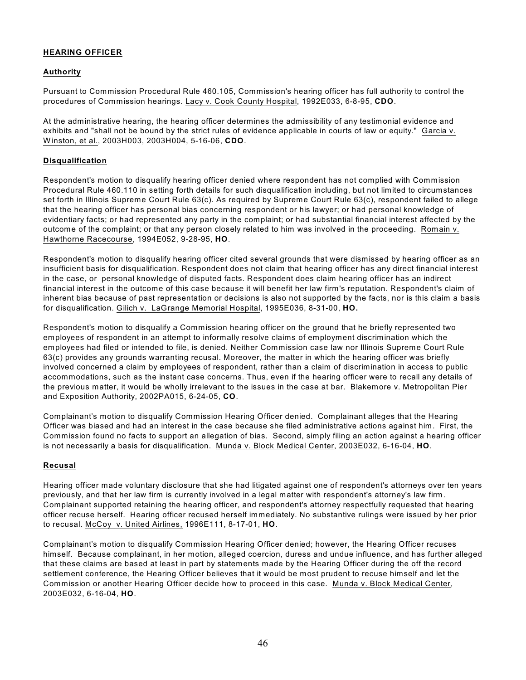# **HEARING OFFICER**

## **Authority**

Pursuant to Commission Procedural Rule 460.105, Commission's hearing officer has full authority to control the procedures of Commission hearings. Lacy v. Cook County Hospital, 1992E033, 6-8-95, **CDO**.

At the administrative hearing, the hearing officer determines the admissibility of any testimonial evidence and exhibits and "shall not be bound by the strict rules of evidence applicable in courts of law or equity." Garcia v. W inston, et al., 2003H003, 2003H004, 5-16-06, **CDO**.

## **Disqualification**

Respondent's motion to disqualify hearing officer denied where respondent has not complied with Commission Procedural Rule 460.110 in setting forth details for such disqualification including, but not limited to circumstances set forth in Illinois Supreme Court Rule 63(c). As required by Supreme Court Rule 63(c), respondent failed to allege that the hearing officer has personal bias concerning respondent or his lawyer; or had personal knowledge of evidentiary facts; or had represented any party in the complaint; or had substantial financial interest affected by the outcome of the complaint; or that any person closely related to him was involved in the proceeding. Romain v. Hawthorne Racecourse, 1994E052, 9-28-95, **HO**.

Respondent's motion to disqualify hearing officer cited several grounds that were dismissed by hearing officer as an insufficient basis for disqualification. Respondent does not claim that hearing officer has any direct financial interest in the case, or personal knowledge of disputed facts. Respondent does claim hearing officer has an indirect financial interest in the outcome of this case because it will benefit her law firm's reputation. Respondent's claim of inherent bias because of past representation or decisions is also not supported by the facts, nor is this claim a basis for disqualification. Gilich v. LaGrange Memorial Hospital, 1995E036, 8-31-00, **HO.**

Respondent's motion to disqualify a Commission hearing officer on the ground that he briefly represented two employees of respondent in an attempt to informally resolve claims of employment discrimination which the employees had filed or intended to file, is denied. Neither Commission case law nor Illinois Supreme Court Rule 63(c) provides any grounds warranting recusal. Moreover, the matter in which the hearing officer was briefly involved concerned a claim by employees of respondent, rather than a claim of discrimination in access to public accommodations, such as the instant case concerns. Thus, even if the hearing officer were to recall any details of the previous matter, it would be wholly irrelevant to the issues in the case at bar. Blakemore v. Metropolitan Pier and Exposition Authority, 2002PA015, 6-24-05, **CO**.

Complainant's motion to disqualify Commission Hearing Officer denied. Complainant alleges that the Hearing Officer was biased and had an interest in the case because she filed administrative actions against him. First, the Commission found no facts to support an allegation of bias. Second, simply filing an action against a hearing officer is not necessarily a basis for disqualification. Munda v. Block Medical Center, 2003E032, 6-16-04, **HO**.

# **Recusal**

Hearing officer made voluntary disclosure that she had litigated against one of respondent's attorneys over ten years previously, and that her law firm is currently involved in a legal matter with respondent's attorney's law firm. Complainant supported retaining the hearing officer, and respondent's attorney respectfully requested that hearing officer recuse herself. Hearing officer recused herself immediately. No substantive rulings were issued by her prior to recusal. McCoy v. United Airlines, 1996E111, 8-17-01, **HO**.

Complainant's motion to disqualify Commission Hearing Officer denied; however, the Hearing Officer recuses himself. Because complainant, in her motion, alleged coercion, duress and undue influence, and has further alleged that these claims are based at least in part by statements made by the Hearing Officer during the off the record settlement conference, the Hearing Officer believes that it would be most prudent to recuse himself and let the Commission or another Hearing Officer decide how to proceed in this case. Munda v. Block Medical Center, 2003E032, 6-16-04, **HO**.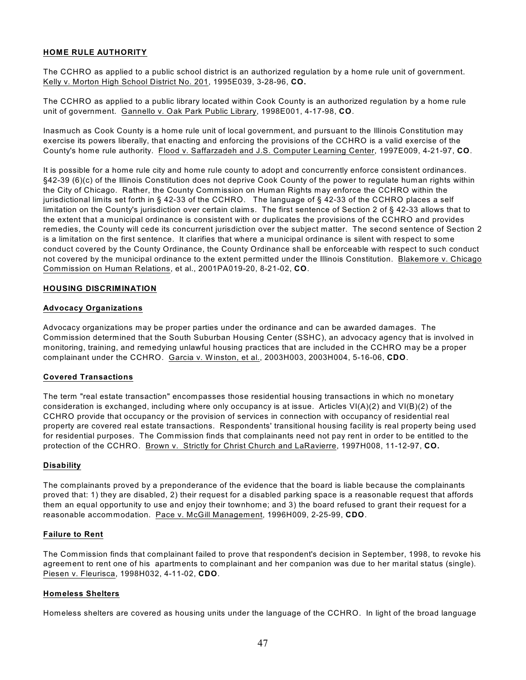# **HOME RULE AUTHORITY**

The CCHRO as applied to a public school district is an authorized regulation by a home rule unit of government. Kelly v. Morton High School District No. 201, 1995E039, 3-28-96, **CO.** 

The CCHRO as applied to a public library located within Cook County is an authorized regulation by a home rule unit of government. Gannello v. Oak Park Public Library, 1998E001, 4-17-98, **CO**.

Inasmuch as Cook County is a home rule unit of local government, and pursuant to the Illinois Constitution may exercise its powers liberally, that enacting and enforcing the provisions of the CCHRO is a valid exercise of the County's home rule authority. Flood v. Saffarzadeh and J.S. Computer Learning Center, 1997E009, 4-21-97, **CO**.

It is possible for a home rule city and home rule county to adopt and concurrently enforce consistent ordinances. §42-39 (6)(c) of the Illinois Constitution does not deprive Cook County of the power to regulate human rights within the City of Chicago. Rather, the County Commission on Human Rights may enforce the CCHRO within the jurisdictional limits set forth in § 42-33 of the CCHRO. The language of § 42-33 of the CCHRO places a self limitation on the County's jurisdiction over certain claims. The first sentence of Section 2 of § 42-33 allows that to the extent that a municipal ordinance is consistent with or duplicates the provisions of the CCHRO and provides remedies, the County will cede its concurrent jurisdiction over the subject matter. The second sentence of Section 2 is a limitation on the first sentence. It clarifies that where a municipal ordinance is silent with respect to some conduct covered by the County Ordinance, the County Ordinance shall be enforceable with respect to such conduct not covered by the municipal ordinance to the extent permitted under the Illinois Constitution. Blakemore v. Chicago Commission on Human Relations, et al., 2001PA019-20, 8-21-02, **CO**.

#### **HOUSING DISCRIMINATION**

#### **Advocacy Organizations**

Advocacy organizations may be proper parties under the ordinance and can be awarded damages. The Commission determined that the South Suburban Housing Center (SSHC), an advocacy agency that is involved in monitoring, training, and remedying unlawful housing practices that are included in the CCHRO may be a proper complainant under the CCHRO. Garcia v. W inston, et al., 2003H003, 2003H004, 5-16-06, **CDO**.

## **Covered Transactions**

The term "real estate transaction" encompasses those residential housing transactions in which no monetary consideration is exchanged, including where only occupancy is at issue. Articles VI(A)(2) and VI(B)(2) of the CCHRO provide that occupancy or the provision of services in connection with occupancy of residential real property are covered real estate transactions. Respondents' transitional housing facility is real property being used for residential purposes. The Commission finds that complainants need not pay rent in order to be entitled to the protection of the CCHRO. Brown v. Strictly for Christ Church and LaRavierre, 1997H008, 11-12-97, **CO.** 

#### **Disability**

The complainants proved by a preponderance of the evidence that the board is liable because the complainants proved that: 1) they are disabled, 2) their request for a disabled parking space is a reasonable request that affords them an equal opportunity to use and enjoy their townhome; and 3) the board refused to grant their request for a reasonable accommodation. Pace v. McGill Management, 1996H009, 2-25-99, **CDO**.

#### **Failure to Rent**

The Commission finds that complainant failed to prove that respondent's decision in September, 1998, to revoke his agreement to rent one of his apartments to complainant and her companion was due to her marital status (single). Piesen v. Fleurisca, 1998H032, 4-11-02, **CDO**.

#### **Homeless Shelters**

Homeless shelters are covered as housing units under the language of the CCHRO. In light of the broad language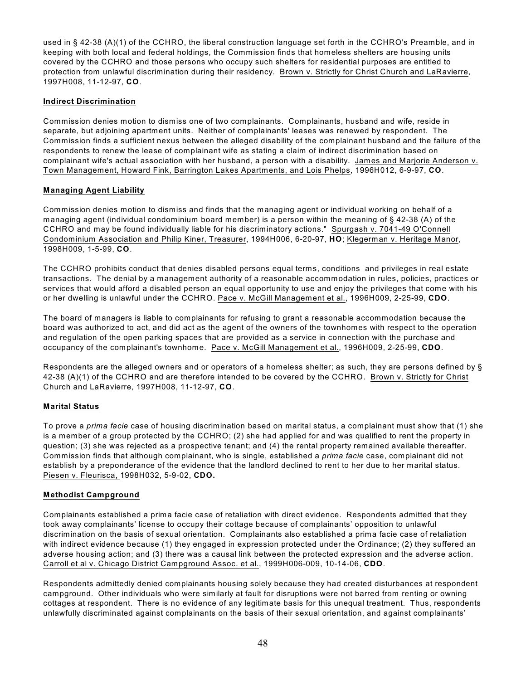used in § 42-38 (A)(1) of the CCHRO, the liberal construction language set forth in the CCHRO's Preamble, and in keeping with both local and federal holdings, the Commission finds that homeless shelters are housing units covered by the CCHRO and those persons who occupy such shelters for residential purposes are entitled to protection from unlawful discrimination during their residency. Brown v. Strictly for Christ Church and LaRavierre, 1997H008, 11-12-97, **CO**.

# **Indirect Discrimination**

Commission denies motion to dismiss one of two complainants. Complainants, husband and wife, reside in separate, but adjoining apartment units. Neither of complainants' leases was renewed by respondent. The Commission finds a sufficient nexus between the alleged disability of the complainant husband and the failure of the respondents to renew the lease of complainant wife as stating a claim of indirect discrimination based on complainant wife's actual association with her husband, a person with a disability. James and Marjorie Anderson v. Town Management, Howard Fink, Barrington Lakes Apartments, and Lois Phelps, 1996H012, 6-9-97, **CO**.

# **Managing Agent Liability**

Commission denies motion to dismiss and finds that the managing agent or individual working on behalf of a managing agent (individual condominium board member) is a person within the meaning of § 42-38 (A) of the CCHRO and may be found individually liable for his discriminatory actions." Spurgash v. 7041-49 O'Connell Condominium Association and Philip Kiner, Treasurer, 1994H006, 6-20-97, **HO**; Klegerman v. Heritage Manor, 1998H009, 1-5-99, **CO**.

The CCHRO prohibits conduct that denies disabled persons equal terms, conditions and privileges in real estate transactions. The denial by a management authority of a reasonable accommodation in rules, policies, practices or services that would afford a disabled person an equal opportunity to use and enjoy the privileges that come with his or her dwelling is unlawful under the CCHRO. Pace v. McGill Management et al., 1996H009, 2-25-99, **CDO**.

The board of managers is liable to complainants for refusing to grant a reasonable accommodation because the board was authorized to act, and did act as the agent of the owners of the townhomes with respect to the operation and regulation of the open parking spaces that are provided as a service in connection with the purchase and occupancy of the complainant's townhome. Pace v. McGill Management et al., 1996H009, 2-25-99, **CDO**.

Respondents are the alleged owners and or operators of a homeless shelter; as such, they are persons defined by § 42-38 (A)(1) of the CCHRO and are therefore intended to be covered by the CCHRO. Brown v. Strictly for Christ Church and LaRavierre, 1997H008, 11-12-97, **CO**.

# **Marital Status**

To prove a *prima facie* case of housing discrimination based on marital status, a complainant must show that (1) she is a member of a group protected by the CCHRO; (2) she had applied for and was qualified to rent the property in question; (3) she was rejected as a prospective tenant; and (4) the rental property remained available thereafter. Commission finds that although complainant, who is single, established a *prima facie* case, complainant did not establish by a preponderance of the evidence that the landlord declined to rent to her due to her marital status. Piesen v. Fleurisca, 1998H032, 5-9-02, **CDO.**

# **Methodist Campground**

Complainants established a prima facie case of retaliation with direct evidence. Respondents admitted that they took away complainants' license to occupy their cottage because of complainants' opposition to unlawful discrimination on the basis of sexual orientation. Complainants also established a prima facie case of retaliation with indirect evidence because (1) they engaged in expression protected under the Ordinance; (2) they suffered an adverse housing action; and (3) there was a causal link between the protected expression and the adverse action. Carroll et al v. Chicago District Campground Assoc. et al., 1999H006-009, 10-14-06, **CDO**.

Respondents admittedly denied complainants housing solely because they had created disturbances at respondent campground. Other individuals who were similarly at fault for disruptions were not barred from renting or owning cottages at respondent. There is no evidence of any legitimate basis for this unequal treatment. Thus, respondents unlawfully discriminated against complainants on the basis of their sexual orientation, and against complainants'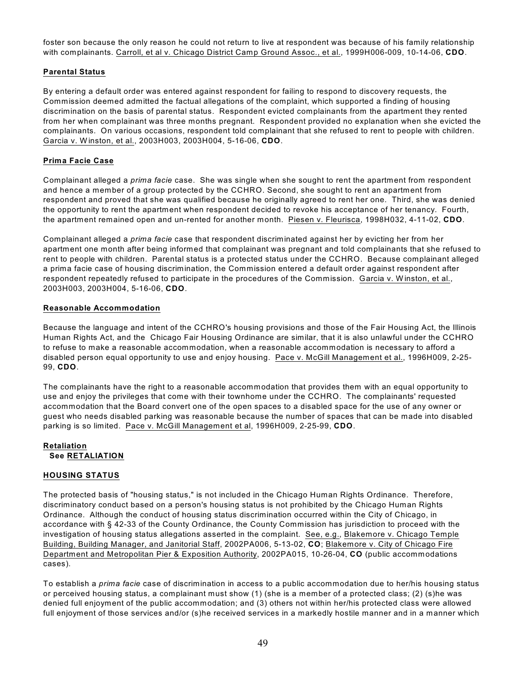foster son because the only reason he could not return to live at respondent was because of his family relationship with complainants. Carroll, et al v. Chicago District Camp Ground Assoc., et al., 1999H006-009, 10-14-06, **CDO**.

## **Parental Status**

By entering a default order was entered against respondent for failing to respond to discovery requests, the Commission deemed admitted the factual allegations of the complaint, which supported a finding of housing discrimination on the basis of parental status. Respondent evicted complainants from the apartment they rented from her when complainant was three months pregnant. Respondent provided no explanation when she evicted the complainants. On various occasions, respondent told complainant that she refused to rent to people with children. Garcia v. W inston, et al., 2003H003, 2003H004, 5-16-06, **CDO**.

#### **Prima Facie Case**

Complainant alleged a *prima facie* case. She was single when she sought to rent the apartment from respondent and hence a member of a group protected by the CCHRO. Second, she sought to rent an apartment from respondent and proved that she was qualified because he originally agreed to rent her one. Third, she was denied the opportunity to rent the apartment when respondent decided to revoke his acceptance of her tenancy. Fourth, the apartment remained open and un-rented for another month. Piesen v. Fleurisca, 1998H032, 4-11-02, **CDO**.

Complainant alleged a *prima facie* case that respondent discriminated against her by evicting her from her apartment one month after being informed that complainant was pregnant and told complainants that she refused to rent to people with children. Parental status is a protected status under the CCHRO. Because complainant alleged a prima facie case of housing discrimination, the Commission entered a default order against respondent after respondent repeatedly refused to participate in the procedures of the Commission. Garcia v. W inston, et al., 2003H003, 2003H004, 5-16-06, **CDO**.

#### **Reasonable Accommodation**

Because the language and intent of the CCHRO's housing provisions and those of the Fair Housing Act, the Illinois Human Rights Act, and the Chicago Fair Housing Ordinance are similar, that it is also unlawful under the CCHRO to refuse to make a reasonable accommodation, when a reasonable accommodation is necessary to afford a disabled person equal opportunity to use and enjoy housing. Pace v. McGill Management et al., 1996H009, 2-25- 99, **CDO**.

The complainants have the right to a reasonable accommodation that provides them with an equal opportunity to use and enjoy the privileges that come with their townhome under the CCHRO. The complainants' requested accommodation that the Board convert one of the open spaces to a disabled space for the use of any owner or guest who needs disabled parking was reasonable because the number of spaces that can be made into disabled parking is so limited. Pace v. McGill Management et al, 1996H009, 2-25-99, **CDO**.

# **Retaliation See RETALIATION**

## **HOUSING STATUS**

The protected basis of "housing status," is not included in the Chicago Human Rights Ordinance. Therefore, discriminatory conduct based on a person's housing status is not prohibited by the Chicago Human Rights Ordinance. Although the conduct of housing status discrimination occurred within the City of Chicago, in accordance with § 42-33 of the County Ordinance, the County Commission has jurisdiction to proceed with the investigation of housing status allegations asserted in the complaint. See, e.g., Blakemore v. Chicago Temple Building, Building Manager, and Janitorial Staff, 2002PA006, 5-13-02, **CO**; Blakemore v. City of Chicago Fire Department and Metropolitan Pier & Exposition Authority, 2002PA015, 10-26-04, **CO** (public accommodations cases).

To establish a *prima facie* case of discrimination in access to a public accommodation due to her/his housing status or perceived housing status, a complainant must show (1) (she is a member of a protected class; (2) (s)he was denied full enjoyment of the public accommodation; and (3) others not within her/his protected class were allowed full enjoyment of those services and/or (s)he received services in a markedly hostile manner and in a manner which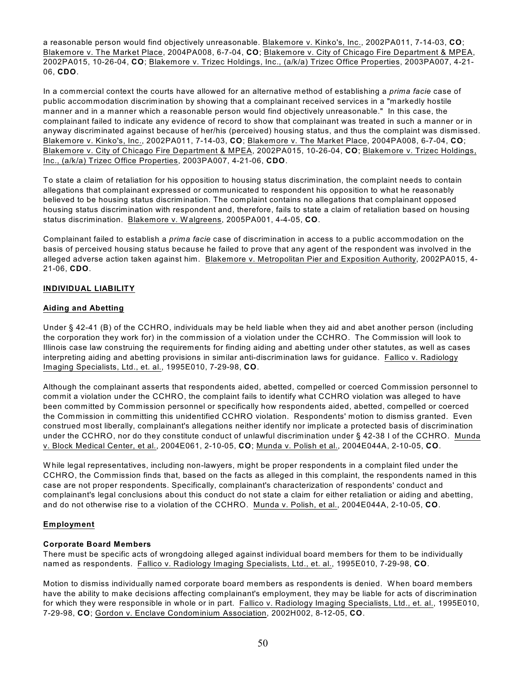a reasonable person would find objectively unreasonable. Blakemore v. Kinko's, Inc., 2002PA011, 7-14-03, **CO**; Blakemore v. The Market Place, 2004PA008, 6-7-04, **CO**; Blakemore v. City of Chicago Fire Department & MPEA, 2002PA015, 10-26-04, **CO**; Blakemore v. Trizec Holdings, Inc., (a/k/a) Trizec Office Properties, 2003PA007, 4-21- 06, **CDO**.

In a commercial context the courts have allowed for an alternative method of establishing a *prima facie* case of public accommodation discrimination by showing that a complainant received services in a "markedly hostile manner and in a manner which a reasonable person would find objectively unreasonable." In this case, the complainant failed to indicate any evidence of record to show that complainant was treated in such a manner or in anyway discriminated against because of her/his (perceived) housing status, and thus the complaint was dismissed. Blakemore v. Kinko's, Inc., 2002PA011, 7-14-03, **CO**; Blakemore v. The Market Place, 2004PA008, 6-7-04, **CO**; Blakemore v. City of Chicago Fire Department & MPEA, 2002PA015, 10-26-04, **CO**; Blakemore v. Trizec Holdings, Inc., (a/k/a) Trizec Office Properties, 2003PA007, 4-21-06, **CDO**.

To state a claim of retaliation for his opposition to housing status discrimination, the complaint needs to contain allegations that complainant expressed or communicated to respondent his opposition to what he reasonably believed to be housing status discrimination. The complaint contains no allegations that complainant opposed housing status discrimination with respondent and, therefore, fails to state a claim of retaliation based on housing status discrimination. Blakemore v. W algreens, 2005PA001, 4-4-05, **CO**.

Complainant failed to establish a *prima facie* case of discrimination in access to a public accommodation on the basis of perceived housing status because he failed to prove that any agent of the respondent was involved in the alleged adverse action taken against him. Blakemore v. Metropolitan Pier and Exposition Authority, 2002PA015, 4- 21-06, **CDO**.

# **INDIVIDUAL LIABILITY**

# **Aiding and Abetting**

Under § 42-41 (B) of the CCHRO, individuals may be held liable when they aid and abet another person (including the corporation they work for) in the commission of a violation under the CCHRO. The Commission will look to Illinois case law construing the requirements for finding aiding and abetting under other statutes, as well as cases interpreting aiding and abetting provisions in similar anti-discrimination laws for guidance. Fallico v. Radiology Imaging Specialists, Ltd., et. al., 1995E010, 7-29-98, **CO**.

Although the complainant asserts that respondents aided, abetted, compelled or coerced Commission personnel to commit a violation under the CCHRO, the complaint fails to identify what CCHRO violation was alleged to have been committed by Commission personnel or specifically how respondents aided, abetted, compelled or coerced the Commission in committing this unidentified CCHRO violation. Respondents' motion to dismiss granted. Even construed most liberally, complainant's allegations neither identify nor implicate a protected basis of discrimination under the CCHRO, nor do they constitute conduct of unlawful discrimination under § 42-38 I of the CCHRO. Munda v. Block Medical Center, et al., 2004E061, 2-10-05, **CO**; Munda v. Polish et al., 2004E044A, 2-10-05, **CO**.

W hile legal representatives, including non-lawyers, might be proper respondents in a complaint filed under the CCHRO, the Commission finds that, based on the facts as alleged in this complaint, the respondents named in this case are not proper respondents. Specifically, complainant's characterization of respondents' conduct and complainant's legal conclusions about this conduct do not state a claim for either retaliation or aiding and abetting, and do not otherwise rise to a violation of the CCHRO. Munda v. Polish, et al., 2004E044A, 2-10-05, **CO**.

## **Employment**

## **Corporate Board Members**

There must be specific acts of wrongdoing alleged against individual board members for them to be individually named as respondents. Fallico v. Radiology Imaging Specialists, Ltd., et. al., 1995E010, 7-29-98, **CO**.

Motion to dismiss individually named corporate board members as respondents is denied. When board members have the ability to make decisions affecting complainant's employment, they may be liable for acts of discrimination for which they were responsible in whole or in part. Fallico v. Radiology Imaging Specialists, Ltd., et. al., 1995E010, 7-29-98, **CO**; Gordon v. Enclave Condominium Association, 2002H002, 8-12-05, **CO**.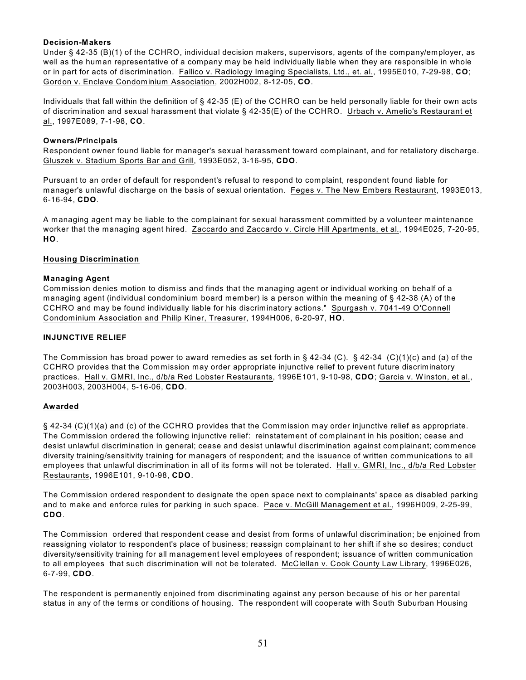## **Decision-Makers**

Under § 42-35 (B)(1) of the CCHRO, individual decision makers, supervisors, agents of the company/employer, as well as the human representative of a company may be held individually liable when they are responsible in whole or in part for acts of discrimination. Fallico v. Radiology Imaging Specialists, Ltd., et. al., 1995E010, 7-29-98, **CO**; Gordon v. Enclave Condominium Association, 2002H002, 8-12-05, **CO**.

Individuals that fall within the definition of § 42-35 (E) of the CCHRO can be held personally liable for their own acts of discrimination and sexual harassment that violate § 42-35(E) of the CCHRO. Urbach v. Amelio's Restaurant et al., 1997E089, 7-1-98, **CO**.

#### **Owners/Principals**

Respondent owner found liable for manager's sexual harassment toward complainant, and for retaliatory discharge. Gluszek v. Stadium Sports Bar and Grill, 1993E052, 3-16-95, **CDO**.

Pursuant to an order of default for respondent's refusal to respond to complaint, respondent found liable for manager's unlawful discharge on the basis of sexual orientation. Feges v. The New Embers Restaurant, 1993E013, 6-16-94, **CDO**.

A managing agent may be liable to the complainant for sexual harassment committed by a volunteer maintenance worker that the managing agent hired. Zaccardo and Zaccardo v. Circle Hill Apartments, et al., 1994E025, 7-20-95, **HO**.

#### **Housing Discrimination**

#### **Managing Agent**

Commission denies motion to dismiss and finds that the managing agent or individual working on behalf of a managing agent (individual condominium board member) is a person within the meaning of § 42-38 (A) of the CCHRO and may be found individually liable for his discriminatory actions." Spurgash v. 7041-49 O'Connell Condominium Association and Philip Kiner, Treasurer, 1994H006, 6-20-97, **HO**.

## **INJUNCTIVE RELIEF**

The Commission has broad power to award remedies as set forth in § 42-34 (C). § 42-34 (C)(1)(c) and (a) of the CCHRO provides that the Commission may order appropriate injunctive relief to prevent future discriminatory practices. Hall v. GMRI, Inc., d/b/a Red Lobster Restaurants, 1996E101, 9-10-98, **CDO**; Garcia v. W inston, et al., 2003H003, 2003H004, 5-16-06, **CDO**.

#### **Awarded**

§ 42-34 (C)(1)(a) and (c) of the CCHRO provides that the Commission may order injunctive relief as appropriate. The Commission ordered the following injunctive relief: reinstatement of complainant in his position; cease and desist unlawful discrimination in general; cease and desist unlawful discrimination against complainant; commence diversity training/sensitivity training for managers of respondent; and the issuance of written communications to all employees that unlawful discrimination in all of its forms will not be tolerated. Hall v. GMRI, Inc., d/b/a Red Lobster Restaurants, 1996E101, 9-10-98, **CDO**.

The Commission ordered respondent to designate the open space next to complainants' space as disabled parking and to make and enforce rules for parking in such space. Pace v. McGill Management et al., 1996H009, 2-25-99, **CDO**.

The Commission ordered that respondent cease and desist from forms of unlawful discrimination; be enjoined from reassigning violator to respondent's place of business; reassign complainant to her shift if she so desires; conduct diversity/sensitivity training for all management level employees of respondent; issuance of written communication to all employees that such discrimination will not be tolerated. McClellan v. Cook County Law Library, 1996E026, 6-7-99, **CDO**.

The respondent is permanently enjoined from discriminating against any person because of his or her parental status in any of the terms or conditions of housing. The respondent will cooperate with South Suburban Housing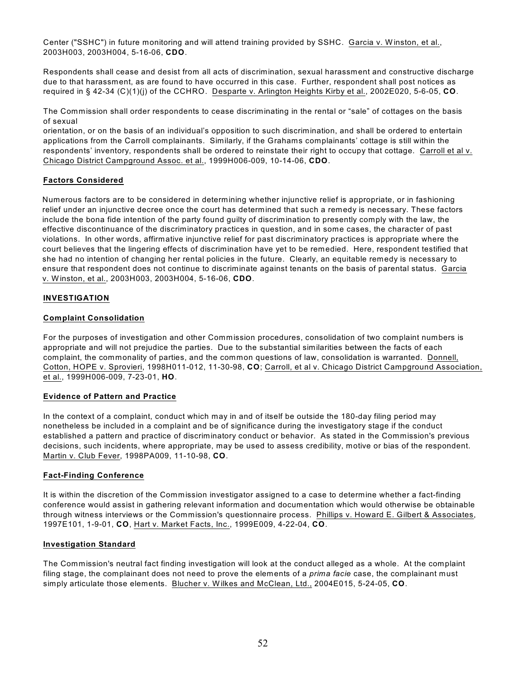Center ("SSHC") in future monitoring and will attend training provided by SSHC. Garcia v. Winston, et al., 2003H003, 2003H004, 5-16-06, **CDO**.

Respondents shall cease and desist from all acts of discrimination, sexual harassment and constructive discharge due to that harassment, as are found to have occurred in this case. Further, respondent shall post notices as required in § 42-34 (C)(1)(j) of the CCHRO. Desparte v. Arlington Heights Kirby et al., 2002E020, 5-6-05, **CO**.

The Commission shall order respondents to cease discriminating in the rental or "sale" of cottages on the basis of sexual

orientation, or on the basis of an individual's opposition to such discrimination, and shall be ordered to entertain applications from the Carroll complainants. Similarly, if the Grahams complainants' cottage is still within the respondents' inventory, respondents shall be ordered to reinstate their right to occupy that cottage. Carroll et al v. Chicago District Campground Assoc. et al., 1999H006-009, 10-14-06, **CDO**.

# **Factors Considered**

Numerous factors are to be considered in determining whether injunctive relief is appropriate, or in fashioning relief under an injunctive decree once the court has determined that such a remedy is necessary. These factors include the bona fide intention of the party found guilty of discrimination to presently comply with the law, the effective discontinuance of the discriminatory practices in question, and in some cases, the character of past violations. In other words, affirmative injunctive relief for past discriminatory practices is appropriate where the court believes that the lingering effects of discrimination have yet to be remedied. Here, respondent testified that she had no intention of changing her rental policies in the future. Clearly, an equitable remedy is necessary to ensure that respondent does not continue to discriminate against tenants on the basis of parental status. Garcia v. Winston, et al., 2003H003, 2003H004, 5-16-06, **CDO**.

# **INVESTIGATION**

## **Complaint Consolidation**

For the purposes of investigation and other Commission procedures, consolidation of two complaint numbers is appropriate and will not prejudice the parties. Due to the substantial similarities between the facts of each complaint, the commonality of parties, and the common questions of law, consolidation is warranted. Donnell, Cotton, HOPE v. Sprovieri, 1998H011-012, 11-30-98, **CO**; Carroll, et al v. Chicago District Campground Association, et al., 1999H006-009, 7-23-01, **HO**.

## **Evidence of Pattern and Practice**

In the context of a complaint, conduct which may in and of itself be outside the 180-day filing period may nonetheless be included in a complaint and be of significance during the investigatory stage if the conduct established a pattern and practice of discriminatory conduct or behavior. As stated in the Commission's previous decisions, such incidents, where appropriate, may be used to assess credibility, motive or bias of the respondent. Martin v. Club Fever, 1998PA009, 11-10-98, **CO**.

## **Fact-Finding Conference**

It is within the discretion of the Commission investigator assigned to a case to determine whether a fact-finding conference would assist in gathering relevant information and documentation which would otherwise be obtainable through witness interviews or the Commission's questionnaire process. Phillips v. Howard E. Gilbert & Associates, 1997E101, 1-9-01, **CO**, Hart v. Market Facts, Inc., 1999E009, 4-22-04, **CO**.

## **Investigation Standard**

The Commission's neutral fact finding investigation will look at the conduct alleged as a whole. At the complaint filing stage, the complainant does not need to prove the elements of a *prima facie* case, the complainant must simply articulate those elements. Blucher v. Wilkes and McClean, Ltd., 2004E015, 5-24-05, **CO**.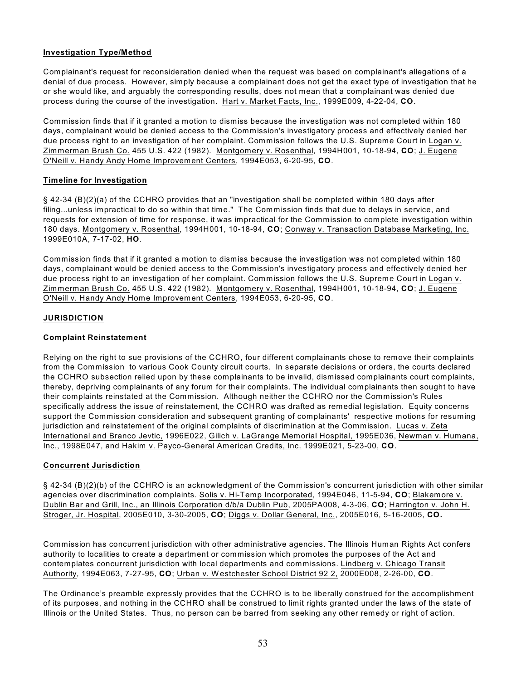# **Investigation Type/Method**

Complainant's request for reconsideration denied when the request was based on complainant's allegations of a denial of due process. However, simply because a complainant does not get the exact type of investigation that he or she would like, and arguably the corresponding results, does not mean that a complainant was denied due process during the course of the investigation. Hart v. Market Facts, Inc., 1999E009, 4-22-04, **CO**.

Commission finds that if it granted a motion to dismiss because the investigation was not completed within 180 days, complainant would be denied access to the Commission's investigatory process and effectively denied her due process right to an investigation of her complaint. Commission follows the U.S. Supreme Court in Logan v. Zimmerman Brush Co. 455 U.S. 422 (1982). Montgomery v. Rosenthal, 1994H001, 10-18-94, **CO**; J. Eugene O'Neill v. Handy Andy Home Improvement Centers, 1994E053, 6-20-95, **CO**.

## **Timeline for Investigation**

§ 42-34 (B)(2)(a) of the CCHRO provides that an "investigation shall be completed within 180 days after filing...unless impractical to do so within that time." The Commission finds that due to delays in service, and requests for extension of time for response, it was impractical for the Commission to complete investigation within 180 days. Montgomery v. Rosenthal, 1994H001, 10-18-94, **CO**; Conway v. Transaction Database Marketing, Inc. 1999E010A, 7-17-02, **HO**.

Commission finds that if it granted a motion to dismiss because the investigation was not completed within 180 days, complainant would be denied access to the Commission's investigatory process and effectively denied her due process right to an investigation of her complaint. Commission follows the U.S. Supreme Court in Logan v. Zimmerman Brush Co. 455 U.S. 422 (1982). Montgomery v. Rosenthal, 1994H001, 10-18-94, **CO**; J. Eugene O'Neill v. Handy Andy Home Improvement Centers, 1994E053, 6-20-95, **CO**.

# **JURISDICTION**

# **Complaint Reinstatement**

Relying on the right to sue provisions of the CCHRO, four different complainants chose to remove their complaints from the Commission to various Cook County circuit courts. In separate decisions or orders, the courts declared the CCHRO subsection relied upon by these complainants to be invalid, dismissed complainants court complaints, thereby, depriving complainants of any forum for their complaints. The individual complainants then sought to have their complaints reinstated at the Commission. Although neither the CCHRO nor the Commission's Rules specifically address the issue of reinstatement, the CCHRO was drafted as remedial legislation. Equity concerns support the Commission consideration and subsequent granting of complainants' respective motions for resuming jurisdiction and reinstatement of the original complaints of discrimination at the Commission. Lucas v. Zeta International and Branco Jevtic, 1996E022, Gilich v. LaGrange Memorial Hospital, 1995E036, Newman v. Humana, Inc., 1998E047, and Hakim v. Payco-General American Credits, Inc. 1999E021, 5-23-00, **CO**.

# **Concurrent Jurisdiction**

§ 42-34 (B)(2)(b) of the CCHRO is an acknowledgment of the Commission's concurrent jurisdiction with other similar agencies over discrimination complaints. Solis v. Hi-Temp Incorporated, 1994E046, 11-5-94, **CO**; Blakemore v. Dublin Bar and Grill, Inc., an Illinois Corporation d/b/a Dublin Pub, 2005PA008, 4-3-06, **CO**; Harrington v. John H. Stroger, Jr. Hospital, 2005E010, 3-30-2005, **CO**; Diggs v. Dollar General, Inc., 2005E016, 5-16-2005, **CO.**

Commission has concurrent jurisdiction with other administrative agencies. The Illinois Human Rights Act confers authority to localities to create a department or commission which promotes the purposes of the Act and contemplates concurrent jurisdiction with local departments and commissions. Lindberg v. Chicago Transit Authority, 1994E063, 7-27-95, **CO**; Urban v. W estchester School District 92 2, 2000E008, 2-26-00, **CO**.

The Ordinance's preamble expressly provides that the CCHRO is to be liberally construed for the accomplishment of its purposes, and nothing in the CCHRO shall be construed to limit rights granted under the laws of the state of Illinois or the United States. Thus, no person can be barred from seeking any other remedy or right of action.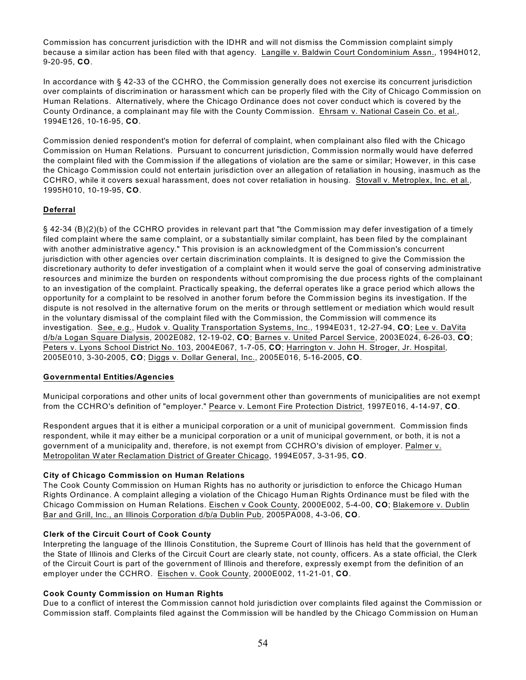Commission has concurrent jurisdiction with the IDHR and will not dismiss the Commission complaint simply because a similar action has been filed with that agency. Langille v. Baldwin Court Condominium Assn., 1994H012, 9-20-95, **CO**.

In accordance with § 42-33 of the CCHRO, the Commission generally does not exercise its concurrent jurisdiction over complaints of discrimination or harassment which can be properly filed with the City of Chicago Commission on Human Relations. Alternatively, where the Chicago Ordinance does not cover conduct which is covered by the County Ordinance, a complainant may file with the County Commission. Ehrsam v. National Casein Co. et al., 1994E126, 10-16-95, **CO**.

Commission denied respondent's motion for deferral of complaint, when complainant also filed with the Chicago Commission on Human Relations. Pursuant to concurrent jurisdiction, Commission normally would have deferred the complaint filed with the Commission if the allegations of violation are the same or similar; However, in this case the Chicago Commission could not entertain jurisdiction over an allegation of retaliation in housing, inasmuch as the CCHRO, while it covers sexual harassment, does not cover retaliation in housing. Stovall v. Metroplex, Inc. et al., 1995H010, 10-19-95, **CO**.

## **Deferral**

§ 42-34 (B)(2)(b) of the CCHRO provides in relevant part that "the Commission may defer investigation of a timely filed complaint where the same complaint, or a substantially similar complaint, has been filed by the complainant with another administrative agency." This provision is an acknowledgment of the Commission's concurrent jurisdiction with other agencies over certain discrimination complaints. It is designed to give the Commission the discretionary authority to defer investigation of a complaint when it would serve the goal of conserving administrative resources and minimize the burden on respondents without compromising the due process rights of the complainant to an investigation of the complaint. Practically speaking, the deferral operates like a grace period which allows the opportunity for a complaint to be resolved in another forum before the Commission begins its investigation. If the dispute is not resolved in the alternative forum on the merits or through settlement or mediation which would result in the voluntary dismissal of the complaint filed with the Commission, the Commission will commence its investigation. See, e.g., Hudok v. Quality Transportation Systems, Inc., 1994E031, 12-27-94, **CO**; Lee v. DaVita d/b/a Logan Square Dialysis, 2002E082, 12-19-02, **CO**; Barnes v. United Parcel Service, 2003E024, 6-26-03, **CO**; Peters v. Lyons School District No. 103, 2004E067, 1-7-05, **CO**; Harrington v. John H. Stroger, Jr. Hospital, 2005E010, 3-30-2005, **CO**; Diggs v. Dollar General, Inc., 2005E016, 5-16-2005, **CO**.

## **Governmental Entities/Agencies**

Municipal corporations and other units of local government other than governments of municipalities are not exempt from the CCHRO's definition of "employer." Pearce v. Lemont Fire Protection District, 1997E016, 4-14-97, **CO**.

Respondent argues that it is either a municipal corporation or a unit of municipal government. Commission finds respondent, while it may either be a municipal corporation or a unit of municipal government, or both, it is not a government of a municipality and, therefore, is not exempt from CCHRO's division of employer. Palmer v. Metropolitan W ater Reclamation District of Greater Chicago, 1994E057, 3-31-95, **CO**.

## **City of Chicago Commission on Human Relations**

The Cook County Commission on Human Rights has no authority or jurisdiction to enforce the Chicago Human Rights Ordinance. A complaint alleging a violation of the Chicago Human Rights Ordinance must be filed with the Chicago Commission on Human Relations. Eischen v Cook County, 2000E002, 5-4-00, **CO**; Blakemore v. Dublin Bar and Grill, Inc., an Illinois Corporation d/b/a Dublin Pub, 2005PA008, 4-3-06, **CO**.

## **Clerk of the Circuit Court of Cook County**

Interpreting the language of the Illinois Constitution, the Supreme Court of Illinois has held that the government of the State of Illinois and Clerks of the Circuit Court are clearly state, not county, officers. As a state official, the Clerk of the Circuit Court is part of the government of Illinois and therefore, expressly exempt from the definition of an employer under the CCHRO. Eischen v. Cook County, 2000E002, 11-21-01, **CO**.

## **Cook County Commission on Human Rights**

Due to a conflict of interest the Commission cannot hold jurisdiction over complaints filed against the Commission or Commission staff. Complaints filed against the Commission will be handled by the Chicago Commission on Human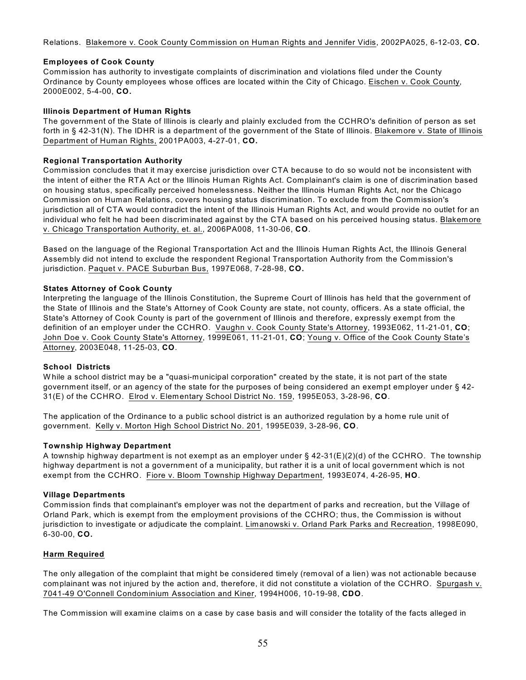Relations. Blakemore v. Cook County Commission on Human Rights and Jennifer Vidis, 2002PA025, 6-12-03, **CO.** 

# **Employees of Cook County**

Commission has authority to investigate complaints of discrimination and violations filed under the County Ordinance by County employees whose offices are located within the City of Chicago. Eischen v. Cook County, 2000E002, 5-4-00, **CO.**

## **Illinois Department of Human Rights**

The government of the State of Illinois is clearly and plainly excluded from the CCHRO's definition of person as set forth in § 42-31(N). The IDHR is a department of the government of the State of Illinois. Blakemore v. State of Illinois Department of Human Rights, 2001PA003, 4-27-01, **CO.** 

## **Regional Transportation Authority**

Commission concludes that it may exercise jurisdiction over CTA because to do so would not be inconsistent with the intent of either the RTA Act or the Illinois Human Rights Act. Complainant's claim is one of discrimination based on housing status, specifically perceived homelessness. Neither the Illinois Human Rights Act, nor the Chicago Commission on Human Relations, covers housing status discrimination. To exclude from the Commission's jurisdiction all of CTA would contradict the intent of the Illinois Human Rights Act, and would provide no outlet for an individual who felt he had been discriminated against by the CTA based on his perceived housing status. Blakemore v. Chicago Transportation Authority, et. al., 2006PA008, 11-30-06, **CO**.

Based on the language of the Regional Transportation Act and the Illinois Human Rights Act, the Illinois General Assembly did not intend to exclude the respondent Regional Transportation Authority from the Commission's jurisdiction. Paquet v. PACE Suburban Bus, 1997E068, 7-28-98, **CO.**

# **States Attorney of Cook County**

Interpreting the language of the Illinois Constitution, the Supreme Court of Illinois has held that the government of the State of Illinois and the State's Attorney of Cook County are state, not county, officers. As a state official, the State's Attorney of Cook County is part of the government of Illinois and therefore, expressly exempt from the definition of an employer under the CCHRO. Vaughn v. Cook County State's Attorney, 1993E062, 11-21-01, **CO**; John Doe v. Cook County State's Attorney, 1999E061, 11-21-01, **CO**; Young v. Office of the Cook County State's Attorney, 2003E048, 11-25-03, **CO**.

## **School Districts**

W hile a school district may be a "quasi-municipal corporation" created by the state, it is not part of the state government itself, or an agency of the state for the purposes of being considered an exempt employer under § 42- 31(E) of the CCHRO. Elrod v. Elementary School District No. 159, 1995E053, 3-28-96, **CO**.

The application of the Ordinance to a public school district is an authorized regulation by a home rule unit of government. Kelly v. Morton High School District No. 201, 1995E039, 3-28-96, **CO**.

# **Township Highway Department**

A township highway department is not exempt as an employer under § 42-31(E)(2)(d) of the CCHRO. The township highway department is not a government of a municipality, but rather it is a unit of local government which is not exempt from the CCHRO. Fiore v. Bloom Township Highway Department, 1993E074, 4-26-95, **HO**.

## **Village Departments**

Commission finds that complainant's employer was not the department of parks and recreation, but the Village of Orland Park, which is exempt from the employment provisions of the CCHRO; thus, the Commission is without jurisdiction to investigate or adjudicate the complaint. Limanowski v. Orland Park Parks and Recreation, 1998E090, 6-30-00, **CO.**

# **Harm Required**

The only allegation of the complaint that might be considered timely (removal of a lien) was not actionable because complainant was not injured by the action and, therefore, it did not constitute a violation of the CCHRO. Spurgash v. 7041-49 O'Connell Condominium Association and Kiner, 1994H006, 10-19-98, **CDO**.

The Commission will examine claims on a case by case basis and will consider the totality of the facts alleged in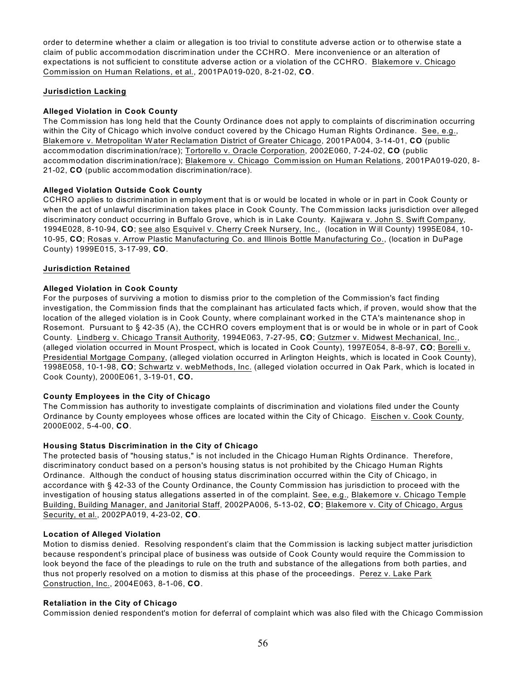order to determine whether a claim or allegation is too trivial to constitute adverse action or to otherwise state a claim of public accommodation discrimination under the CCHRO. Mere inconvenience or an alteration of expectations is not sufficient to constitute adverse action or a violation of the CCHRO. Blakemore v. Chicago Commission on Human Relations, et al., 2001PA019-020, 8-21-02, **CO**.

## **Jurisdiction Lacking**

# **Alleged Violation in Cook County**

The Commission has long held that the County Ordinance does not apply to complaints of discrimination occurring within the City of Chicago which involve conduct covered by the Chicago Human Rights Ordinance. See, e.g., Blakemore v. Metropolitan W ater Reclamation District of Greater Chicago, 2001PA004, 3-14-01, **CO** (public accommodation discrimination/race); Tortorello v. Oracle Corporation, 2002E060, 7-24-02, **CO** (public accommodation discrimination/race); Blakemore v. Chicago Commission on Human Relations, 2001PA019-020, 8- 21-02, **CO** (public accommodation discrimination/race).

# **Alleged Violation Outside Cook County**

CCHRO applies to discrimination in employment that is or would be located in whole or in part in Cook County or when the act of unlawful discrimination takes place in Cook County. The Commission lacks jurisdiction over alleged discriminatory conduct occurring in Buffalo Grove, which is in Lake County. Kajiwara v. John S. Swift Company, 1994E028, 8-10-94, **CO**; see also Esquivel v. Cherry Creek Nursery, Inc., (location in Will County) 1995E084, 10- 10-95, **CO**; Rosas v. Arrow Plastic Manufacturing Co. and Illinois Bottle Manufacturing Co., (location in DuPage County) 1999E015, 3-17-99, **CO**.

## **Jurisdiction Retained**

# **Alleged Violation in Cook County**

For the purposes of surviving a motion to dismiss prior to the completion of the Commission's fact finding investigation, the Commission finds that the complainant has articulated facts which, if proven, would show that the location of the alleged violation is in Cook County, where complainant worked in the CTA's maintenance shop in Rosemont. Pursuant to § 42-35 (A), the CCHRO covers employment that is or would be in whole or in part of Cook County. Lindberg v. Chicago Transit Authority, 1994E063, 7-27-95, **CO**; Gutzmer v. Midwest Mechanical, Inc., (alleged violation occurred in Mount Prospect, which is located in Cook County), 1997E054, 8-8-97, **CO**; Borelli v. Presidential Mortgage Company, (alleged violation occurred in Arlington Heights, which is located in Cook County), 1998E058, 10-1-98, **CO**; Schwartz v. webMethods, Inc. (alleged violation occurred in Oak Park, which is located in Cook County), 2000E061, 3-19-01, **CO.**

## **County Employees in the City of Chicago**

The Commission has authority to investigate complaints of discrimination and violations filed under the County Ordinance by County employees whose offices are located within the City of Chicago. Eischen v. Cook County, 2000E002, 5-4-00, **CO**.

## **Housing Status Discrimination in the City of Chicago**

The protected basis of "housing status," is not included in the Chicago Human Rights Ordinance. Therefore, discriminatory conduct based on a person's housing status is not prohibited by the Chicago Human Rights Ordinance. Although the conduct of housing status discrimination occurred within the City of Chicago, in accordance with § 42-33 of the County Ordinance, the County Commission has jurisdiction to proceed with the investigation of housing status allegations asserted in of the complaint. See, e.g., Blakemore v. Chicago Temple Building, Building Manager, and Janitorial Staff, 2002PA006, 5-13-02, **CO**; Blakemore v. City of Chicago, Argus Security, et al., 2002PA019, 4-23-02, **CO**.

## **Location of Alleged Violation**

Motion to dismiss denied. Resolving respondent's claim that the Commission is lacking subject matter jurisdiction because respondent's principal place of business was outside of Cook County would require the Commission to look beyond the face of the pleadings to rule on the truth and substance of the allegations from both parties, and thus not properly resolved on a motion to dismiss at this phase of the proceedings. Perez v. Lake Park Construction, Inc., 2004E063, 8-1-06, **CO**.

## **Retaliation in the City of Chicago**

Commission denied respondent's motion for deferral of complaint which was also filed with the Chicago Commission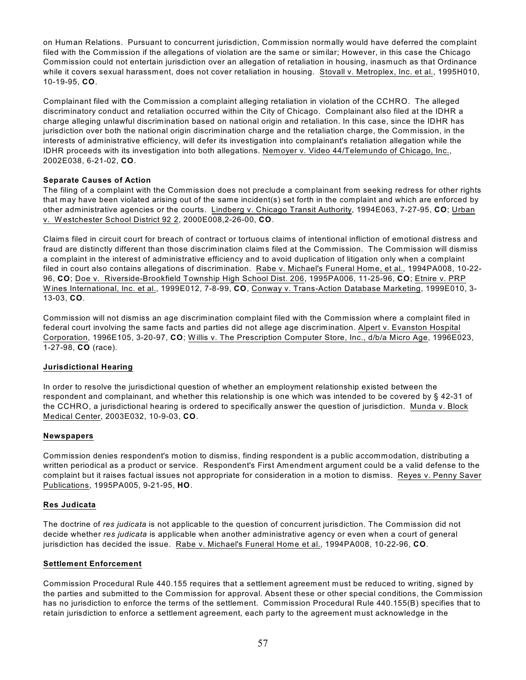on Human Relations. Pursuant to concurrent jurisdiction, Commission normally would have deferred the complaint filed with the Commission if the allegations of violation are the same or similar; However, in this case the Chicago Commission could not entertain jurisdiction over an allegation of retaliation in housing, inasmuch as that Ordinance while it covers sexual harassment, does not cover retaliation in housing. Stovall v. Metroplex, Inc. et al., 1995H010, 10-19-95, **CO**.

Complainant filed with the Commission a complaint alleging retaliation in violation of the CCHRO. The alleged discriminatory conduct and retaliation occurred within the City of Chicago. Complainant also filed at the IDHR a charge alleging unlawful discrimination based on national origin and retaliation. In this case, since the IDHR has jurisdiction over both the national origin discrimination charge and the retaliation charge, the Commission, in the interests of administrative efficiency, will defer its investigation into complainant's retaliation allegation while the IDHR proceeds with its investigation into both allegations. Nemoyer v. Video 44/Telemundo of Chicago, Inc., 2002E038, 6-21-02, **CO**.

## **Separate Causes of Action**

The filing of a complaint with the Commission does not preclude a complainant from seeking redress for other rights that may have been violated arising out of the same incident(s) set forth in the complaint and which are enforced by other administrative agencies or the courts. Lindberg v. Chicago Transit Authority, 1994E063, 7-27-95, **CO**; Urban v. W estchester School District 92 2, 2000E008,2-26-00, **CO**.

Claims filed in circuit court for breach of contract or tortuous claims of intentional infliction of emotional distress and fraud are distinctly different than those discrimination claims filed at the Commission. The Commission will dismiss a complaint in the interest of administrative efficiency and to avoid duplication of litigation only when a complaint filed in court also contains allegations of discrimination. Rabe v. Michael's Funeral Home, et al., 1994PA008, 10-22- 96, **CO**; Doe v. Riverside-Brookfield Township High School Dist. 206, 1995PA006, 11-25-96, **CO**; Etnire v. PRP W ines International, Inc. et al., 1999E012, 7-8-99, **CO**, Conway v. Trans-Action Database Marketing, 1999E010, 3- 13-03, **CO**.

Commission will not dismiss an age discrimination complaint filed with the Commission where a complaint filed in federal court involving the same facts and parties did not allege age discrimination. Alpert v. Evanston Hospital Corporation, 1996E105, 3-20-97, **CO**; W illis v. The Prescription Computer Store, Inc., d/b/a Micro Age, 1996E023, 1-27-98, **CO** (race).

## **Jurisdictional Hearing**

In order to resolve the jurisdictional question of whether an employment relationship existed between the respondent and complainant, and whether this relationship is one which was intended to be covered by § 42-31 of the CCHRO, a jurisdictional hearing is ordered to specifically answer the question of jurisdiction. Munda v. Block Medical Center, 2003E032, 10-9-03, **CO**.

#### **Newspapers**

Commission denies respondent's motion to dismiss, finding respondent is a public accommodation, distributing a written periodical as a product or service. Respondent's First Amendment argument could be a valid defense to the complaint but it raises factual issues not appropriate for consideration in a motion to dismiss. Reyes v. Penny Saver Publications, 1995PA005, 9-21-95, **HO**.

#### **Res Judicata**

The doctrine of *res judicata* is not applicable to the question of concurrent jurisdiction. The Commission did not decide whether *res judicata* is applicable when another administrative agency or even when a court of general jurisdiction has decided the issue. Rabe v. Michael's Funeral Home et al., 1994PA008, 10-22-96, **CO**.

#### **Settlement Enforcement**

Commission Procedural Rule 440.155 requires that a settlement agreement must be reduced to writing, signed by the parties and submitted to the Commission for approval. Absent these or other special conditions, the Commission has no jurisdiction to enforce the terms of the settlement. Commission Procedural Rule 440.155(B) specifies that to retain jurisdiction to enforce a settlement agreement, each party to the agreement must acknowledge in the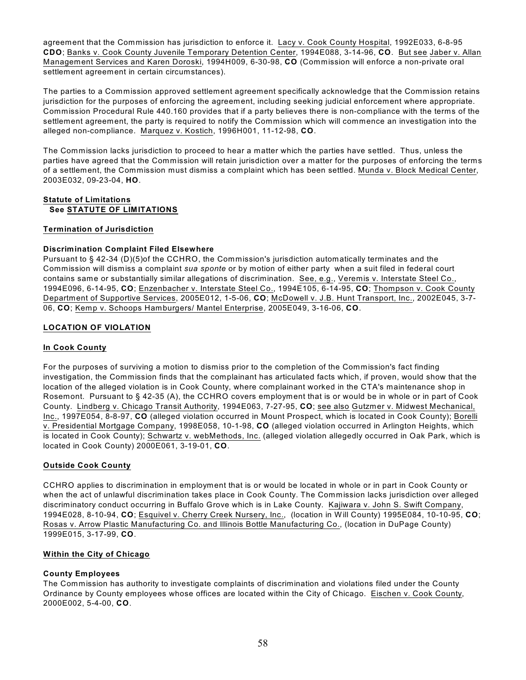agreement that the Commission has jurisdiction to enforce it. Lacy v. Cook County Hospital, 1992E033, 6-8-95 **CDO**; Banks v. Cook County Juvenile Temporary Detention Center, 1994E088, 3-14-96, **CO**. But see Jaber v. Allan Management Services and Karen Doroski, 1994H009, 6-30-98, **CO** (Commission will enforce a non-private oral settlement agreement in certain circumstances).

The parties to a Commission approved settlement agreement specifically acknowledge that the Commission retains jurisdiction for the purposes of enforcing the agreement, including seeking judicial enforcement where appropriate. Commission Procedural Rule 440.160 provides that if a party believes there is non-compliance with the terms of the settlement agreement, the party is required to notify the Commission which will commence an investigation into the alleged non-compliance. Marquez v. Kostich, 1996H001, 11-12-98, **CO**.

The Commission lacks jurisdiction to proceed to hear a matter which the parties have settled. Thus, unless the parties have agreed that the Commission will retain jurisdiction over a matter for the purposes of enforcing the terms of a settlement, the Commission must dismiss a complaint which has been settled. Munda v. Block Medical Center, 2003E032, 09-23-04, **HO**.

# **Statute of Limitations See STATUTE OF LIMITATIONS**

# **Termination of Jurisdiction**

# **Discrimination Complaint Filed Elsewhere**

Pursuant to § 42-34 (D)(5)of the CCHRO, the Commission's jurisdiction automatically terminates and the Commission will dismiss a complaint *sua sponte* or by motion of either party when a suit filed in federal court contains same or substantially similar allegations of discrimination. See, e.g., Veremis v. Interstate Steel Co., 1994E096, 6-14-95, **CO**; Enzenbacher v. Interstate Steel Co., 1994E105, 6-14-95, **CO**; Thompson v. Cook County Department of Supportive Services, 2005E012, 1-5-06, **CO**; McDowell v. J.B. Hunt Transport, Inc., 2002E045, 3-7- 06, **CO**; Kemp v. Schoops Hamburgers/ Mantel Enterprise, 2005E049, 3-16-06, **CO**.

# **LOCATION OF VIOLATION**

## **In Cook County**

For the purposes of surviving a motion to dismiss prior to the completion of the Commission's fact finding investigation, the Commission finds that the complainant has articulated facts which, if proven, would show that the location of the alleged violation is in Cook County, where complainant worked in the CTA's maintenance shop in Rosemont. Pursuant to § 42-35 (A), the CCHRO covers employment that is or would be in whole or in part of Cook County. Lindberg v. Chicago Transit Authority, 1994E063, 7-27-95, **CO**; see also Gutzmer v. Midwest Mechanical, Inc., 1997E054, 8-8-97, **CO** (alleged violation occurred in Mount Prospect, which is located in Cook County); Borelli v. Presidential Mortgage Company, 1998E058, 10-1-98, **CO** (alleged violation occurred in Arlington Heights, which is located in Cook County); Schwartz v. webMethods, Inc. (alleged violation allegedly occurred in Oak Park, which is located in Cook County) 2000E061, 3-19-01, **CO**.

# **Outside Cook County**

CCHRO applies to discrimination in employment that is or would be located in whole or in part in Cook County or when the act of unlawful discrimination takes place in Cook County. The Commission lacks jurisdiction over alleged discriminatory conduct occurring in Buffalo Grove which is in Lake County. Kajiwara v. John S. Swift Company, 1994E028, 8-10-94, **CO**; Esquivel v. Cherry Creek Nursery, Inc., (location in Will County) 1995E084, 10-10-95, **CO**; Rosas v. Arrow Plastic Manufacturing Co. and Illinois Bottle Manufacturing Co., (location in DuPage County) 1999E015, 3-17-99, **CO**.

## **Within the City of Chicago**

## **County Employees**

The Commission has authority to investigate complaints of discrimination and violations filed under the County Ordinance by County employees whose offices are located within the City of Chicago. Eischen v. Cook County, 2000E002, 5-4-00, **CO**.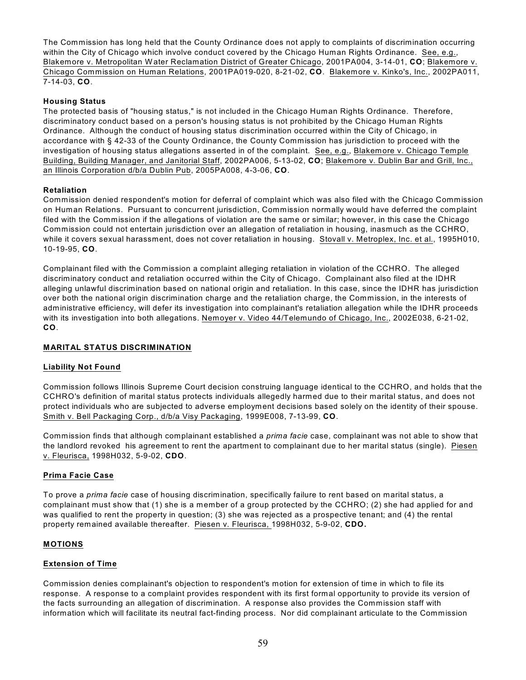The Commission has long held that the County Ordinance does not apply to complaints of discrimination occurring within the City of Chicago which involve conduct covered by the Chicago Human Rights Ordinance. See, e.g., Blakemore v. Metropolitan W ater Reclamation District of Greater Chicago, 2001PA004, 3-14-01, **CO**; Blakemore v. Chicago Commission on Human Relations, 2001PA019-020, 8-21-02, **CO**. Blakemore v. Kinko's, Inc., 2002PA011, 7-14-03, **CO**.

# **Housing Status**

The protected basis of "housing status," is not included in the Chicago Human Rights Ordinance. Therefore, discriminatory conduct based on a person's housing status is not prohibited by the Chicago Human Rights Ordinance. Although the conduct of housing status discrimination occurred within the City of Chicago, in accordance with § 42-33 of the County Ordinance, the County Commission has jurisdiction to proceed with the investigation of housing status allegations asserted in of the complaint. See, e.g., Blakemore v. Chicago Temple Building, Building Manager, and Janitorial Staff, 2002PA006, 5-13-02, **CO**; Blakemore v. Dublin Bar and Grill, Inc., an Illinois Corporation d/b/a Dublin Pub, 2005PA008, 4-3-06, **CO**.

# **Retaliation**

Commission denied respondent's motion for deferral of complaint which was also filed with the Chicago Commission on Human Relations. Pursuant to concurrent jurisdiction, Commission normally would have deferred the complaint filed with the Commission if the allegations of violation are the same or similar; however, in this case the Chicago Commission could not entertain jurisdiction over an allegation of retaliation in housing, inasmuch as the CCHRO, while it covers sexual harassment, does not cover retaliation in housing. Stovall v. Metroplex, Inc. et al., 1995H010, 10-19-95, **CO**.

Complainant filed with the Commission a complaint alleging retaliation in violation of the CCHRO. The alleged discriminatory conduct and retaliation occurred within the City of Chicago. Complainant also filed at the IDHR alleging unlawful discrimination based on national origin and retaliation. In this case, since the IDHR has jurisdiction over both the national origin discrimination charge and the retaliation charge, the Commission, in the interests of administrative efficiency, will defer its investigation into complainant's retaliation allegation while the IDHR proceeds with its investigation into both allegations. Nemoyer v. Video 44/Telemundo of Chicago, Inc., 2002E038, 6-21-02, **CO**.

# **MARITAL STATUS DISCRIMINATION**

## **Liability Not Found**

Commission follows Illinois Supreme Court decision construing language identical to the CCHRO, and holds that the CCHRO's definition of marital status protects individuals allegedly harmed due to their marital status, and does not protect individuals who are subjected to adverse employment decisions based solely on the identity of their spouse. Smith v. Bell Packaging Corp., d/b/a Visy Packaging, 1999E008, 7-13-99, **CO**.

Commission finds that although complainant established a *prima facie* case, complainant was not able to show that the landlord revoked his agreement to rent the apartment to complainant due to her marital status (single). Piesen v. Fleurisca, 1998H032, 5-9-02, **CDO**.

## **Prima Facie Case**

To prove a *prima facie* case of housing discrimination, specifically failure to rent based on marital status, a complainant must show that (1) she is a member of a group protected by the CCHRO; (2) she had applied for and was qualified to rent the property in question; (3) she was rejected as a prospective tenant; and (4) the rental property remained available thereafter. Piesen v. Fleurisca, 1998H032, 5-9-02, **CDO.**

## **MOTIONS**

## **Extension of Time**

Commission denies complainant's objection to respondent's motion for extension of time in which to file its response. A response to a complaint provides respondent with its first formal opportunity to provide its version of the facts surrounding an allegation of discrimination. A response also provides the Commission staff with information which will facilitate its neutral fact-finding process. Nor did complainant articulate to the Commission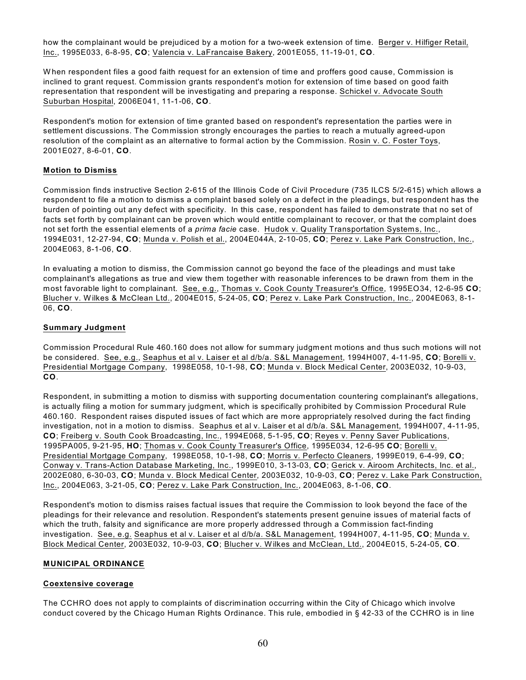how the complainant would be prejudiced by a motion for a two-week extension of time. Berger v. Hilfiger Retail, Inc., 1995E033, 6-8-95, **CO**; Valencia v. LaFrancaise Bakery, 2001E055, 11-19-01, **CO**.

W hen respondent files a good faith request for an extension of time and proffers good cause, Commission is inclined to grant request. Commission grants respondent's motion for extension of time based on good faith representation that respondent will be investigating and preparing a response. Schickel v. Advocate South Suburban Hospital, 2006E041, 11-1-06, **CO**.

Respondent's motion for extension of time granted based on respondent's representation the parties were in settlement discussions. The Commission strongly encourages the parties to reach a mutually agreed-upon resolution of the complaint as an alternative to formal action by the Commission. Rosin v. C. Foster Toys, 2001E027, 8-6-01, **CO**.

## **Motion to Dismiss**

Commission finds instructive Section 2-615 of the Illinois Code of Civil Procedure (735 ILCS 5/2-615) which allows a respondent to file a motion to dismiss a complaint based solely on a defect in the pleadings, but respondent has the burden of pointing out any defect with specificity. In this case, respondent has failed to demonstrate that no set of facts set forth by complainant can be proven which would entitle complainant to recover, or that the complaint does not set forth the essential elements of a *prima facie* case. Hudok v. Quality Transportation Systems, Inc., 1994E031, 12-27-94, **CO**; Munda v. Polish et al., 2004E044A, 2-10-05, **CO**; Perez v. Lake Park Construction, Inc., 2004E063, 8-1-06, **CO**.

In evaluating a motion to dismiss, the Commission cannot go beyond the face of the pleadings and must take complainant's allegations as true and view them together with reasonable inferences to be drawn from them in the most favorable light to complainant. See, e.g., Thomas v. Cook County Treasurer's Office, 1995EO34, 12-6-95 **CO**; Blucher v. Wilkes & McClean Ltd., 2004E015, 5-24-05, **CO**; Perez v. Lake Park Construction, Inc., 2004E063, 8-1- 06, **CO**.

#### **Summary Judgment**

Commission Procedural Rule 460.160 does not allow for summary judgment motions and thus such motions will not be considered. See, e.g., Seaphus et al v. Laiser et al d/b/a. S&L Management, 1994H007, 4-11-95, **CO**; Borelli v. Presidential Mortgage Company, 1998E058, 10-1-98, **CO**; Munda v. Block Medical Center, 2003E032, 10-9-03, **CO**.

Respondent, in submitting a motion to dismiss with supporting documentation countering complainant's allegations, is actually filing a motion for summary judgment, which is specifically prohibited by Commission Procedural Rule 460.160. Respondent raises disputed issues of fact which are more appropriately resolved during the fact finding investigation, not in a motion to dismiss. Seaphus et al v. Laiser et al d/b/a. S&L Management, 1994H007, 4-11-95, **CO**; Freiberg v. South Cook Broadcasting, Inc., 1994E068, 5-1-95, **CO**; Reyes v. Penny Saver Publications, 1995PA005, 9-21-95, **HO**; Thomas v. Cook County Treasurer's Office, 1995E034, 12-6-95 **CO**; Borelli v. Presidential Mortgage Company, 1998E058, 10-1-98, **CO**; Morris v. Perfecto Cleaners, 1999E019, 6-4-99, **CO**; Conway v. Trans-Action Database Marketing, Inc., 1999E010, 3-13-03, **CO**; Gerick v. Airoom Architects, Inc. et al., 2002E080, 6-30-03, **CO**; Munda v. Block Medical Center, 2003E032, 10-9-03, **CO**; Perez v. Lake Park Construction, Inc., 2004E063, 3-21-05, **CO**; Perez v. Lake Park Construction, Inc., 2004E063, 8-1-06, **CO**.

Respondent's motion to dismiss raises factual issues that require the Commission to look beyond the face of the pleadings for their relevance and resolution. Respondent's statements present genuine issues of material facts of which the truth, falsity and significance are more properly addressed through a Commission fact-finding investigation. See, e.g. Seaphus et al v. Laiser et al d/b/a. S&L Management, 1994H007, 4-11-95, **CO**; Munda v. Block Medical Center, 2003E032, 10-9-03, **CO**; Blucher v. Wilkes and McClean, Ltd., 2004E015, 5-24-05, **CO**.

## **MUNICIPAL ORDINANCE**

## **Coextensive coverage**

The CCHRO does not apply to complaints of discrimination occurring within the City of Chicago which involve conduct covered by the Chicago Human Rights Ordinance. This rule, embodied in § 42-33 of the CCHRO is in line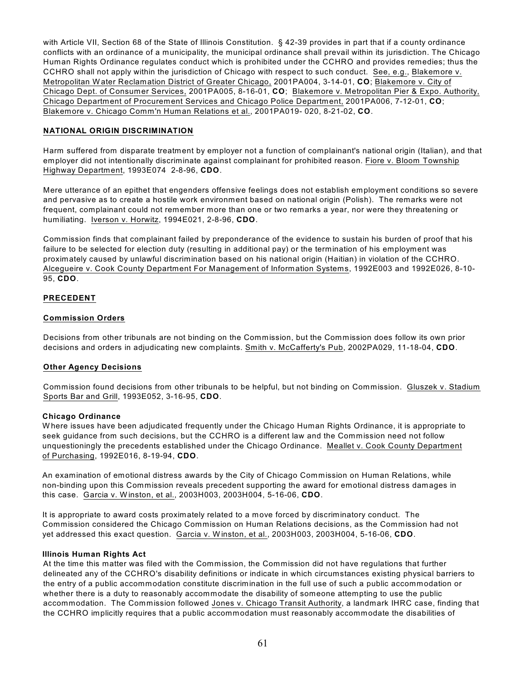with Article VII, Section 68 of the State of Illinois Constitution. § 42-39 provides in part that if a county ordinance conflicts with an ordinance of a municipality, the municipal ordinance shall prevail within its jurisdiction. The Chicago Human Rights Ordinance regulates conduct which is prohibited under the CCHRO and provides remedies; thus the CCHRO shall not apply within the jurisdiction of Chicago with respect to such conduct. See, e.g., Blakemore v. Metropolitan W ater Reclamation District of Greater Chicago, 2001PA004, 3-14-01, **CO**; Blakemore v. City of Chicago Dept. of Consumer Services, 2001PA005, 8-16-01, **CO**; Blakemore v. Metropolitan Pier & Expo. Authority, Chicago Department of Procurement Services and Chicago Police Department, 2001PA006, 7-12-01, **CO**; Blakemore v. Chicago Comm'n Human Relations et al., 2001PA019- 020, 8-21-02, **CO**.

## **NATIONAL ORIGIN DISCRIMINATION**

Harm suffered from disparate treatment by employer not a function of complainant's national origin (Italian), and that employer did not intentionally discriminate against complainant for prohibited reason. Fiore v. Bloom Township Highway Department, 1993E074 2-8-96, **CDO**.

Mere utterance of an epithet that engenders offensive feelings does not establish employment conditions so severe and pervasive as to create a hostile work environment based on national origin (Polish). The remarks were not frequent, complainant could not remember more than one or two remarks a year, nor were they threatening or humiliating. Iverson v. Horwitz, 1994E021, 2-8-96, **CDO**.

Commission finds that complainant failed by preponderance of the evidence to sustain his burden of proof that his failure to be selected for election duty (resulting in additional pay) or the termination of his employment was proximately caused by unlawful discrimination based on his national origin (Haitian) in violation of the CCHRO. Alcegueire v. Cook County Department For Management of Information Systems, 1992E003 and 1992E026, 8-10- 95, **CDO**.

# **PRECEDENT**

## **Commission Orders**

Decisions from other tribunals are not binding on the Commission, but the Commission does follow its own prior decisions and orders in adjudicating new complaints. Smith v. McCafferty's Pub, 2002PA029, 11-18-04, **CDO**.

## **Other Agency Decisions**

Commission found decisions from other tribunals to be helpful, but not binding on Commission. Gluszek v. Stadium Sports Bar and Grill, 1993E052, 3-16-95, **CDO**.

## **Chicago Ordinance**

W here issues have been adjudicated frequently under the Chicago Human Rights Ordinance, it is appropriate to seek guidance from such decisions, but the CCHRO is a different law and the Commission need not follow unquestioningly the precedents established under the Chicago Ordinance. Meallet v. Cook County Department of Purchasing, 1992E016, 8-19-94, **CDO**.

An examination of emotional distress awards by the City of Chicago Commission on Human Relations, while non-binding upon this Commission reveals precedent supporting the award for emotional distress damages in this case. Garcia v. W inston, et al., 2003H003, 2003H004, 5-16-06, **CDO**.

It is appropriate to award costs proximately related to a move forced by discriminatory conduct. The Commission considered the Chicago Commission on Human Relations decisions, as the Commission had not yet addressed this exact question. Garcia v. W inston, et al., 2003H003, 2003H004, 5-16-06, **CDO**.

## **Illinois Human Rights Act**

At the time this matter was filed with the Commission, the Commission did not have regulations that further delineated any of the CCHRO's disability definitions or indicate in which circumstances existing physical barriers to the entry of a public accommodation constitute discrimination in the full use of such a public accommodation or whether there is a duty to reasonably accommodate the disability of someone attempting to use the public accommodation. The Commission followed Jones v. Chicago Transit Authority, a landmark IHRC case, finding that the CCHRO implicitly requires that a public accommodation must reasonably accommodate the disabilities of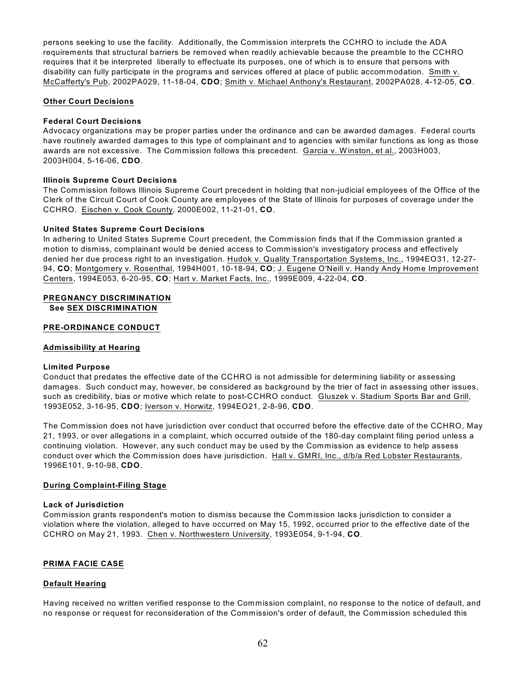persons seeking to use the facility. Additionally, the Commission interprets the CCHRO to include the ADA requirements that structural barriers be removed when readily achievable because the preamble to the CCHRO requires that it be interpreted liberally to effectuate its purposes, one of which is to ensure that persons with disability can fully participate in the programs and services offered at place of public accommodation. Smith v. McCafferty's Pub, 2002PA029, 11-18-04, **CDO**; Smith v. Michael Anthony's Restaurant, 2002PA028, 4-12-05, **CO**.

# **Other Court Decisions**

# **Federal Court Decisions**

Advocacy organizations may be proper parties under the ordinance and can be awarded damages. Federal courts have routinely awarded damages to this type of complainant and to agencies with similar functions as long as those awards are not excessive. The Commission follows this precedent. Garcia v. W inston, et al., 2003H003, 2003H004, 5-16-06, **CDO**.

## **Illinois Supreme Court Decisions**

The Commission follows Illinois Supreme Court precedent in holding that non-judicial employees of the Office of the Clerk of the Circuit Court of Cook County are employees of the State of Illinois for purposes of coverage under the CCHRO. Eischen v. Cook County, 2000E002, 11-21-01, **CO**.

## **United States Supreme Court Decisions**

In adhering to United States Supreme Court precedent, the Commission finds that if the Commission granted a motion to dismiss, complainant would be denied access to Commission's investigatory process and effectively denied her due process right to an investigation. Hudok v. Quality Transportation Systems, Inc., 1994EO31, 12-27- 94, **CO**; Montgomery v. Rosenthal, 1994H001, 10-18-94, **CO**; J. Eugene O'Neill v. Handy Andy Home Improvement Centers, 1994E053, 6-20-95, **CO**; Hart v. Market Facts, Inc., 1999E009, 4-22-04, **CO**.

# **PREGNANCY DISCRIMINATION**

**See SEX DISCRIMINATION**

# **PRE-ORDINANCE CONDUCT**

## **Admissibility at Hearing**

## **Limited Purpose**

Conduct that predates the effective date of the CCHRO is not admissible for determining liability or assessing damages. Such conduct may, however, be considered as background by the trier of fact in assessing other issues, such as credibility, bias or motive which relate to post-CCHRO conduct. Gluszek v. Stadium Sports Bar and Grill, 1993E052, 3-16-95, **CDO**; Iverson v. Horwitz, 1994EO21, 2-8-96, **CDO**.

The Commission does not have jurisdiction over conduct that occurred before the effective date of the CCHRO, May 21, 1993, or over allegations in a complaint, which occurred outside of the 180-day complaint filing period unless a continuing violation. However, any such conduct may be used by the Commission as evidence to help assess conduct over which the Commission does have jurisdiction. Hall v. GMRI, Inc., d/b/a Red Lobster Restaurants, 1996E101, 9-10-98, **CDO**.

## **During Complaint-Filing Stage**

## **Lack of Jurisdiction**

Commission grants respondent's motion to dismiss because the Commission lacks jurisdiction to consider a violation where the violation, alleged to have occurred on May 15, 1992, occurred prior to the effective date of the CCHRO on May 21, 1993. Chen v. Northwestern University, 1993E054, 9-1-94, **CO**.

# **PRIMA FACIE CASE**

## **Default Hearing**

Having received no written verified response to the Commission complaint, no response to the notice of default, and no response or request for reconsideration of the Commission's order of default, the Commission scheduled this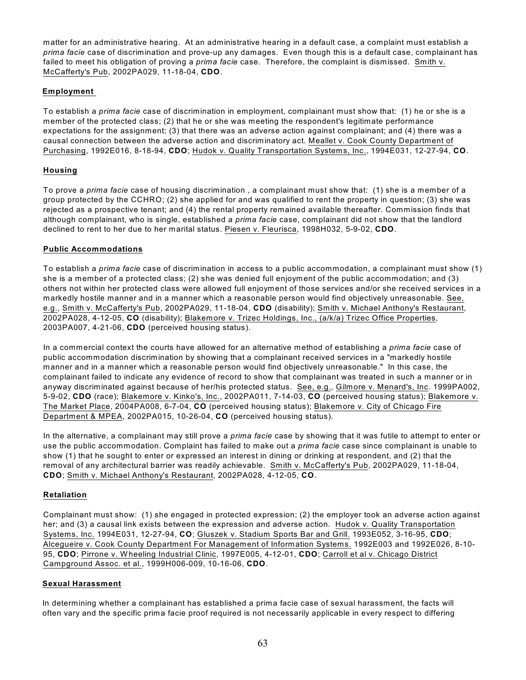matter for an administrative hearing. At an administrative hearing in a default case, a complaint must establish a *prima facie* case of discrimination and prove-up any damages. Even though this is a default case, complainant has failed to meet his obligation of proving a *prima facie* case. Therefore, the complaint is dismissed. Smith v. McCafferty's Pub, 2002PA029, 11-18-04, **CDO**.

# **Employment**

To establish a *prima facie* case of discrimination in employment, complainant must show that: (1) he or she is a member of the protected class; (2) that he or she was meeting the respondent's legitimate performance expectations for the assignment; (3) that there was an adverse action against complainant; and (4) there was a causal connection between the adverse action and discriminatory act. Meallet v. Cook County Department of Purchasing, 1992E016, 8-18-94, **CDO**; Hudok v. Quality Transportation Systems, Inc., 1994E031, 12-27-94, **CO**.

# **Housing**

To prove a *prima facie* case of housing discrimination , a complainant must show that: (1) she is a member of a group protected by the CCHRO; (2) she applied for and was qualified to rent the property in question; (3) she was rejected as a prospective tenant; and (4) the rental property remained available thereafter. Commission finds that although complainant, who is single, established a *prima facie* case, complainant did not show that the landlord declined to rent to her due to her marital status. Piesen v. Fleurisca, 1998H032, 5-9-02, **CDO**.

## **Public Accommodations**

To establish a *prima facie* case of discrimination in access to a public accommodation, a complainant must show (1) she is a member of a protected class; (2) she was denied full enjoyment of the public accommodation; and (3) others not within her protected class were allowed full enjoyment of those services and/or she received services in a markedly hostile manner and in a manner which a reasonable person would find objectively unreasonable. See, e.g., Smith v. McCafferty's Pub, 2002PA029, 11-18-04, **CDO** (disability); Smith v. Michael Anthony's Restaurant, 2002PA028, 4-12-05, **CO** (disability); Blakemore v. Trizec Holdings, Inc., (a/k/a) Trizec Office Properties, 2003PA007, 4-21-06, **CDO** (perceived housing status).

In a commercial context the courts have allowed for an alternative method of establishing a *prima facie* case of public accommodation discrimination by showing that a complainant received services in a "markedly hostile manner and in a manner which a reasonable person would find objectively unreasonable." In this case, the complainant failed to indicate any evidence of record to show that complainant was treated in such a manner or in anyway discriminated against because of her/his protected status. See, e.g., Gilmore v. Menard's, Inc. 1999PA002, 5-9-02, **CDO** (race); Blakemore v. Kinko's, Inc., 2002PA011, 7-14-03, **CO** (perceived housing status); Blakemore v. The Market Place, 2004PA008, 6-7-04, **CO** (perceived housing status); Blakemore v. City of Chicago Fire Department & MPEA, 2002PA015, 10-26-04, **CO** (perceived housing status).

In the alternative, a complainant may still prove a *prima facie* case by showing that it was futile to attempt to enter or use the public accommodation. Complaint has failed to make out a *prima facie* case since complainant is unable to show (1) that he sought to enter or expressed an interest in dining or drinking at respondent, and (2) that the removal of any architectural barrier was readily achievable. Smith v. McCafferty's Pub, 2002PA029, 11-18-04, **CDO**; Smith v. Michael Anthony's Restaurant, 2002PA028, 4-12-05, **CO**.

## **Retaliation**

Complainant must show: (1) she engaged in protected expression; (2) the employer took an adverse action against her; and (3) a causal link exists between the expression and adverse action. Hudok v. Quality Transportation Systems, Inc. 1994E031, 12-27-94, **CO**; Gluszek v. Stadium Sports Bar and Grill. 1993E052, 3-16-95, **CDO**; Alcegueire v. Cook County Department For Management of Information Systems. 1992E003 and 1992E026, 8-10- 95, **CDO**; Pirrone v. W heeling Industrial Clinic, 1997E005, 4-12-01, **CDO**; Carroll et al v. Chicago District Campground Assoc. et al., 1999H006-009, 10-16-06, **CDO**.

## **Sexual Harassment**

In determining whether a complainant has established a prima facie case of sexual harassment, the facts will often vary and the specific prima facie proof required is not necessarily applicable in every respect to differing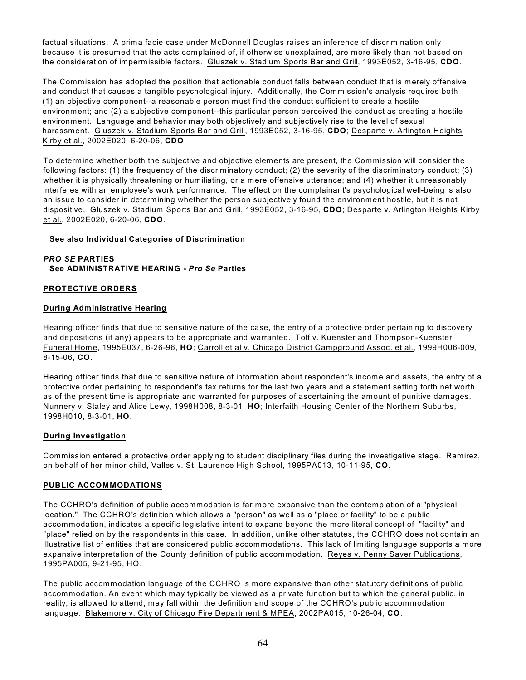factual situations. A prima facie case under McDonnell Douglas raises an inference of discrimination only because it is presumed that the acts complained of, if otherwise unexplained, are more likely than not based on the consideration of impermissible factors. Gluszek v. Stadium Sports Bar and Grill, 1993E052, 3-16-95, **CDO**.

The Commission has adopted the position that actionable conduct falls between conduct that is merely offensive and conduct that causes a tangible psychological injury. Additionally, the Commission's analysis requires both (1) an objective component--a reasonable person must find the conduct sufficient to create a hostile environment; and (2) a subjective component--this particular person perceived the conduct as creating a hostile environment. Language and behavior may both objectively and subjectively rise to the level of sexual harassment. Gluszek v. Stadium Sports Bar and Grill, 1993E052, 3-16-95, **CDO**; Desparte v. Arlington Heights Kirby et al., 2002E020, 6-20-06, **CDO**.

To determine whether both the subjective and objective elements are present, the Commission will consider the following factors: (1) the frequency of the discriminatory conduct; (2) the severity of the discriminatory conduct; (3) whether it is physically threatening or humiliating, or a mere offensive utterance; and (4) whether it unreasonably interferes with an employee's work performance. The effect on the complainant's psychological well-being is also an issue to consider in determining whether the person subjectively found the environment hostile, but it is not dispositive. Gluszek v. Stadium Sports Bar and Grill, 1993E052, 3-16-95, **CDO**; Desparte v. Arlington Heights Kirby et al., 2002E020, 6-20-06, **CDO**.

## **See also Individual Categories of Discrimination**

*PRO SE* **PARTIES See ADMINISTRATIVE HEARING -** *Pro Se* **Parties**

## **PROTECTIVE ORDERS**

#### **During Administrative Hearing**

Hearing officer finds that due to sensitive nature of the case, the entry of a protective order pertaining to discovery and depositions (if any) appears to be appropriate and warranted. Tolf v. Kuenster and Thompson-Kuenster Funeral Home, 1995E037, 6-26-96, **HO**; Carroll et al v. Chicago District Campground Assoc. et al., 1999H006-009, 8-15-06, **CO**.

Hearing officer finds that due to sensitive nature of information about respondent's income and assets, the entry of a protective order pertaining to respondent's tax returns for the last two years and a statement setting forth net worth as of the present time is appropriate and warranted for purposes of ascertaining the amount of punitive damages. Nunnery v. Staley and Alice Lewy, 1998H008, 8-3-01, **HO**; Interfaith Housing Center of the Northern Suburbs, 1998H010, 8-3-01, **HO**.

#### **During Investigation**

Commission entered a protective order applying to student disciplinary files during the investigative stage. Ramirez, on behalf of her minor child, Valles v. St. Laurence High School, 1995PA013, 10-11-95, **CO**.

## **PUBLIC ACCOMMODATIONS**

The CCHRO's definition of public accommodation is far more expansive than the contemplation of a "physical location." The CCHRO's definition which allows a "person" as well as a "place or facility" to be a public accommodation, indicates a specific legislative intent to expand beyond the more literal concept of "facility" and "place" relied on by the respondents in this case. In addition, unlike other statutes, the CCHRO does not contain an illustrative list of entities that are considered public accommodations. This lack of limiting language supports a more expansive interpretation of the County definition of public accommodation. Reyes v. Penny Saver Publications, 1995PA005, 9-21-95, HO.

The public accommodation language of the CCHRO is more expansive than other statutory definitions of public accommodation. An event which may typically be viewed as a private function but to which the general public, in reality, is allowed to attend, may fall within the definition and scope of the CCHRO's public accommodation language. Blakemore v. City of Chicago Fire Department & MPEA, 2002PA015, 10-26-04, **CO**.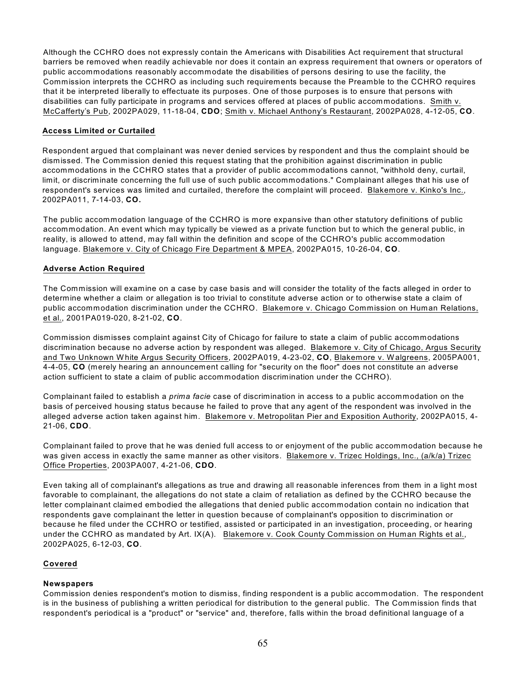Although the CCHRO does not expressly contain the Americans with Disabilities Act requirement that structural barriers be removed when readily achievable nor does it contain an express requirement that owners or operators of public accommodations reasonably accommodate the disabilities of persons desiring to use the facility, the Commission interprets the CCHRO as including such requirements because the Preamble to the CCHRO requires that it be interpreted liberally to effectuate its purposes. One of those purposes is to ensure that persons with disabilities can fully participate in programs and services offered at places of public accommodations. Smith v. McCafferty's Pub, 2002PA029, 11-18-04, **CDO**; Smith v. Michael Anthony's Restaurant, 2002PA028, 4-12-05, **CO**.

# **Access Limited or Curtailed**

Respondent argued that complainant was never denied services by respondent and thus the complaint should be dismissed. The Commission denied this request stating that the prohibition against discrimination in public accommodations in the CCHRO states that a provider of public accommodations cannot, "withhold deny, curtail, limit, or discriminate concerning the full use of such public accommodations." Complainant alleges that his use of respondent's services was limited and curtailed, therefore the complaint will proceed. Blakemore v. Kinko's Inc., 2002PA011, 7-14-03, **CO.**

The public accommodation language of the CCHRO is more expansive than other statutory definitions of public accommodation. An event which may typically be viewed as a private function but to which the general public, in reality, is allowed to attend, may fall within the definition and scope of the CCHRO's public accommodation language. Blakemore v. City of Chicago Fire Department & MPEA, 2002PA015, 10-26-04, **CO**.

# **Adverse Action Required**

The Commission will examine on a case by case basis and will consider the totality of the facts alleged in order to determine whether a claim or allegation is too trivial to constitute adverse action or to otherwise state a claim of public accommodation discrimination under the CCHRO. Blakemore v. Chicago Commission on Human Relations, et al., 2001PA019-020, 8-21-02, **CO**.

Commission dismisses complaint against City of Chicago for failure to state a claim of public accommodations discrimination because no adverse action by respondent was alleged. Blakemore v. City of Chicago, Argus Security and Two Unknown W hite Argus Security Officers, 2002PA019, 4-23-02, **CO**, Blakemore v. W algreens, 2005PA001, 4-4-05, **CO** (merely hearing an announcement calling for "security on the floor" does not constitute an adverse action sufficient to state a claim of public accommodation discrimination under the CCHRO).

Complainant failed to establish a *prima facie* case of discrimination in access to a public accommodation on the basis of perceived housing status because he failed to prove that any agent of the respondent was involved in the alleged adverse action taken against him. Blakemore v. Metropolitan Pier and Exposition Authority, 2002PA015, 4- 21-06, **CDO**.

Complainant failed to prove that he was denied full access to or enjoyment of the public accommodation because he was given access in exactly the same manner as other visitors. Blakemore v. Trizec Holdings, Inc., (a/k/a) Trizec Office Properties, 2003PA007, 4-21-06, **CDO**.

Even taking all of complainant's allegations as true and drawing all reasonable inferences from them in a light most favorable to complainant, the allegations do not state a claim of retaliation as defined by the CCHRO because the letter complainant claimed embodied the allegations that denied public accommodation contain no indication that respondents gave complainant the letter in question because of complainant's opposition to discrimination or because he filed under the CCHRO or testified, assisted or participated in an investigation, proceeding, or hearing under the CCHRO as mandated by Art. IX(A). Blakemore v. Cook County Commission on Human Rights et al., 2002PA025, 6-12-03, **CO**.

## **Covered**

## **Newspapers**

Commission denies respondent's motion to dismiss, finding respondent is a public accommodation. The respondent is in the business of publishing a written periodical for distribution to the general public. The Commission finds that respondent's periodical is a "product" or "service" and, therefore, falls within the broad definitional language of a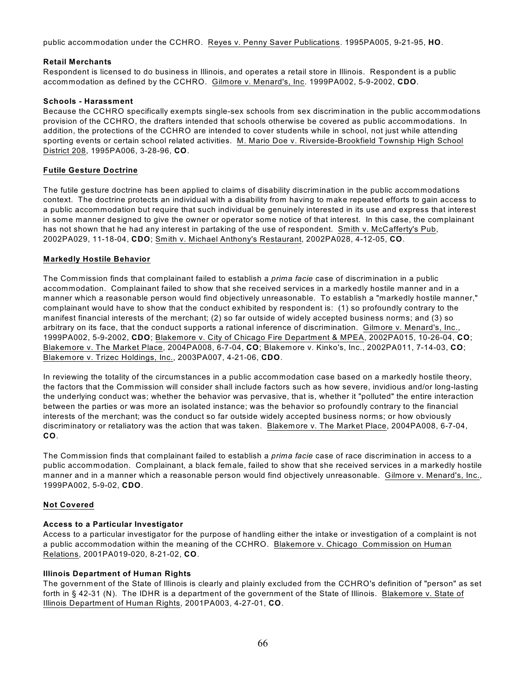public accommodation under the CCHRO. Reyes v. Penny Saver Publications. 1995PA005, 9-21-95, **HO**.

#### **Retail Merchants**

Respondent is licensed to do business in Illinois, and operates a retail store in Illinois. Respondent is a public accommodation as defined by the CCHRO. Gilmore v. Menard's, Inc. 1999PA002, 5-9-2002, **CDO**.

#### **Schools - Harassment**

Because the CCHRO specifically exempts single-sex schools from sex discrimination in the public accommodations provision of the CCHRO, the drafters intended that schools otherwise be covered as public accommodations. In addition, the protections of the CCHRO are intended to cover students while in school, not just while attending sporting events or certain school related activities. M. Mario Doe v. Riverside-Brookfield Township High School District 208, 1995PA006, 3-28-96, **CO**.

#### **Futile Gesture Doctrine**

The futile gesture doctrine has been applied to claims of disability discrimination in the public accommodations context. The doctrine protects an individual with a disability from having to make repeated efforts to gain access to a public accommodation but require that such individual be genuinely interested in its use and express that interest in some manner designed to give the owner or operator some notice of that interest. In this case, the complainant has not shown that he had any interest in partaking of the use of respondent. Smith v. McCafferty's Pub, 2002PA029, 11-18-04, **CDO**; Smith v. Michael Anthony's Restaurant, 2002PA028, 4-12-05, **CO**.

#### **Markedly Hostile Behavior**

The Commission finds that complainant failed to establish a *prima facie* case of discrimination in a public accommodation. Complainant failed to show that she received services in a markedly hostile manner and in a manner which a reasonable person would find objectively unreasonable. To establish a "markedly hostile manner," complainant would have to show that the conduct exhibited by respondent is: (1) so profoundly contrary to the manifest financial interests of the merchant; (2) so far outside of widely accepted business norms; and (3) so arbitrary on its face, that the conduct supports a rational inference of discrimination. Gilmore v. Menard's, Inc., 1999PA002, 5-9-2002, **CDO**; Blakemore v. City of Chicago Fire Department & MPEA, 2002PA015, 10-26-04, **CO**; Blakemore v. The Market Place, 2004PA008, 6-7-04, **CO**; Blakemore v. Kinko's, Inc., 2002PA011, 7-14-03, **CO**; Blakemore v. Trizec Holdings, Inc., 2003PA007, 4-21-06, **CDO**.

In reviewing the totality of the circumstances in a public accommodation case based on a markedly hostile theory, the factors that the Commission will consider shall include factors such as how severe, invidious and/or long-lasting the underlying conduct was; whether the behavior was pervasive, that is, whether it "polluted" the entire interaction between the parties or was more an isolated instance; was the behavior so profoundly contrary to the financial interests of the merchant; was the conduct so far outside widely accepted business norms; or how obviously discriminatory or retaliatory was the action that was taken. Blakemore v. The Market Place, 2004PA008, 6-7-04, **CO**.

The Commission finds that complainant failed to establish a *prima facie* case of race discrimination in access to a public accommodation. Complainant, a black female, failed to show that she received services in a markedly hostile manner and in a manner which a reasonable person would find objectively unreasonable. Gilmore v. Menard's, Inc., 1999PA002, 5-9-02, **CDO**.

## **Not Covered**

## **Access to a Particular Investigator**

Access to a particular investigator for the purpose of handling either the intake or investigation of a complaint is not a public accommodation within the meaning of the CCHRO. Blakemore v. Chicago Commission on Human Relations, 2001PA019-020, 8-21-02, **CO**.

## **Illinois Department of Human Rights**

The government of the State of Illinois is clearly and plainly excluded from the CCHRO's definition of "person" as set forth in § 42-31 (N). The IDHR is a department of the government of the State of Illinois. Blakemore v. State of Illinois Department of Human Rights, 2001PA003, 4-27-01, **CO**.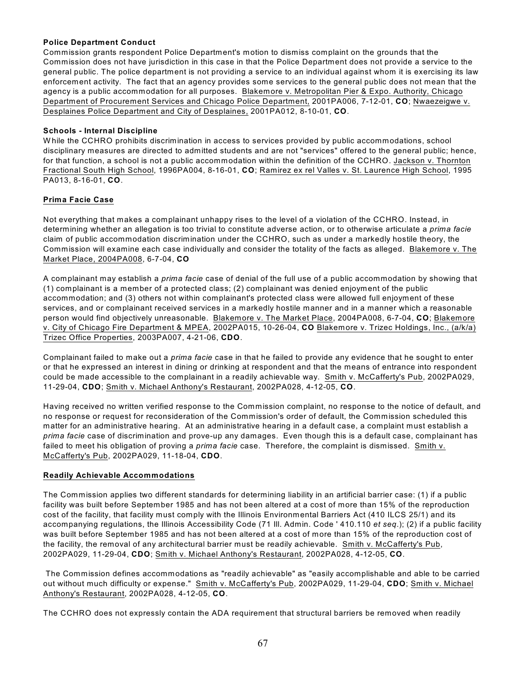# **Police Department Conduct**

Commission grants respondent Police Department's motion to dismiss complaint on the grounds that the Commission does not have jurisdiction in this case in that the Police Department does not provide a service to the general public. The police department is not providing a service to an individual against whom it is exercising its law enforcement activity. The fact that an agency provides some services to the general public does not mean that the agency is a public accommodation for all purposes. Blakemore v. Metropolitan Pier & Expo. Authority, Chicago Department of Procurement Services and Chicago Police Department, 2001PA006, 7-12-01, **CO**; Nwaezeigwe v. Desplaines Police Department and City of Desplaines, 2001PA012, 8-10-01, **CO**.

# **Schools - Internal Discipline**

W hile the CCHRO prohibits discrimination in access to services provided by public accommodations, school disciplinary measures are directed to admitted students and are not "services" offered to the general public; hence, for that function, a school is not a public accommodation within the definition of the CCHRO. Jackson v. Thornton Fractional South High School, 1996PA004, 8-16-01, **CO**; Ramirez ex rel Valles v. St. Laurence High School, 1995 PA013, 8-16-01, **CO**.

# **Prima Facie Case**

Not everything that makes a complainant unhappy rises to the level of a violation of the CCHRO. Instead, in determining whether an allegation is too trivial to constitute adverse action, or to otherwise articulate a *prima facie* claim of public accommodation discrimination under the CCHRO, such as under a markedly hostile theory, the Commission will examine each case individually and consider the totality of the facts as alleged. Blakemore v. The Market Place, 2004PA008, 6-7-04, **CO**

A complainant may establish a *prima facie* case of denial of the full use of a public accommodation by showing that (1) complainant is a member of a protected class; (2) complainant was denied enjoyment of the public accommodation; and (3) others not within complainant's protected class were allowed full enjoyment of these services, and or complainant received services in a markedly hostile manner and in a manner which a reasonable person would find objectively unreasonable. Blakemore v. The Market Place, 2004PA008, 6-7-04, **CO**; Blakemore v. City of Chicago Fire Department & MPEA, 2002PA015, 10-26-04, **CO** Blakemore v. Trizec Holdings, Inc., (a/k/a) Trizec Office Properties, 2003PA007, 4-21-06, **CDO**.

Complainant failed to make out a *prima facie* case in that he failed to provide any evidence that he sought to enter or that he expressed an interest in dining or drinking at respondent and that the means of entrance into respondent could be made accessible to the complainant in a readily achievable way. Smith v. McCafferty's Pub, 2002PA029, 11-29-04, **CDO**; Smith v. Michael Anthony's Restaurant, 2002PA028, 4-12-05, **CO**.

Having received no written verified response to the Commission complaint, no response to the notice of default, and no response or request for reconsideration of the Commission's order of default, the Commission scheduled this matter for an administrative hearing. At an administrative hearing in a default case, a complaint must establish a *prima facie* case of discrimination and prove-up any damages. Even though this is a default case, complainant has failed to meet his obligation of proving a *prima facie* case. Therefore, the complaint is dismissed. Smith v. McCafferty's Pub, 2002PA029, 11-18-04, **CDO**.

## **Readily Achievable Accommodations**

The Commission applies two different standards for determining liability in an artificial barrier case: (1) if a public facility was built before September 1985 and has not been altered at a cost of more than 15% of the reproduction cost of the facility, that facility must comply with the Illinois Environmental Barriers Act (410 ILCS 25/1) and its accompanying regulations, the Illinois Accessibility Code (71 Ill. Admin. Code ' 410.110 *et seq*.); (2) if a public facility was built before September 1985 and has not been altered at a cost of more than 15% of the reproduction cost of the facility, the removal of any architectural barrier must be readily achievable. Smith v. McCafferty's Pub, 2002PA029, 11-29-04, **CDO**; Smith v. Michael Anthony's Restaurant, 2002PA028, 4-12-05, **CO**.

 The Commission defines accommodations as "readily achievable" as "easily accomplishable and able to be carried out without much difficulty or expense." Smith v. McCafferty's Pub, 2002PA029, 11-29-04, **CDO**; Smith v. Michael Anthony's Restaurant, 2002PA028, 4-12-05, **CO**.

The CCHRO does not expressly contain the ADA requirement that structural barriers be removed when readily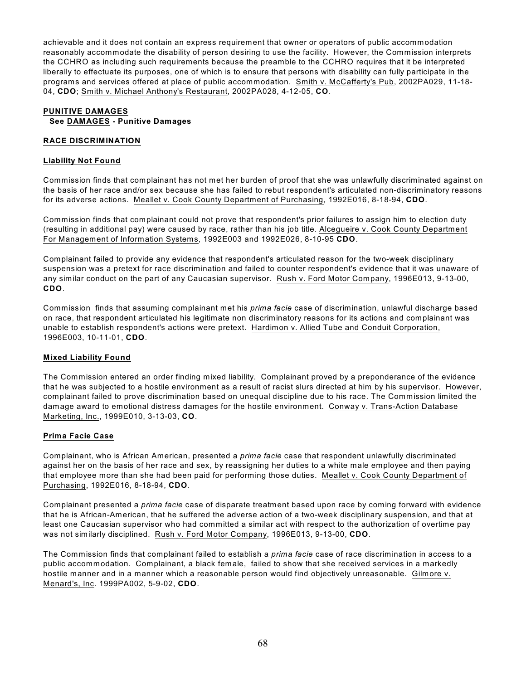achievable and it does not contain an express requirement that owner or operators of public accommodation reasonably accommodate the disability of person desiring to use the facility. However, the Commission interprets the CCHRO as including such requirements because the preamble to the CCHRO requires that it be interpreted liberally to effectuate its purposes, one of which is to ensure that persons with disability can fully participate in the programs and services offered at place of public accommodation. Smith v. McCafferty's Pub, 2002PA029, 11-18- 04, **CDO**; Smith v. Michael Anthony's Restaurant, 2002PA028, 4-12-05, **CO**.

## **PUNITIVE DAMAGES See DAMAGES - Punitive Damages**

#### **RACE DISCRIMINATION**

#### **Liability Not Found**

Commission finds that complainant has not met her burden of proof that she was unlawfully discriminated against on the basis of her race and/or sex because she has failed to rebut respondent's articulated non-discriminatory reasons for its adverse actions. Meallet v. Cook County Department of Purchasing, 1992E016, 8-18-94, **CDO**.

Commission finds that complainant could not prove that respondent's prior failures to assign him to election duty (resulting in additional pay) were caused by race, rather than his job title. Alcegueire v. Cook County Department For Management of Information Systems, 1992E003 and 1992E026, 8-10-95 **CDO**.

Complainant failed to provide any evidence that respondent's articulated reason for the two-week disciplinary suspension was a pretext for race discrimination and failed to counter respondent's evidence that it was unaware of any similar conduct on the part of any Caucasian supervisor. Rush v. Ford Motor Company, 1996E013, 9-13-00, **CDO**.

Commission finds that assuming complainant met his *prima facie* case of discrimination, unlawful discharge based on race, that respondent articulated his legitimate non discriminatory reasons for its actions and complainant was unable to establish respondent's actions were pretext. Hardimon v. Allied Tube and Conduit Corporation, 1996E003, 10-11-01, **CDO**.

## **Mixed Liability Found**

The Commission entered an order finding mixed liability. Complainant proved by a preponderance of the evidence that he was subjected to a hostile environment as a result of racist slurs directed at him by his supervisor. However, complainant failed to prove discrimination based on unequal discipline due to his race. The Commission limited the damage award to emotional distress damages for the hostile environment. Conway v. Trans-Action Database Marketing, Inc., 1999E010, 3-13-03, **CO**.

## **Prima Facie Case**

Complainant, who is African American, presented a *prima facie* case that respondent unlawfully discriminated against her on the basis of her race and sex, by reassigning her duties to a white male employee and then paying that employee more than she had been paid for performing those duties. Meallet v. Cook County Department of Purchasing, 1992E016, 8-18-94, **CDO**.

Complainant presented a *prima facie* case of disparate treatment based upon race by coming forward with evidence that he is African-American, that he suffered the adverse action of a two-week disciplinary suspension, and that at least one Caucasian supervisor who had committed a similar act with respect to the authorization of overtime pay was not similarly disciplined. Rush v. Ford Motor Company, 1996E013, 9-13-00, **CDO**.

The Commission finds that complainant failed to establish a *prima facie* case of race discrimination in access to a public accommodation. Complainant, a black female, failed to show that she received services in a markedly hostile manner and in a manner which a reasonable person would find objectively unreasonable. Gilmore v. Menard's, Inc. 1999PA002, 5-9-02, **CDO**.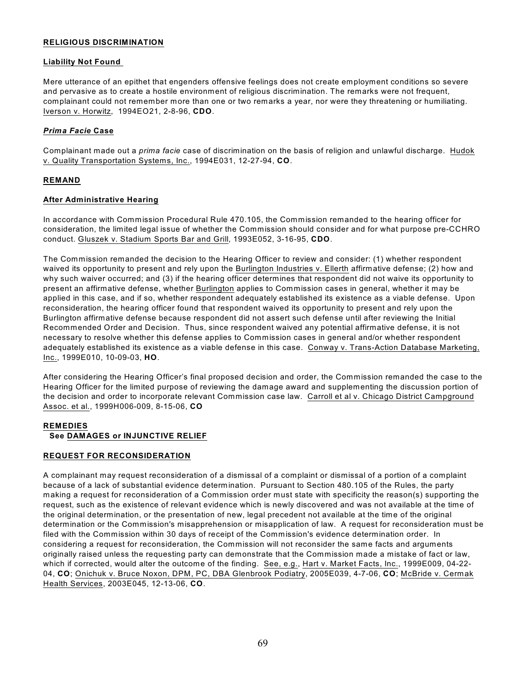#### **RELIGIOUS DISCRIMINATION**

#### **Liability Not Found**

Mere utterance of an epithet that engenders offensive feelings does not create employment conditions so severe and pervasive as to create a hostile environment of religious discrimination. The remarks were not frequent, complainant could not remember more than one or two remarks a year, nor were they threatening or humiliating. Iverson v. Horwitz, 1994EO21, 2-8-96, **CDO**.

## *Prima Facie* **Case**

Complainant made out a *prima facie* case of discrimination on the basis of religion and unlawful discharge. Hudok v. Quality Transportation Systems, Inc., 1994E031, 12-27-94, **CO**.

## **REMAND**

#### **After Administrative Hearing**

In accordance with Commission Procedural Rule 470.105, the Commission remanded to the hearing officer for consideration, the limited legal issue of whether the Commission should consider and for what purpose pre-CCHRO conduct. Gluszek v. Stadium Sports Bar and Grill, 1993E052, 3-16-95, **CDO**.

The Commission remanded the decision to the Hearing Officer to review and consider: (1) whether respondent waived its opportunity to present and rely upon the Burlington Industries v. Ellerth affirmative defense; (2) how and why such waiver occurred; and (3) if the hearing officer determines that respondent did not waive its opportunity to present an affirmative defense, whether Burlington applies to Commission cases in general, whether it may be applied in this case, and if so, whether respondent adequately established its existence as a viable defense. Upon reconsideration, the hearing officer found that respondent waived its opportunity to present and rely upon the Burlington affirmative defense because respondent did not assert such defense until after reviewing the Initial Recommended Order and Decision. Thus, since respondent waived any potential affirmative defense, it is not necessary to resolve whether this defense applies to Commission cases in general and/or whether respondent adequately established its existence as a viable defense in this case. Conway v. Trans-Action Database Marketing, Inc., 1999E010, 10-09-03, **HO**.

After considering the Hearing Officer's final proposed decision and order, the Commission remanded the case to the Hearing Officer for the limited purpose of reviewing the damage award and supplementing the discussion portion of the decision and order to incorporate relevant Commission case law. Carroll et al v. Chicago District Campground Assoc. et al., 1999H006-009, 8-15-06, **CO**

#### **REMEDIES**

## **See DAMAGES or INJUNCTIVE RELIEF**

## **REQUEST FOR RECONSIDERATION**

A complainant may request reconsideration of a dismissal of a complaint or dismissal of a portion of a complaint because of a lack of substantial evidence determination. Pursuant to Section 480.105 of the Rules, the party making a request for reconsideration of a Commission order must state with specificity the reason(s) supporting the request, such as the existence of relevant evidence which is newly discovered and was not available at the time of the original determination, or the presentation of new, legal precedent not available at the time of the original determination or the Commission's misapprehension or misapplication of law. A request for reconsideration must be filed with the Commission within 30 days of receipt of the Commission's evidence determination order. In considering a request for reconsideration, the Commission will not reconsider the same facts and arguments originally raised unless the requesting party can demonstrate that the Commission made a mistake of fact or law, which if corrected, would alter the outcome of the finding. See, e.g., Hart v. Market Facts, Inc., 1999E009, 04-22- 04, **CO**; Onichuk v. Bruce Noxon, DPM, PC, DBA Glenbrook Podiatry, 2005E039, 4-7-06, **CO**; McBride v. Cermak Health Services, 2003E045, 12-13-06, **CO**.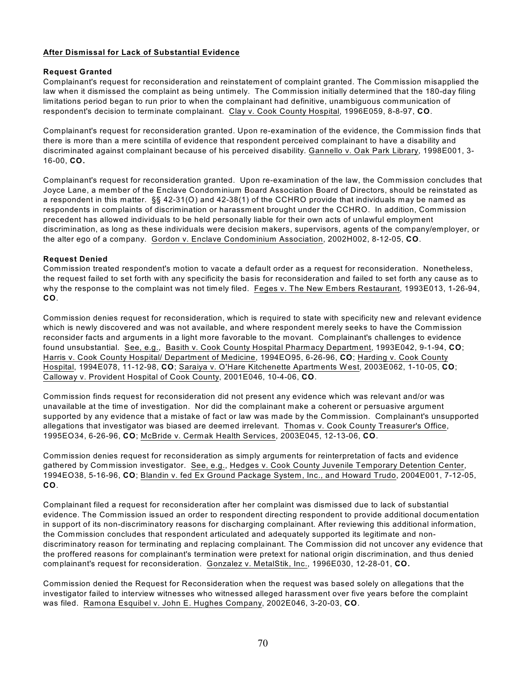# **After Dismissal for Lack of Substantial Evidence**

## **Request Granted**

Complainant's request for reconsideration and reinstatement of complaint granted. The Commission misapplied the law when it dismissed the complaint as being untimely. The Commission initially determined that the 180-day filing limitations period began to run prior to when the complainant had definitive, unambiguous communication of respondent's decision to terminate complainant. Clay v. Cook County Hospital, 1996E059, 8-8-97, **CO**.

Complainant's request for reconsideration granted. Upon re-examination of the evidence, the Commission finds that there is more than a mere scintilla of evidence that respondent perceived complainant to have a disability and discriminated against complainant because of his perceived disability. Gannello v. Oak Park Library, 1998E001, 3- 16-00, **CO.**

Complainant's request for reconsideration granted. Upon re-examination of the law, the Commission concludes that Joyce Lane, a member of the Enclave Condominium Board Association Board of Directors, should be reinstated as a respondent in this matter. §§ 42-31(O) and 42-38(1) of the CCHRO provide that individuals may be named as respondents in complaints of discrimination or harassment brought under the CCHRO. In addition, Commission precedent has allowed individuals to be held personally liable for their own acts of unlawful employment discrimination, as long as these individuals were decision makers, supervisors, agents of the company/employer, or the alter ego of a company. Gordon v. Enclave Condominium Association, 2002H002, 8-12-05, **CO**.

#### **Request Denied**

Commission treated respondent's motion to vacate a default order as a request for reconsideration. Nonetheless, the request failed to set forth with any specificity the basis for reconsideration and failed to set forth any cause as to why the response to the complaint was not timely filed. Feges v. The New Embers Restaurant, 1993E013, 1-26-94, **CO**.

Commission denies request for reconsideration, which is required to state with specificity new and relevant evidence which is newly discovered and was not available, and where respondent merely seeks to have the Commission reconsider facts and arguments in a light more favorable to the movant. Complainant's challenges to evidence found unsubstantial. See, e.g., Basith v. Cook County Hospital Pharmacy Department, 1993E042, 9-1-94, **CO**; Harris v. Cook County Hospital/ Department of Medicine, 1994EO95, 6-26-96, **CO**; Harding v. Cook County Hospital, 1994E078, 11-12-98, **CO**; Saraiya v. O'Hare Kitchenette Apartments W est, 2003E062, 1-10-05, **CO**; Calloway v. Provident Hospital of Cook County, 2001E046, 10-4-06, **CO**.

Commission finds request for reconsideration did not present any evidence which was relevant and/or was unavailable at the time of investigation. Nor did the complainant make a coherent or persuasive argument supported by any evidence that a mistake of fact or law was made by the Commission. Complainant's unsupported allegations that investigator was biased are deemed irrelevant. Thomas v. Cook County Treasurer's Office, 1995EO34, 6-26-96, **CO**; McBride v. Cermak Health Services, 2003E045, 12-13-06, **CO**.

Commission denies request for reconsideration as simply arguments for reinterpretation of facts and evidence gathered by Commission investigator. See, e.g., Hedges v. Cook County Juvenile Temporary Detention Center, 1994EO38, 5-16-96, **CO**; Blandin v. fed Ex Ground Package System, Inc., and Howard Trudo, 2004E001, 7-12-05, **CO**.

Complainant filed a request for reconsideration after her complaint was dismissed due to lack of substantial evidence. The Commission issued an order to respondent directing respondent to provide additional documentation in support of its non-discriminatory reasons for discharging complainant. After reviewing this additional information, the Commission concludes that respondent articulated and adequately supported its legitimate and nondiscriminatory reason for terminating and replacing complainant. The Commission did not uncover any evidence that the proffered reasons for complainant's termination were pretext for national origin discrimination, and thus denied complainant's request for reconsideration. Gonzalez v. MetalStik, Inc., 1996E030, 12-28-01, **CO.**

Commission denied the Request for Reconsideration when the request was based solely on allegations that the investigator failed to interview witnesses who witnessed alleged harassment over five years before the complaint was filed. Ramona Esquibel v. John E. Hughes Company, 2002E046, 3-20-03, **CO**.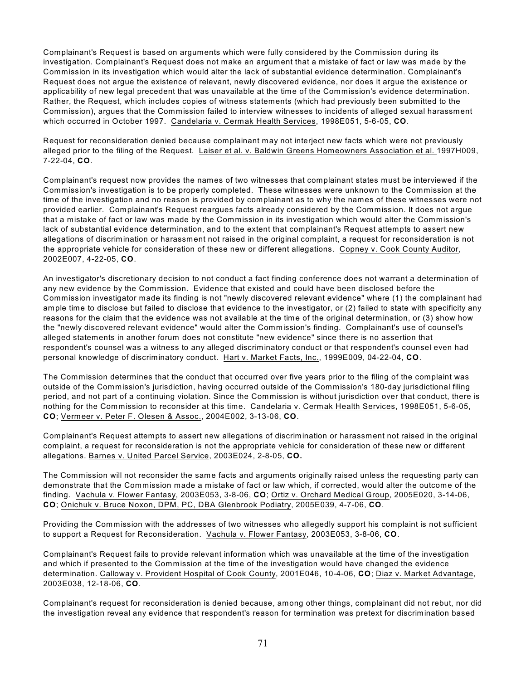Complainant's Request is based on arguments which were fully considered by the Commission during its investigation. Complainant's Request does not make an argument that a mistake of fact or law was made by the Commission in its investigation which would alter the lack of substantial evidence determination. Complainant's Request does not argue the existence of relevant, newly discovered evidence, nor does it argue the existence or applicability of new legal precedent that was unavailable at the time of the Commission's evidence determination. Rather, the Request, which includes copies of witness statements (which had previously been submitted to the Commission), argues that the Commission failed to interview witnesses to incidents of alleged sexual harassment which occurred in October 1997. Candelaria v. Cermak Health Services, 1998E051, 5-6-05, **CO**.

Request for reconsideration denied because complainant may not interject new facts which were not previously alleged prior to the filing of the Request. Laiser et al. v. Baldwin Greens Homeowners Association et al. 1997H009, 7-22-04, **CO**.

Complainant's request now provides the names of two witnesses that complainant states must be interviewed if the Commission's investigation is to be properly completed. These witnesses were unknown to the Commission at the time of the investigation and no reason is provided by complainant as to why the names of these witnesses were not provided earlier. Complainant's Request reargues facts already considered by the Commission. It does not argue that a mistake of fact or law was made by the Commission in its investigation which would alter the Commission's lack of substantial evidence determination, and to the extent that complainant's Request attempts to assert new allegations of discrimination or harassment not raised in the original complaint, a request for reconsideration is not the appropriate vehicle for consideration of these new or different allegations. Copney v. Cook County Auditor, 2002E007, 4-22-05, **CO**.

An investigator's discretionary decision to not conduct a fact finding conference does not warrant a determination of any new evidence by the Commission. Evidence that existed and could have been disclosed before the Commission investigator made its finding is not "newly discovered relevant evidence" where (1) the complainant had ample time to disclose but failed to disclose that evidence to the investigator, or (2) failed to state with specificity any reasons for the claim that the evidence was not available at the time of the original determination, or (3) show how the "newly discovered relevant evidence" would alter the Commission's finding. Complainant's use of counsel's alleged statements in another forum does not constitute "new evidence" since there is no assertion that respondent's counsel was a witness to any alleged discriminatory conduct or that respondent's counsel even had personal knowledge of discriminatory conduct. Hart v. Market Facts, Inc., 1999E009, 04-22-04, **CO**.

The Commission determines that the conduct that occurred over five years prior to the filing of the complaint was outside of the Commission's jurisdiction, having occurred outside of the Commission's 180-day jurisdictional filing period, and not part of a continuing violation. Since the Commission is without jurisdiction over that conduct, there is nothing for the Commission to reconsider at this time. Candelaria v. Cermak Health Services, 1998E051, 5-6-05, **CO**; Vermeer v. Peter F. Olesen & Assoc., 2004E002, 3-13-06, **CO**.

Complainant's Request attempts to assert new allegations of discrimination or harassment not raised in the original complaint, a request for reconsideration is not the appropriate vehicle for consideration of these new or different allegations. Barnes v. United Parcel Service, 2003E024, 2-8-05, **CO.**

The Commission will not reconsider the same facts and arguments originally raised unless the requesting party can demonstrate that the Commission made a mistake of fact or law which, if corrected, would alter the outcome of the finding. Vachula v. Flower Fantasy, 2003E053, 3-8-06, **CO**; Ortiz v. Orchard Medical Group, 2005E020, 3-14-06, **CO**; Onichuk v. Bruce Noxon, DPM, PC, DBA Glenbrook Podiatry, 2005E039, 4-7-06, **CO**.

Providing the Commission with the addresses of two witnesses who allegedly support his complaint is not sufficient to support a Request for Reconsideration. Vachula v. Flower Fantasy, 2003E053, 3-8-06, **CO**.

Complainant's Request fails to provide relevant information which was unavailable at the time of the investigation and which if presented to the Commission at the time of the investigation would have changed the evidence determination. Calloway v. Provident Hospital of Cook County, 2001E046, 10-4-06, **CO**; Diaz v. Market Advantage, 2003E038, 12-18-06, **CO**.

Complainant's request for reconsideration is denied because, among other things, complainant did not rebut, nor did the investigation reveal any evidence that respondent's reason for termination was pretext for discrimination based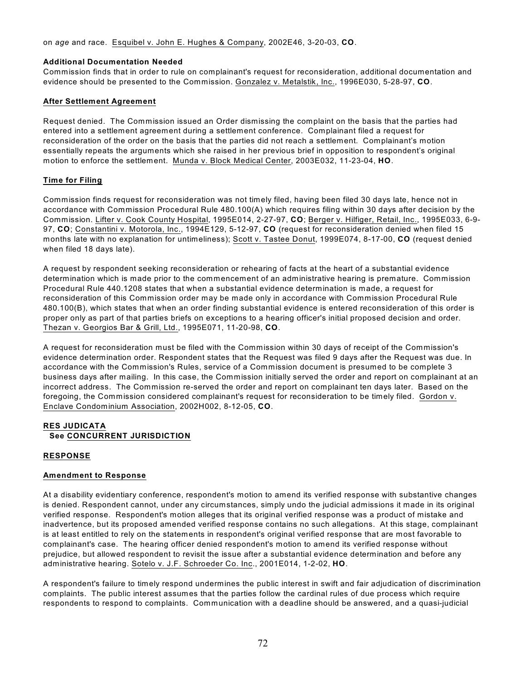on *age* and race. Esquibel v. John E. Hughes & Company, 2002E46, 3-20-03, **CO**.

#### **Additional Documentation Needed**

Commission finds that in order to rule on complainant's request for reconsideration, additional documentation and evidence should be presented to the Commission. Gonzalez v. Metalstik, Inc., 1996E030, 5-28-97, **CO**.

## **After Settlement Agreement**

Request denied. The Commission issued an Order dismissing the complaint on the basis that the parties had entered into a settlement agreement during a settlement conference. Complainant filed a request for reconsideration of the order on the basis that the parties did not reach a settlement. Complainant's motion essentially repeats the arguments which she raised in her previous brief in opposition to respondent's original motion to enforce the settlement. Munda v. Block Medical Center, 2003E032, 11-23-04, **HO**.

## **Time for Filing**

Commission finds request for reconsideration was not timely filed, having been filed 30 days late, hence not in accordance with Commission Procedural Rule 480.100(A) which requires filing within 30 days after decision by the Commission. Lifter v. Cook County Hospital, 1995E014, 2-27-97, **CO**; Berger v. Hilfiger, Retail, Inc., 1995E033, 6-9- 97, **CO**; Constantini v. Motorola, Inc., 1994E129, 5-12-97, **CO** (request for reconsideration denied when filed 15 months late with no explanation for untimeliness); Scott v. Tastee Donut, 1999E074, 8-17-00, **CO** (request denied when filed 18 days late).

A request by respondent seeking reconsideration or rehearing of facts at the heart of a substantial evidence determination which is made prior to the commencement of an administrative hearing is premature. Commission Procedural Rule 440.1208 states that when a substantial evidence determination is made, a request for reconsideration of this Commission order may be made only in accordance with Commission Procedural Rule 480.100(B), which states that when an order finding substantial evidence is entered reconsideration of this order is proper only as part of that parties briefs on exceptions to a hearing officer's initial proposed decision and order. Thezan v. Georgios Bar & Grill, Ltd., 1995E071, 11-20-98, **CO**.

A request for reconsideration must be filed with the Commission within 30 days of receipt of the Commission's evidence determination order. Respondent states that the Request was filed 9 days after the Request was due. In accordance with the Commission's Rules, service of a Commission document is presumed to be complete 3 business days after mailing. In this case, the Commission initially served the order and report on complainant at an incorrect address. The Commission re-served the order and report on complainant ten days later. Based on the foregoing, the Commission considered complainant's request for reconsideration to be timely filed. Gordon v. Enclave Condominium Association, 2002H002, 8-12-05, **CO**.

# **RES JUDICATA See CONCURRENT JURISDICTION**

## **RESPONSE**

## **Amendment to Response**

At a disability evidentiary conference, respondent's motion to amend its verified response with substantive changes is denied. Respondent cannot, under any circumstances, simply undo the judicial admissions it made in its original verified response. Respondent's motion alleges that its original verified response was a product of mistake and inadvertence, but its proposed amended verified response contains no such allegations. At this stage, complainant is at least entitled to rely on the statements in respondent's original verified response that are most favorable to complainant's case. The hearing officer denied respondent's motion to amend its verified response without prejudice, but allowed respondent to revisit the issue after a substantial evidence determination and before any administrative hearing. Sotelo v. J.F. Schroeder Co. Inc., 2001E014, 1-2-02, **HO**.

A respondent's failure to timely respond undermines the public interest in swift and fair adjudication of discrimination complaints. The public interest assumes that the parties follow the cardinal rules of due process which require respondents to respond to complaints. Communication with a deadline should be answered, and a quasi-judicial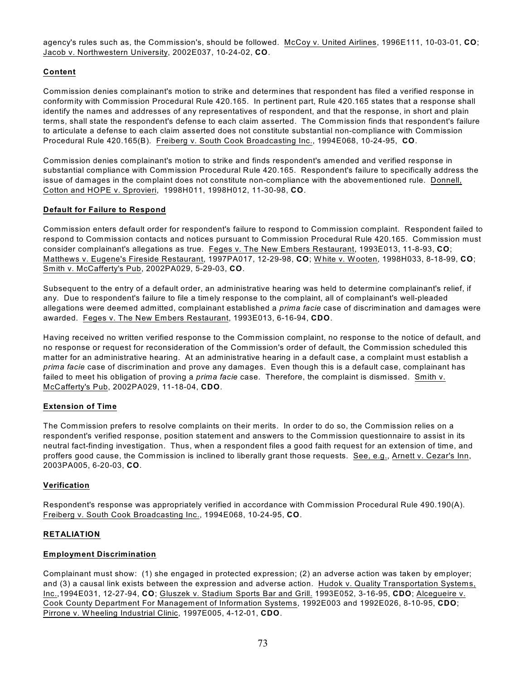agency's rules such as, the Commission's, should be followed. McCoy v. United Airlines, 1996E111, 10-03-01, **CO**; Jacob v. Northwestern University, 2002E037, 10-24-02, **CO**.

# **Content**

Commission denies complainant's motion to strike and determines that respondent has filed a verified response in conformity with Commission Procedural Rule 420.165. In pertinent part, Rule 420.165 states that a response shall identify the names and addresses of any representatives of respondent, and that the response, in short and plain terms, shall state the respondent's defense to each claim asserted. The Commission finds that respondent's failure to articulate a defense to each claim asserted does not constitute substantial non-compliance with Commission Procedural Rule 420.165(B). Freiberg v. South Cook Broadcasting Inc., 1994E068, 10-24-95, **CO**.

Commission denies complainant's motion to strike and finds respondent's amended and verified response in substantial compliance with Commission Procedural Rule 420.165. Respondent's failure to specifically address the issue of damages in the complaint does not constitute non-compliance with the abovementioned rule. Donnell, Cotton and HOPE v. Sprovieri, 1998H011, 1998H012, 11-30-98, **CO**.

## **Default for Failure to Respond**

Commission enters default order for respondent's failure to respond to Commission complaint. Respondent failed to respond to Commission contacts and notices pursuant to Commission Procedural Rule 420.165. Commission must consider complainant's allegations as true. Feges v. The New Embers Restaurant, 1993E013, 11-8-93, **CO**; Matthews v. Eugene's Fireside Restaurant, 1997PA017, 12-29-98, **CO**; White v. W ooten, 1998H033, 8-18-99, **CO**; Smith v. McCafferty's Pub, 2002PA029, 5-29-03, **CO**.

Subsequent to the entry of a default order, an administrative hearing was held to determine complainant's relief, if any. Due to respondent's failure to file a timely response to the complaint, all of complainant's well-pleaded allegations were deemed admitted, complainant established a *prima facie* case of discrimination and damages were awarded. Feges v. The New Embers Restaurant, 1993E013, 6-16-94, **CDO**.

Having received no written verified response to the Commission complaint, no response to the notice of default, and no response or request for reconsideration of the Commission's order of default, the Commission scheduled this matter for an administrative hearing. At an administrative hearing in a default case, a complaint must establish a *prima facie* case of discrimination and prove any damages. Even though this is a default case, complainant has failed to meet his obligation of proving a *prima facie* case. Therefore, the complaint is dismissed. Smith v. McCafferty's Pub, 2002PA029, 11-18-04, **CDO**.

## **Extension of Time**

The Commission prefers to resolve complaints on their merits. In order to do so, the Commission relies on a respondent's verified response, position statement and answers to the Commission questionnaire to assist in its neutral fact-finding investigation. Thus, when a respondent files a good faith request for an extension of time, and proffers good cause, the Commission is inclined to liberally grant those requests. See, e.g., Arnett v. Cezar's Inn, 2003PA005, 6-20-03, **CO**.

## **Verification**

Respondent's response was appropriately verified in accordance with Commission Procedural Rule 490.190(A). Freiberg v. South Cook Broadcasting Inc., 1994E068, 10-24-95, **CO**.

## **RETALIATION**

## **Employment Discrimination**

Complainant must show: (1) she engaged in protected expression; (2) an adverse action was taken by employer; and (3) a causal link exists between the expression and adverse action. Hudok v. Quality Transportation Systems, Inc.,1994E031, 12-27-94, **CO**; Gluszek v. Stadium Sports Bar and Grill. 1993E052, 3-16-95, **CDO**; Alcegueire v. Cook County Department For Management of Information Systems, 1992E003 and 1992E026, 8-10-95, **CDO**; Pirrone v. W heeling Industrial Clinic, 1997E005, 4-12-01, **CDO**.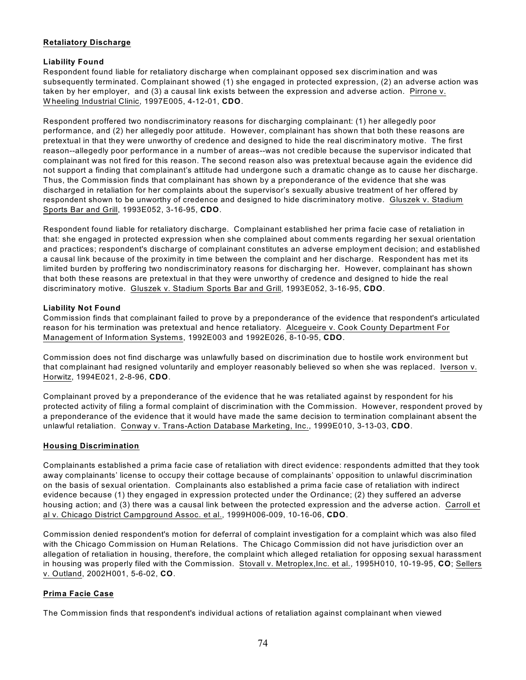## **Retaliatory Discharge**

## **Liability Found**

Respondent found liable for retaliatory discharge when complainant opposed sex discrimination and was subsequently terminated. Complainant showed (1) she engaged in protected expression, (2) an adverse action was taken by her employer, and (3) a causal link exists between the expression and adverse action. Pirrone v. W heeling Industrial Clinic, 1997E005, 4-12-01, **CDO**.

Respondent proffered two nondiscriminatory reasons for discharging complainant: (1) her allegedly poor performance, and (2) her allegedly poor attitude. However, complainant has shown that both these reasons are pretextual in that they were unworthy of credence and designed to hide the real discriminatory motive. The first reason--allegedly poor performance in a number of areas--was not credible because the supervisor indicated that complainant was not fired for this reason. The second reason also was pretextual because again the evidence did not support a finding that complainant's attitude had undergone such a dramatic change as to cause her discharge. Thus, the Commission finds that complainant has shown by a preponderance of the evidence that she was discharged in retaliation for her complaints about the supervisor's sexually abusive treatment of her offered by respondent shown to be unworthy of credence and designed to hide discriminatory motive. Gluszek v. Stadium Sports Bar and Grill, 1993E052, 3-16-95, **CDO**.

Respondent found liable for retaliatory discharge. Complainant established her prima facie case of retaliation in that: she engaged in protected expression when she complained about comments regarding her sexual orientation and practices; respondent's discharge of complainant constitutes an adverse employment decision; and established a causal link because of the proximity in time between the complaint and her discharge. Respondent has met its limited burden by proffering two nondiscriminatory reasons for discharging her. However, complainant has shown that both these reasons are pretextual in that they were unworthy of credence and designed to hide the real discriminatory motive. Gluszek v. Stadium Sports Bar and Grill, 1993E052, 3-16-95, **CDO**.

#### **Liability Not Found**

Commission finds that complainant failed to prove by a preponderance of the evidence that respondent's articulated reason for his termination was pretextual and hence retaliatory. Alcegueire v. Cook County Department For Management of Information Systems, 1992E003 and 1992E026, 8-10-95, **CDO**.

Commission does not find discharge was unlawfully based on discrimination due to hostile work environment but that complainant had resigned voluntarily and employer reasonably believed so when she was replaced. Iverson v. Horwitz, 1994E021, 2-8-96, **CDO**.

Complainant proved by a preponderance of the evidence that he was retaliated against by respondent for his protected activity of filing a formal complaint of discrimination with the Commission. However, respondent proved by a preponderance of the evidence that it would have made the same decision to termination complainant absent the unlawful retaliation. Conway v. Trans-Action Database Marketing, Inc., 1999E010, 3-13-03, **CDO**.

## **Housing Discrimination**

Complainants established a prima facie case of retaliation with direct evidence: respondents admitted that they took away complainants' license to occupy their cottage because of complainants' opposition to unlawful discrimination on the basis of sexual orientation. Complainants also established a prima facie case of retaliation with indirect evidence because (1) they engaged in expression protected under the Ordinance; (2) they suffered an adverse housing action; and (3) there was a causal link between the protected expression and the adverse action. Carroll et al v. Chicago District Campground Assoc. et al., 1999H006-009, 10-16-06, **CDO**.

Commission denied respondent's motion for deferral of complaint investigation for a complaint which was also filed with the Chicago Commission on Human Relations. The Chicago Commission did not have jurisdiction over an allegation of retaliation in housing, therefore, the complaint which alleged retaliation for opposing sexual harassment in housing was properly filed with the Commission. Stovall v. Metroplex,Inc. et al., 1995H010, 10-19-95, **CO**; Sellers v. Outland, 2002H001, 5-6-02, **CO**.

## **Prima Facie Case**

The Commission finds that respondent's individual actions of retaliation against complainant when viewed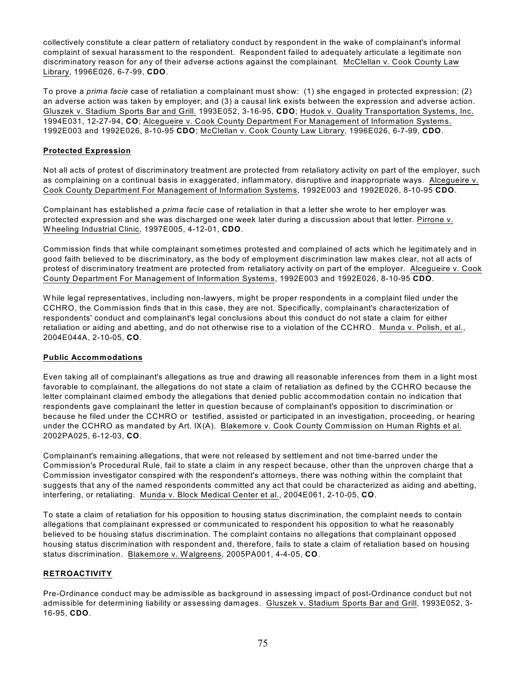collectively constitute a clear pattern of retaliatory conduct by respondent in the wake of complainant's informal complaint of sexual harassment to the respondent. Respondent failed to adequately articulate a legitimate non discriminatory reason for any of their adverse actions against the complainant. McClellan v. Cook County Law Library, 1996E026, 6-7-99, **CDO**.

To prove a *prima facie* case of retaliation a complainant must show: (1) she engaged in protected expression; (2) an adverse action was taken by employer; and (3) a causal link exists between the expression and adverse action. Gluszek v. Stadium Sports Bar and Grill. 1993E052, 3-16-95, **CDO**; Hudok v. Quality Transportation Systems, Inc. 1994E031, 12-27-94, **CO**; Alcegueire v. Cook County Department For Management of Information Systems. 1992E003 and 1992E026, 8-10-95 **CDO**; McClellan v. Cook County Law Library, 1996E026, 6-7-99, **CDO**.

# **Protected Expression**

Not all acts of protest of discriminatory treatment are protected from retaliatory activity on part of the employer, such as complaining on a continual basis in exaggerated, inflammatory, disruptive and inappropriate ways. Alcegueire v. Cook County Department For Management of Information Systems, 1992E003 and 1992E026, 8-10-95 **CDO**.

Complainant has established a *prima facie* case of retaliation in that a letter she wrote to her employer was protected expression and she was discharged one week later during a discussion about that letter. Pirrone v. W heeling Industrial Clinic, 1997E005, 4-12-01, **CDO**.

Commission finds that while complainant sometimes protested and complained of acts which he legitimately and in good faith believed to be discriminatory, as the body of employment discrimination law makes clear, not all acts of protest of discriminatory treatment are protected from retaliatory activity on part of the employer. Alcegueire v. Cook County Department For Management of Information Systems, 1992E003 and 1992E026, 8-10-95 **CDO**.

W hile legal representatives, including non-lawyers, might be proper respondents in a complaint filed under the CCHRO, the Commission finds that in this case, they are not. Specifically, complainant's characterization of respondents' conduct and complainant's legal conclusions about this conduct do not state a claim for either retaliation or aiding and abetting, and do not otherwise rise to a violation of the CCHRO. Munda v. Polish, et al., 2004E044A, 2-10-05, **CO**.

## **Public Accommodations**

Even taking all of complainant's allegations as true and drawing all reasonable inferences from them in a light most favorable to complainant, the allegations do not state a claim of retaliation as defined by the CCHRO because the letter complainant claimed embody the allegations that denied public accommodation contain no indication that respondents gave complainant the letter in question because of complainant's opposition to discrimination or because he filed under the CCHRO or testified, assisted or participated in an investigation, proceeding, or hearing under the CCHRO as mandated by Art. IX(A). Blakemore v. Cook County Commission on Human Rights et al. 2002PA025, 6-12-03, **CO**.

Complainant's remaining allegations, that were not released by settlement and not time-barred under the Commission's Procedural Rule, fail to state a claim in any respect because, other than the unproven charge that a Commission investigator conspired with the respondent's attorneys, there was nothing within the complaint that suggests that any of the named respondents committed any act that could be characterized as aiding and abetting, interfering, or retaliating. Munda v. Block Medical Center et al., 2004E061, 2-10-05, **CO**.

To state a claim of retaliation for his opposition to housing status discrimination, the complaint needs to contain allegations that complainant expressed or communicated to respondent his opposition to what he reasonably believed to be housing status discrimination. The complaint contains no allegations that complainant opposed housing status discrimination with respondent and, therefore, fails to state a claim of retaliation based on housing status discrimination. Blakemore v. W algreens, 2005PA001, 4-4-05, **CO**.

## **RETROACTIVITY**

Pre-Ordinance conduct may be admissible as background in assessing impact of post-Ordinance conduct but not admissible for determining liability or assessing damages. Gluszek v. Stadium Sports Bar and Grill, 1993E052, 3- 16-95, **CDO**.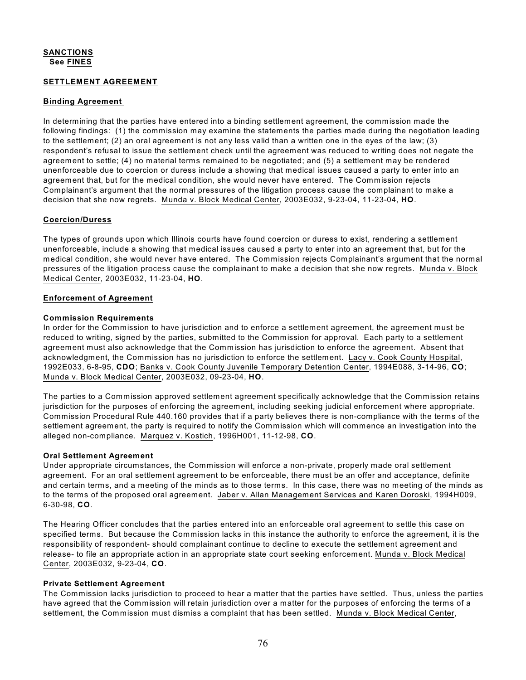# **SANCTIONS See FINES**

#### **SETTLEMENT AGREEMENT**

#### **Binding Agreement**

In determining that the parties have entered into a binding settlement agreement, the commission made the following findings: (1) the commission may examine the statements the parties made during the negotiation leading to the settlement; (2) an oral agreement is not any less valid than a written one in the eyes of the law; (3) respondent's refusal to issue the settlement check until the agreement was reduced to writing does not negate the agreement to settle; (4) no material terms remained to be negotiated; and (5) a settlement may be rendered unenforceable due to coercion or duress include a showing that medical issues caused a party to enter into an agreement that, but for the medical condition, she would never have entered. The Commission rejects Complainant's argument that the normal pressures of the litigation process cause the complainant to make a decision that she now regrets. Munda v. Block Medical Center, 2003E032, 9-23-04, 11-23-04, **HO**.

#### **Coercion/Duress**

The types of grounds upon which Illinois courts have found coercion or duress to exist, rendering a settlement unenforceable, include a showing that medical issues caused a party to enter into an agreement that, but for the medical condition, she would never have entered. The Commission rejects Complainant's argument that the normal pressures of the litigation process cause the complainant to make a decision that she now regrets. Munda v. Block Medical Center, 2003E032, 11-23-04, **HO**.

#### **Enforcement of Agreement**

#### **Commission Requirements**

In order for the Commission to have jurisdiction and to enforce a settlement agreement, the agreement must be reduced to writing, signed by the parties, submitted to the Commission for approval. Each party to a settlement agreement must also acknowledge that the Commission has jurisdiction to enforce the agreement. Absent that acknowledgment, the Commission has no jurisdiction to enforce the settlement. Lacy v. Cook County Hospital, 1992E033, 6-8-95, **CDO**; Banks v. Cook County Juvenile Temporary Detention Center, 1994E088, 3-14-96, **CO**; Munda v. Block Medical Center, 2003E032, 09-23-04, **HO**.

The parties to a Commission approved settlement agreement specifically acknowledge that the Commission retains jurisdiction for the purposes of enforcing the agreement, including seeking judicial enforcement where appropriate. Commission Procedural Rule 440.160 provides that if a party believes there is non-compliance with the terms of the settlement agreement, the party is required to notify the Commission which will commence an investigation into the alleged non-compliance. Marquez v. Kostich, 1996H001, 11-12-98, **CO**.

#### **Oral Settlement Agreement**

Under appropriate circumstances, the Commission will enforce a non-private, properly made oral settlement agreement. For an oral settlement agreement to be enforceable, there must be an offer and acceptance, definite and certain terms, and a meeting of the minds as to those terms. In this case, there was no meeting of the minds as to the terms of the proposed oral agreement. Jaber v. Allan Management Services and Karen Doroski, 1994H009, 6-30-98, **CO**.

The Hearing Officer concludes that the parties entered into an enforceable oral agreement to settle this case on specified terms. But because the Commission lacks in this instance the authority to enforce the agreement, it is the responsibility of respondent- should complainant continue to decline to execute the settlement agreement and release- to file an appropriate action in an appropriate state court seeking enforcement. Munda v. Block Medical Center, 2003E032, 9-23-04, **CO**.

#### **Private Settlement Agreement**

The Commission lacks jurisdiction to proceed to hear a matter that the parties have settled. Thus, unless the parties have agreed that the Commission will retain jurisdiction over a matter for the purposes of enforcing the terms of a settlement, the Commission must dismiss a complaint that has been settled. Munda v. Block Medical Center,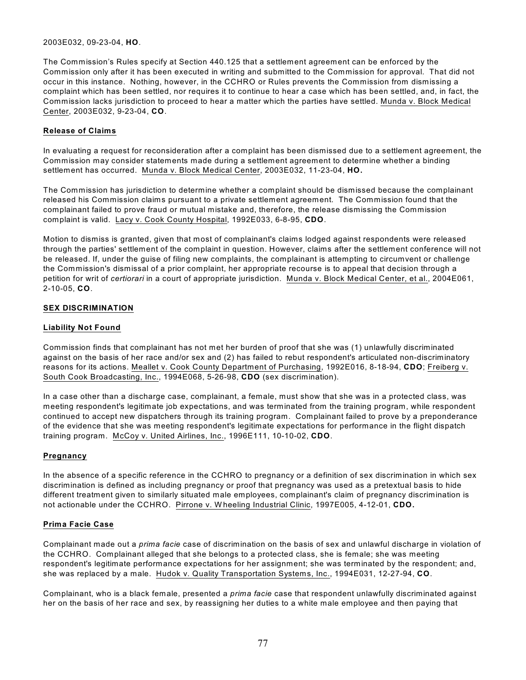#### 2003E032, 09-23-04, **HO**.

The Commission's Rules specify at Section 440.125 that a settlement agreement can be enforced by the Commission only after it has been executed in writing and submitted to the Commission for approval. That did not occur in this instance. Nothing, however, in the CCHRO or Rules prevents the Commission from dismissing a complaint which has been settled, nor requires it to continue to hear a case which has been settled, and, in fact, the Commission lacks jurisdiction to proceed to hear a matter which the parties have settled. Munda v. Block Medical Center, 2003E032, 9-23-04, **CO**.

# **Release of Claims**

In evaluating a request for reconsideration after a complaint has been dismissed due to a settlement agreement, the Commission may consider statements made during a settlement agreement to determine whether a binding settlement has occurred. Munda v. Block Medical Center, 2003E032, 11-23-04, **HO.**

The Commission has jurisdiction to determine whether a complaint should be dismissed because the complainant released his Commission claims pursuant to a private settlement agreement. The Commission found that the complainant failed to prove fraud or mutual mistake and, therefore, the release dismissing the Commission complaint is valid. Lacy v. Cook County Hospital, 1992E033, 6-8-95, **CDO**.

Motion to dismiss is granted, given that most of complainant's claims lodged against respondents were released through the parties' settlement of the complaint in question. However, claims after the settlement conference will not be released. If, under the guise of filing new complaints, the complainant is attempting to circumvent or challenge the Commission's dismissal of a prior complaint, her appropriate recourse is to appeal that decision through a petition for writ of *certiorari* in a court of appropriate jurisdiction. Munda v. Block Medical Center, et al., 2004E061, 2-10-05, **CO**.

# **SEX DISCRIMINATION**

# **Liability Not Found**

Commission finds that complainant has not met her burden of proof that she was (1) unlawfully discriminated against on the basis of her race and/or sex and (2) has failed to rebut respondent's articulated non-discriminatory reasons for its actions. Meallet v. Cook County Department of Purchasing, 1992E016, 8-18-94, **CDO**; Freiberg v. South Cook Broadcasting, Inc., 1994E068, 5-26-98, **CDO** (sex discrimination).

In a case other than a discharge case, complainant, a female, must show that she was in a protected class, was meeting respondent's legitimate job expectations, and was terminated from the training program, while respondent continued to accept new dispatchers through its training program. Complainant failed to prove by a preponderance of the evidence that she was meeting respondent's legitimate expectations for performance in the flight dispatch training program. McCoy v. United Airlines, Inc., 1996E111, 10-10-02, **CDO**.

## **Pregnancy**

In the absence of a specific reference in the CCHRO to pregnancy or a definition of sex discrimination in which sex discrimination is defined as including pregnancy or proof that pregnancy was used as a pretextual basis to hide different treatment given to similarly situated male employees, complainant's claim of pregnancy discrimination is not actionable under the CCHRO. Pirrone v. W heeling Industrial Clinic, 1997E005, 4-12-01, **CDO.**

## **Prima Facie Case**

Complainant made out a *prima facie* case of discrimination on the basis of sex and unlawful discharge in violation of the CCHRO. Complainant alleged that she belongs to a protected class, she is female; she was meeting respondent's legitimate performance expectations for her assignment; she was terminated by the respondent; and, she was replaced by a male. Hudok v. Quality Transportation Systems, Inc., 1994E031, 12-27-94, **CO**.

Complainant, who is a black female, presented a *prima facie* case that respondent unlawfully discriminated against her on the basis of her race and sex, by reassigning her duties to a white male employee and then paying that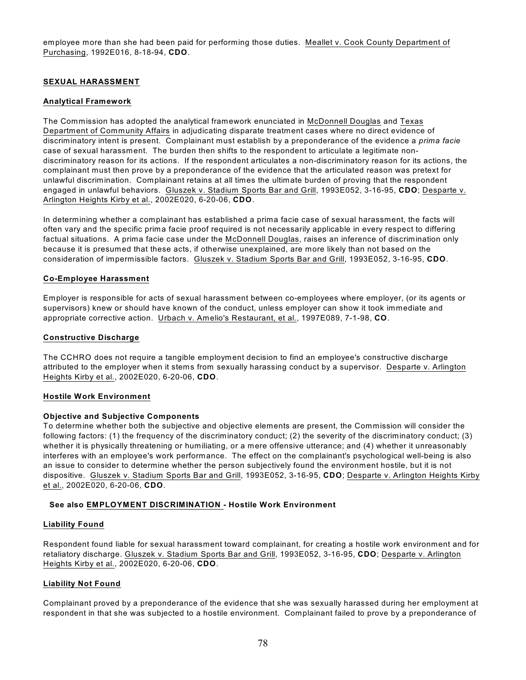employee more than she had been paid for performing those duties. Meallet v. Cook County Department of Purchasing, 1992E016, 8-18-94, **CDO**.

## **SEXUAL HARASSMENT**

#### **Analytical Framework**

The Commission has adopted the analytical framework enunciated in McDonnell Douglas and Texas Department of Community Affairs in adjudicating disparate treatment cases where no direct evidence of discriminatory intent is present. Complainant must establish by a preponderance of the evidence a *prima facie* case of sexual harassment. The burden then shifts to the respondent to articulate a legitimate nondiscriminatory reason for its actions. If the respondent articulates a non-discriminatory reason for its actions, the complainant must then prove by a preponderance of the evidence that the articulated reason was pretext for unlawful discrimination. Complainant retains at all times the ultimate burden of proving that the respondent engaged in unlawful behaviors. Gluszek v. Stadium Sports Bar and Grill, 1993E052, 3-16-95, **CDO**; Desparte v. Arlington Heights Kirby et al., 2002E020, 6-20-06, **CDO**.

In determining whether a complainant has established a prima facie case of sexual harassment, the facts will often vary and the specific prima facie proof required is not necessarily applicable in every respect to differing factual situations. A prima facie case under the McDonnell Douglas, raises an inference of discrimination only because it is presumed that these acts, if otherwise unexplained, are more likely than not based on the consideration of impermissible factors. Gluszek v. Stadium Sports Bar and Grill, 1993E052, 3-16-95, **CDO**.

#### **Co-Employee Harassment**

Employer is responsible for acts of sexual harassment between co-employees where employer, (or its agents or supervisors) knew or should have known of the conduct, unless employer can show it took immediate and appropriate corrective action. Urbach v. Amelio's Restaurant, et al., 1997E089, 7-1-98, **CO**.

#### **Constructive Discharge**

The CCHRO does not require a tangible employment decision to find an employee's constructive discharge attributed to the employer when it stems from sexually harassing conduct by a supervisor. Desparte v. Arlington Heights Kirby et al., 2002E020, 6-20-06, **CDO**.

#### **Hostile Work Environment**

#### **Objective and Subjective Components**

To determine whether both the subjective and objective elements are present, the Commission will consider the following factors: (1) the frequency of the discriminatory conduct; (2) the severity of the discriminatory conduct; (3) whether it is physically threatening or humiliating, or a mere offensive utterance; and (4) whether it unreasonably interferes with an employee's work performance. The effect on the complainant's psychological well-being is also an issue to consider to determine whether the person subjectively found the environment hostile, but it is not dispositive. Gluszek v. Stadium Sports Bar and Grill, 1993E052, 3-16-95, **CDO**; Desparte v. Arlington Heights Kirby et al., 2002E020, 6-20-06, **CDO**.

## **See also EMPLOYMENT DISCRIMINATION - Hostile Work Environment**

#### **Liability Found**

Respondent found liable for sexual harassment toward complainant, for creating a hostile work environment and for retaliatory discharge. Gluszek v. Stadium Sports Bar and Grill, 1993E052, 3-16-95, **CDO**; Desparte v. Arlington Heights Kirby et al., 2002E020, 6-20-06, **CDO**.

## **Liability Not Found**

Complainant proved by a preponderance of the evidence that she was sexually harassed during her employment at respondent in that she was subjected to a hostile environment. Complainant failed to prove by a preponderance of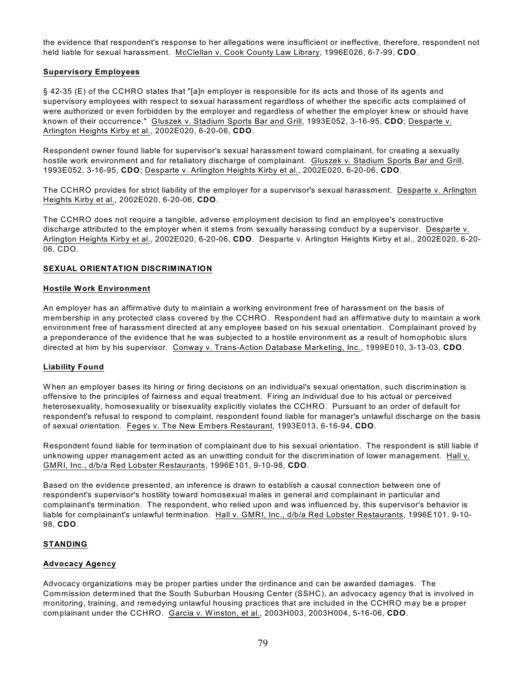the evidence that respondent's response to her allegations were insufficient or ineffective, therefore, respondent not held liable for sexual harassment. McClellan v. Cook County Law Library, 1996E026, 6-7-99, **CDO**.

# **Supervisory Employees**

§ 42-35 (E) of the CCHRO states that "[a]n employer is responsible for its acts and those of its agents and supervisory employees with respect to sexual harassment regardless of whether the specific acts complained of were authorized or even forbidden by the employer and regardless of whether the employer knew or should have known of their occurrence." Gluszek v. Stadium Sports Bar and Grill, 1993E052, 3-16-95, **CDO**; Desparte v. Arlington Heights Kirby et al., 2002E020, 6-20-06, **CDO**.

Respondent owner found liable for supervisor's sexual harassment toward complainant, for creating a sexually hostile work environment and for retaliatory discharge of complainant. Gluszek v. Stadium Sports Bar and Grill, 1993E052, 3-16-95, **CDO**; Desparte v. Arlington Heights Kirby et al., 2002E020, 6-20-06, **CDO**.

The CCHRO provides for strict liability of the employer for a supervisor's sexual harassment. Desparte v. Arlington Heights Kirby et al., 2002E020, 6-20-06, **CDO**.

The CCHRO does not require a tangible, adverse employment decision to find an employee's constructive discharge attributed to the employer when it stems from sexually harassing conduct by a supervisor. Desparte v. Arlington Heights Kirby et al., 2002E020, 6-20-06, **CDO**. Desparte v. Arlington Heights Kirby et al., 2002E020, 6-20- 06, CDO.

## **SEXUAL ORIENTATION DISCRIMINATION**

## **Hostile Work Environment**

An employer has an affirmative duty to maintain a working environment free of harassment on the basis of membership in any protected class covered by the CCHRO. Respondent had an affirmative duty to maintain a work environment free of harassment directed at any employee based on his sexual orientation. Complainant proved by a preponderance of the evidence that he was subjected to a hostile environment as a result of homophobic slurs directed at him by his supervisor. Conway v. Trans-Action Database Marketing, Inc., 1999E010, 3-13-03, **CDO**.

## **Liability Found**

W hen an employer bases its hiring or firing decisions on an individual's sexual orientation, such discrimination is offensive to the principles of fairness and equal treatment. Firing an individual due to his actual or perceived heterosexuality, homosexuality or bisexuality explicitly violates the CCHRO. Pursuant to an order of default for respondent's refusal to respond to complaint, respondent found liable for manager's unlawful discharge on the basis of sexual orientation. Feges v. The New Embers Restaurant, 1993E013, 6-16-94, **CDO**.

Respondent found liable for termination of complainant due to his sexual orientation. The respondent is still liable if unknowing upper management acted as an unwitting conduit for the discrimination of lower management. Hall v. GMRI, Inc., d/b/a Red Lobster Restaurants, 1996E101, 9-10-98, **CDO**.

Based on the evidence presented, an inference is drawn to establish a causal connection between one of respondent's supervisor's hostility toward homosexual males in general and complainant in particular and complainant's termination. The respondent, who relied upon and was influenced by, this supervisor's behavior is liable for complainant's unlawful termination. Hall v. GMRI, Inc., d/b/a Red Lobster Restaurants, 1996E101, 9-10- 98, **CDO**.

## **STANDING**

## **Advocacy Agency**

Advocacy organizations may be proper parties under the ordinance and can be awarded damages. The Commission determined that the South Suburban Housing Center (SSHC), an advocacy agency that is involved in monitoring, training, and remedying unlawful housing practices that are included in the CCHRO may be a proper complainant under the CCHRO. Garcia v. W inston, et al., 2003H003, 2003H004, 5-16-06, **CDO**.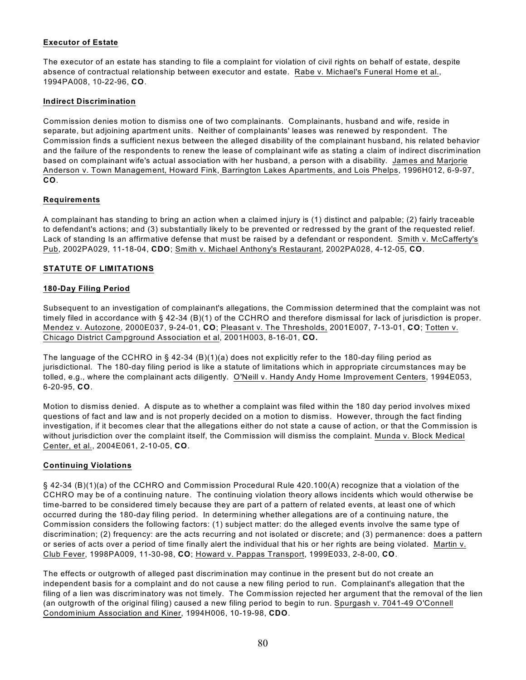# **Executor of Estate**

The executor of an estate has standing to file a complaint for violation of civil rights on behalf of estate, despite absence of contractual relationship between executor and estate. Rabe v. Michael's Funeral Home et al., 1994PA008, 10-22-96, **CO**.

# **Indirect Discrimination**

Commission denies motion to dismiss one of two complainants. Complainants, husband and wife, reside in separate, but adjoining apartment units. Neither of complainants' leases was renewed by respondent. The Commission finds a sufficient nexus between the alleged disability of the complainant husband, his related behavior and the failure of the respondents to renew the lease of complainant wife as stating a claim of indirect discrimination based on complainant wife's actual association with her husband, a person with a disability. James and Marjorie Anderson v. Town Management, Howard Fink, Barrington Lakes Apartments, and Lois Phelps, 1996H012, 6-9-97, **CO**.

# **Requirements**

A complainant has standing to bring an action when a claimed injury is (1) distinct and palpable; (2) fairly traceable to defendant's actions; and (3) substantially likely to be prevented or redressed by the grant of the requested relief. Lack of standing Is an affirmative defense that must be raised by a defendant or respondent. Smith v. McCafferty's Pub, 2002PA029, 11-18-04, **CDO**; Smith v. Michael Anthony's Restaurant, 2002PA028, 4-12-05, **CO**.

# **STATUTE OF LIMITATIONS**

# **180-Day Filing Period**

Subsequent to an investigation of complainant's allegations, the Commission determined that the complaint was not timely filed in accordance with § 42-34 (B)(1) of the CCHRO and therefore dismissal for lack of jurisdiction is proper. Mendez v. Autozone, 2000E037, 9-24-01, **CO**; Pleasant v. The Thresholds, 2001E007, 7-13-01, **CO**; Totten v. Chicago District Campground Association et al, 2001H003, 8-16-01, **CO.**

The language of the CCHRO in § 42-34 (B)(1)(a) does not explicitly refer to the 180-day filing period as jurisdictional. The 180-day filing period is like a statute of limitations which in appropriate circumstances may be tolled, e.g., where the complainant acts diligently. O'Neill v. Handy Andy Home Improvement Centers, 1994E053, 6-20-95, **CO**.

Motion to dismiss denied. A dispute as to whether a complaint was filed within the 180 day period involves mixed questions of fact and law and is not properly decided on a motion to dismiss. However, through the fact finding investigation, if it becomes clear that the allegations either do not state a cause of action, or that the Commission is without jurisdiction over the complaint itself, the Commission will dismiss the complaint. Munda v. Block Medical Center, et al., 2004E061, 2-10-05, **CO**.

## **Continuing Violations**

§ 42-34 (B)(1)(a) of the CCHRO and Commission Procedural Rule 420.100(A) recognize that a violation of the CCHRO may be of a continuing nature. The continuing violation theory allows incidents which would otherwise be time-barred to be considered timely because they are part of a pattern of related events, at least one of which occurred during the 180-day filing period. In determining whether allegations are of a continuing nature, the Commission considers the following factors: (1) subject matter: do the alleged events involve the same type of discrimination; (2) frequency: are the acts recurring and not isolated or discrete; and (3) permanence: does a pattern or series of acts over a period of time finally alert the individual that his or her rights are being violated. Martin v. Club Fever, 1998PA009, 11-30-98, **CO**; Howard v. Pappas Transport, 1999E033, 2-8-00, **CO**.

The effects or outgrowth of alleged past discrimination may continue in the present but do not create an independent basis for a complaint and do not cause a new filing period to run. Complainant's allegation that the filing of a lien was discriminatory was not timely. The Commission rejected her argument that the removal of the lien (an outgrowth of the original filing) caused a new filing period to begin to run. Spurgash v. 7041-49 O'Connell Condominium Association and Kiner, 1994H006, 10-19-98, **CDO**.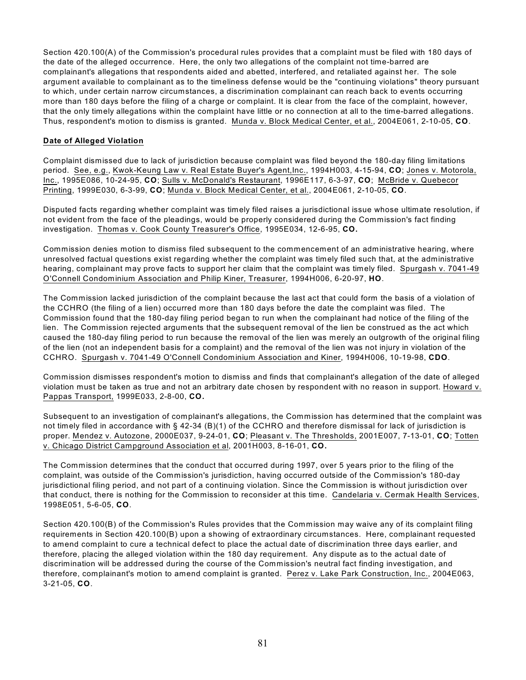Section 420.100(A) of the Commission's procedural rules provides that a complaint must be filed with 180 days of the date of the alleged occurrence. Here, the only two allegations of the complaint not time-barred are complainant's allegations that respondents aided and abetted, interfered, and retaliated against her. The sole argument available to complainant as to the timeliness defense would be the "continuing violations" theory pursuant to which, under certain narrow circumstances, a discrimination complainant can reach back to events occurring more than 180 days before the filing of a charge or complaint. It is clear from the face of the complaint, however, that the only timely allegations within the complaint have little or no connection at all to the time-barred allegations. Thus, respondent's motion to dismiss is granted. Munda v. Block Medical Center, et al., 2004E061, 2-10-05, **CO**.

# **Date of Alleged Violation**

Complaint dismissed due to lack of jurisdiction because complaint was filed beyond the 180-day filing limitations period. See, e.g., Kwok-Keung Law v. Real Estate Buyer's Agent,Inc., 1994H003, 4-15-94, **CO**; Jones v. Motorola, Inc., 1995E086, 10-24-95, **CO**; Sulls v. McDonald's Restaurant, 1996E117, 6-3-97, **CO**; McBride v. Quebecor Printing, 1999E030, 6-3-99, **CO**; Munda v. Block Medical Center, et al., 2004E061, 2-10-05, **CO**.

Disputed facts regarding whether complaint was timely filed raises a jurisdictional issue whose ultimate resolution, if not evident from the face of the pleadings, would be properly considered during the Commission's fact finding investigation. Thomas v. Cook County Treasurer's Office, 1995E034, 12-6-95, **CO.** 

Commission denies motion to dismiss filed subsequent to the commencement of an administrative hearing, where unresolved factual questions exist regarding whether the complaint was timely filed such that, at the administrative hearing, complainant may prove facts to support her claim that the complaint was timely filed. Spurgash v. 7041-49 O'Connell Condominium Association and Philip Kiner, Treasurer, 1994H006, 6-20-97, **HO**.

The Commission lacked jurisdiction of the complaint because the last act that could form the basis of a violation of the CCHRO (the filing of a lien) occurred more than 180 days before the date the complaint was filed. The Commission found that the 180-day filing period began to run when the complainant had notice of the filing of the lien. The Commission rejected arguments that the subsequent removal of the lien be construed as the act which caused the 180-day filing period to run because the removal of the lien was merely an outgrowth of the original filing of the lien (not an independent basis for a complaint) and the removal of the lien was not injury in violation of the CCHRO. Spurgash v. 7041-49 O'Connell Condominium Association and Kiner, 1994H006, 10-19-98, **CDO**.

Commission dismisses respondent's motion to dismiss and finds that complainant's allegation of the date of alleged violation must be taken as true and not an arbitrary date chosen by respondent with no reason in support. Howard v. Pappas Transport, 1999E033, 2-8-00, **CO.**

Subsequent to an investigation of complainant's allegations, the Commission has determined that the complaint was not timely filed in accordance with § 42-34 (B)(1) of the CCHRO and therefore dismissal for lack of jurisdiction is proper. Mendez v. Autozone, 2000E037, 9-24-01, **CO**; Pleasant v. The Thresholds, 2001E007, 7-13-01, **CO**; Totten v. Chicago District Campground Association et al, 2001H003, 8-16-01, **CO.**

The Commission determines that the conduct that occurred during 1997, over 5 years prior to the filing of the complaint, was outside of the Commission's jurisdiction, having occurred outside of the Commission's 180-day jurisdictional filing period, and not part of a continuing violation. Since the Commission is without jurisdiction over that conduct, there is nothing for the Commission to reconsider at this time. Candelaria v. Cermak Health Services, 1998E051, 5-6-05, **CO**.

Section 420.100(B) of the Commission's Rules provides that the Commission may waive any of its complaint filing requirements in Section 420.100(B) upon a showing of extraordinary circumstances. Here, complainant requested to amend complaint to cure a technical defect to place the actual date of discrimination three days earlier, and therefore, placing the alleged violation within the 180 day requirement. Any dispute as to the actual date of discrimination will be addressed during the course of the Commission's neutral fact finding investigation, and therefore, complainant's motion to amend complaint is granted. Perez v. Lake Park Construction, Inc., 2004E063, 3-21-05, **CO**.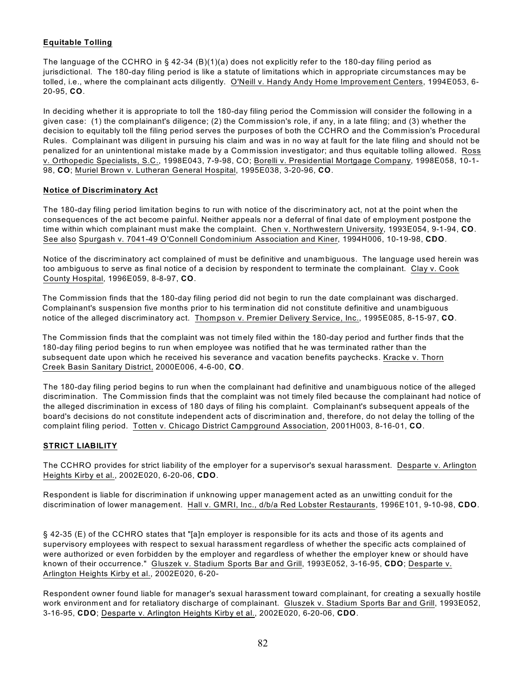# **Equitable Tolling**

The language of the CCHRO in § 42-34 (B)(1)(a) does not explicitly refer to the 180-day filing period as jurisdictional. The 180-day filing period is like a statute of limitations which in appropriate circumstances may be tolled, i.e., where the complainant acts diligently. O'Neill v. Handy Andy Home Improvement Centers, 1994E053, 6- 20-95, **CO**.

In deciding whether it is appropriate to toll the 180-day filing period the Commission will consider the following in a given case: (1) the complainant's diligence; (2) the Commission's role, if any, in a late filing; and (3) whether the decision to equitably toll the filing period serves the purposes of both the CCHRO and the Commission's Procedural Rules. Complainant was diligent in pursuing his claim and was in no way at fault for the late filing and should not be penalized for an unintentional mistake made by a Commission investigator; and thus equitable tolling allowed. Ross v. Orthopedic Specialists, S.C., 1998E043, 7-9-98, CO; Borelli v. Presidential Mortgage Company, 1998E058, 10-1- 98, **CO**; Muriel Brown v. Lutheran General Hospital, 1995E038, 3-20-96, **CO**.

# **Notice of Discriminatory Act**

The 180-day filing period limitation begins to run with notice of the discriminatory act, not at the point when the consequences of the act become painful. Neither appeals nor a deferral of final date of employment postpone the time within which complainant must make the complaint. Chen v. Northwestern University, 1993E054, 9-1-94, **CO**. See also Spurgash v. 7041-49 O'Connell Condominium Association and Kiner, 1994H006, 10-19-98, **CDO**.

Notice of the discriminatory act complained of must be definitive and unambiguous. The language used herein was too ambiguous to serve as final notice of a decision by respondent to terminate the complainant. Clay v. Cook County Hospital, 1996E059, 8-8-97, **CO**.

The Commission finds that the 180-day filing period did not begin to run the date complainant was discharged. Complainant's suspension five months prior to his termination did not constitute definitive and unambiguous notice of the alleged discriminatory act. Thompson v. Premier Delivery Service, Inc., 1995E085, 8-15-97, **CO**.

The Commission finds that the complaint was not timely filed within the 180-day period and further finds that the 180-day filing period begins to run when employee was notified that he was terminated rather than the subsequent date upon which he received his severance and vacation benefits paychecks. Kracke v. Thorn Creek Basin Sanitary District, 2000E006, 4-6-00, **CO**.

The 180-day filing period begins to run when the complainant had definitive and unambiguous notice of the alleged discrimination. The Commission finds that the complaint was not timely filed because the complainant had notice of the alleged discrimination in excess of 180 days of filing his complaint. Complainant's subsequent appeals of the board's decisions do not constitute independent acts of discrimination and, therefore, do not delay the tolling of the complaint filing period. Totten v. Chicago District Campground Association, 2001H003, 8-16-01, **CO**.

# **STRICT LIABILITY**

The CCHRO provides for strict liability of the employer for a supervisor's sexual harassment. Desparte v. Arlington Heights Kirby et al., 2002E020, 6-20-06, **CDO**.

Respondent is liable for discrimination if unknowing upper management acted as an unwitting conduit for the discrimination of lower management. Hall v. GMRI, Inc., d/b/a Red Lobster Restaurants, 1996E101, 9-10-98, **CDO**.

§ 42-35 (E) of the CCHRO states that "[a]n employer is responsible for its acts and those of its agents and supervisory employees with respect to sexual harassment regardless of whether the specific acts complained of were authorized or even forbidden by the employer and regardless of whether the employer knew or should have known of their occurrence." Gluszek v. Stadium Sports Bar and Grill, 1993E052, 3-16-95, **CDO**; Desparte v. Arlington Heights Kirby et al., 2002E020, 6-20-

Respondent owner found liable for manager's sexual harassment toward complainant, for creating a sexually hostile work environment and for retaliatory discharge of complainant. Gluszek v. Stadium Sports Bar and Grill, 1993E052, 3-16-95, **CDO**; Desparte v. Arlington Heights Kirby et al., 2002E020, 6-20-06, **CDO**.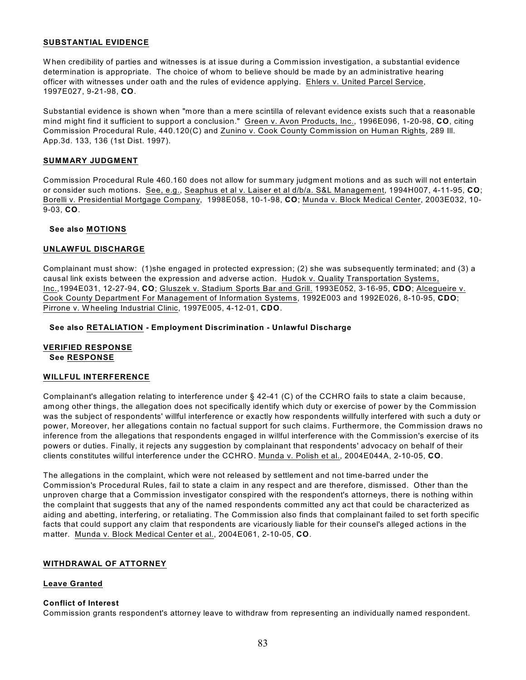#### **SUBSTANTIAL EVIDENCE**

W hen credibility of parties and witnesses is at issue during a Commission investigation, a substantial evidence determination is appropriate. The choice of whom to believe should be made by an administrative hearing officer with witnesses under oath and the rules of evidence applying. Ehlers v. United Parcel Service, 1997E027, 9-21-98, **CO**.

Substantial evidence is shown when "more than a mere scintilla of relevant evidence exists such that a reasonable mind might find it sufficient to support a conclusion." Green v. Avon Products, Inc., 1996E096, 1-20-98, **CO**, citing Commission Procedural Rule, 440.120(C) and Zunino v. Cook County Commission on Human Rights, 289 Ill. App.3d. 133, 136 (1st Dist. 1997).

#### **SUMMARY JUDGMENT**

Commission Procedural Rule 460.160 does not allow for summary judgment motions and as such will not entertain or consider such motions. See, e.g., Seaphus et al v. Laiser et al d/b/a. S&L Management, 1994H007, 4-11-95, **CO**; Borelli v. Presidential Mortgage Company, 1998E058, 10-1-98, **CO**; Munda v. Block Medical Center, 2003E032, 10- 9-03, **CO**.

#### **See also MOTIONS**

#### **UNLAWFUL DISCHARGE**

Complainant must show: (1)she engaged in protected expression; (2) she was subsequently terminated; and (3) a causal link exists between the expression and adverse action. Hudok v. Quality Transportation Systems, Inc.,1994E031, 12-27-94, **CO**; Gluszek v. Stadium Sports Bar and Grill. 1993E052, 3-16-95, **CDO**; Alcegueire v. Cook County Department For Management of Information Systems, 1992E003 and 1992E026, 8-10-95, **CDO**; Pirrone v. W heeling Industrial Clinic, 1997E005, 4-12-01, **CDO**.

#### **See also RETALIATION - Employment Discrimination - Unlawful Discharge**

#### **VERIFIED RESPONSE See RESPONSE**

#### **WILLFUL INTERFERENCE**

Complainant's allegation relating to interference under § 42-41 (C) of the CCHRO fails to state a claim because, among other things, the allegation does not specifically identify which duty or exercise of power by the Commission was the subject of respondents' willful interference or exactly how respondents willfully interfered with such a duty or power, Moreover, her allegations contain no factual support for such claims. Furthermore, the Commission draws no inference from the allegations that respondents engaged in willful interference with the Commission's exercise of its powers or duties. Finally, it rejects any suggestion by complainant that respondents' advocacy on behalf of their clients constitutes willful interference under the CCHRO. Munda v. Polish et al., 2004E044A, 2-10-05, **CO**.

The allegations in the complaint, which were not released by settlement and not time-barred under the Commission's Procedural Rules, fail to state a claim in any respect and are therefore, dismissed. Other than the unproven charge that a Commission investigator conspired with the respondent's attorneys, there is nothing within the complaint that suggests that any of the named respondents committed any act that could be characterized as aiding and abetting, interfering, or retaliating. The Commission also finds that complainant failed to set forth specific facts that could support any claim that respondents are vicariously liable for their counsel's alleged actions in the matter. Munda v. Block Medical Center et al., 2004E061, 2-10-05, **CO**.

## **WITHDRAWAL OF ATTORNEY**

## **Leave Granted**

#### **Conflict of Interest**

Commission grants respondent's attorney leave to withdraw from representing an individually named respondent.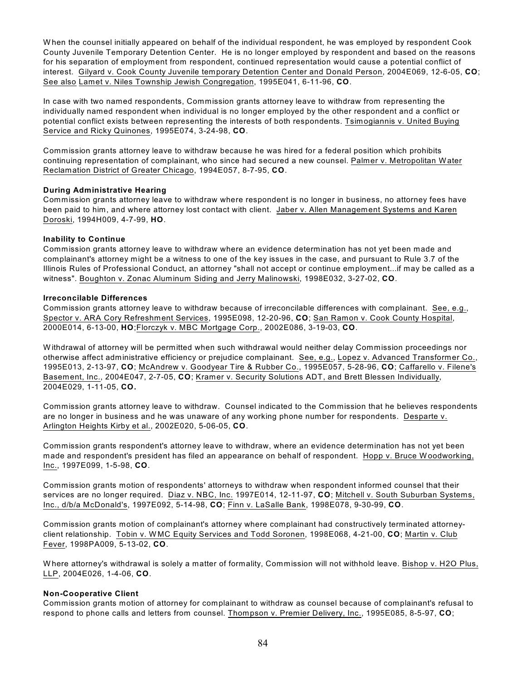W hen the counsel initially appeared on behalf of the individual respondent, he was employed by respondent Cook County Juvenile Temporary Detention Center. He is no longer employed by respondent and based on the reasons for his separation of employment from respondent, continued representation would cause a potential conflict of interest. Gilyard v. Cook County Juvenile temporary Detention Center and Donald Person, 2004E069, 12-6-05, **CO**; See also Lamet v. Niles Township Jewish Congregation, 1995E041, 6-11-96, **CO**.

In case with two named respondents, Commission grants attorney leave to withdraw from representing the individually named respondent when individual is no longer employed by the other respondent and a conflict or potential conflict exists between representing the interests of both respondents. Tsimogiannis v. United Buying Service and Ricky Quinones, 1995E074, 3-24-98, **CO**.

Commission grants attorney leave to withdraw because he was hired for a federal position which prohibits continuing representation of complainant, who since had secured a new counsel. Palmer v. Metropolitan Water Reclamation District of Greater Chicago, 1994E057, 8-7-95, **CO**.

#### **During Administrative Hearing**

Commission grants attorney leave to withdraw where respondent is no longer in business, no attorney fees have been paid to him, and where attorney lost contact with client. Jaber v. Allen Management Systems and Karen Doroski, 1994H009, 4-7-99, **HO**.

#### **Inability to Continue**

Commission grants attorney leave to withdraw where an evidence determination has not yet been made and complainant's attorney might be a witness to one of the key issues in the case, and pursuant to Rule 3.7 of the Illinois Rules of Professional Conduct, an attorney "shall not accept or continue employment...if may be called as a witness". Boughton v. Zonac Aluminum Siding and Jerry Malinowski, 1998E032, 3-27-02, **CO**.

#### **Irreconcilable Differences**

Commission grants attorney leave to withdraw because of irreconcilable differences with complainant. See, e.g., Spector v. ARA Cory Refreshment Services, 1995E098, 12-20-96, **CO**; San Ramon v. Cook County Hospital, 2000E014, 6-13-00, **HO**;Florczyk v. MBC Mortgage Corp., 2002E086, 3-19-03, **CO**.

W ithdrawal of attorney will be permitted when such withdrawal would neither delay Commission proceedings nor otherwise affect administrative efficiency or prejudice complainant. See, e.g., Lopez v. Advanced Transformer Co., 1995E013, 2-13-97, **CO**; McAndrew v. Goodyear Tire & Rubber Co., 1995E057, 5-28-96, **CO**; Caffarello v. Filene's Basement, Inc., 2004E047, 2-7-05, **CO**; Kramer v. Security Solutions ADT, and Brett Blessen Individually, 2004E029, 1-11-05, **CO.**

Commission grants attorney leave to withdraw. Counsel indicated to the Commission that he believes respondents are no longer in business and he was unaware of any working phone number for respondents. Desparte v. Arlington Heights Kirby et al., 2002E020, 5-06-05, **CO**.

Commission grants respondent's attorney leave to withdraw, where an evidence determination has not yet been made and respondent's president has filed an appearance on behalf of respondent. Hopp v. Bruce Woodworking, Inc., 1997E099, 1-5-98, **CO**.

Commission grants motion of respondents' attorneys to withdraw when respondent informed counsel that their services are no longer required. Diaz v. NBC, Inc. 1997E014, 12-11-97, **CO**; Mitchell v. South Suburban Systems, Inc., d/b/a McDonald's, 1997E092, 5-14-98, **CO**; Finn v. LaSalle Bank, 1998E078, 9-30-99, **CO**.

Commission grants motion of complainant's attorney where complainant had constructively terminated attorneyclient relationship. Tobin v. W MC Equity Services and Todd Soronen, 1998E068, 4-21-00, **CO**; Martin v. Club Fever, 1998PA009, 5-13-02, **CO**.

Where attorney's withdrawal is solely a matter of formality, Commission will not withhold leave. Bishop v. H2O Plus, LLP, 2004E026, 1-4-06, **CO**.

## **Non-Cooperative Client**

Commission grants motion of attorney for complainant to withdraw as counsel because of complainant's refusal to respond to phone calls and letters from counsel. Thompson v. Premier Delivery, Inc., 1995E085, 8-5-97, **CO**;